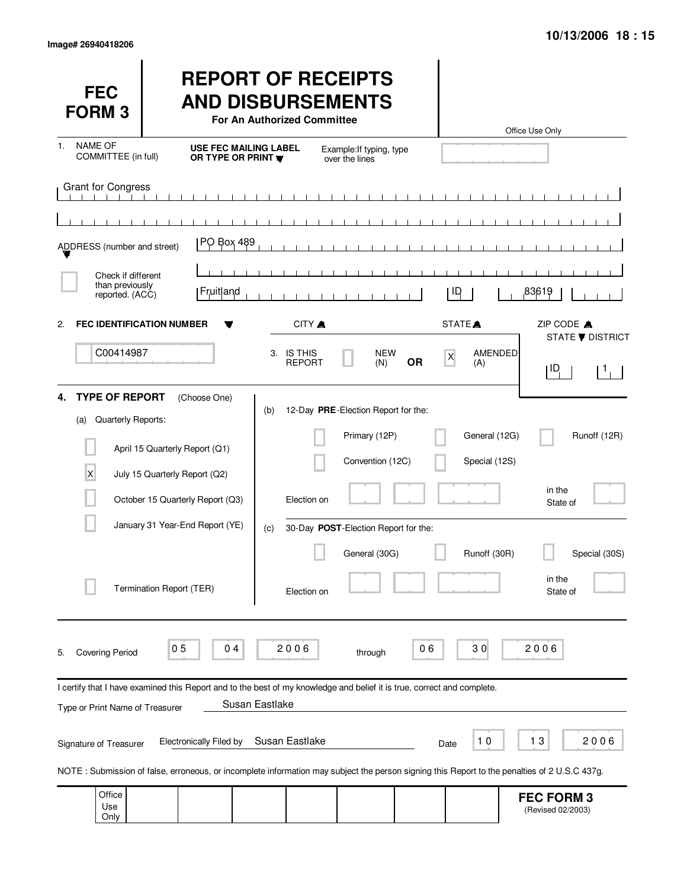Only

| <b>FEC</b><br><b>FORM3</b>                                                                                                                   |                                                                 |                                |                                                  | For An Authorized Committee | <b>REPORT OF RECEIPTS</b><br><b>AND DISBURSEMENTS</b> |           |                    |                                | Office Use Only                        |                         |
|----------------------------------------------------------------------------------------------------------------------------------------------|-----------------------------------------------------------------|--------------------------------|--------------------------------------------------|-----------------------------|-------------------------------------------------------|-----------|--------------------|--------------------------------|----------------------------------------|-------------------------|
| <b>NAME OF</b><br>1.<br>COMMITTEE (in full)                                                                                                  |                                                                 |                                | <b>USE FEC MAILING LABEL</b><br>OR TYPE OR PRINT |                             | Example: If typing, type<br>over the lines            |           |                    |                                |                                        |                         |
| <b>Grant for Congress</b>                                                                                                                    |                                                                 |                                |                                                  | $\mathbf{1}$ $\mathbf{1}$   | $\blacksquare$<br>$\blacksquare$<br>$\blacksquare$    |           |                    |                                |                                        |                         |
| ADDRESS (number and street)                                                                                                                  |                                                                 | PO Box 489                     |                                                  |                             |                                                       |           |                    |                                |                                        |                         |
| Check if different<br>than previously<br>reported. (ACC)                                                                                     |                                                                 | Fruitland                      |                                                  |                             |                                                       |           | ID                 |                                | 83619                                  |                         |
| <b>FEC IDENTIFICATION NUMBER</b><br>2.                                                                                                       |                                                                 |                                |                                                  | CITY A                      |                                                       |           | STATE <sup>A</sup> |                                | ZIP CODE A                             | STATE <b>V</b> DISTRICT |
| C00414987                                                                                                                                    |                                                                 |                                |                                                  | 3. IS THIS<br><b>REPORT</b> | <b>NEW</b><br>(N)                                     | <b>OR</b> | X                  | AMENDED<br>(A)                 | ID                                     | $\mathbf{1}$ ,          |
| <b>TYPE OF REPORT</b><br>4.<br>Quarterly Reports:<br>(a)                                                                                     |                                                                 | (Choose One)                   | (b)                                              |                             | 12-Day PRE-Election Report for the:                   |           |                    |                                |                                        |                         |
| X                                                                                                                                            | April 15 Quarterly Report (Q1)<br>July 15 Quarterly Report (Q2) |                                |                                                  |                             | Primary (12P)<br>Convention (12C)                     |           |                    | General (12G)<br>Special (12S) |                                        | Runoff (12R)            |
|                                                                                                                                              | October 15 Quarterly Report (Q3)                                |                                |                                                  | Election on                 |                                                       |           |                    |                                | in the<br>State of                     |                         |
|                                                                                                                                              | January 31 Year-End Report (YE)                                 |                                | (c)                                              |                             | 30-Day POST-Election Report for the:                  |           |                    |                                |                                        |                         |
|                                                                                                                                              |                                                                 |                                |                                                  |                             | General (30G)                                         |           |                    | Runoff (30R)                   |                                        | Special (30S)           |
|                                                                                                                                              | Termination Report (TER)                                        |                                |                                                  | Election on                 |                                                       |           |                    |                                | in the<br>State of                     |                         |
| <b>Covering Period</b><br>5.                                                                                                                 | 0 <sub>5</sub>                                                  | 04                             |                                                  | 2006                        | through                                               | 06        |                    | 30                             | 2006                                   |                         |
| I certify that I have examined this Report and to the best of my knowledge and belief it is true, correct and complete.                      |                                                                 |                                |                                                  |                             |                                                       |           |                    |                                |                                        |                         |
| Type or Print Name of Treasurer                                                                                                              |                                                                 |                                | Susan Eastlake                                   |                             |                                                       |           |                    |                                |                                        |                         |
| Signature of Treasurer                                                                                                                       |                                                                 | <b>Electronically Filed by</b> |                                                  | Susan Eastlake              |                                                       |           | Date               | 10                             | 13                                     | 2006                    |
| NOTE: Submission of false, erroneous, or incomplete information may subject the person signing this Report to the penalties of 2 U.S.C 437g. |                                                                 |                                |                                                  |                             |                                                       |           |                    |                                |                                        |                         |
| Office<br>Use                                                                                                                                |                                                                 |                                |                                                  |                             |                                                       |           |                    |                                | <b>FEC FORM 3</b><br>(Revised 02/2003) |                         |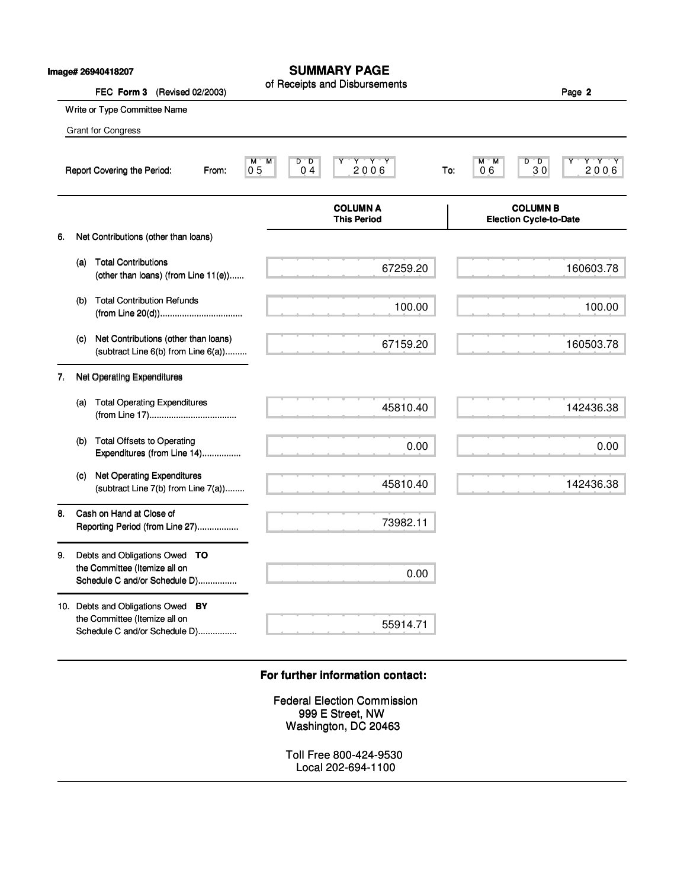|    |     | Image# 26940418207<br>FEC Form 3<br>(Revised 02/2003)                                               | <b>SUMMARY PAGE</b><br>of Receipts and Disbursements                                                                                                     | Page 2             |
|----|-----|-----------------------------------------------------------------------------------------------------|----------------------------------------------------------------------------------------------------------------------------------------------------------|--------------------|
|    |     | Write or Type Committee Name                                                                        |                                                                                                                                                          |                    |
|    |     | <b>Grant for Congress</b>                                                                           |                                                                                                                                                          |                    |
|    |     | Report Covering the Period:<br>From:                                                                | $\overline{M}$<br>$Y - Y - Y$<br>$D^{\prime\prime}$<br>M<br>$D^{\prime\prime}$<br>$M^*$ M<br>2006<br>30<br>0 <sub>5</sub><br>0 <sub>4</sub><br>06<br>To: | Y'Y'Y<br>Y<br>2006 |
|    |     |                                                                                                     | <b>COLUMN B</b><br><b>COLUMN A</b><br><b>This Period</b><br><b>Election Cycle-to-Date</b>                                                                |                    |
| 6. |     | Net Contributions (other than loans)                                                                |                                                                                                                                                          |                    |
|    | (a) | <b>Total Contributions</b><br>(other than loans) (from Line 11(e))                                  | 67259.20                                                                                                                                                 | 160603.78          |
|    | (b) | <b>Total Contribution Refunds</b>                                                                   | 100.00                                                                                                                                                   | 100.00             |
|    | (c) | Net Contributions (other than loans)<br>(subtract Line 6(b) from Line 6(a))                         | 67159.20                                                                                                                                                 | 160503.78          |
| 7. |     | Net Operating Expenditures                                                                          |                                                                                                                                                          |                    |
|    | (a) | <b>Total Operating Expenditures</b>                                                                 | 45810.40                                                                                                                                                 | 142436.38          |
|    | (b) | <b>Total Offsets to Operating</b><br>Expenditures (from Line 14)                                    | 0.00                                                                                                                                                     | 0.00               |
|    | (C) | <b>Net Operating Expenditures</b><br>(subtract Line 7(b) from Line 7(a))                            | 45810.40                                                                                                                                                 | 142436.38          |
| 8. |     | Cash on Hand at Close of<br>Reporting Period (from Line 27)                                         | 73982.11                                                                                                                                                 |                    |
| 9. |     | Debts and Obligations Owed TO                                                                       |                                                                                                                                                          |                    |
|    |     | the Committee (Itemize all on<br>Schedule C and/or Schedule D)                                      | 0.00                                                                                                                                                     |                    |
|    |     | 10. Debts and Obligations Owed BY<br>the Committee (Itemize all on<br>Schedule C and/or Schedule D) | 55914.71                                                                                                                                                 |                    |
|    |     |                                                                                                     | For further information contact:                                                                                                                         |                    |
|    |     |                                                                                                     | <b>Federal Election Commission</b><br>999 E Street, NW<br>Washington, DC 20463                                                                           |                    |
|    |     |                                                                                                     | Toll Free 800-424-9530<br>Local 202-694-1100                                                                                                             |                    |

## **For further information contact: For further information contact:**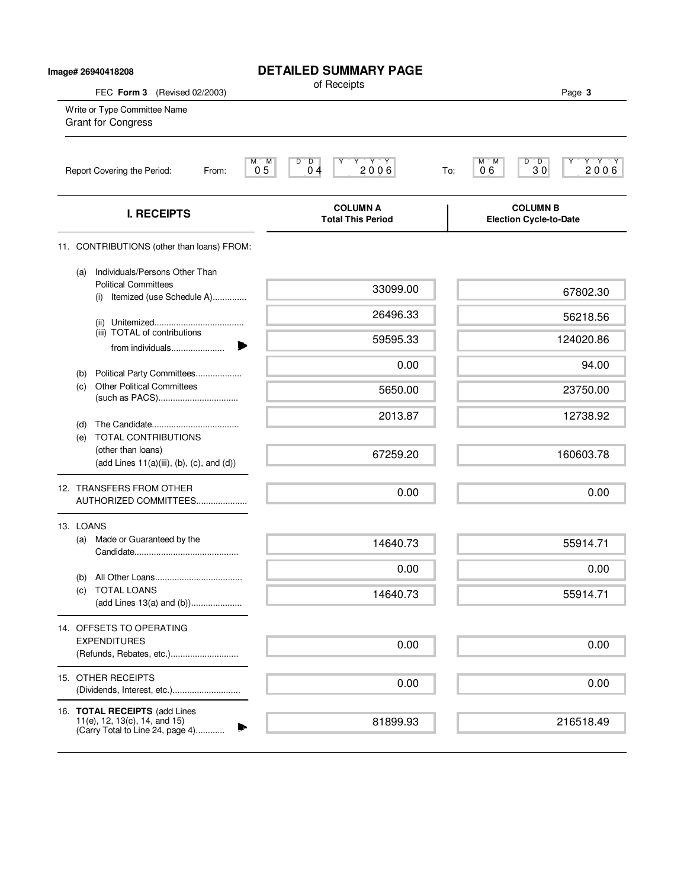| Image# 26940418208           |                                                                                                    |                                             | <b>DETAILED SUMMARY PAGE</b><br>of Receipts                                         |                                                  |               |
|------------------------------|----------------------------------------------------------------------------------------------------|---------------------------------------------|-------------------------------------------------------------------------------------|--------------------------------------------------|---------------|
| FEC Form 3 (Revised 02/2003) |                                                                                                    |                                             |                                                                                     |                                                  | Page 3        |
|                              | Write or Type Committee Name<br><b>Grant for Congress</b>                                          |                                             |                                                                                     |                                                  |               |
|                              | Report Covering the Period:                                                                        | From:                                       | $Y + Y + Y$<br>D<br>M.<br>M<br>D<br>Υ<br>$\overline{0}$ 4<br>0 <sub>5</sub><br>2006 | $D^{\prime}D$<br>M M<br>30<br>06<br>To:          | Y Y Y<br>2006 |
|                              | <b>I. RECEIPTS</b>                                                                                 |                                             | <b>COLUMN A</b><br><b>Total This Period</b>                                         | <b>COLUMN B</b><br><b>Election Cycle-to-Date</b> |               |
|                              |                                                                                                    | 11. CONTRIBUTIONS (other than loans) FROM:  |                                                                                     |                                                  |               |
|                              | Individuals/Persons Other Than<br>(a)<br><b>Political Committees</b>                               |                                             | 33099.00                                                                            |                                                  | 67802.30      |
|                              |                                                                                                    | (i) Itemized (use Schedule A)               | 26496.33                                                                            |                                                  | 56218.56      |
|                              | (iii) TOTAL of contributions                                                                       | from individuals                            | 59595.33                                                                            |                                                  | 124020.86     |
|                              |                                                                                                    |                                             | 0.00                                                                                |                                                  | 94.00         |
|                              | (b)<br><b>Other Political Committees</b><br>(c)                                                    | Political Party Committees                  | 5650.00                                                                             |                                                  | 23750.00      |
|                              | (d)                                                                                                |                                             | 2013.87                                                                             |                                                  | 12738.92      |
|                              | <b>TOTAL CONTRIBUTIONS</b><br>(e)<br>(other than loans)                                            | $(add Lines 11(a)(iii), (b), (c), and (d))$ | 67259.20                                                                            |                                                  | 160603.78     |
|                              | 12. TRANSFERS FROM OTHER                                                                           | AUTHORIZED COMMITTEES                       | 0.00                                                                                |                                                  | 0.00          |
|                              | 13. LOANS                                                                                          |                                             |                                                                                     |                                                  |               |
|                              | Made or Guaranteed by the<br>(a)                                                                   |                                             | 14640.73                                                                            |                                                  | 55914.71      |
|                              | (b)                                                                                                |                                             | 0.00                                                                                |                                                  | 0.00          |
|                              | <b>TOTAL LOANS</b><br>(C)                                                                          |                                             | 14640.73                                                                            |                                                  | 55914.71      |
|                              | 14. OFFSETS TO OPERATING                                                                           |                                             |                                                                                     |                                                  |               |
|                              | <b>EXPENDITURES</b><br>(Refunds, Rebates, etc.)                                                    |                                             | 0.00                                                                                |                                                  | 0.00          |
|                              | 15. OTHER RECEIPTS                                                                                 |                                             | 0.00                                                                                |                                                  | 0.00          |
|                              | 16. TOTAL RECEIPTS (add Lines<br>11(e), 12, 13(c), 14, and 15)<br>(Carry Total to Line 24, page 4) |                                             | 81899.93                                                                            |                                                  | 216518.49     |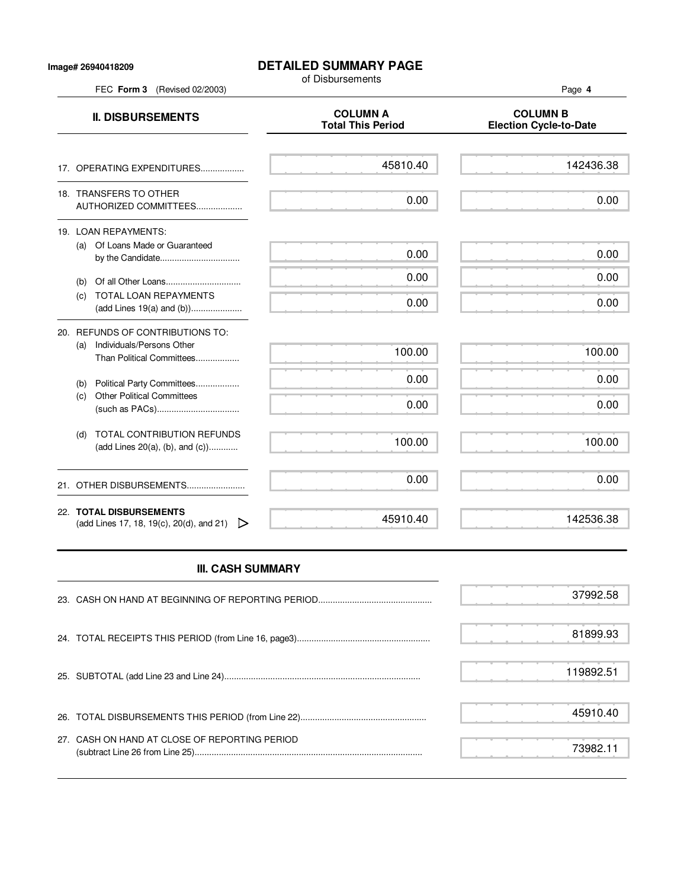#### **Image# 26940418209**

### **DETAILED SUMMARY PAGE**

of Disbursements

FEC **Form 3** (Revised 02/2003) Page **4 II. DISBURSEMENTS**<br>Total This Period Figures and COLUMN B<br>Total This Period Figures and Column B **Election Cycle-to-Date** 17. OPERATING EXPENDITURES.................. 18. TRANSFERS TO OTHER AUTHORIZED COMMITTEES................... 19. LOAN REPAYMENTS: (a) Of Loans Made or Guaranteed by the Candidate................................. (b) Of all Other Loans............................... (c) TOTAL LOAN REPAYMENTS (add Lines 19(a) and (b))..................... 20. REFUNDS OF CONTRIBUTIONS TO: (a) Individuals/Persons Other Than Political Committees.................. (b) Political Party Committees.................. (c) Other Political Committees (such as PACs).................................. (d) TOTAL CONTRIBUTION REFUNDS (add Lines 20(a), (b), and (c))............ 21. OTHER DISBURSEMENTS......................... 22. **TOTAL DISBURSEMENTS** (add Lines 17, 18, 19(c), 20(d), and 21)  $\triangleright$ 45810.40 0.00 0.00 0.00 0.00 100.00 0.00 0.00 100.00 0.00 45910.40 142436.38 0.00 0.00 0.00 0.00 100.00 0.00 0.00 100.00 0.00 142536.38

# **III. CASH SUMMARY**

|                                               | 37992.58  |
|-----------------------------------------------|-----------|
|                                               | 81899.93  |
|                                               | 119892.51 |
|                                               | 45910.40  |
| 27. CASH ON HAND AT CLOSE OF REPORTING PERIOD | 73982 11  |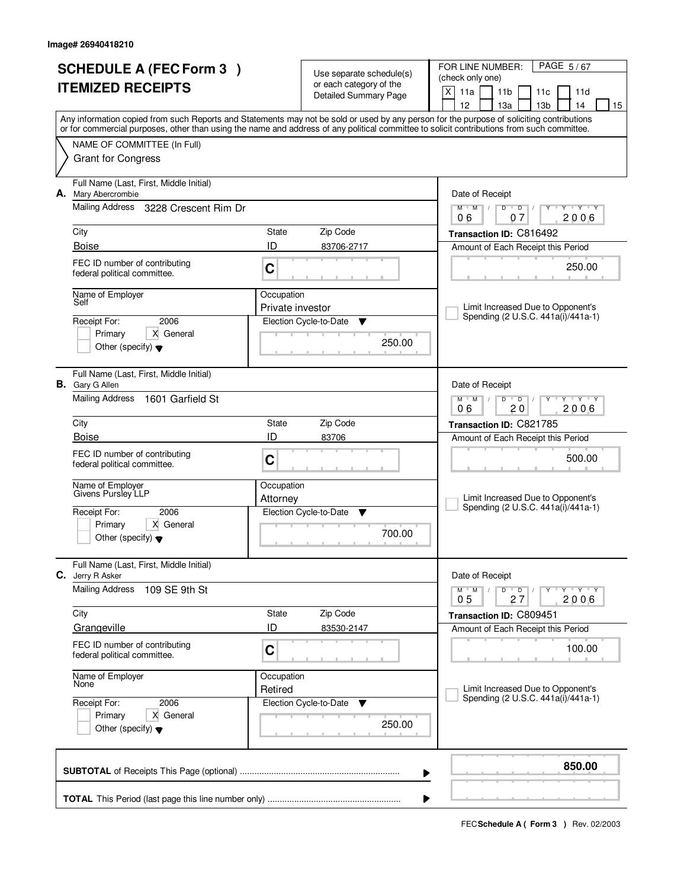| <b>SCHEDULE A (FEC Form 3)</b>                                                                                                                                            |                                | Use separate schedule(s)                         | FOR LINE NUMBER:<br>PAGE 5/67<br>(check only one)                          |
|---------------------------------------------------------------------------------------------------------------------------------------------------------------------------|--------------------------------|--------------------------------------------------|----------------------------------------------------------------------------|
| <b>ITEMIZED RECEIPTS</b>                                                                                                                                                  |                                | or each category of the<br>Detailed Summary Page | X<br>11a<br>11 <sub>b</sub><br>11c<br>11d                                  |
| Any information copied from such Reports and Statements may not be sold or used by any person for the purpose of soliciting contributions                                 |                                |                                                  | 12<br>13 <sub>b</sub><br>13a<br>14<br>15                                   |
| or for commercial purposes, other than using the name and address of any political committee to solicit contributions from such committee.<br>NAME OF COMMITTEE (In Full) |                                |                                                  |                                                                            |
| <b>Grant for Congress</b>                                                                                                                                                 |                                |                                                  |                                                                            |
| Full Name (Last, First, Middle Initial)<br>А.<br>Mary Abercrombie                                                                                                         |                                |                                                  | Date of Receipt                                                            |
| <b>Mailing Address</b><br>3228 Crescent Rim Dr                                                                                                                            |                                |                                                  | $D$ $D$<br>$Y - Y - Y$<br>$M$ $M$ /<br>Y<br>$\sqrt{ }$<br>2006<br>06<br>07 |
| City                                                                                                                                                                      | State                          | Zip Code                                         | Transaction ID: C816492                                                    |
| <b>Boise</b>                                                                                                                                                              | ID                             | 83706-2717                                       | Amount of Each Receipt this Period                                         |
| FEC ID number of contributing<br>federal political committee.                                                                                                             | C                              |                                                  | 250.00                                                                     |
| Name of Employer<br>Self                                                                                                                                                  | Occupation<br>Private investor |                                                  | Limit Increased Due to Opponent's                                          |
| 2006<br>Receipt For:                                                                                                                                                      |                                | Election Cycle-to-Date<br>▼                      | Spending (2 U.S.C. 441a(i)/441a-1)                                         |
| X General<br>Primary<br>Other (specify) $\blacktriangledown$                                                                                                              |                                | 250.00                                           |                                                                            |
| Full Name (Last, First, Middle Initial)<br><b>B.</b> Gary G Allen                                                                                                         |                                |                                                  | Date of Receipt                                                            |
| <b>Mailing Address</b><br>1601 Garfield St                                                                                                                                |                                |                                                  | $M$ $M$ /<br><u>י ץ י</u><br>D<br>$\overline{D}$<br>20<br>2006<br>06       |
| City                                                                                                                                                                      | State                          | Zip Code                                         | Transaction ID: C821785                                                    |
| <b>Boise</b>                                                                                                                                                              | ID                             | 83706                                            | Amount of Each Receipt this Period                                         |
| FEC ID number of contributing<br>federal political committee.                                                                                                             | C                              |                                                  | 500.00                                                                     |
| Name of Employer<br>Givens Pursley LLP                                                                                                                                    | Occupation                     |                                                  |                                                                            |
| 2006<br>Receipt For:                                                                                                                                                      | Attorney                       | Election Cycle-to-Date<br>v                      | Limit Increased Due to Opponent's<br>Spending (2 U.S.C. 441a(i)/441a-1)    |
| Primary<br>X General                                                                                                                                                      |                                |                                                  |                                                                            |
| Other (specify) $\blacktriangledown$                                                                                                                                      |                                | 700.00                                           |                                                                            |
| Full Name (Last, First, Middle Initial)<br>C. Jerry R Asker                                                                                                               |                                |                                                  | Date of Receipt                                                            |
| <b>Mailing Address</b><br>109 SE 9th St                                                                                                                                   |                                |                                                  | $M$ $M$ $/$<br>D<br>$\overline{D}$<br>$Y + Y + Y$<br>2006<br>05<br>27      |
| City                                                                                                                                                                      | State                          | Zip Code                                         | Transaction ID: C809451                                                    |
| Grangeville                                                                                                                                                               | ID                             | 83530-2147                                       | Amount of Each Receipt this Period                                         |
| FEC ID number of contributing<br>federal political committee.                                                                                                             | $\mathbf C$                    |                                                  | 100.00                                                                     |
| Name of Employer<br>None                                                                                                                                                  | Occupation<br>Retired          |                                                  | Limit Increased Due to Opponent's                                          |
| 2006<br>Receipt For:                                                                                                                                                      |                                | Election Cycle-to-Date<br>v                      | Spending (2 U.S.C. 441a(i)/441a-1)                                         |
| Primary<br>X General<br>Other (specify) $\blacktriangledown$                                                                                                              |                                | 250.00                                           |                                                                            |
|                                                                                                                                                                           |                                |                                                  | 850.00<br>▶                                                                |
|                                                                                                                                                                           |                                |                                                  | ▶                                                                          |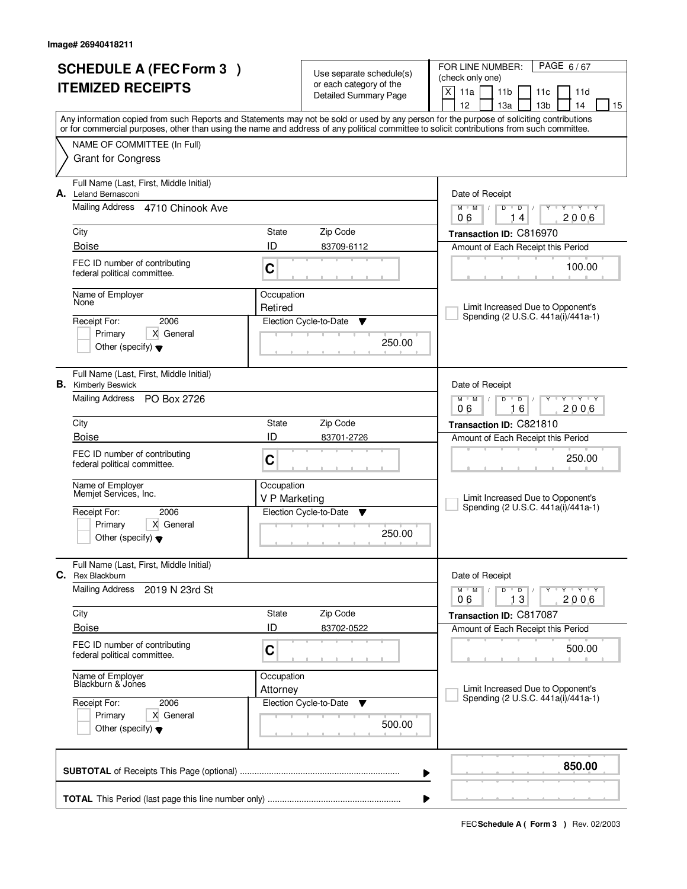|                          | <b>SCHEDULE A (FEC Form 3)</b>                                        |                       | Use separate schedule(s)    | FOR LINE NUMBER:<br>PAGE 6/67                                                                                                              |
|--------------------------|-----------------------------------------------------------------------|-----------------------|-----------------------------|--------------------------------------------------------------------------------------------------------------------------------------------|
| <b>ITEMIZED RECEIPTS</b> |                                                                       |                       | or each category of the     | (check only one)                                                                                                                           |
|                          |                                                                       |                       | Detailed Summary Page       | X<br>11a<br>11 <sub>b</sub><br>11c<br>11d<br>12<br>13 <sub>b</sub><br>13a<br>14<br>15                                                      |
|                          |                                                                       |                       |                             | Any information copied from such Reports and Statements may not be sold or used by any person for the purpose of soliciting contributions  |
|                          |                                                                       |                       |                             | or for commercial purposes, other than using the name and address of any political committee to solicit contributions from such committee. |
|                          | NAME OF COMMITTEE (In Full)                                           |                       |                             |                                                                                                                                            |
|                          | <b>Grant for Congress</b>                                             |                       |                             |                                                                                                                                            |
| А.                       | Full Name (Last, First, Middle Initial)<br>Leland Bernasconi          |                       |                             | Date of Receipt                                                                                                                            |
|                          | <b>Mailing Address</b><br>4710 Chinook Ave                            |                       |                             | $M$ $M$ /<br>$Y - Y - Y$<br>D<br>$\overline{D}$<br>Y<br>2006<br>06<br>14                                                                   |
|                          | City                                                                  | State                 | Zip Code                    | Transaction ID: C816970                                                                                                                    |
|                          | <b>Boise</b>                                                          | ID                    | 83709-6112                  | Amount of Each Receipt this Period                                                                                                         |
|                          | FEC ID number of contributing<br>federal political committee.         | C                     |                             | 100.00                                                                                                                                     |
|                          | Name of Employer<br>None                                              | Occupation<br>Retired |                             | Limit Increased Due to Opponent's                                                                                                          |
|                          | 2006<br>Receipt For:                                                  |                       | Election Cycle-to-Date<br>Y | Spending (2 U.S.C. 441a(i)/441a-1)                                                                                                         |
|                          | X General<br>Primary                                                  |                       |                             |                                                                                                                                            |
|                          | Other (specify) $\blacktriangledown$                                  |                       | 250.00                      |                                                                                                                                            |
|                          | Full Name (Last, First, Middle Initial)<br><b>B.</b> Kimberly Beswick |                       |                             | Date of Receipt                                                                                                                            |
|                          | Mailing Address<br>PO Box 2726                                        |                       |                             | $M$ $M$<br>TEY TY<br>D<br>$\Box$<br>6<br>2006<br>06<br>1.                                                                                  |
|                          | City                                                                  | State                 | Zip Code                    | Transaction ID: C821810                                                                                                                    |
|                          | <b>Boise</b>                                                          | ID                    | 83701-2726                  | Amount of Each Receipt this Period                                                                                                         |
|                          | FEC ID number of contributing<br>federal political committee.         | C                     |                             | 250.00                                                                                                                                     |
|                          | Name of Employer<br>Memjet Services, Inc.                             | Occupation            |                             |                                                                                                                                            |
|                          |                                                                       | V P Marketing         |                             | Limit Increased Due to Opponent's<br>Spending (2 U.S.C. 441a(i)/441a-1)                                                                    |
|                          | 2006<br>Receipt For:<br>X General<br>Primary                          |                       | Election Cycle-to-Date<br>▼ |                                                                                                                                            |
|                          | Other (specify) $\blacktriangledown$                                  |                       | 250.00                      |                                                                                                                                            |
|                          | Full Name (Last, First, Middle Initial)<br>C. Rex Blackburn           |                       |                             | Date of Receipt                                                                                                                            |
|                          | <b>Mailing Address</b><br>2019 N 23rd St                              |                       |                             | $D$ $D$ $/$<br>$M$ $M$ /<br>$Y + Y + Y$<br>Y<br>2006<br>13<br>06                                                                           |
|                          | City                                                                  | State                 | Zip Code                    | Transaction ID: C817087                                                                                                                    |
|                          | <b>Boise</b>                                                          | ID                    | 83702-0522                  | Amount of Each Receipt this Period                                                                                                         |
|                          | FEC ID number of contributing<br>federal political committee.         | $\mathbf C$           |                             | 500.00                                                                                                                                     |
|                          | Name of Employer<br>Blackburn & Jones                                 | Occupation            |                             |                                                                                                                                            |
|                          |                                                                       | Attorney              |                             | Limit Increased Due to Opponent's<br>Spending (2 U.S.C. 441a(i)/441a-1)                                                                    |
|                          | Receipt For:<br>2006<br>Primary<br>X General                          |                       | Election Cycle-to-Date<br>v |                                                                                                                                            |
|                          | Other (specify) $\blacktriangledown$                                  |                       | 500.00                      |                                                                                                                                            |
|                          |                                                                       |                       |                             | 850.00<br>▶                                                                                                                                |
|                          |                                                                       |                       |                             | ▶                                                                                                                                          |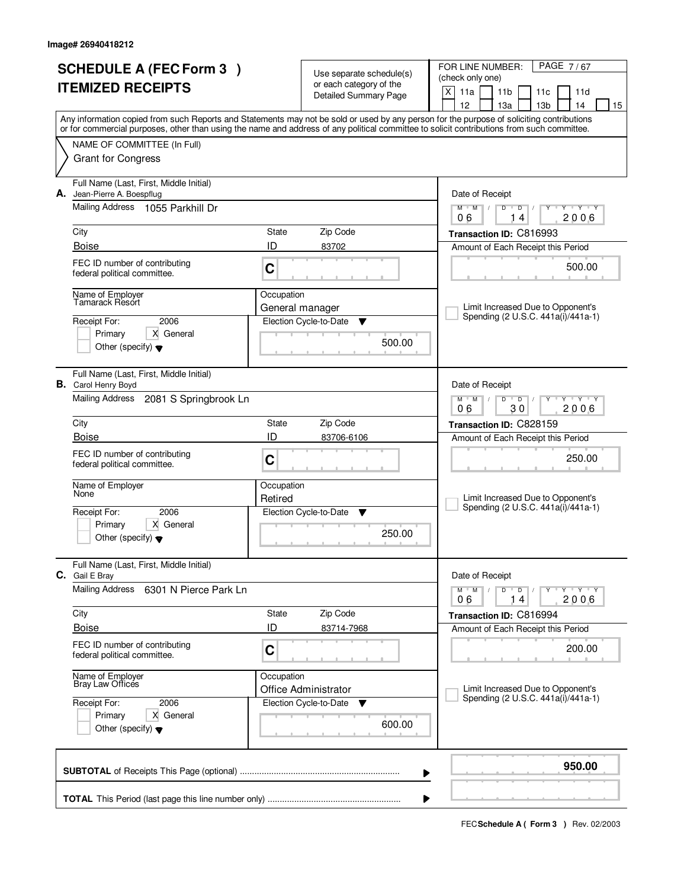| <b>SCHEDULE A (FEC Form 3)</b>                                                                                                                                                                                                                                                          |             | Use separate schedule(s)                         | PAGE 7/67<br>FOR LINE NUMBER:<br>(check only one)                       |
|-----------------------------------------------------------------------------------------------------------------------------------------------------------------------------------------------------------------------------------------------------------------------------------------|-------------|--------------------------------------------------|-------------------------------------------------------------------------|
| <b>ITEMIZED RECEIPTS</b>                                                                                                                                                                                                                                                                |             | or each category of the<br>Detailed Summary Page | X<br>11a<br>11 <sub>b</sub><br>11c<br>11d                               |
|                                                                                                                                                                                                                                                                                         |             |                                                  | 12<br>13 <sub>b</sub><br>13a<br>14<br>15                                |
| Any information copied from such Reports and Statements may not be sold or used by any person for the purpose of soliciting contributions<br>or for commercial purposes, other than using the name and address of any political committee to solicit contributions from such committee. |             |                                                  |                                                                         |
| NAME OF COMMITTEE (In Full)                                                                                                                                                                                                                                                             |             |                                                  |                                                                         |
| <b>Grant for Congress</b>                                                                                                                                                                                                                                                               |             |                                                  |                                                                         |
| Full Name (Last, First, Middle Initial)<br>А.<br>Jean-Pierre A. Boespflug                                                                                                                                                                                                               |             |                                                  | Date of Receipt                                                         |
| Mailing Address<br>1055 Parkhill Dr                                                                                                                                                                                                                                                     |             |                                                  | $M$ $M$ $/$<br>Y Y Y Y<br>D<br>$\overline{D}$<br>2006<br>06<br>14       |
| City                                                                                                                                                                                                                                                                                    | State       | Zip Code                                         | Transaction ID: C816993                                                 |
| <b>Boise</b>                                                                                                                                                                                                                                                                            | ID          | 83702                                            | Amount of Each Receipt this Period                                      |
| FEC ID number of contributing<br>federal political committee.                                                                                                                                                                                                                           | C           |                                                  | 500.00                                                                  |
| Name of Employer<br>Tamarack Resort                                                                                                                                                                                                                                                     | Occupation  | General manager                                  | Limit Increased Due to Opponent's                                       |
| Receipt For:<br>2006                                                                                                                                                                                                                                                                    |             | Election Cycle-to-Date<br>Y                      | Spending (2 U.S.C. 441a(i)/441a-1)                                      |
| X General<br>Primary<br>Other (specify) $\blacktriangledown$                                                                                                                                                                                                                            |             | 500.00                                           |                                                                         |
| Full Name (Last, First, Middle Initial)<br><b>B.</b> Carol Henry Boyd                                                                                                                                                                                                                   |             |                                                  | Date of Receipt                                                         |
| Mailing Address 2081 S Springbrook Ln                                                                                                                                                                                                                                                   |             |                                                  | $M^+$ M<br>TEY TEY<br>D<br>$\overline{D}$<br>30<br>2006<br>06           |
| City                                                                                                                                                                                                                                                                                    | State       | Zip Code                                         | Transaction ID: C828159                                                 |
| <b>Boise</b>                                                                                                                                                                                                                                                                            | ID          | 83706-6106                                       | Amount of Each Receipt this Period                                      |
| FEC ID number of contributing<br>federal political committee.                                                                                                                                                                                                                           | C           |                                                  | 250.00                                                                  |
| Name of Employer<br>None                                                                                                                                                                                                                                                                | Occupation  |                                                  |                                                                         |
| 2006<br>Receipt For:                                                                                                                                                                                                                                                                    | Retired     | Election Cycle-to-Date<br>Y                      | Limit Increased Due to Opponent's<br>Spending (2 U.S.C. 441a(i)/441a-1) |
| Primary<br>X General                                                                                                                                                                                                                                                                    |             |                                                  |                                                                         |
| Other (specify) $\blacktriangledown$                                                                                                                                                                                                                                                    |             | 250.00                                           |                                                                         |
| Full Name (Last, First, Middle Initial)<br>C. Gail E Bray                                                                                                                                                                                                                               |             |                                                  | Date of Receipt                                                         |
| <b>Mailing Address</b><br>6301 N Pierce Park Ln                                                                                                                                                                                                                                         |             |                                                  | $M$ $M$ $/$<br>D<br>$\overline{D}$<br>$Y + Y + Y$<br>2006<br>06<br>14   |
| City                                                                                                                                                                                                                                                                                    | State       | Zip Code                                         | Transaction ID: C816994                                                 |
| <b>Boise</b>                                                                                                                                                                                                                                                                            | ID          | 83714-7968                                       | Amount of Each Receipt this Period                                      |
| FEC ID number of contributing<br>federal political committee.                                                                                                                                                                                                                           | $\mathbf C$ |                                                  | 200.00                                                                  |
| Name of Employer<br>Bray Law Offices                                                                                                                                                                                                                                                    | Occupation  | Office Administrator                             | Limit Increased Due to Opponent's                                       |
| Receipt For:<br>2006                                                                                                                                                                                                                                                                    |             | Election Cycle-to-Date<br>v                      | Spending (2 U.S.C. 441a(i)/441a-1)                                      |
| Primary<br>X General<br>Other (specify) $\blacktriangledown$                                                                                                                                                                                                                            |             | 600.00                                           |                                                                         |
|                                                                                                                                                                                                                                                                                         |             |                                                  | 950.00<br>▶                                                             |
|                                                                                                                                                                                                                                                                                         |             |                                                  | ▶                                                                       |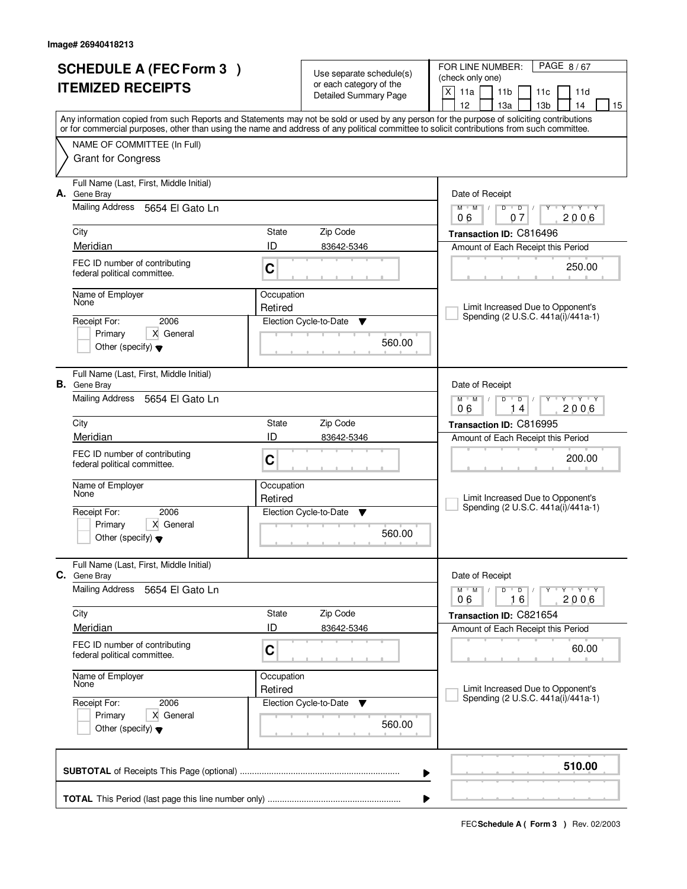| <b>SCHEDULE A (FEC Form 3)</b> |                                                                |                       | Use separate schedule(s)<br>or each category of the | PAGE 8/67<br>FOR LINE NUMBER:<br>(check only one)                                                                                                                                                                                                                                       |
|--------------------------------|----------------------------------------------------------------|-----------------------|-----------------------------------------------------|-----------------------------------------------------------------------------------------------------------------------------------------------------------------------------------------------------------------------------------------------------------------------------------------|
|                                | <b>ITEMIZED RECEIPTS</b>                                       |                       | <b>Detailed Summary Page</b>                        | X<br>11a<br>11 <sub>b</sub><br>11c<br>11d<br>13 <sub>b</sub><br>12<br>13a<br>14<br>15                                                                                                                                                                                                   |
|                                |                                                                |                       |                                                     | Any information copied from such Reports and Statements may not be sold or used by any person for the purpose of soliciting contributions<br>or for commercial purposes, other than using the name and address of any political committee to solicit contributions from such committee. |
|                                | NAME OF COMMITTEE (In Full)<br><b>Grant for Congress</b>       |                       |                                                     |                                                                                                                                                                                                                                                                                         |
| А.                             | Full Name (Last, First, Middle Initial)                        |                       |                                                     | Date of Receipt                                                                                                                                                                                                                                                                         |
|                                | Gene Bray<br><b>Mailing Address</b><br>5654 El Gato Ln         |                       |                                                     | $Y$ $Y$ $Y$<br>$M$ $M$<br>$D$ $D$ $I$<br>Y<br>07<br>2006<br>06                                                                                                                                                                                                                          |
|                                | City                                                           | State                 | Zip Code                                            | Transaction ID: C816496                                                                                                                                                                                                                                                                 |
|                                | Meridian                                                       | ID                    | 83642-5346                                          | Amount of Each Receipt this Period                                                                                                                                                                                                                                                      |
|                                | FEC ID number of contributing<br>federal political committee.  | C                     |                                                     | 250.00                                                                                                                                                                                                                                                                                  |
|                                | Name of Employer<br>None                                       | Occupation<br>Retired |                                                     | Limit Increased Due to Opponent's                                                                                                                                                                                                                                                       |
|                                | 2006<br>Receipt For:                                           |                       | Election Cycle-to-Date<br>▼                         | Spending (2 U.S.C. 441a(i)/441a-1)                                                                                                                                                                                                                                                      |
|                                | X General<br>Primary<br>Other (specify) $\blacktriangledown$   |                       | 560.00                                              |                                                                                                                                                                                                                                                                                         |
|                                | Full Name (Last, First, Middle Initial)<br><b>B.</b> Gene Bray |                       |                                                     | Date of Receipt                                                                                                                                                                                                                                                                         |
|                                | Mailing Address<br>5654 El Gato Ln                             |                       |                                                     | $M$ M<br>$T - Y - T Y$<br>D<br>$\overline{D}$<br>2006<br>06<br>14                                                                                                                                                                                                                       |
|                                | City                                                           | State                 | Zip Code                                            | Transaction ID: C816995                                                                                                                                                                                                                                                                 |
|                                | Meridian                                                       | ID                    | 83642-5346                                          | Amount of Each Receipt this Period                                                                                                                                                                                                                                                      |
|                                | FEC ID number of contributing<br>federal political committee.  | C                     |                                                     | 200.00                                                                                                                                                                                                                                                                                  |
|                                | Name of Employer<br>None                                       | Occupation<br>Retired |                                                     | Limit Increased Due to Opponent's                                                                                                                                                                                                                                                       |
|                                | 2006<br>Receipt For:                                           |                       | Election Cycle-to-Date<br>▼                         | Spending (2 U.S.C. 441a(i)/441a-1)                                                                                                                                                                                                                                                      |
|                                | X General<br>Primary<br>Other (specify) $\blacktriangledown$   |                       | 560.00                                              |                                                                                                                                                                                                                                                                                         |
| С.                             | Full Name (Last, First, Middle Initial)<br>Gene Bray           |                       |                                                     | Date of Receipt                                                                                                                                                                                                                                                                         |
|                                | <b>Mailing Address</b><br>5654 El Gato Ln                      |                       |                                                     | D<br>$M$ <sup><math>+</math></sup><br>$M$ /<br>$\overline{D}$<br>Y<br>16<br>2006<br>06                                                                                                                                                                                                  |
|                                | City                                                           | State                 | Zip Code                                            | Transaction ID: C821654                                                                                                                                                                                                                                                                 |
|                                | Meridian                                                       | ID                    | 83642-5346                                          | Amount of Each Receipt this Period                                                                                                                                                                                                                                                      |
|                                | FEC ID number of contributing<br>federal political committee.  | C                     |                                                     | 60.00                                                                                                                                                                                                                                                                                   |
|                                | Name of Employer<br>None                                       | Occupation<br>Retired |                                                     | Limit Increased Due to Opponent's                                                                                                                                                                                                                                                       |
|                                | Receipt For:<br>2006                                           |                       | Election Cycle-to-Date<br>v                         | Spending (2 U.S.C. 441a(i)/441a-1)                                                                                                                                                                                                                                                      |
|                                | X General<br>Primary<br>Other (specify) $\blacktriangledown$   |                       | 560.00                                              |                                                                                                                                                                                                                                                                                         |
|                                |                                                                |                       |                                                     | 510.00<br>▶                                                                                                                                                                                                                                                                             |
|                                |                                                                |                       |                                                     | ▶                                                                                                                                                                                                                                                                                       |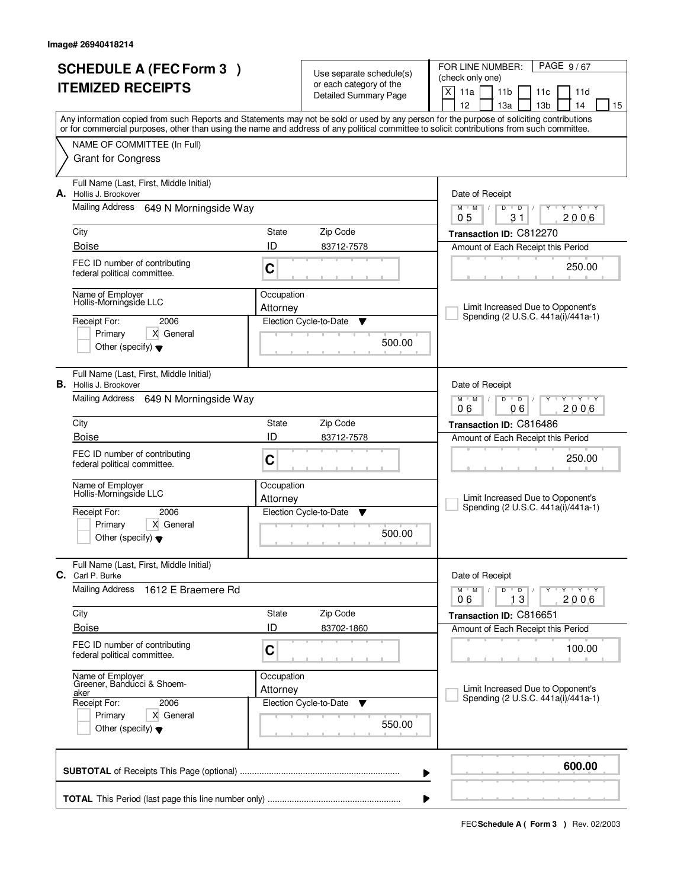| <b>SCHEDULE A (FEC Form 3)</b><br><b>ITEMIZED RECEIPTS</b> |                                                                                                                                                |                         | Use separate schedule(s)<br>or each category of the<br><b>Detailed Summary Page</b> | PAGE 9/67<br>FOR LINE NUMBER:<br>(check only one)<br>X<br>11a<br>11 <sub>b</sub><br>11c<br>11d<br>12<br>13a<br>13 <sub>b</sub><br>14<br>15                                                                                                                                              |
|------------------------------------------------------------|------------------------------------------------------------------------------------------------------------------------------------------------|-------------------------|-------------------------------------------------------------------------------------|-----------------------------------------------------------------------------------------------------------------------------------------------------------------------------------------------------------------------------------------------------------------------------------------|
|                                                            | NAME OF COMMITTEE (In Full)                                                                                                                    |                         |                                                                                     | Any information copied from such Reports and Statements may not be sold or used by any person for the purpose of soliciting contributions<br>or for commercial purposes, other than using the name and address of any political committee to solicit contributions from such committee. |
|                                                            | <b>Grant for Congress</b>                                                                                                                      |                         |                                                                                     |                                                                                                                                                                                                                                                                                         |
| А.                                                         | Full Name (Last, First, Middle Initial)<br>Hollis J. Brookover                                                                                 |                         |                                                                                     | Date of Receipt                                                                                                                                                                                                                                                                         |
|                                                            | Mailing Address<br>649 N Morningside Way                                                                                                       |                         |                                                                                     | $\overline{D}$<br>$Y + Y + Y$<br>$M$ $M$ /<br>D<br>$\sqrt{ }$<br>Y<br>2006<br>05<br>31                                                                                                                                                                                                  |
|                                                            | City<br><b>Boise</b>                                                                                                                           | State<br>ID             | Zip Code<br>83712-7578                                                              | Transaction ID: C812270<br>Amount of Each Receipt this Period                                                                                                                                                                                                                           |
|                                                            | FEC ID number of contributing<br>federal political committee.                                                                                  | C                       |                                                                                     | 250.00                                                                                                                                                                                                                                                                                  |
|                                                            | Name of Employer<br>Hollis-Morningside LLC<br>Receipt For:<br>2006<br>X General<br>Primary<br>Other (specify) $\blacktriangledown$             | Occupation<br>Attorney  | Election Cycle-to-Date<br>▼<br>500.00                                               | Limit Increased Due to Opponent's<br>Spending (2 U.S.C. 441a(i)/441a-1)                                                                                                                                                                                                                 |
|                                                            | Full Name (Last, First, Middle Initial)<br><b>B.</b> Hollis J. Brookover<br>Mailing Address 649 N Morningside Way                              |                         |                                                                                     | Date of Receipt<br>$M$ M<br>D<br>$\overline{D}$<br>$Y + Y$<br>06<br>2006<br>06                                                                                                                                                                                                          |
|                                                            | City                                                                                                                                           | Transaction ID: C816486 |                                                                                     |                                                                                                                                                                                                                                                                                         |
|                                                            | <b>Boise</b>                                                                                                                                   | ID                      | 83712-7578                                                                          | Amount of Each Receipt this Period                                                                                                                                                                                                                                                      |
|                                                            | FEC ID number of contributing<br>federal political committee.                                                                                  | C                       |                                                                                     | 250.00                                                                                                                                                                                                                                                                                  |
|                                                            | Name of Employer<br>Hollis-Morningside LLC                                                                                                     | Occupation<br>Attorney  |                                                                                     | Limit Increased Due to Opponent's                                                                                                                                                                                                                                                       |
|                                                            | Receipt For:<br>2006<br>X General<br>Primary<br>Other (specify) $\blacktriangledown$                                                           |                         | Election Cycle-to-Date<br>▼<br>500.00                                               | Spending (2 U.S.C. 441a(i)/441a-1)                                                                                                                                                                                                                                                      |
| С.                                                         | Full Name (Last, First, Middle Initial)<br>Carl P. Burke                                                                                       |                         |                                                                                     | Date of Receipt                                                                                                                                                                                                                                                                         |
|                                                            | <b>Mailing Address</b><br>1612 E Braemere Rd                                                                                                   |                         |                                                                                     | D<br>$M$ /<br>$\overline{\phantom{0}}$ D $\overline{\phantom{0}}$ /<br>$Y + Y + Y$<br>$M$ <sup><math>+</math></sup><br>Y<br>13<br>2006<br>06                                                                                                                                            |
|                                                            | City                                                                                                                                           | State                   | Zip Code                                                                            | Transaction ID: C816651                                                                                                                                                                                                                                                                 |
|                                                            | <b>Boise</b><br>FEC ID number of contributing                                                                                                  | ID                      | 83702-1860                                                                          | Amount of Each Receipt this Period                                                                                                                                                                                                                                                      |
|                                                            | federal political committee.                                                                                                                   | C                       |                                                                                     | 100.00                                                                                                                                                                                                                                                                                  |
|                                                            | Name of Employer<br>Greener, Banducci & Shoem-<br>aker<br>Receipt For:<br>2006<br>Primary<br>X General<br>Other (specify) $\blacktriangledown$ | Occupation<br>Attorney  | Election Cycle-to-Date<br>v<br>550.00                                               | Limit Increased Due to Opponent's<br>Spending (2 U.S.C. 441a(i)/441a-1)                                                                                                                                                                                                                 |
|                                                            |                                                                                                                                                |                         |                                                                                     | 600.00<br>▶                                                                                                                                                                                                                                                                             |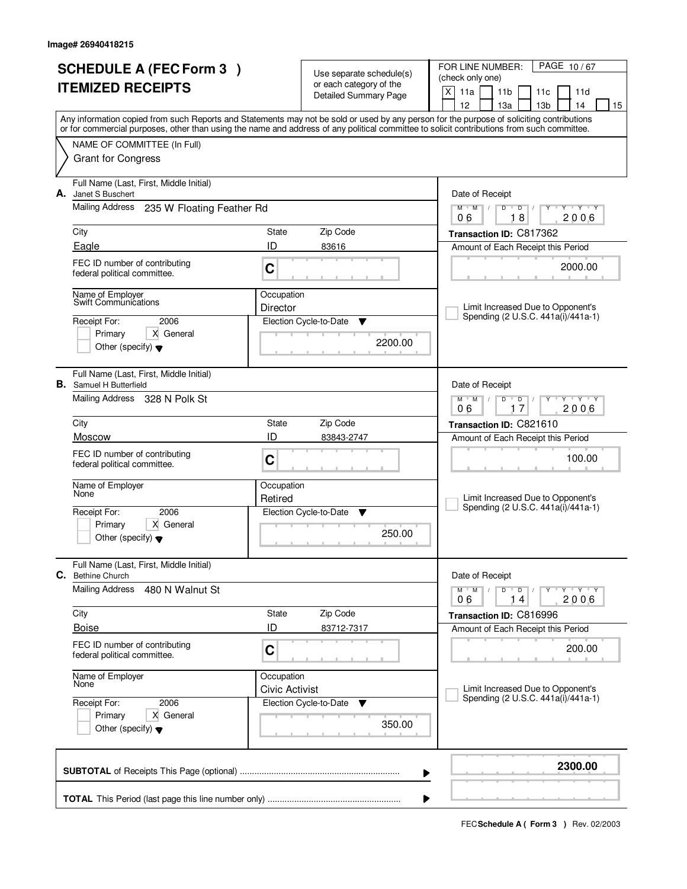|    | <b>SCHEDULE A (FEC Form 3)</b><br><b>ITEMIZED RECEIPTS</b>                                                                       |                                     | Use separate schedule(s)<br>or each category of the<br><b>Detailed Summary Page</b> | PAGE 10/67<br>FOR LINE NUMBER:<br>(check only one)<br>X<br>11a<br>11 <sub>b</sub><br>11c<br>11d<br>12<br>13a<br>13 <sub>b</sub><br>14<br>15                                                                                                                                             |
|----|----------------------------------------------------------------------------------------------------------------------------------|-------------------------------------|-------------------------------------------------------------------------------------|-----------------------------------------------------------------------------------------------------------------------------------------------------------------------------------------------------------------------------------------------------------------------------------------|
|    | NAME OF COMMITTEE (In Full)<br><b>Grant for Congress</b>                                                                         |                                     |                                                                                     | Any information copied from such Reports and Statements may not be sold or used by any person for the purpose of soliciting contributions<br>or for commercial purposes, other than using the name and address of any political committee to solicit contributions from such committee. |
| А. | Full Name (Last, First, Middle Initial)<br>Janet S Buschert<br>Mailing Address<br>235 W Floating Feather Rd<br>City<br>State     |                                     | Zip Code                                                                            | Date of Receipt<br>$Y + Y + Y$<br>$M$ $M$ $/$<br>$D$ $D$<br>$\mathbb{I}$<br>Y<br>18<br>2006<br>06<br>Transaction ID: C817362                                                                                                                                                            |
|    | Eagle<br>FEC ID number of contributing<br>federal political committee.                                                           | ID<br>C                             | 83616                                                                               | Amount of Each Receipt this Period<br>2000.00                                                                                                                                                                                                                                           |
|    | Name of Employer<br>Swift Communications<br>2006<br>Receipt For:<br>X General<br>Primary<br>Other (specify) $\blacktriangledown$ | Occupation<br>Director              | Election Cycle-to-Date<br>▼<br>2200.00                                              | Limit Increased Due to Opponent's<br>Spending (2 U.S.C. 441a(i)/441a-1)                                                                                                                                                                                                                 |
|    | Full Name (Last, First, Middle Initial)<br><b>B.</b> Samuel H Butterfield<br>Mailing Address 328 N Polk St                       |                                     |                                                                                     | Date of Receipt<br>$M$ $M$ $/$<br><b>TY TY</b><br>D<br>$\Box$<br>17<br>2006<br>06                                                                                                                                                                                                       |
|    | City<br>Moscow<br>FEC ID number of contributing<br>federal political committee.                                                  | State<br>ID<br>C                    | Zip Code<br>83843-2747                                                              | Transaction ID: C821610<br>Amount of Each Receipt this Period<br>100.00                                                                                                                                                                                                                 |
|    | Name of Employer<br>None<br>2006<br>Receipt For:<br>X General<br>Primary<br>Other (specify) $\blacktriangledown$                 | Occupation<br>Retired               | Election Cycle-to-Date<br>▼<br>250.00                                               | Limit Increased Due to Opponent's<br>Spending (2 U.S.C. 441a(i)/441a-1)                                                                                                                                                                                                                 |
| C. | Full Name (Last, First, Middle Initial)<br><b>Bethine Church</b><br><b>Mailing Address</b><br>480 N Walnut St                    |                                     |                                                                                     | Date of Receipt<br>$D$ $D$ $I$<br>$M$ <sup>U</sup><br>$M$ /<br>Y<br>$Y + Y + Y$                                                                                                                                                                                                         |
|    | City<br><b>Boise</b><br>FEC ID number of contributing<br>federal political committee.                                            | State<br>ID<br>C                    | Zip Code<br>83712-7317                                                              | 2006<br>06<br>14<br>Transaction ID: C816996<br>Amount of Each Receipt this Period<br>200.00                                                                                                                                                                                             |
|    | Name of Employer<br>None<br>Receipt For:<br>2006<br>X General<br>Primary<br>Other (specify) $\blacktriangledown$                 | Occupation<br><b>Civic Activist</b> | Election Cycle-to-Date<br>▼<br>350.00                                               | Limit Increased Due to Opponent's<br>Spending (2 U.S.C. 441a(i)/441a-1)                                                                                                                                                                                                                 |
|    |                                                                                                                                  |                                     |                                                                                     | 2300.00<br>▶                                                                                                                                                                                                                                                                            |
|    |                                                                                                                                  |                                     |                                                                                     |                                                                                                                                                                                                                                                                                         |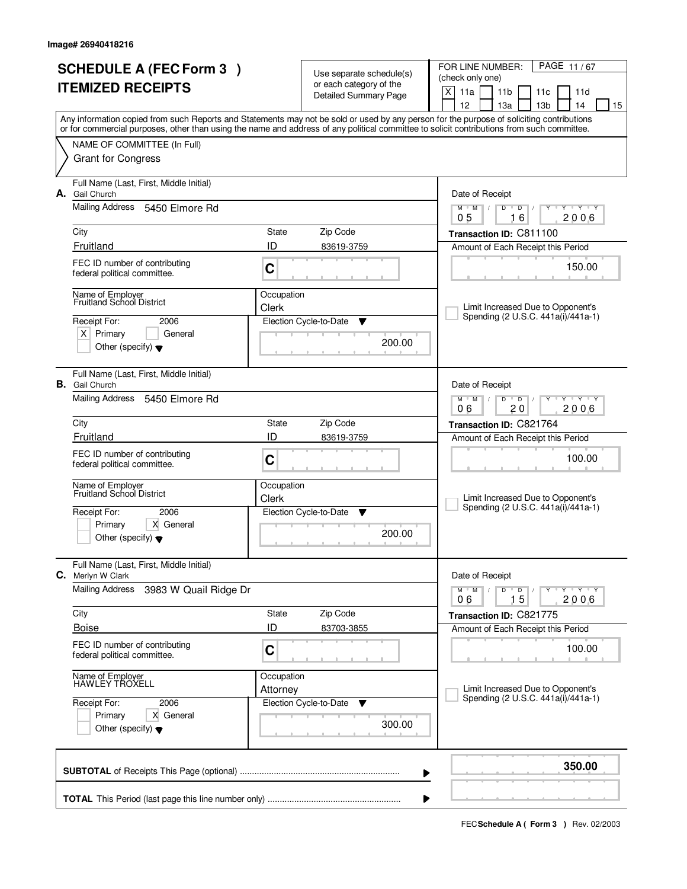| <b>SCHEDULE A (FEC Form 3)</b><br><b>ITEMIZED RECEIPTS</b> |                                                                  |                            | Use separate schedule(s)<br>or each category of the<br><b>Detailed Summary Page</b> | PAGE 11/67<br>FOR LINE NUMBER:<br>(check only one)<br>$\mathsf{X}$<br>11a<br>11 <sub>b</sub><br>11c<br>11d                                                                            |
|------------------------------------------------------------|------------------------------------------------------------------|----------------------------|-------------------------------------------------------------------------------------|---------------------------------------------------------------------------------------------------------------------------------------------------------------------------------------|
|                                                            |                                                                  |                            |                                                                                     | 12<br>13a<br>13 <sub>b</sub><br>14<br>15<br>Any information copied from such Reports and Statements may not be sold or used by any person for the purpose of soliciting contributions |
|                                                            |                                                                  |                            |                                                                                     | or for commercial purposes, other than using the name and address of any political committee to solicit contributions from such committee.                                            |
|                                                            | NAME OF COMMITTEE (In Full)<br><b>Grant for Congress</b>         |                            |                                                                                     |                                                                                                                                                                                       |
| А.                                                         | Full Name (Last, First, Middle Initial)<br>Gail Church           |                            |                                                                                     | Date of Receipt                                                                                                                                                                       |
|                                                            | Mailing Address 5450 Elmore Rd                                   |                            |                                                                                     | $Y + Y + Y + Y$<br>$M$ $M$ /<br>$D$ $D$ $I$<br>16<br>0 <sub>5</sub><br>2006                                                                                                           |
|                                                            | City                                                             | State                      | Zip Code                                                                            | Transaction ID: C811100                                                                                                                                                               |
|                                                            | Fruitland                                                        | ID                         | 83619-3759                                                                          | Amount of Each Receipt this Period                                                                                                                                                    |
|                                                            | FEC ID number of contributing<br>federal political committee.    | C                          |                                                                                     | 150.00                                                                                                                                                                                |
|                                                            | Name of Employer<br><b>Fruitland School District</b>             | Occupation<br><b>Clerk</b> |                                                                                     | Limit Increased Due to Opponent's                                                                                                                                                     |
|                                                            | Receipt For:<br>2006                                             |                            | Election Cycle-to-Date<br>▼                                                         | Spending (2 U.S.C. 441a(i)/441a-1)                                                                                                                                                    |
|                                                            | $X$ Primary<br>General<br>Other (specify) $\blacktriangledown$   |                            | 200.00                                                                              |                                                                                                                                                                                       |
|                                                            | Full Name (Last, First, Middle Initial)<br><b>B.</b> Gail Church |                            |                                                                                     | Date of Receipt                                                                                                                                                                       |
|                                                            | <b>Mailing Address</b><br>5450 Elmore Rd                         |                            |                                                                                     | $M$ $M$<br>D<br>$\overline{D}$<br>$T - Y$<br>20<br>2006<br>06                                                                                                                         |
|                                                            | City                                                             | State                      | Zip Code                                                                            | Transaction ID: C821764                                                                                                                                                               |
|                                                            | Fruitland                                                        | ID                         | 83619-3759                                                                          | Amount of Each Receipt this Period                                                                                                                                                    |
|                                                            | FEC ID number of contributing<br>federal political committee.    | C                          |                                                                                     | 100.00                                                                                                                                                                                |
|                                                            | Name of Employer<br>Fruitland School District                    | Occupation                 |                                                                                     |                                                                                                                                                                                       |
|                                                            | Receipt For:<br>2006                                             | <b>Clerk</b>               | Election Cycle-to-Date<br>Y                                                         | Limit Increased Due to Opponent's<br>Spending (2 U.S.C. 441a(i)/441a-1)                                                                                                               |
|                                                            | Primary<br>X General                                             |                            |                                                                                     |                                                                                                                                                                                       |
|                                                            | Other (specify) $\blacktriangledown$                             |                            | 200.00                                                                              |                                                                                                                                                                                       |
| С.                                                         | Full Name (Last, First, Middle Initial)<br>Merlyn W Clark        |                            |                                                                                     | Date of Receipt                                                                                                                                                                       |
|                                                            | <b>Mailing Address</b><br>3983 W Quail Ridge Dr                  |                            |                                                                                     | $D$ $D$ $I$<br>$M$ $M$ /<br>$Y + Y + Y$<br>Y<br>15<br>2006<br>06                                                                                                                      |
|                                                            | City                                                             | State                      | Zip Code                                                                            | Transaction ID: C821775                                                                                                                                                               |
|                                                            | <b>Boise</b>                                                     | ID                         | 83703-3855                                                                          | Amount of Each Receipt this Period                                                                                                                                                    |
|                                                            | FEC ID number of contributing<br>federal political committee.    | C                          |                                                                                     | 100.00                                                                                                                                                                                |
|                                                            | Name of Employer<br>HAWLEY TROXELL                               | Occupation<br>Attorney     |                                                                                     | Limit Increased Due to Opponent's                                                                                                                                                     |
|                                                            | Receipt For:<br>2006                                             |                            | Election Cycle-to-Date<br>v                                                         | Spending (2 U.S.C. 441a(i)/441a-1)                                                                                                                                                    |
|                                                            | X General<br>Primary<br>Other (specify) $\blacktriangledown$     |                            | 300.00                                                                              |                                                                                                                                                                                       |
|                                                            |                                                                  |                            |                                                                                     | 350.00<br>▶                                                                                                                                                                           |
|                                                            |                                                                  |                            |                                                                                     | ▶                                                                                                                                                                                     |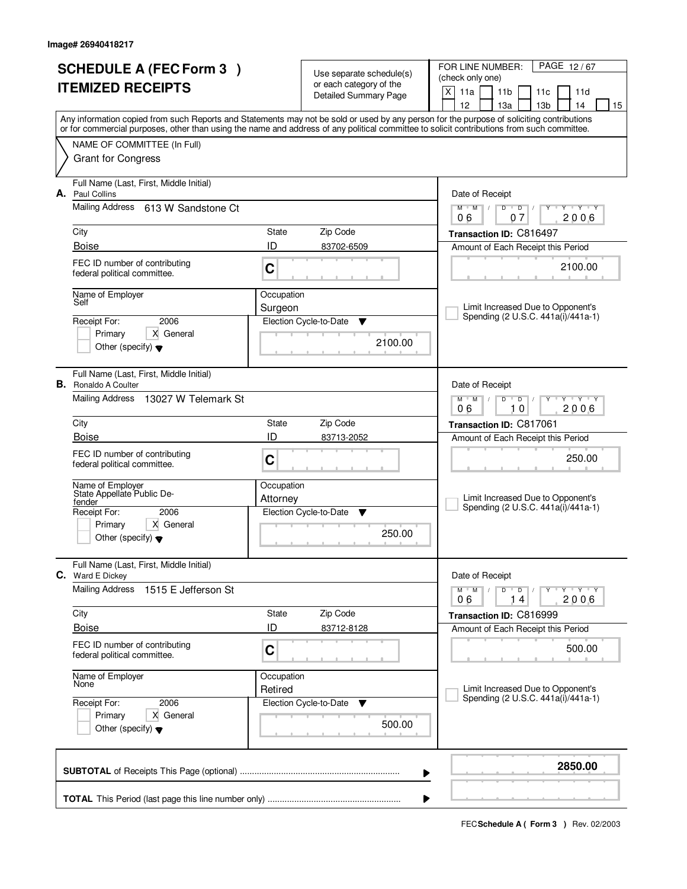|    | <b>SCHEDULE A (FEC Form 3)</b>                                                                                                             |              | Use separate schedule(s)    | PAGE 12/67<br>FOR LINE NUMBER:                                                        |  |  |
|----|--------------------------------------------------------------------------------------------------------------------------------------------|--------------|-----------------------------|---------------------------------------------------------------------------------------|--|--|
|    | <b>ITEMIZED RECEIPTS</b>                                                                                                                   |              | or each category of the     | (check only one)                                                                      |  |  |
|    |                                                                                                                                            |              | Detailed Summary Page       | X<br>11a<br>11 <sub>b</sub><br>11c<br>11d<br>12<br>13 <sub>b</sub><br>13a<br>14<br>15 |  |  |
|    | Any information copied from such Reports and Statements may not be sold or used by any person for the purpose of soliciting contributions  |              |                             |                                                                                       |  |  |
|    | or for commercial purposes, other than using the name and address of any political committee to solicit contributions from such committee. |              |                             |                                                                                       |  |  |
|    | NAME OF COMMITTEE (In Full)                                                                                                                |              |                             |                                                                                       |  |  |
|    | <b>Grant for Congress</b>                                                                                                                  |              |                             |                                                                                       |  |  |
| А. | Full Name (Last, First, Middle Initial)<br>Paul Collins                                                                                    |              |                             | Date of Receipt                                                                       |  |  |
|    | Mailing Address<br>613 W Sandstone Ct                                                                                                      |              |                             | Y Y Y Y<br>$M$ $M$ /<br>D<br>$\overline{D}$<br>2006<br>06<br>07                       |  |  |
|    | City                                                                                                                                       | State        | Zip Code                    | Transaction ID: C816497                                                               |  |  |
|    | <b>Boise</b>                                                                                                                               | ID           | 83702-6509                  | Amount of Each Receipt this Period                                                    |  |  |
|    | FEC ID number of contributing                                                                                                              |              |                             | 2100.00                                                                               |  |  |
|    | federal political committee.                                                                                                               | C            |                             |                                                                                       |  |  |
|    | Name of Employer<br>Self                                                                                                                   | Occupation   |                             |                                                                                       |  |  |
|    |                                                                                                                                            | Surgeon      |                             | Limit Increased Due to Opponent's<br>Spending (2 U.S.C. 441a(i)/441a-1)               |  |  |
|    | 2006<br>Receipt For:<br>X General<br>Primary                                                                                               |              | Election Cycle-to-Date<br>▼ |                                                                                       |  |  |
|    | Other (specify) $\blacktriangledown$                                                                                                       |              | 2100.00                     |                                                                                       |  |  |
|    |                                                                                                                                            |              |                             |                                                                                       |  |  |
|    | Full Name (Last, First, Middle Initial)<br><b>B.</b> Ronaldo A Coulter                                                                     |              |                             | Date of Receipt                                                                       |  |  |
|    | Mailing Address<br>13027 W Telemark St                                                                                                     |              |                             | $M$ $M$ /<br><u>י ץ י</u><br>D<br>$\overline{D}$                                      |  |  |
|    | City                                                                                                                                       | <b>State</b> | Zip Code                    | 10<br>2006<br>06                                                                      |  |  |
|    | <b>Boise</b>                                                                                                                               | ID           | 83713-2052                  | Transaction ID: C817061<br>Amount of Each Receipt this Period                         |  |  |
|    | FEC ID number of contributing                                                                                                              |              |                             |                                                                                       |  |  |
|    | federal political committee.                                                                                                               | C            |                             | 250.00                                                                                |  |  |
|    | Name of Employer                                                                                                                           | Occupation   |                             |                                                                                       |  |  |
|    | State Appellate Public De-<br>fender                                                                                                       | Attorney     |                             | Limit Increased Due to Opponent's                                                     |  |  |
|    | Receipt For:<br>2006                                                                                                                       |              | Election Cycle-to-Date<br>▼ | Spending (2 U.S.C. 441a(i)/441a-1)                                                    |  |  |
|    | Primary<br>X General<br>Other (specify) $\blacktriangledown$                                                                               |              | 250.00                      |                                                                                       |  |  |
|    |                                                                                                                                            |              |                             |                                                                                       |  |  |
| C. | Full Name (Last, First, Middle Initial)<br>Ward E Dickey                                                                                   |              |                             | Date of Receipt                                                                       |  |  |
|    | <b>Mailing Address</b><br>1515 E Jefferson St                                                                                              |              |                             | D<br>$M$ $M$ /<br>$\overline{D}$<br>$Y + Y + Y$                                       |  |  |
|    | City                                                                                                                                       | State        | Zip Code                    | 2006<br>14<br>06<br>Transaction ID: C816999                                           |  |  |
|    | <b>Boise</b>                                                                                                                               | ID           | 83712-8128                  | Amount of Each Receipt this Period                                                    |  |  |
|    | FEC ID number of contributing                                                                                                              |              |                             | 500.00                                                                                |  |  |
|    | federal political committee.                                                                                                               | C            |                             |                                                                                       |  |  |
|    | Name of Employer<br>None                                                                                                                   | Occupation   |                             |                                                                                       |  |  |
|    |                                                                                                                                            | Retired      |                             | Limit Increased Due to Opponent's<br>Spending (2 U.S.C. 441a(i)/441a-1)               |  |  |
|    | Receipt For:<br>2006<br>Primary<br>X General                                                                                               |              | Election Cycle-to-Date<br>v |                                                                                       |  |  |
|    | Other (specify) $\blacktriangledown$                                                                                                       |              | 500.00                      |                                                                                       |  |  |
|    |                                                                                                                                            |              |                             |                                                                                       |  |  |
|    |                                                                                                                                            |              |                             | 2850.00                                                                               |  |  |
|    |                                                                                                                                            |              |                             | ▶                                                                                     |  |  |
|    | ▶                                                                                                                                          |              |                             |                                                                                       |  |  |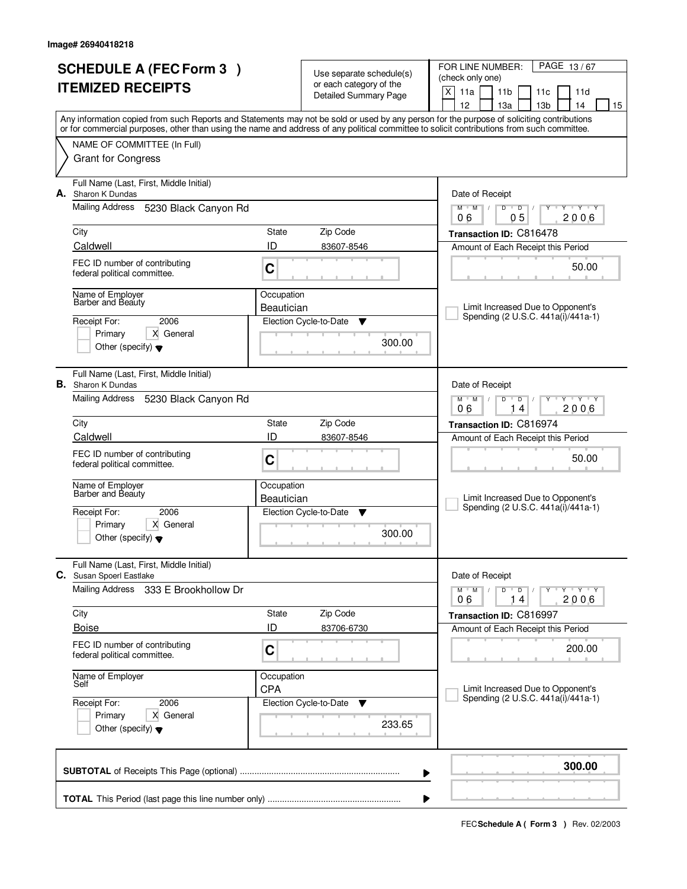|                          | <b>SCHEDULE A (FEC Form 3)</b>                                             |                          | Use separate schedule(s)                         | PAGE 13/67<br>FOR LINE NUMBER:<br>(check only one)                                                                                                                                                                                                                                      |  |
|--------------------------|----------------------------------------------------------------------------|--------------------------|--------------------------------------------------|-----------------------------------------------------------------------------------------------------------------------------------------------------------------------------------------------------------------------------------------------------------------------------------------|--|
| <b>ITEMIZED RECEIPTS</b> |                                                                            |                          | or each category of the<br>Detailed Summary Page | X<br>11a<br>11 <sub>b</sub><br>11c<br>11d                                                                                                                                                                                                                                               |  |
|                          |                                                                            |                          |                                                  | 12<br>13 <sub>b</sub><br>13a<br>14<br>15                                                                                                                                                                                                                                                |  |
|                          |                                                                            |                          |                                                  | Any information copied from such Reports and Statements may not be sold or used by any person for the purpose of soliciting contributions<br>or for commercial purposes, other than using the name and address of any political committee to solicit contributions from such committee. |  |
|                          | NAME OF COMMITTEE (In Full)                                                |                          |                                                  |                                                                                                                                                                                                                                                                                         |  |
|                          | <b>Grant for Congress</b>                                                  |                          |                                                  |                                                                                                                                                                                                                                                                                         |  |
| А.                       | Full Name (Last, First, Middle Initial)<br>Sharon K Dundas                 |                          |                                                  | Date of Receipt                                                                                                                                                                                                                                                                         |  |
|                          | <b>Mailing Address</b><br>5230 Black Canyon Rd                             |                          |                                                  | Y Y Y Y<br>$M$ $M$ /<br>$D$ $D$<br>2006<br>06<br>05                                                                                                                                                                                                                                     |  |
|                          | City                                                                       | State                    | Zip Code                                         | Transaction ID: C816478                                                                                                                                                                                                                                                                 |  |
|                          | Caldwell                                                                   | ID                       | 83607-8546                                       | Amount of Each Receipt this Period                                                                                                                                                                                                                                                      |  |
|                          | FEC ID number of contributing<br>federal political committee.              | C                        |                                                  | 50.00                                                                                                                                                                                                                                                                                   |  |
|                          | Name of Employer<br><b>Barber and Beauty</b>                               | Occupation<br>Beautician |                                                  | Limit Increased Due to Opponent's                                                                                                                                                                                                                                                       |  |
|                          | 2006<br>Receipt For:                                                       |                          | Election Cycle-to-Date<br>Y                      | Spending (2 U.S.C. 441a(i)/441a-1)                                                                                                                                                                                                                                                      |  |
|                          | Primary<br>X General<br>Other (specify) $\blacktriangledown$               |                          | 300.00                                           |                                                                                                                                                                                                                                                                                         |  |
|                          |                                                                            |                          |                                                  |                                                                                                                                                                                                                                                                                         |  |
|                          | Full Name (Last, First, Middle Initial)<br><b>B.</b> Sharon K Dundas       |                          |                                                  | Date of Receipt                                                                                                                                                                                                                                                                         |  |
|                          | Mailing Address<br>5230 Black Canyon Rd                                    |                          |                                                  | $M$ $M$<br>TEY TEY<br>D<br>D<br>2006<br>06<br>4                                                                                                                                                                                                                                         |  |
|                          | City<br>State                                                              |                          | Zip Code                                         | Transaction ID: C816974                                                                                                                                                                                                                                                                 |  |
|                          | Caldwell                                                                   | ID                       | 83607-8546                                       | Amount of Each Receipt this Period                                                                                                                                                                                                                                                      |  |
|                          | FEC ID number of contributing<br>federal political committee.              | C                        |                                                  | 50.00                                                                                                                                                                                                                                                                                   |  |
|                          | Name of Employer<br>Barber and Beauty                                      | Occupation               |                                                  |                                                                                                                                                                                                                                                                                         |  |
|                          |                                                                            | Beautician               |                                                  | Limit Increased Due to Opponent's<br>Spending (2 U.S.C. 441a(i)/441a-1)                                                                                                                                                                                                                 |  |
|                          | 2006<br>Receipt For:<br>Primary<br>X General                               |                          | Election Cycle-to-Date<br>Y                      |                                                                                                                                                                                                                                                                                         |  |
|                          | Other (specify) $\blacktriangledown$                                       |                          | 300.00                                           |                                                                                                                                                                                                                                                                                         |  |
|                          | Full Name (Last, First, Middle Initial)<br><b>C.</b> Susan Spoerl Eastlake |                          |                                                  | Date of Receipt                                                                                                                                                                                                                                                                         |  |
|                          | <b>Mailing Address</b><br>333 E Brookhollow Dr                             |                          |                                                  | D<br>$M$ $M$ $/$<br>$\overline{\phantom{0}}$ D $\overline{\phantom{0}}$ /<br>$\mathsf{Y} \dashv \mathsf{Y} \dashv \mathsf{Y}$<br>Y<br>2006<br>06<br>14                                                                                                                                  |  |
|                          | City                                                                       | State                    | Zip Code                                         | Transaction ID: C816997                                                                                                                                                                                                                                                                 |  |
|                          | <b>Boise</b>                                                               | ID                       | 83706-6730                                       | Amount of Each Receipt this Period                                                                                                                                                                                                                                                      |  |
|                          | FEC ID number of contributing<br>federal political committee.              | $\mathbf C$              |                                                  | 200.00                                                                                                                                                                                                                                                                                  |  |
|                          | Name of Employer<br>Self                                                   | Occupation<br><b>CPA</b> |                                                  | Limit Increased Due to Opponent's                                                                                                                                                                                                                                                       |  |
|                          | 2006<br>Receipt For:                                                       |                          | Election Cycle-to-Date<br>v                      | Spending (2 U.S.C. 441a(i)/441a-1)                                                                                                                                                                                                                                                      |  |
|                          | Primary<br>X General<br>Other (specify) $\blacktriangledown$               |                          | 233.65                                           |                                                                                                                                                                                                                                                                                         |  |
|                          |                                                                            |                          |                                                  | 300.00<br>▶                                                                                                                                                                                                                                                                             |  |
|                          |                                                                            |                          |                                                  |                                                                                                                                                                                                                                                                                         |  |
|                          | ▶                                                                          |                          |                                                  |                                                                                                                                                                                                                                                                                         |  |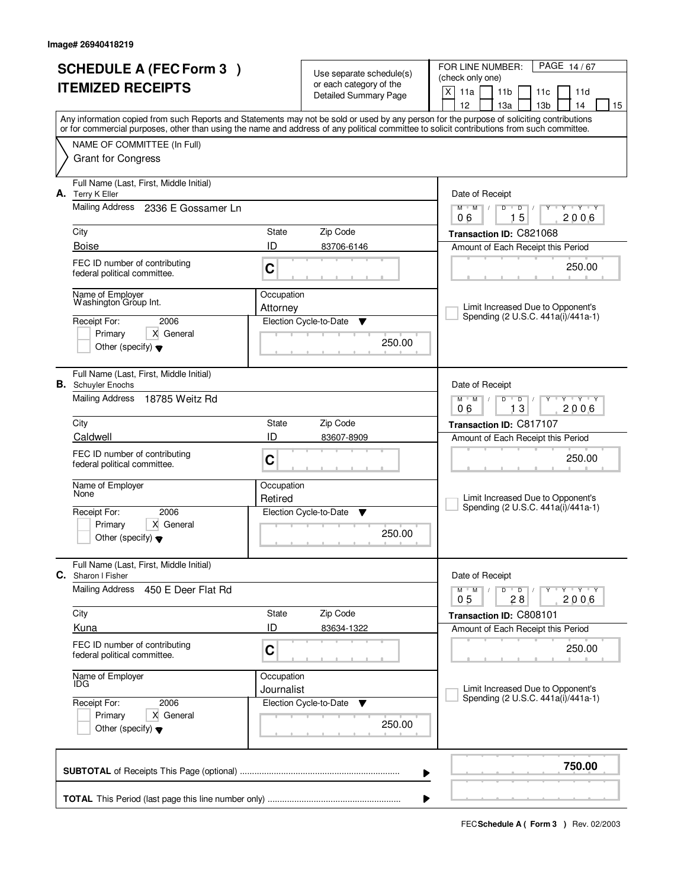| <b>SCHEDULE A (FEC Form 3)</b><br><b>ITEMIZED RECEIPTS</b> |                                                                      |            | Use separate schedule(s)<br>or each category of the | FOR LINE NUMBER:<br>PAGE 14/67<br>(check only one)                                                                                                                                                                                                                                      |  |  |  |
|------------------------------------------------------------|----------------------------------------------------------------------|------------|-----------------------------------------------------|-----------------------------------------------------------------------------------------------------------------------------------------------------------------------------------------------------------------------------------------------------------------------------------------|--|--|--|
|                                                            |                                                                      |            | Detailed Summary Page                               | X<br>11a<br>11 <sub>b</sub><br>11d<br>11c<br>12<br>13 <sub>b</sub><br>13a<br>14<br>15                                                                                                                                                                                                   |  |  |  |
|                                                            |                                                                      |            |                                                     | Any information copied from such Reports and Statements may not be sold or used by any person for the purpose of soliciting contributions<br>or for commercial purposes, other than using the name and address of any political committee to solicit contributions from such committee. |  |  |  |
|                                                            | NAME OF COMMITTEE (In Full)                                          |            |                                                     |                                                                                                                                                                                                                                                                                         |  |  |  |
|                                                            | <b>Grant for Congress</b>                                            |            |                                                     |                                                                                                                                                                                                                                                                                         |  |  |  |
|                                                            | Full Name (Last, First, Middle Initial)<br>A. Terry K Eller          |            |                                                     | Date of Receipt                                                                                                                                                                                                                                                                         |  |  |  |
|                                                            | Mailing Address<br>2336 E Gossamer Ln                                |            |                                                     | $\mathsf D$<br>$\overline{Y}$ $\overline{Y}$ $\overline{Y}$<br>$M$ <sup>U</sup><br>M<br>$\sqrt{2}$<br>D<br>Y<br>15<br>2006<br>06                                                                                                                                                        |  |  |  |
|                                                            | City                                                                 | State      | Zip Code                                            | Transaction ID: C821068                                                                                                                                                                                                                                                                 |  |  |  |
|                                                            | <b>Boise</b>                                                         | ID         | 83706-6146                                          | Amount of Each Receipt this Period                                                                                                                                                                                                                                                      |  |  |  |
|                                                            | FEC ID number of contributing<br>federal political committee.        | C          |                                                     | 250.00                                                                                                                                                                                                                                                                                  |  |  |  |
|                                                            | Name of Employer<br>Washington Group Int.                            | Occupation |                                                     | Limit Increased Due to Opponent's                                                                                                                                                                                                                                                       |  |  |  |
|                                                            | 2006<br>Receipt For:                                                 | Attorney   | Election Cycle-to-Date<br>Y                         | Spending (2 U.S.C. 441a(i)/441a-1)                                                                                                                                                                                                                                                      |  |  |  |
|                                                            | X General<br>Primary                                                 |            | 250.00                                              |                                                                                                                                                                                                                                                                                         |  |  |  |
|                                                            | Other (specify) $\blacktriangledown$                                 |            |                                                     |                                                                                                                                                                                                                                                                                         |  |  |  |
|                                                            | Full Name (Last, First, Middle Initial)<br><b>B.</b> Schuyler Enochs |            |                                                     | Date of Receipt                                                                                                                                                                                                                                                                         |  |  |  |
|                                                            | Mailing Address<br>18785 Weitz Rd                                    |            |                                                     | $M$ $M$ $/$<br>$\overline{D}$<br>$\mathbf{Y}$ $\mathbf{Y}$<br>D<br>Y<br>13<br>06<br>2006                                                                                                                                                                                                |  |  |  |
|                                                            | City                                                                 | State      | Zip Code                                            | Transaction ID: C817107                                                                                                                                                                                                                                                                 |  |  |  |
|                                                            | Caldwell                                                             | ID         | 83607-8909                                          | Amount of Each Receipt this Period                                                                                                                                                                                                                                                      |  |  |  |
|                                                            | FEC ID number of contributing<br>federal political committee.        | C          |                                                     | 250.00                                                                                                                                                                                                                                                                                  |  |  |  |
|                                                            | Name of Employer<br>None                                             | Occupation |                                                     |                                                                                                                                                                                                                                                                                         |  |  |  |
|                                                            | 2006<br>Receipt For:                                                 | Retired    | Election Cycle-to-Date<br>v                         | Limit Increased Due to Opponent's<br>Spending (2 U.S.C. 441a(i)/441a-1)                                                                                                                                                                                                                 |  |  |  |
|                                                            | Primary<br>X General                                                 |            |                                                     |                                                                                                                                                                                                                                                                                         |  |  |  |
|                                                            | Other (specify) $\blacktriangledown$                                 |            | 250.00                                              |                                                                                                                                                                                                                                                                                         |  |  |  |
| C.                                                         | Full Name (Last, First, Middle Initial)<br>Sharon I Fisher           |            |                                                     | Date of Receipt                                                                                                                                                                                                                                                                         |  |  |  |
|                                                            | <b>Mailing Address</b><br>450 E Deer Flat Rd                         |            |                                                     | D<br>$M$ $M$ /<br>$\overline{D}$<br>$Y + Y + Y$<br>2006<br>05<br>28                                                                                                                                                                                                                     |  |  |  |
|                                                            | City                                                                 | State      | Zip Code                                            | Transaction ID: C808101                                                                                                                                                                                                                                                                 |  |  |  |
|                                                            | <b>Kuna</b>                                                          | ID         | 83634-1322                                          | Amount of Each Receipt this Period                                                                                                                                                                                                                                                      |  |  |  |
|                                                            | FEC ID number of contributing<br>federal political committee.        | C          |                                                     | 250.00                                                                                                                                                                                                                                                                                  |  |  |  |
|                                                            | Name of Employer<br>IDG                                              | Occupation |                                                     | Limit Increased Due to Opponent's                                                                                                                                                                                                                                                       |  |  |  |
|                                                            | Receipt For:<br>2006                                                 | Journalist | Election Cycle-to-Date<br>v                         | Spending (2 U.S.C. 441a(i)/441a-1)                                                                                                                                                                                                                                                      |  |  |  |
|                                                            | X General<br>Primary<br>Other (specify) $\blacktriangledown$         |            | 250.00                                              |                                                                                                                                                                                                                                                                                         |  |  |  |
|                                                            |                                                                      |            |                                                     | 750.00<br>▶                                                                                                                                                                                                                                                                             |  |  |  |
|                                                            |                                                                      |            |                                                     |                                                                                                                                                                                                                                                                                         |  |  |  |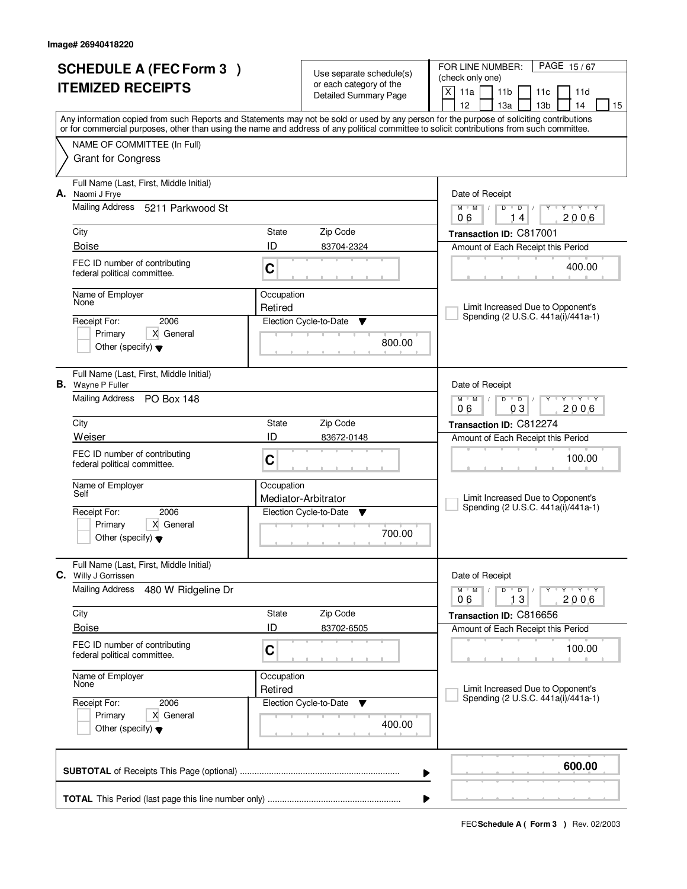|    | <b>SCHEDULE A (FEC Form 3)</b><br><b>ITEMIZED RECEIPTS</b>                                        |                       | Use separate schedule(s)<br>or each category of the<br>Detailed Summary Page | PAGE 15/67<br>FOR LINE NUMBER:<br>(check only one)<br>$\mathsf{X}$<br>11a<br>11 <sub>b</sub><br>11 <sub>c</sub><br>11d<br>12<br>13 <sub>b</sub><br>13a<br>14<br>15                                                                                                                      |
|----|---------------------------------------------------------------------------------------------------|-----------------------|------------------------------------------------------------------------------|-----------------------------------------------------------------------------------------------------------------------------------------------------------------------------------------------------------------------------------------------------------------------------------------|
|    | NAME OF COMMITTEE (In Full)                                                                       |                       |                                                                              | Any information copied from such Reports and Statements may not be sold or used by any person for the purpose of soliciting contributions<br>or for commercial purposes, other than using the name and address of any political committee to solicit contributions from such committee. |
|    | <b>Grant for Congress</b>                                                                         |                       |                                                                              |                                                                                                                                                                                                                                                                                         |
| А. | Full Name (Last, First, Middle Initial)<br>Naomi J Frye<br>Mailing Address                        |                       |                                                                              | Date of Receipt                                                                                                                                                                                                                                                                         |
|    | 5211 Parkwood St                                                                                  |                       |                                                                              | $Y + Y + Y + Y$<br>$M$ $M$ /<br>$D$ $D$ $l$<br>06<br>14<br>2006                                                                                                                                                                                                                         |
|    | City<br><b>Boise</b>                                                                              | State<br>ID           | Zip Code<br>83704-2324                                                       | Transaction ID: C817001<br>Amount of Each Receipt this Period                                                                                                                                                                                                                           |
|    | FEC ID number of contributing<br>federal political committee.                                     | C                     |                                                                              | 400.00                                                                                                                                                                                                                                                                                  |
|    | Name of Employer<br>None<br>2006<br>Receipt For:                                                  | Occupation<br>Retired | Election Cycle-to-Date<br>▼                                                  | Limit Increased Due to Opponent's<br>Spending (2 U.S.C. 441a(i)/441a-1)                                                                                                                                                                                                                 |
|    | X General<br>Primary<br>Other (specify) $\blacktriangledown$                                      |                       | 800.00                                                                       |                                                                                                                                                                                                                                                                                         |
|    | Full Name (Last, First, Middle Initial)<br><b>B.</b> Wayne P Fuller<br>Mailing Address PO Box 148 |                       |                                                                              | Date of Receipt<br>$M$ $M$ /<br>D<br>$\overline{D}$<br>$T$ $Y$ $T$ $Y$                                                                                                                                                                                                                  |
|    | City                                                                                              | State                 | Zip Code                                                                     | 03<br>2006<br>06<br>Transaction ID: C812274                                                                                                                                                                                                                                             |
|    | Weiser                                                                                            | ID                    | 83672-0148                                                                   | Amount of Each Receipt this Period                                                                                                                                                                                                                                                      |
|    | FEC ID number of contributing<br>federal political committee.                                     | C                     |                                                                              | 100.00                                                                                                                                                                                                                                                                                  |
|    | Name of Employer<br>Self                                                                          | Occupation            | Mediator-Arbitrator                                                          | Limit Increased Due to Opponent's                                                                                                                                                                                                                                                       |
|    | 2006<br>Receipt For:<br>X General<br>Primary<br>Other (specify) $\blacktriangledown$              |                       | Election Cycle-to-Date<br>▼<br>700.00                                        | Spending (2 U.S.C. 441a(i)/441a-1)                                                                                                                                                                                                                                                      |
|    | Full Name (Last, First, Middle Initial)<br><b>C.</b> Willy J Gorrissen                            |                       |                                                                              | Date of Receipt                                                                                                                                                                                                                                                                         |
|    | <b>Mailing Address</b><br>480 W Ridgeline Dr                                                      |                       |                                                                              | $D$ $D$ $I$<br>$M$ $M$ /<br>$Y + Y + Y$<br>Y<br>13<br>2006<br>06                                                                                                                                                                                                                        |
|    | City                                                                                              | State                 | Zip Code                                                                     | Transaction ID: C816656                                                                                                                                                                                                                                                                 |
|    | <b>Boise</b><br>FEC ID number of contributing                                                     | ID<br>C               | 83702-6505                                                                   | Amount of Each Receipt this Period<br>100.00                                                                                                                                                                                                                                            |
|    | federal political committee.                                                                      |                       |                                                                              |                                                                                                                                                                                                                                                                                         |
|    | Name of Employer<br>None<br>Receipt For:<br>2006                                                  | Occupation<br>Retired | Election Cycle-to-Date<br>v                                                  | Limit Increased Due to Opponent's<br>Spending (2 U.S.C. 441a(i)/441a-1)                                                                                                                                                                                                                 |
|    | X General<br>Primary<br>Other (specify) $\blacktriangledown$                                      |                       | 400.00                                                                       |                                                                                                                                                                                                                                                                                         |
|    |                                                                                                   |                       |                                                                              | 600.00<br>▶                                                                                                                                                                                                                                                                             |
|    |                                                                                                   |                       |                                                                              |                                                                                                                                                                                                                                                                                         |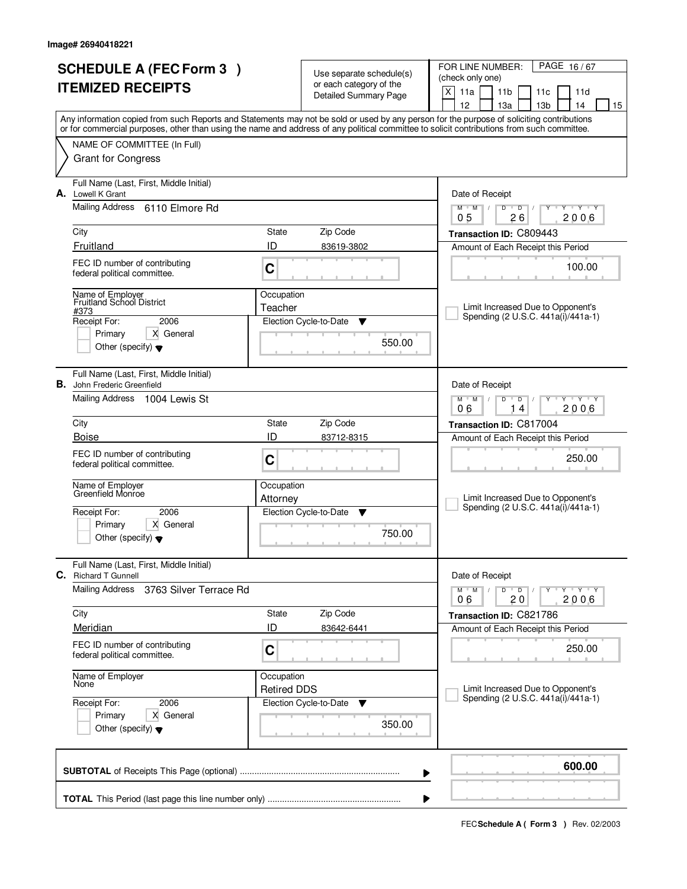|                          | <b>SCHEDULE A (FEC Form 3)</b>                                         |                                  | Use separate schedule(s)     | PAGE 16/67<br>FOR LINE NUMBER:<br>(check only one)                                                                                                                                                                                                                                      |  |  |  |
|--------------------------|------------------------------------------------------------------------|----------------------------------|------------------------------|-----------------------------------------------------------------------------------------------------------------------------------------------------------------------------------------------------------------------------------------------------------------------------------------|--|--|--|
| <b>ITEMIZED RECEIPTS</b> |                                                                        |                                  | or each category of the      | X<br>11a<br>11 <sub>b</sub><br>11c<br>11d                                                                                                                                                                                                                                               |  |  |  |
|                          |                                                                        |                                  | <b>Detailed Summary Page</b> | 12<br>13 <sub>b</sub><br>13a<br>14<br>15                                                                                                                                                                                                                                                |  |  |  |
|                          |                                                                        |                                  |                              | Any information copied from such Reports and Statements may not be sold or used by any person for the purpose of soliciting contributions<br>or for commercial purposes, other than using the name and address of any political committee to solicit contributions from such committee. |  |  |  |
|                          | NAME OF COMMITTEE (In Full)                                            |                                  |                              |                                                                                                                                                                                                                                                                                         |  |  |  |
|                          | <b>Grant for Congress</b>                                              |                                  |                              |                                                                                                                                                                                                                                                                                         |  |  |  |
| А.                       | Full Name (Last, First, Middle Initial)<br>Lowell K Grant              |                                  |                              | Date of Receipt                                                                                                                                                                                                                                                                         |  |  |  |
|                          | Mailing Address<br>6110 Elmore Rd                                      |                                  |                              | Y Y Y Y<br>$M$ $M$ /<br>D<br>$\overline{D}$<br>2006<br>05<br>26                                                                                                                                                                                                                         |  |  |  |
|                          | City                                                                   | State                            | Zip Code                     | Transaction ID: C809443                                                                                                                                                                                                                                                                 |  |  |  |
|                          | Fruitland                                                              | ID                               | 83619-3802                   | Amount of Each Receipt this Period                                                                                                                                                                                                                                                      |  |  |  |
|                          | FEC ID number of contributing<br>federal political committee.          | C                                |                              | 100.00                                                                                                                                                                                                                                                                                  |  |  |  |
|                          | Name of Employer<br>Fruitland School District<br>#373                  | Occupation<br>Teacher            |                              | Limit Increased Due to Opponent's                                                                                                                                                                                                                                                       |  |  |  |
|                          | Receipt For:<br>2006                                                   |                                  | Election Cycle-to-Date<br>Y  | Spending (2 U.S.C. 441a(i)/441a-1)                                                                                                                                                                                                                                                      |  |  |  |
|                          | Primary<br>X General<br>Other (specify) $\blacktriangledown$           |                                  | 550.00                       |                                                                                                                                                                                                                                                                                         |  |  |  |
| В.                       | Full Name (Last, First, Middle Initial)<br>John Frederic Greenfield    |                                  |                              | Date of Receipt                                                                                                                                                                                                                                                                         |  |  |  |
|                          | Mailing Address 1004 Lewis St                                          |                                  |                              | $M$ $M$<br><b>TY TY</b><br>D<br>D<br>2006<br>06<br>4                                                                                                                                                                                                                                    |  |  |  |
|                          | City<br>State                                                          |                                  | Zip Code                     | Transaction ID: C817004                                                                                                                                                                                                                                                                 |  |  |  |
|                          | <b>Boise</b>                                                           | ID                               | 83712-8315                   | Amount of Each Receipt this Period                                                                                                                                                                                                                                                      |  |  |  |
|                          | FEC ID number of contributing<br>federal political committee.          | C                                |                              | 250.00                                                                                                                                                                                                                                                                                  |  |  |  |
|                          | Name of Employer<br>Greenfield Monroe                                  | Occupation                       |                              |                                                                                                                                                                                                                                                                                         |  |  |  |
|                          |                                                                        | Attorney                         |                              | Limit Increased Due to Opponent's<br>Spending (2 U.S.C. 441a(i)/441a-1)                                                                                                                                                                                                                 |  |  |  |
|                          | 2006<br>Receipt For:<br>Primary<br>X General                           |                                  | Election Cycle-to-Date<br>v  |                                                                                                                                                                                                                                                                                         |  |  |  |
|                          | Other (specify) $\blacktriangledown$                                   |                                  | 750.00                       |                                                                                                                                                                                                                                                                                         |  |  |  |
|                          | Full Name (Last, First, Middle Initial)<br><b>C.</b> Richard T Gunnell |                                  |                              | Date of Receipt                                                                                                                                                                                                                                                                         |  |  |  |
|                          | <b>Mailing Address</b><br>3763 Silver Terrace Rd                       |                                  |                              | D<br>$M$ $M$ /<br>$\overline{D}$<br>$\mathsf{Y} \dashv \mathsf{Y} \dashv \mathsf{Y}$<br>2006<br>06<br>20                                                                                                                                                                                |  |  |  |
|                          | City                                                                   | State                            | Zip Code                     | Transaction ID: C821786                                                                                                                                                                                                                                                                 |  |  |  |
|                          | Meridian                                                               | ID                               | 83642-6441                   | Amount of Each Receipt this Period                                                                                                                                                                                                                                                      |  |  |  |
|                          | FEC ID number of contributing<br>federal political committee.          | $\mathbf C$                      |                              | 250.00                                                                                                                                                                                                                                                                                  |  |  |  |
|                          | Name of Employer<br>None                                               | Occupation<br><b>Retired DDS</b> |                              | Limit Increased Due to Opponent's                                                                                                                                                                                                                                                       |  |  |  |
|                          | 2006<br>Receipt For:                                                   |                                  | Election Cycle-to-Date<br>v  | Spending (2 U.S.C. 441a(i)/441a-1)                                                                                                                                                                                                                                                      |  |  |  |
|                          | Primary<br>X General<br>Other (specify) $\blacktriangledown$           |                                  | 350.00                       |                                                                                                                                                                                                                                                                                         |  |  |  |
|                          |                                                                        |                                  |                              | 600.00<br>▶                                                                                                                                                                                                                                                                             |  |  |  |
|                          | ▶                                                                      |                                  |                              |                                                                                                                                                                                                                                                                                         |  |  |  |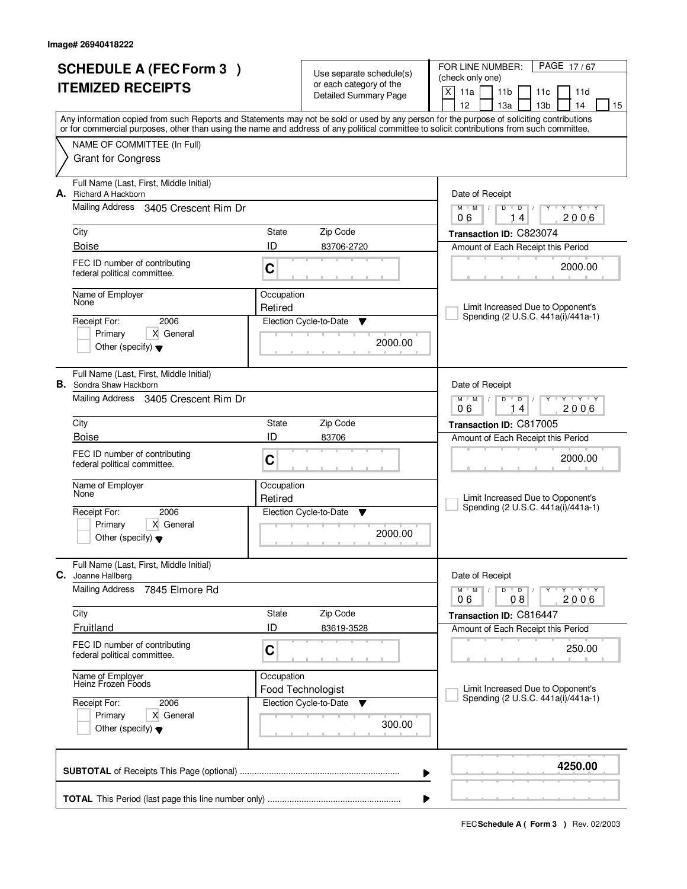|                          | <b>SCHEDULE A (FEC Form 3)</b>                                            |                       | Use separate schedule(s)     | PAGE 17/67<br>FOR LINE NUMBER:                                                                                                             |  |
|--------------------------|---------------------------------------------------------------------------|-----------------------|------------------------------|--------------------------------------------------------------------------------------------------------------------------------------------|--|
| <b>ITEMIZED RECEIPTS</b> |                                                                           |                       | or each category of the      | (check only one)                                                                                                                           |  |
|                          |                                                                           |                       | <b>Detailed Summary Page</b> | X<br>11a<br>11 <sub>b</sub><br>11c<br>11d<br>13 <sub>b</sub><br>12<br>13a<br>14<br>15                                                      |  |
|                          |                                                                           |                       |                              | Any information copied from such Reports and Statements may not be sold or used by any person for the purpose of soliciting contributions  |  |
|                          |                                                                           |                       |                              | or for commercial purposes, other than using the name and address of any political committee to solicit contributions from such committee. |  |
|                          | NAME OF COMMITTEE (In Full)                                               |                       |                              |                                                                                                                                            |  |
|                          | <b>Grant for Congress</b>                                                 |                       |                              |                                                                                                                                            |  |
| А.                       | Full Name (Last, First, Middle Initial)<br>Richard A Hackborn             |                       |                              | Date of Receipt                                                                                                                            |  |
|                          | <b>Mailing Address</b><br>3405 Crescent Rim Dr                            |                       |                              | $Y$ $Y$ $Y$<br>$M$ $M$<br>$D$ $D$ $/$<br>Y<br>2006<br>06<br>14                                                                             |  |
|                          | City                                                                      | State                 | Zip Code                     | Transaction ID: C823074                                                                                                                    |  |
|                          | <b>Boise</b>                                                              | ID                    | 83706-2720                   | Amount of Each Receipt this Period                                                                                                         |  |
|                          | FEC ID number of contributing<br>federal political committee.             | C                     |                              | 2000.00                                                                                                                                    |  |
|                          | Name of Employer<br>None                                                  | Occupation<br>Retired |                              | Limit Increased Due to Opponent's                                                                                                          |  |
|                          | 2006<br>Receipt For:                                                      |                       | Election Cycle-to-Date<br>▼  | Spending (2 U.S.C. 441a(i)/441a-1)                                                                                                         |  |
|                          | X General<br>Primary                                                      |                       |                              |                                                                                                                                            |  |
|                          | Other (specify) $\blacktriangledown$                                      |                       | 2000.00                      |                                                                                                                                            |  |
|                          | Full Name (Last, First, Middle Initial)<br><b>B.</b> Sondra Shaw Hackborn |                       |                              | Date of Receipt                                                                                                                            |  |
|                          | Mailing Address 3405 Crescent Rim Dr                                      |                       |                              | $M$ M<br>$T - Y - T Y$<br>D<br>$\overline{D}$<br>2006<br>06<br>14                                                                          |  |
|                          | City                                                                      | State                 | Zip Code                     | Transaction ID: C817005                                                                                                                    |  |
|                          | <b>Boise</b>                                                              | ID                    | 83706                        | Amount of Each Receipt this Period                                                                                                         |  |
|                          | FEC ID number of contributing<br>federal political committee.             | C                     |                              | 2000.00                                                                                                                                    |  |
|                          | Name of Employer<br>None                                                  | Occupation            |                              |                                                                                                                                            |  |
|                          |                                                                           | Retired               |                              | Limit Increased Due to Opponent's<br>Spending (2 U.S.C. 441a(i)/441a-1)                                                                    |  |
|                          | 2006<br>Receipt For:<br>X General<br>Primary                              |                       | Election Cycle-to-Date<br>▼  |                                                                                                                                            |  |
|                          | Other (specify) $\blacktriangledown$                                      |                       | 2000.00                      |                                                                                                                                            |  |
| С.                       | Full Name (Last, First, Middle Initial)<br>Joanne Hallberg                |                       |                              | Date of Receipt                                                                                                                            |  |
|                          | <b>Mailing Address</b><br>7845 Elmore Rd                                  |                       |                              | $\mathsf D$<br>$M$ <sup><math>+</math></sup><br>$M$ /<br>$\overline{D}$<br>$Y \rightarrow Y \rightarrow Y$<br>Υ<br>08<br>2006<br>06        |  |
|                          | City                                                                      | State                 | Zip Code                     | Transaction ID: C816447                                                                                                                    |  |
|                          | Fruitland                                                                 | ID                    | 83619-3528                   | Amount of Each Receipt this Period                                                                                                         |  |
|                          | FEC ID number of contributing<br>federal political committee.             | C                     |                              | 250.00                                                                                                                                     |  |
|                          | Name of Employer<br>Heinz Frozen Foods                                    | Occupation            | Food Technologist            | Limit Increased Due to Opponent's                                                                                                          |  |
|                          | Receipt For:<br>2006                                                      |                       | Election Cycle-to-Date<br>▼  | Spending (2 U.S.C. 441a(i)/441a-1)                                                                                                         |  |
|                          | Primary<br>X General<br>Other (specify) $\blacktriangledown$              |                       | 300.00                       |                                                                                                                                            |  |
|                          |                                                                           |                       |                              | 4250.00<br>▶                                                                                                                               |  |
|                          |                                                                           |                       |                              |                                                                                                                                            |  |
|                          |                                                                           |                       |                              |                                                                                                                                            |  |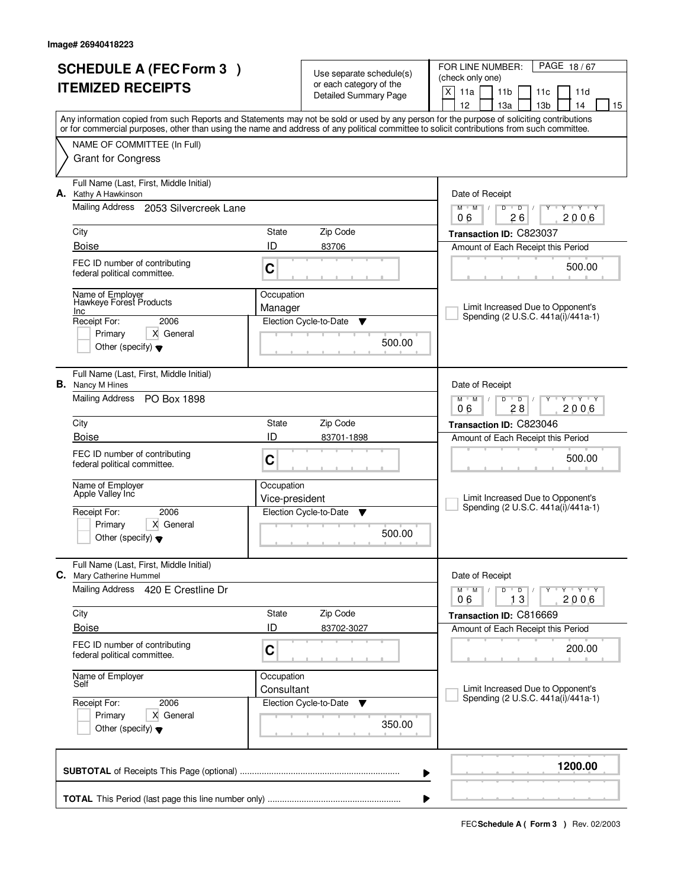| <b>SCHEDULE A (FEC Form 3)</b><br><b>ITEMIZED RECEIPTS</b> |                                                                                                                                            |                              | Use separate schedule(s)<br>or each category of the<br><b>Detailed Summary Page</b> | PAGE 18/67<br>FOR LINE NUMBER:<br>(check only one)<br>X<br>11a<br>11 <sub>b</sub><br>11c<br>11d<br>12<br>13a<br>13 <sub>b</sub><br>14<br>15                                                                                                                                             |  |  |
|------------------------------------------------------------|--------------------------------------------------------------------------------------------------------------------------------------------|------------------------------|-------------------------------------------------------------------------------------|-----------------------------------------------------------------------------------------------------------------------------------------------------------------------------------------------------------------------------------------------------------------------------------------|--|--|
|                                                            |                                                                                                                                            |                              |                                                                                     | Any information copied from such Reports and Statements may not be sold or used by any person for the purpose of soliciting contributions<br>or for commercial purposes, other than using the name and address of any political committee to solicit contributions from such committee. |  |  |
|                                                            | NAME OF COMMITTEE (In Full)<br><b>Grant for Congress</b>                                                                                   |                              |                                                                                     |                                                                                                                                                                                                                                                                                         |  |  |
| А.                                                         | Full Name (Last, First, Middle Initial)<br>Kathy A Hawkinson<br>Mailing Address<br>2053 Silvercreek Lane                                   |                              |                                                                                     | Date of Receipt<br>$M$ $M$ /<br>$D$ $D$<br>$Y + Y + Y$<br>$\mathbb{I}$<br>Y                                                                                                                                                                                                             |  |  |
|                                                            |                                                                                                                                            |                              |                                                                                     | 26<br>06<br>2006                                                                                                                                                                                                                                                                        |  |  |
|                                                            | City<br><b>Boise</b>                                                                                                                       | State<br>ID                  | Zip Code<br>83706                                                                   | Transaction ID: C823037                                                                                                                                                                                                                                                                 |  |  |
|                                                            | FEC ID number of contributing<br>federal political committee.                                                                              | C                            |                                                                                     | Amount of Each Receipt this Period<br>500.00                                                                                                                                                                                                                                            |  |  |
|                                                            | Name of Employer<br>Hawkeye Forest Products<br>Inc<br>Receipt For:<br>2006<br>Primary<br>X General<br>Other (specify) $\blacktriangledown$ | Occupation<br>Manager        | Election Cycle-to-Date<br>▼<br>500.00                                               | Limit Increased Due to Opponent's<br>Spending (2 U.S.C. 441a(i)/441a-1)                                                                                                                                                                                                                 |  |  |
|                                                            | Full Name (Last, First, Middle Initial)<br><b>B.</b> Nancy M Hines<br>Mailing Address PO Box 1898                                          |                              |                                                                                     | Date of Receipt<br>$M$ M<br>D<br>$\overline{D}$<br>$Y + Y$<br>28<br>2006<br>06                                                                                                                                                                                                          |  |  |
|                                                            | City                                                                                                                                       | Transaction ID: C823046      |                                                                                     |                                                                                                                                                                                                                                                                                         |  |  |
|                                                            | <b>Boise</b>                                                                                                                               | ID                           | 83701-1898                                                                          | Amount of Each Receipt this Period                                                                                                                                                                                                                                                      |  |  |
|                                                            | FEC ID number of contributing<br>federal political committee.                                                                              | C                            | 500.00                                                                              |                                                                                                                                                                                                                                                                                         |  |  |
|                                                            | Name of Employer<br>Apple Valley Inc                                                                                                       | Occupation<br>Vice-president |                                                                                     | Limit Increased Due to Opponent's<br>Spending (2 U.S.C. 441a(i)/441a-1)                                                                                                                                                                                                                 |  |  |
|                                                            | 2006<br>Receipt For:<br>X General<br>Primary<br>Other (specify) $\blacktriangledown$                                                       |                              | Election Cycle-to-Date<br>▼<br>500.00                                               |                                                                                                                                                                                                                                                                                         |  |  |
|                                                            | Full Name (Last, First, Middle Initial)<br>C. Mary Catherine Hummel                                                                        |                              |                                                                                     | Date of Receipt                                                                                                                                                                                                                                                                         |  |  |
|                                                            | Mailing Address<br>420 E Crestline Dr                                                                                                      |                              |                                                                                     | $D$ $D$ $/$<br>$M$ $M$ /<br>$Y + Y + Y$<br>Y<br>13<br>2006<br>06                                                                                                                                                                                                                        |  |  |
|                                                            | City                                                                                                                                       | State                        | Zip Code                                                                            | Transaction ID: C816669                                                                                                                                                                                                                                                                 |  |  |
|                                                            | <b>Boise</b>                                                                                                                               | ID                           | 83702-3027                                                                          | Amount of Each Receipt this Period                                                                                                                                                                                                                                                      |  |  |
|                                                            | FEC ID number of contributing<br>federal political committee.                                                                              | C                            |                                                                                     | 200.00                                                                                                                                                                                                                                                                                  |  |  |
| Name of Employer<br>Self                                   |                                                                                                                                            | Occupation<br>Consultant     |                                                                                     | Limit Increased Due to Opponent's<br>Spending (2 U.S.C. 441a(i)/441a-1)                                                                                                                                                                                                                 |  |  |
|                                                            | Receipt For:<br>2006<br>Primary<br>X General<br>Other (specify) $\blacktriangledown$                                                       |                              | Election Cycle-to-Date<br>v<br>350.00                                               |                                                                                                                                                                                                                                                                                         |  |  |
|                                                            |                                                                                                                                            |                              |                                                                                     | 1200.00<br>▶                                                                                                                                                                                                                                                                            |  |  |
|                                                            |                                                                                                                                            |                              |                                                                                     |                                                                                                                                                                                                                                                                                         |  |  |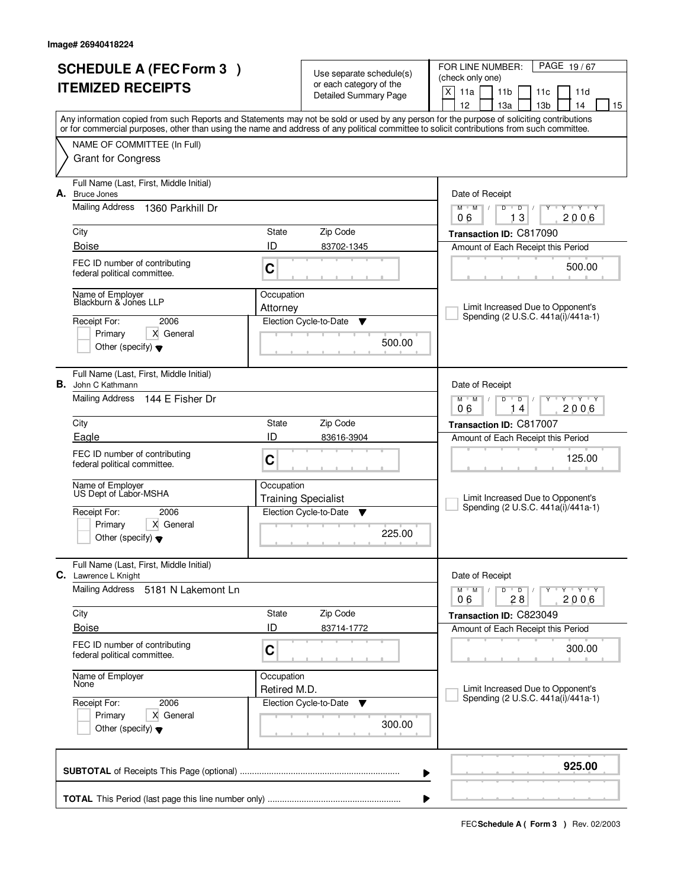|                          | <b>SCHEDULE A (FEC Form 3)</b>                                       |                            | Use separate schedule(s)     | PAGE 19/67<br>FOR LINE NUMBER:                                                                                                                                            |  |  |
|--------------------------|----------------------------------------------------------------------|----------------------------|------------------------------|---------------------------------------------------------------------------------------------------------------------------------------------------------------------------|--|--|
| <b>ITEMIZED RECEIPTS</b> |                                                                      |                            | or each category of the      | (check only one)                                                                                                                                                          |  |  |
|                          |                                                                      |                            | <b>Detailed Summary Page</b> | X<br>11a<br>11 <sub>b</sub><br>11d<br>11c<br>12<br>14                                                                                                                     |  |  |
|                          |                                                                      |                            |                              | 13a<br>13 <sub>b</sub><br>15<br>Any information copied from such Reports and Statements may not be sold or used by any person for the purpose of soliciting contributions |  |  |
|                          |                                                                      |                            |                              | or for commercial purposes, other than using the name and address of any political committee to solicit contributions from such committee.                                |  |  |
|                          | NAME OF COMMITTEE (In Full)                                          |                            |                              |                                                                                                                                                                           |  |  |
|                          | <b>Grant for Congress</b>                                            |                            |                              |                                                                                                                                                                           |  |  |
| А.                       | Full Name (Last, First, Middle Initial)<br><b>Bruce Jones</b>        |                            |                              | Date of Receipt                                                                                                                                                           |  |  |
|                          | <b>Mailing Address</b><br>1360 Parkhill Dr                           |                            |                              | $Y + Y + Y$<br>$M$ $M$<br>$D$ $D$ $I$<br>Y<br>13<br>2006<br>06                                                                                                            |  |  |
|                          | City                                                                 | State                      | Zip Code                     | Transaction ID: C817090                                                                                                                                                   |  |  |
|                          | <b>Boise</b>                                                         | ID                         | 83702-1345                   | Amount of Each Receipt this Period                                                                                                                                        |  |  |
|                          | FEC ID number of contributing<br>federal political committee.        | C                          |                              | 500.00                                                                                                                                                                    |  |  |
|                          | Name of Employer<br>Blackburn & Jones LLP                            | Occupation<br>Attorney     |                              | Limit Increased Due to Opponent's                                                                                                                                         |  |  |
|                          | Receipt For:<br>2006                                                 |                            | Election Cycle-to-Date<br>▼  | Spending (2 U.S.C. 441a(i)/441a-1)                                                                                                                                        |  |  |
|                          | X General<br>Primary                                                 |                            |                              |                                                                                                                                                                           |  |  |
|                          | Other (specify) $\blacktriangledown$                                 |                            | 500.00                       |                                                                                                                                                                           |  |  |
|                          | Full Name (Last, First, Middle Initial)<br><b>B.</b> John C Kathmann |                            |                              | Date of Receipt                                                                                                                                                           |  |  |
|                          | Mailing Address<br>144 E Fisher Dr                                   |                            |                              | $M$ M<br>D<br>$T$ $Y$ $T$ $Y$<br>D<br>2006<br>06<br>14                                                                                                                    |  |  |
|                          | City                                                                 | State                      | Zip Code                     | Transaction ID: C817007                                                                                                                                                   |  |  |
|                          | Eagle                                                                | ID                         | 83616-3904                   | Amount of Each Receipt this Period                                                                                                                                        |  |  |
|                          | FEC ID number of contributing<br>federal political committee.        | C                          |                              | 125.00                                                                                                                                                                    |  |  |
|                          | Name of Employer<br>US Dept of Labor-MSHA                            | Occupation                 |                              |                                                                                                                                                                           |  |  |
|                          |                                                                      |                            | <b>Training Specialist</b>   | Limit Increased Due to Opponent's<br>Spending (2 U.S.C. 441a(i)/441a-1)                                                                                                   |  |  |
|                          | Receipt For:<br>2006<br>X General                                    |                            | Election Cycle-to-Date<br>▼  |                                                                                                                                                                           |  |  |
|                          | Primary<br>Other (specify) $\blacktriangledown$                      |                            | 225.00                       |                                                                                                                                                                           |  |  |
| C.                       | Full Name (Last, First, Middle Initial)<br>Lawrence L Knight         |                            |                              | Date of Receipt                                                                                                                                                           |  |  |
|                          | Mailing Address 5181 N Lakemont Ln                                   |                            |                              | $\mathsf D$<br>$M$ <sup><math>+</math></sup><br>$M$ /<br>$\overline{D}$<br>Y Y Y Y<br>Υ<br>2006<br>28<br>06                                                               |  |  |
|                          | City                                                                 | State                      | Zip Code                     | Transaction ID: C823049                                                                                                                                                   |  |  |
|                          | <b>Boise</b>                                                         | ID                         | 83714-1772                   | Amount of Each Receipt this Period                                                                                                                                        |  |  |
|                          | FEC ID number of contributing<br>federal political committee.        | C                          |                              | 300.00                                                                                                                                                                    |  |  |
|                          | Name of Employer<br>None                                             | Occupation<br>Retired M.D. |                              | Limit Increased Due to Opponent's                                                                                                                                         |  |  |
|                          | Receipt For:<br>2006                                                 |                            | Election Cycle-to-Date<br>▼  | Spending (2 U.S.C. 441a(i)/441a-1)                                                                                                                                        |  |  |
|                          | X General<br>Primary<br>Other (specify) $\blacktriangledown$         |                            | 300.00                       |                                                                                                                                                                           |  |  |
|                          |                                                                      |                            |                              |                                                                                                                                                                           |  |  |
|                          |                                                                      |                            |                              | 925.00<br>▶                                                                                                                                                               |  |  |
|                          | ▶                                                                    |                            |                              |                                                                                                                                                                           |  |  |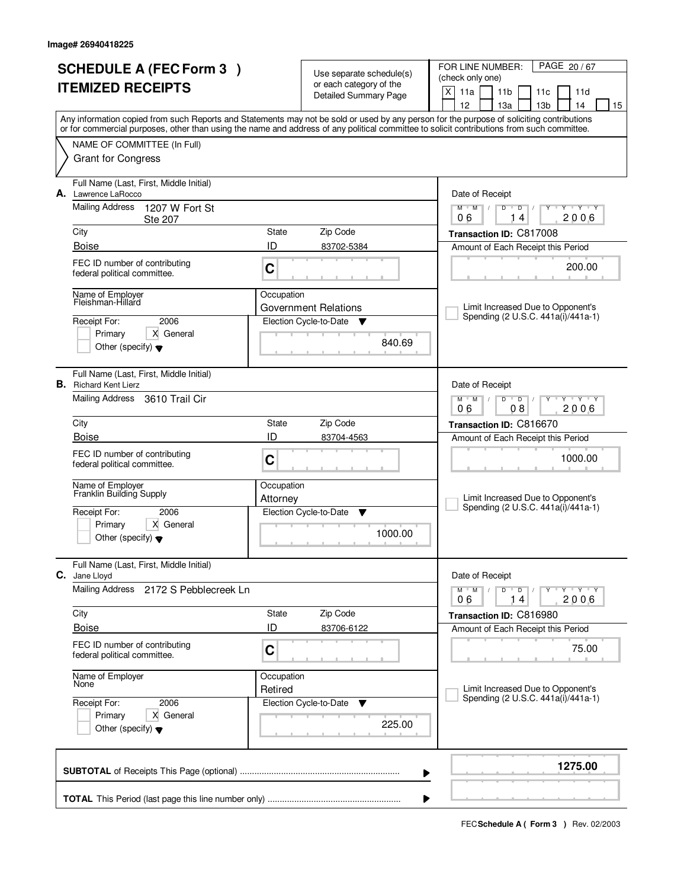|    | <b>SCHEDULE A (FEC Form 3)</b><br><b>ITEMIZED RECEIPTS</b>              |                        | Use separate schedule(s)<br>or each category of the<br><b>Detailed Summary Page</b> | PAGE 20/67<br>FOR LINE NUMBER:<br>(check only one)<br>X<br>11a<br>11 <sub>b</sub><br>11 <sub>c</sub><br>11d<br>12<br>13а<br>13 <sub>b</sub><br>14<br>15                                                                                                                                 |  |  |
|----|-------------------------------------------------------------------------|------------------------|-------------------------------------------------------------------------------------|-----------------------------------------------------------------------------------------------------------------------------------------------------------------------------------------------------------------------------------------------------------------------------------------|--|--|
|    |                                                                         |                        |                                                                                     | Any information copied from such Reports and Statements may not be sold or used by any person for the purpose of soliciting contributions<br>or for commercial purposes, other than using the name and address of any political committee to solicit contributions from such committee. |  |  |
|    | NAME OF COMMITTEE (In Full)                                             |                        |                                                                                     |                                                                                                                                                                                                                                                                                         |  |  |
|    | <b>Grant for Congress</b>                                               |                        |                                                                                     |                                                                                                                                                                                                                                                                                         |  |  |
|    | Full Name (Last, First, Middle Initial)<br>A. Lawrence LaRocco          |                        |                                                                                     | Date of Receipt                                                                                                                                                                                                                                                                         |  |  |
|    | Mailing Address<br>1207 W Fort St<br><b>Ste 207</b>                     |                        |                                                                                     | $M$ $M$ /<br>$\mathsf D$<br>$Y - Y - Y$<br>D<br>Y<br>2006<br>06<br>4                                                                                                                                                                                                                    |  |  |
|    | City                                                                    | State                  | Zip Code                                                                            | Transaction ID: C817008                                                                                                                                                                                                                                                                 |  |  |
|    | <b>Boise</b>                                                            | ID                     | 83702-5384                                                                          | Amount of Each Receipt this Period                                                                                                                                                                                                                                                      |  |  |
|    | FEC ID number of contributing<br>federal political committee.           | C                      |                                                                                     | 200.00                                                                                                                                                                                                                                                                                  |  |  |
|    | Name of Employer<br>Fleishman-Hillard                                   | Occupation             | <b>Government Relations</b>                                                         | Limit Increased Due to Opponent's                                                                                                                                                                                                                                                       |  |  |
|    | 2006<br>Receipt For:                                                    |                        | Election Cycle-to-Date<br>v                                                         | Spending (2 U.S.C. 441a(i)/441a-1)                                                                                                                                                                                                                                                      |  |  |
|    | Primary<br>X General<br>Other (specify) $\blacktriangledown$            |                        | 840.69                                                                              |                                                                                                                                                                                                                                                                                         |  |  |
|    | Full Name (Last, First, Middle Initial)<br><b>B.</b> Richard Kent Lierz |                        |                                                                                     | Date of Receipt                                                                                                                                                                                                                                                                         |  |  |
|    | Mailing Address 3610 Trail Cir                                          |                        |                                                                                     | $M$ $M$ /<br>D<br>$\overline{D}$<br>$T$ $Y$ $T$ $Y$<br>08<br>2006<br>06                                                                                                                                                                                                                 |  |  |
|    | City                                                                    | State                  | Zip Code                                                                            | Transaction ID: C816670                                                                                                                                                                                                                                                                 |  |  |
|    | <b>Boise</b>                                                            | ID                     | 83704-4563                                                                          | Amount of Each Receipt this Period                                                                                                                                                                                                                                                      |  |  |
|    | FEC ID number of contributing<br>federal political committee.           | C                      |                                                                                     | 1000.00                                                                                                                                                                                                                                                                                 |  |  |
|    | Name of Employer<br>Franklin Building Supply                            | Occupation<br>Attorney |                                                                                     | Limit Increased Due to Opponent's                                                                                                                                                                                                                                                       |  |  |
|    | 2006<br>Receipt For:                                                    |                        | Election Cycle-to-Date<br>▼                                                         | Spending (2 U.S.C. 441a(i)/441a-1)                                                                                                                                                                                                                                                      |  |  |
|    | Primary<br>X General<br>Other (specify) $\blacktriangledown$            |                        | 1000.00                                                                             |                                                                                                                                                                                                                                                                                         |  |  |
| С. | Full Name (Last, First, Middle Initial)<br>Jane Lloyd                   |                        |                                                                                     | Date of Receipt                                                                                                                                                                                                                                                                         |  |  |
|    | <b>Mailing Address</b><br>2172 S Pebblecreek Ln                         |                        |                                                                                     | $M$ $M$ $M$<br>$D$ $D$ $1$<br>Y FY FY FY<br>2006<br>06<br>14                                                                                                                                                                                                                            |  |  |
|    | City                                                                    | State                  | Zip Code                                                                            | Transaction ID: C816980                                                                                                                                                                                                                                                                 |  |  |
|    | <b>Boise</b>                                                            | ID                     | 83706-6122                                                                          | Amount of Each Receipt this Period                                                                                                                                                                                                                                                      |  |  |
|    | FEC ID number of contributing<br>federal political committee.           | C                      |                                                                                     | 75.00                                                                                                                                                                                                                                                                                   |  |  |
|    | Name of Employer<br>None                                                | Occupation             |                                                                                     |                                                                                                                                                                                                                                                                                         |  |  |
|    | Receipt For:<br>2006                                                    | Retired                | Election Cycle-to-Date<br><b>V</b>                                                  | Limit Increased Due to Opponent's<br>Spending (2 U.S.C. 441a(i)/441a-1)                                                                                                                                                                                                                 |  |  |
|    | Primary<br>X General<br>Other (specify) $\blacktriangledown$            |                        | 225.00                                                                              |                                                                                                                                                                                                                                                                                         |  |  |
|    |                                                                         |                        |                                                                                     | 1275.00<br>▶                                                                                                                                                                                                                                                                            |  |  |
|    | ▶                                                                       |                        |                                                                                     |                                                                                                                                                                                                                                                                                         |  |  |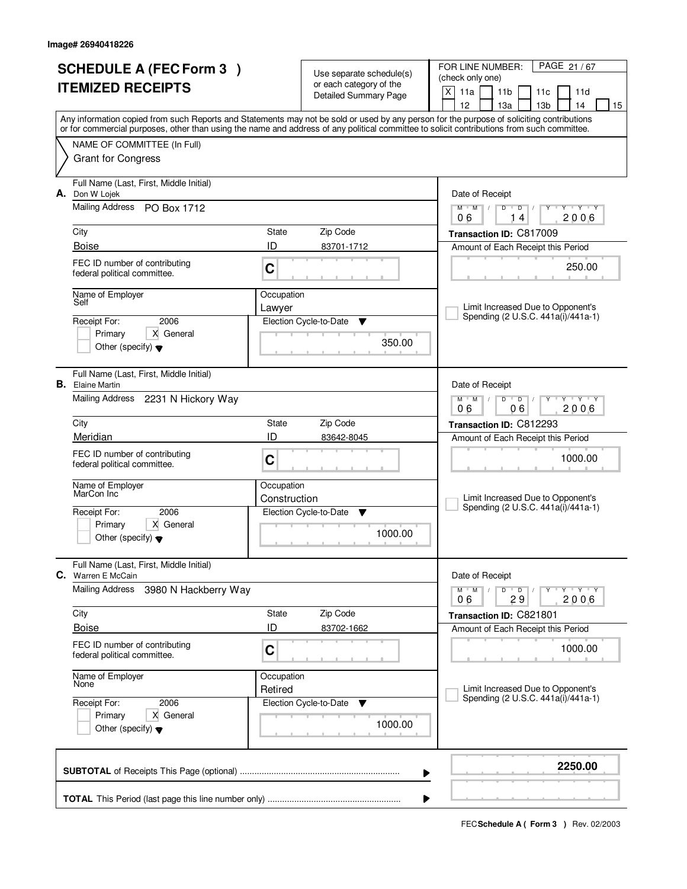| <b>SCHEDULE A (FEC Form 3)</b><br><b>ITEMIZED RECEIPTS</b> |                                                                      |              | Use separate schedule(s)<br>or each category of the | FOR LINE NUMBER:<br>PAGE 21/67<br>(check only one)<br>X<br>11a<br>11 <sub>b</sub><br>11c<br>11d                                                                                                                                                                                         |  |  |  |
|------------------------------------------------------------|----------------------------------------------------------------------|--------------|-----------------------------------------------------|-----------------------------------------------------------------------------------------------------------------------------------------------------------------------------------------------------------------------------------------------------------------------------------------|--|--|--|
|                                                            |                                                                      |              | <b>Detailed Summary Page</b>                        | 12<br>13 <sub>b</sub><br>13a<br>14<br>15                                                                                                                                                                                                                                                |  |  |  |
|                                                            |                                                                      |              |                                                     | Any information copied from such Reports and Statements may not be sold or used by any person for the purpose of soliciting contributions<br>or for commercial purposes, other than using the name and address of any political committee to solicit contributions from such committee. |  |  |  |
|                                                            | NAME OF COMMITTEE (In Full)                                          |              |                                                     |                                                                                                                                                                                                                                                                                         |  |  |  |
|                                                            | <b>Grant for Congress</b>                                            |              |                                                     |                                                                                                                                                                                                                                                                                         |  |  |  |
| А.                                                         | Full Name (Last, First, Middle Initial)<br>Don W Lojek               |              |                                                     | Date of Receipt                                                                                                                                                                                                                                                                         |  |  |  |
|                                                            | <b>Mailing Address</b><br>PO Box 1712                                |              |                                                     | $M$ $M$ $/$<br>Y Y Y Y<br>D<br>$\overline{D}$<br>Y<br>2006<br>06<br>14                                                                                                                                                                                                                  |  |  |  |
|                                                            | City                                                                 | State        | Zip Code                                            | Transaction ID: C817009                                                                                                                                                                                                                                                                 |  |  |  |
|                                                            | <b>Boise</b>                                                         | ID           | 83701-1712                                          | Amount of Each Receipt this Period                                                                                                                                                                                                                                                      |  |  |  |
|                                                            | FEC ID number of contributing<br>federal political committee.        | C            |                                                     | 250.00                                                                                                                                                                                                                                                                                  |  |  |  |
|                                                            | Name of Employer<br>Self                                             | Occupation   |                                                     |                                                                                                                                                                                                                                                                                         |  |  |  |
|                                                            | 2006<br>Receipt For:                                                 | Lawyer       | Election Cycle-to-Date<br>Y                         | Limit Increased Due to Opponent's<br>Spending (2 U.S.C. 441a(i)/441a-1)                                                                                                                                                                                                                 |  |  |  |
|                                                            | X General<br>Primary                                                 |              |                                                     |                                                                                                                                                                                                                                                                                         |  |  |  |
|                                                            | Other (specify) $\blacktriangledown$                                 |              | 350.00                                              |                                                                                                                                                                                                                                                                                         |  |  |  |
| В.                                                         | Full Name (Last, First, Middle Initial)<br><b>Elaine Martin</b>      |              |                                                     | Date of Receipt                                                                                                                                                                                                                                                                         |  |  |  |
|                                                            | Mailing Address 2231 N Hickory Way                                   |              |                                                     | $M$ $M$ /<br><u>י ץ י</u><br>D<br>$\overline{D}$<br>06<br>2006<br>06                                                                                                                                                                                                                    |  |  |  |
|                                                            | City                                                                 | State        | Zip Code                                            | Transaction ID: C812293                                                                                                                                                                                                                                                                 |  |  |  |
|                                                            | Meridian                                                             | ID           | 83642-8045                                          | Amount of Each Receipt this Period                                                                                                                                                                                                                                                      |  |  |  |
|                                                            | FEC ID number of contributing<br>federal political committee.        | C            |                                                     | 1000.00                                                                                                                                                                                                                                                                                 |  |  |  |
|                                                            | Name of Employer<br>MarCon Inc                                       | Occupation   |                                                     |                                                                                                                                                                                                                                                                                         |  |  |  |
|                                                            | 2006                                                                 | Construction |                                                     | Limit Increased Due to Opponent's<br>Spending (2 U.S.C. 441a(i)/441a-1)                                                                                                                                                                                                                 |  |  |  |
|                                                            | Receipt For:<br>Primary<br>X General                                 |              | Election Cycle-to-Date<br>v                         |                                                                                                                                                                                                                                                                                         |  |  |  |
|                                                            | Other (specify) $\blacktriangledown$                                 |              | 1000.00                                             |                                                                                                                                                                                                                                                                                         |  |  |  |
|                                                            | Full Name (Last, First, Middle Initial)<br><b>C.</b> Warren E McCain |              |                                                     | Date of Receipt                                                                                                                                                                                                                                                                         |  |  |  |
|                                                            | <b>Mailing Address</b><br>3980 N Hackberry Way                       |              |                                                     | D<br>$M$ $M$ $/$<br>$\overline{D}$<br>$Y + Y + Y$<br>2006<br>06<br>29                                                                                                                                                                                                                   |  |  |  |
|                                                            | City                                                                 | State        | Zip Code                                            | Transaction ID: C821801                                                                                                                                                                                                                                                                 |  |  |  |
|                                                            | <b>Boise</b>                                                         | ID           | 83702-1662                                          | Amount of Each Receipt this Period                                                                                                                                                                                                                                                      |  |  |  |
|                                                            | FEC ID number of contributing<br>federal political committee.        | $\mathbf C$  |                                                     | 1000.00                                                                                                                                                                                                                                                                                 |  |  |  |
|                                                            | Name of Employer<br>None                                             | Occupation   |                                                     |                                                                                                                                                                                                                                                                                         |  |  |  |
|                                                            | 2006<br>Receipt For:                                                 | Retired      | Election Cycle-to-Date<br>v                         | Limit Increased Due to Opponent's<br>Spending (2 U.S.C. 441a(i)/441a-1)                                                                                                                                                                                                                 |  |  |  |
|                                                            | Primary<br>X General                                                 |              | 1000.00                                             |                                                                                                                                                                                                                                                                                         |  |  |  |
|                                                            | Other (specify) $\blacktriangledown$                                 |              |                                                     |                                                                                                                                                                                                                                                                                         |  |  |  |
|                                                            |                                                                      |              |                                                     | 2250.00<br>▶                                                                                                                                                                                                                                                                            |  |  |  |
|                                                            | ▶                                                                    |              |                                                     |                                                                                                                                                                                                                                                                                         |  |  |  |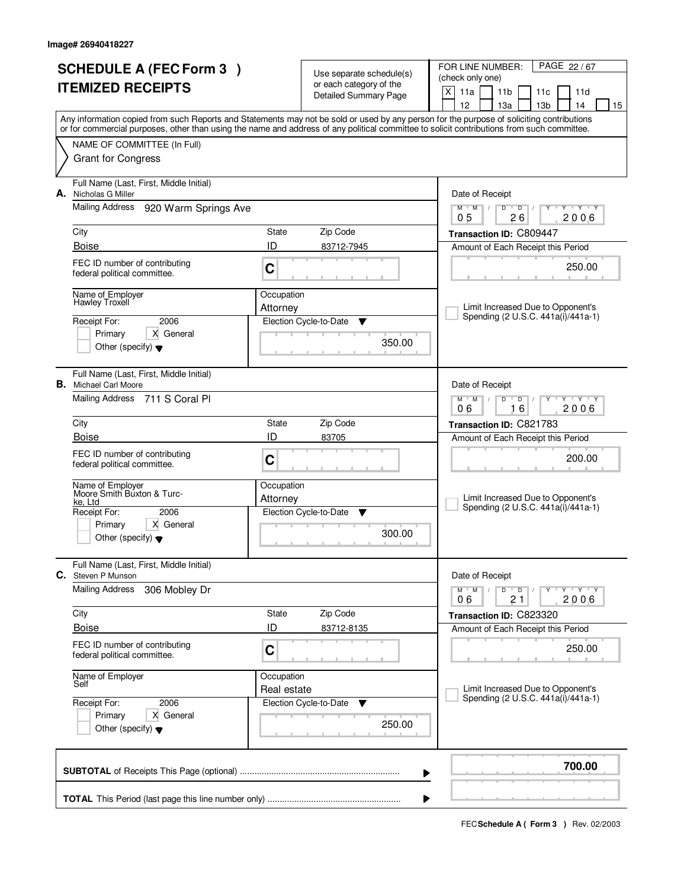| <b>SCHEDULE A (FEC Form 3)</b><br><b>ITEMIZED RECEIPTS</b> |                                                                                      |                           | Use separate schedule(s)<br>or each category of the<br><b>Detailed Summary Page</b> | PAGE 22/67<br>FOR LINE NUMBER:<br>(check only one)<br>X<br>11a<br>11 <sub>b</sub><br>11 <sub>c</sub><br>11d<br>12<br>13а<br>13 <sub>b</sub><br>14<br>15                                                                                                                                 |  |  |  |
|------------------------------------------------------------|--------------------------------------------------------------------------------------|---------------------------|-------------------------------------------------------------------------------------|-----------------------------------------------------------------------------------------------------------------------------------------------------------------------------------------------------------------------------------------------------------------------------------------|--|--|--|
|                                                            |                                                                                      |                           |                                                                                     | Any information copied from such Reports and Statements may not be sold or used by any person for the purpose of soliciting contributions<br>or for commercial purposes, other than using the name and address of any political committee to solicit contributions from such committee. |  |  |  |
|                                                            | NAME OF COMMITTEE (In Full)<br><b>Grant for Congress</b>                             |                           |                                                                                     |                                                                                                                                                                                                                                                                                         |  |  |  |
| А.                                                         | Full Name (Last, First, Middle Initial)<br>Nicholas G Miller                         |                           |                                                                                     | Date of Receipt                                                                                                                                                                                                                                                                         |  |  |  |
|                                                            | Mailing Address<br>920 Warm Springs Ave                                              |                           |                                                                                     | $D$ $D$<br>$Y - Y - Y$<br>$M$ $M$ /<br>26<br>2006<br>0 <sub>5</sub>                                                                                                                                                                                                                     |  |  |  |
|                                                            | City<br><b>Boise</b>                                                                 | State<br>ID               | Zip Code<br>83712-7945                                                              | Transaction ID: C809447<br>Amount of Each Receipt this Period                                                                                                                                                                                                                           |  |  |  |
|                                                            | FEC ID number of contributing<br>federal political committee.                        | C                         |                                                                                     | 250.00                                                                                                                                                                                                                                                                                  |  |  |  |
|                                                            | Name of Employer<br>Hawley Troxell                                                   | Occupation<br>Attorney    |                                                                                     | Limit Increased Due to Opponent's<br>Spending (2 U.S.C. 441a(i)/441a-1)                                                                                                                                                                                                                 |  |  |  |
|                                                            | 2006<br>Receipt For:<br>Primary<br>X General<br>Other (specify) $\blacktriangledown$ |                           | Election Cycle-to-Date<br>▼<br>350.00                                               |                                                                                                                                                                                                                                                                                         |  |  |  |
|                                                            | Full Name (Last, First, Middle Initial)<br><b>B.</b> Michael Carl Moore              |                           |                                                                                     | Date of Receipt                                                                                                                                                                                                                                                                         |  |  |  |
|                                                            | Mailing Address 711 S Coral PI                                                       |                           |                                                                                     | $M$ $M$ /<br>D<br>$\overline{D}$<br>$Y + Y$<br>16<br>06<br>2006                                                                                                                                                                                                                         |  |  |  |
|                                                            | City<br><b>Boise</b>                                                                 | State<br>ID               | Zip Code<br>83705                                                                   | Transaction ID: C821783                                                                                                                                                                                                                                                                 |  |  |  |
|                                                            | FEC ID number of contributing<br>federal political committee.                        | C                         |                                                                                     | Amount of Each Receipt this Period<br>200.00                                                                                                                                                                                                                                            |  |  |  |
|                                                            | Name of Employer<br>Moore Smith Buxton & Turc-<br>ke, Ltd                            | Occupation<br>Attorney    |                                                                                     | Limit Increased Due to Opponent's<br>Spending (2 U.S.C. 441a(i)/441a-1)                                                                                                                                                                                                                 |  |  |  |
|                                                            | Receipt For:<br>2006<br>X General<br>Primary<br>Other (specify) $\blacktriangledown$ |                           | Election Cycle-to-Date<br>Y<br>300.00                                               |                                                                                                                                                                                                                                                                                         |  |  |  |
| C.                                                         | Full Name (Last, First, Middle Initial)<br>Steven P Munson                           |                           |                                                                                     | Date of Receipt                                                                                                                                                                                                                                                                         |  |  |  |
|                                                            | <b>Mailing Address</b><br>306 Mobley Dr                                              |                           |                                                                                     | $M$ $M$ $M$<br>$D$ $D$ $/$<br>Y FY FY FY<br>2006<br>06<br>21                                                                                                                                                                                                                            |  |  |  |
|                                                            | City                                                                                 | State                     | Zip Code                                                                            | Transaction ID: C823320                                                                                                                                                                                                                                                                 |  |  |  |
|                                                            | <b>Boise</b>                                                                         | ID                        | 83712-8135                                                                          | Amount of Each Receipt this Period                                                                                                                                                                                                                                                      |  |  |  |
|                                                            | FEC ID number of contributing<br>federal political committee.                        | C                         |                                                                                     | 250.00                                                                                                                                                                                                                                                                                  |  |  |  |
|                                                            | Name of Employer<br>Self                                                             | Occupation<br>Real estate |                                                                                     | Limit Increased Due to Opponent's<br>Spending (2 U.S.C. 441a(i)/441a-1)                                                                                                                                                                                                                 |  |  |  |
|                                                            | Receipt For:<br>2006<br>Primary<br>X General<br>Other (specify) $\blacktriangledown$ |                           | Election Cycle-to-Date<br><b>V</b><br>250.00                                        |                                                                                                                                                                                                                                                                                         |  |  |  |
|                                                            |                                                                                      |                           |                                                                                     | 700.00<br>▶                                                                                                                                                                                                                                                                             |  |  |  |
|                                                            | ▶                                                                                    |                           |                                                                                     |                                                                                                                                                                                                                                                                                         |  |  |  |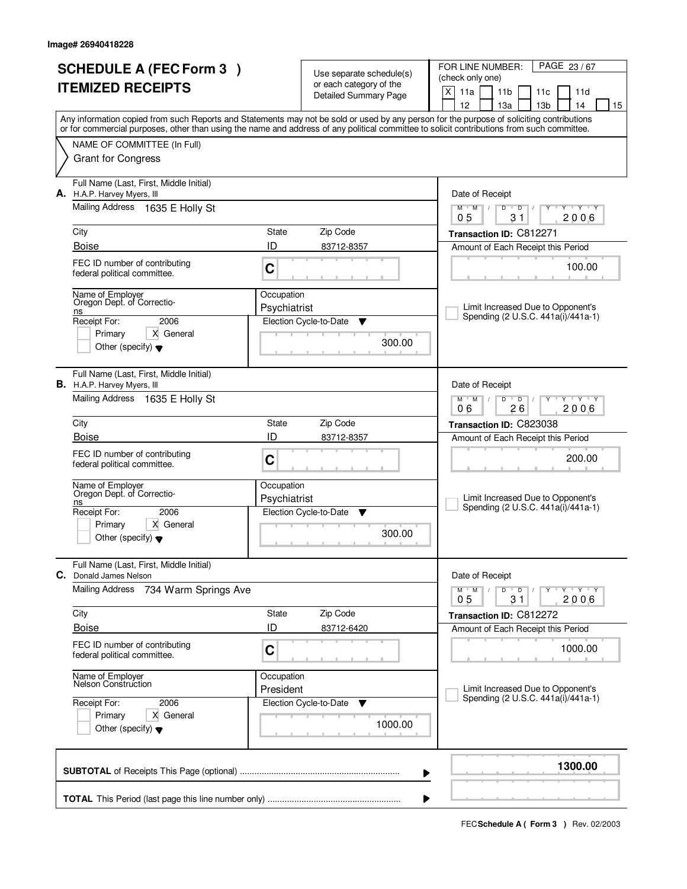|    | <b>SCHEDULE A (FEC Form 3)</b><br><b>ITEMIZED RECEIPTS</b>                                                                                   |                            | Use separate schedule(s)<br>or each category of the<br><b>Detailed Summary Page</b> | PAGE 23/67<br>FOR LINE NUMBER:<br>(check only one)<br>X<br>11a<br>11 <sub>b</sub><br>11c<br>11d                                                                                                                                                                                                                                     |
|----|----------------------------------------------------------------------------------------------------------------------------------------------|----------------------------|-------------------------------------------------------------------------------------|-------------------------------------------------------------------------------------------------------------------------------------------------------------------------------------------------------------------------------------------------------------------------------------------------------------------------------------|
|    | NAME OF COMMITTEE (In Full)<br><b>Grant for Congress</b>                                                                                     |                            |                                                                                     | 12<br>13a<br>13 <sub>b</sub><br>14<br>15<br>Any information copied from such Reports and Statements may not be sold or used by any person for the purpose of soliciting contributions<br>or for commercial purposes, other than using the name and address of any political committee to solicit contributions from such committee. |
|    | Full Name (Last, First, Middle Initial)<br><b>A.</b> H.A.P. Harvey Myers, III<br>Mailing Address 1635 E Holly St<br>City                     | State                      | Zip Code                                                                            | Date of Receipt<br>$\overline{D}$<br>$Y - Y - Y$<br>$M$ <sup><math>+</math></sup><br>$M$ /<br>D<br>Y<br>┳<br>2006<br>0 <sub>5</sub><br>31<br>Transaction ID: C812271                                                                                                                                                                |
|    | <b>Boise</b><br>FEC ID number of contributing<br>federal political committee.                                                                | ID<br>C                    | 83712-8357                                                                          | Amount of Each Receipt this Period<br>100.00                                                                                                                                                                                                                                                                                        |
|    | Name of Employer<br>Oregon Dept. of Correctio-<br>ns<br>Receipt For:<br>2006<br>X General<br>Primary<br>Other (specify) $\blacktriangledown$ | Occupation<br>Psychiatrist | Election Cycle-to-Date<br>▼<br>300.00                                               | Limit Increased Due to Opponent's<br>Spending (2 U.S.C. 441a(i)/441a-1)                                                                                                                                                                                                                                                             |
|    | Full Name (Last, First, Middle Initial)<br><b>B.</b> H.A.P. Harvey Myers, III<br>Mailing Address 1635 E Holly St                             |                            |                                                                                     | Date of Receipt<br>$M$ $M$ /<br>D<br>$\overline{D}$<br>$Y + Y$<br>Y<br>26<br>06<br>2006                                                                                                                                                                                                                                             |
|    | City<br><b>Boise</b><br>FEC ID number of contributing<br>federal political committee.                                                        | State<br>ID<br>C           | Zip Code<br>83712-8357                                                              | Transaction ID: C823038<br>Amount of Each Receipt this Period<br>200.00                                                                                                                                                                                                                                                             |
|    | Name of Employer<br>Oregon Dept. of Correctio-<br>ns<br>Receipt For:<br>2006<br>X General<br>Primary<br>Other (specify) $\blacktriangledown$ | Occupation<br>Psychiatrist | Election Cycle-to-Date<br>▼<br>300.00                                               | Limit Increased Due to Opponent's<br>Spending (2 U.S.C. 441a(i)/441a-1)                                                                                                                                                                                                                                                             |
| C. | Full Name (Last, First, Middle Initial)<br>Donald James Nelson<br>Mailing Address<br>734 Warm Springs Ave                                    |                            |                                                                                     | Date of Receipt<br>$M = M$<br>$D$ $D$ $/$<br>יץ ייץ ייד<br>Y                                                                                                                                                                                                                                                                        |
|    | City<br><b>Boise</b><br>FEC ID number of contributing<br>federal political committee.                                                        | State<br>ID<br>C           | Zip Code<br>83712-6420                                                              | 0 <sub>5</sub><br>31<br>2006<br>Transaction ID: C812272<br>Amount of Each Receipt this Period<br>1000.00                                                                                                                                                                                                                            |
|    | Name of Employer<br>Nelson Construction<br>Receipt For:<br>2006<br>X General<br>Primary<br>Other (specify) $\blacktriangledown$              | Occupation<br>President    | Election Cycle-to-Date<br>v<br>1000.00                                              | Limit Increased Due to Opponent's<br>Spending (2 U.S.C. 441a(i)/441a-1)                                                                                                                                                                                                                                                             |
|    |                                                                                                                                              |                            |                                                                                     | 1300.00<br>▶                                                                                                                                                                                                                                                                                                                        |
|    |                                                                                                                                              |                            |                                                                                     | ▶                                                                                                                                                                                                                                                                                                                                   |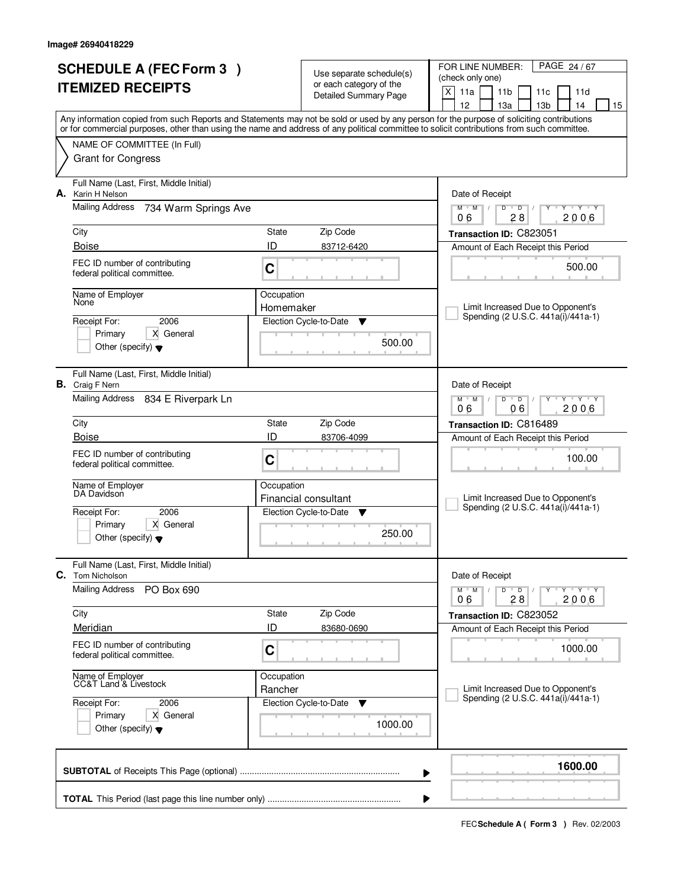| <b>SCHEDULE A (FEC Form 3)</b><br><b>ITEMIZED RECEIPTS</b> |                                                                                                         |                         | Use separate schedule(s)<br>or each category of the<br><b>Detailed Summary Page</b> | PAGE 24/67<br>FOR LINE NUMBER:<br>(check only one)<br>X<br>11a<br>11 <sub>b</sub><br>11d<br>11c                                                                                                                                                                                                                                     |  |  |  |
|------------------------------------------------------------|---------------------------------------------------------------------------------------------------------|-------------------------|-------------------------------------------------------------------------------------|-------------------------------------------------------------------------------------------------------------------------------------------------------------------------------------------------------------------------------------------------------------------------------------------------------------------------------------|--|--|--|
|                                                            |                                                                                                         |                         |                                                                                     | 12<br>13a<br>13 <sub>b</sub><br>14<br>15<br>Any information copied from such Reports and Statements may not be sold or used by any person for the purpose of soliciting contributions<br>or for commercial purposes, other than using the name and address of any political committee to solicit contributions from such committee. |  |  |  |
|                                                            | NAME OF COMMITTEE (In Full)<br><b>Grant for Congress</b>                                                |                         |                                                                                     |                                                                                                                                                                                                                                                                                                                                     |  |  |  |
| А.                                                         | Full Name (Last, First, Middle Initial)<br>Karin H Nelson                                               |                         |                                                                                     | Date of Receipt                                                                                                                                                                                                                                                                                                                     |  |  |  |
|                                                            | <b>Mailing Address</b><br>734 Warm Springs Ave                                                          |                         |                                                                                     | $Y + Y + Y$<br>$M$ $M$ /<br>$D$ $D$<br>Y<br>28<br>2006<br>06                                                                                                                                                                                                                                                                        |  |  |  |
|                                                            | City<br><b>Boise</b>                                                                                    | State<br>ID             | Zip Code<br>83712-6420                                                              | Transaction ID: C823051<br>Amount of Each Receipt this Period                                                                                                                                                                                                                                                                       |  |  |  |
|                                                            | FEC ID number of contributing<br>federal political committee.                                           | C                       |                                                                                     | 500.00                                                                                                                                                                                                                                                                                                                              |  |  |  |
|                                                            | Name of Employer<br>None                                                                                | Occupation<br>Homemaker |                                                                                     | Limit Increased Due to Opponent's<br>Spending (2 U.S.C. 441a(i)/441a-1)                                                                                                                                                                                                                                                             |  |  |  |
|                                                            | 2006<br>Receipt For:<br>X General<br>Primary<br>Other (specify) $\blacktriangledown$                    |                         | Election Cycle-to-Date<br>▼<br>500.00                                               |                                                                                                                                                                                                                                                                                                                                     |  |  |  |
|                                                            | Full Name (Last, First, Middle Initial)<br><b>B.</b> Craig F Nern<br>Mailing Address 834 E Riverpark Ln |                         |                                                                                     | Date of Receipt<br>$M$ $M$ $/$<br>$Y^+Y$<br>D<br>$\overline{D}$                                                                                                                                                                                                                                                                     |  |  |  |
|                                                            | City                                                                                                    | State                   | Zip Code                                                                            | 06<br>2006<br>06                                                                                                                                                                                                                                                                                                                    |  |  |  |
|                                                            | <b>Boise</b>                                                                                            | ID                      | 83706-4099                                                                          | Transaction ID: C816489<br>Amount of Each Receipt this Period                                                                                                                                                                                                                                                                       |  |  |  |
|                                                            | FEC ID number of contributing<br>federal political committee.                                           | C                       |                                                                                     | 100.00                                                                                                                                                                                                                                                                                                                              |  |  |  |
|                                                            | Name of Employer<br>DA Davidson                                                                         | Occupation              | Financial consultant                                                                | Limit Increased Due to Opponent's<br>Spending (2 U.S.C. 441a(i)/441a-1)                                                                                                                                                                                                                                                             |  |  |  |
|                                                            | 2006<br>Receipt For:<br>X General<br>Primary<br>Other (specify) $\blacktriangledown$                    |                         | Election Cycle-to-Date<br>v<br>250.00                                               |                                                                                                                                                                                                                                                                                                                                     |  |  |  |
| C.                                                         | Full Name (Last, First, Middle Initial)<br>Tom Nicholson                                                |                         |                                                                                     | Date of Receipt                                                                                                                                                                                                                                                                                                                     |  |  |  |
|                                                            | <b>Mailing Address</b><br>PO Box 690                                                                    |                         |                                                                                     | $D \quad D \quad /$<br>$M$ $M$ /<br>Y Y Y Y<br>28<br>2006<br>06                                                                                                                                                                                                                                                                     |  |  |  |
|                                                            | City                                                                                                    | State                   | Zip Code                                                                            | Transaction ID: C823052                                                                                                                                                                                                                                                                                                             |  |  |  |
|                                                            | Meridian<br>FEC ID number of contributing<br>federal political committee.                               | ID<br>C                 | 83680-0690                                                                          | Amount of Each Receipt this Period<br>1000.00                                                                                                                                                                                                                                                                                       |  |  |  |
|                                                            | Name of Employer<br>CC&T Land & Livestock                                                               | Occupation<br>Rancher   |                                                                                     | Limit Increased Due to Opponent's<br>Spending (2 U.S.C. 441a(i)/441a-1)                                                                                                                                                                                                                                                             |  |  |  |
|                                                            | Receipt For:<br>2006<br>X General<br>Primary<br>Other (specify) $\blacktriangledown$                    |                         | Election Cycle-to-Date<br>v<br>1000.00                                              |                                                                                                                                                                                                                                                                                                                                     |  |  |  |
|                                                            |                                                                                                         |                         |                                                                                     | 1600.00<br>▶                                                                                                                                                                                                                                                                                                                        |  |  |  |
|                                                            |                                                                                                         |                         |                                                                                     |                                                                                                                                                                                                                                                                                                                                     |  |  |  |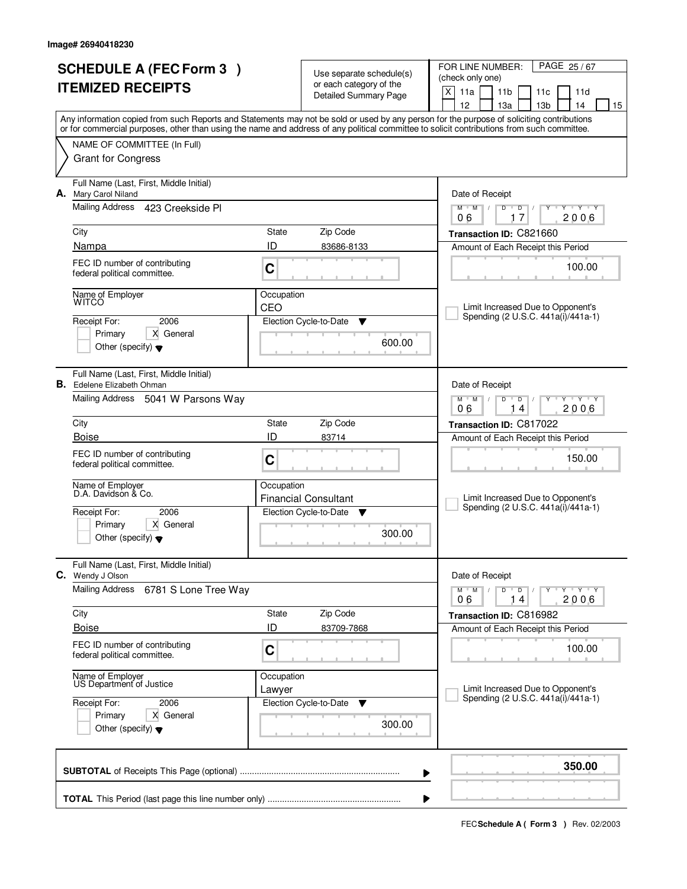|    | <b>SCHEDULE A (FEC Form 3)</b>                                     |                      | Use separate schedule(s)     | FOR LINE NUMBER:<br>PAGE 25/67<br>(check only one)                                                                                                                                                                                                                                      |
|----|--------------------------------------------------------------------|----------------------|------------------------------|-----------------------------------------------------------------------------------------------------------------------------------------------------------------------------------------------------------------------------------------------------------------------------------------|
|    | <b>ITEMIZED RECEIPTS</b>                                           |                      | or each category of the      | X<br>11a<br>11 <sub>b</sub><br>11c<br>11d                                                                                                                                                                                                                                               |
|    |                                                                    |                      | <b>Detailed Summary Page</b> | 12<br>13 <sub>b</sub><br>13a<br>14<br>15                                                                                                                                                                                                                                                |
|    |                                                                    |                      |                              | Any information copied from such Reports and Statements may not be sold or used by any person for the purpose of soliciting contributions<br>or for commercial purposes, other than using the name and address of any political committee to solicit contributions from such committee. |
|    | NAME OF COMMITTEE (In Full)                                        |                      |                              |                                                                                                                                                                                                                                                                                         |
|    | <b>Grant for Congress</b>                                          |                      |                              |                                                                                                                                                                                                                                                                                         |
| А. | Full Name (Last, First, Middle Initial)<br>Mary Carol Niland       |                      |                              | Date of Receipt                                                                                                                                                                                                                                                                         |
|    | <b>Mailing Address</b><br>423 Creekside Pl                         |                      |                              | $M$ $M$ /<br>$\Box$<br>$Y - Y - Y$<br>$D$ <sup>U</sup><br>Y<br>$\sqrt{ }$<br>2006<br>06<br>17                                                                                                                                                                                           |
|    | City                                                               | State                | Zip Code                     | Transaction ID: C821660                                                                                                                                                                                                                                                                 |
|    | Nampa                                                              | ID                   | 83686-8133                   | Amount of Each Receipt this Period                                                                                                                                                                                                                                                      |
|    | FEC ID number of contributing<br>federal political committee.      | C                    |                              | 100.00                                                                                                                                                                                                                                                                                  |
|    | Name of Employer<br>WITCO                                          | Occupation<br>CEO    |                              | Limit Increased Due to Opponent's                                                                                                                                                                                                                                                       |
|    | 2006<br>Receipt For:                                               |                      | Election Cycle-to-Date<br>Y  | Spending (2 U.S.C. 441a(i)/441a-1)                                                                                                                                                                                                                                                      |
|    | X General<br>Primary<br>Other (specify) $\blacktriangledown$       |                      | 600.00                       |                                                                                                                                                                                                                                                                                         |
| В. | Full Name (Last, First, Middle Initial)<br>Edelene Elizabeth Ohman |                      |                              | Date of Receipt                                                                                                                                                                                                                                                                         |
|    | Mailing Address 5041 W Parsons Way                                 |                      |                              | $M$ $M$<br><u>י ץ י</u><br>D<br>D<br>2006<br>06<br>4                                                                                                                                                                                                                                    |
|    | City                                                               | State                | Zip Code                     | Transaction ID: C817022                                                                                                                                                                                                                                                                 |
|    | <b>Boise</b>                                                       | ID                   | 83714                        | Amount of Each Receipt this Period                                                                                                                                                                                                                                                      |
|    | FEC ID number of contributing<br>federal political committee.      | C                    |                              | 150.00                                                                                                                                                                                                                                                                                  |
|    | Name of Employer<br>D.A. Davidson & Co.                            | Occupation           |                              |                                                                                                                                                                                                                                                                                         |
|    |                                                                    |                      | <b>Financial Consultant</b>  | Limit Increased Due to Opponent's<br>Spending (2 U.S.C. 441a(i)/441a-1)                                                                                                                                                                                                                 |
|    | Receipt For:<br>2006<br>Primary<br>X General                       |                      | Election Cycle-to-Date<br>v  |                                                                                                                                                                                                                                                                                         |
|    | Other (specify) $\blacktriangledown$                               |                      | 300.00                       |                                                                                                                                                                                                                                                                                         |
|    | Full Name (Last, First, Middle Initial)<br><b>C.</b> Wendy J Olson |                      |                              | Date of Receipt                                                                                                                                                                                                                                                                         |
|    | <b>Mailing Address</b><br>6781 S Lone Tree Way                     |                      |                              | $M$ $M$ $/$<br>D<br>$\overline{\phantom{0}}$ D $\overline{\phantom{0}}$ /<br>$Y + Y + Y$<br>2006<br>06<br>14                                                                                                                                                                            |
|    | City                                                               | State                | Zip Code                     | Transaction ID: C816982                                                                                                                                                                                                                                                                 |
|    | <b>Boise</b>                                                       | ID                   | 83709-7868                   | Amount of Each Receipt this Period                                                                                                                                                                                                                                                      |
|    | FEC ID number of contributing<br>federal political committee.      | $\mathbf C$          |                              | 100.00                                                                                                                                                                                                                                                                                  |
|    | Name of Employer<br>US Department of Justice                       | Occupation<br>Lawyer |                              | Limit Increased Due to Opponent's                                                                                                                                                                                                                                                       |
|    | Receipt For:<br>2006                                               |                      | Election Cycle-to-Date<br>v  | Spending (2 U.S.C. 441a(i)/441a-1)                                                                                                                                                                                                                                                      |
|    | Primary<br>X General<br>Other (specify) $\blacktriangledown$       |                      | 300.00                       |                                                                                                                                                                                                                                                                                         |
|    |                                                                    |                      |                              | 350.00<br>▶                                                                                                                                                                                                                                                                             |
|    |                                                                    |                      |                              | ▶                                                                                                                                                                                                                                                                                       |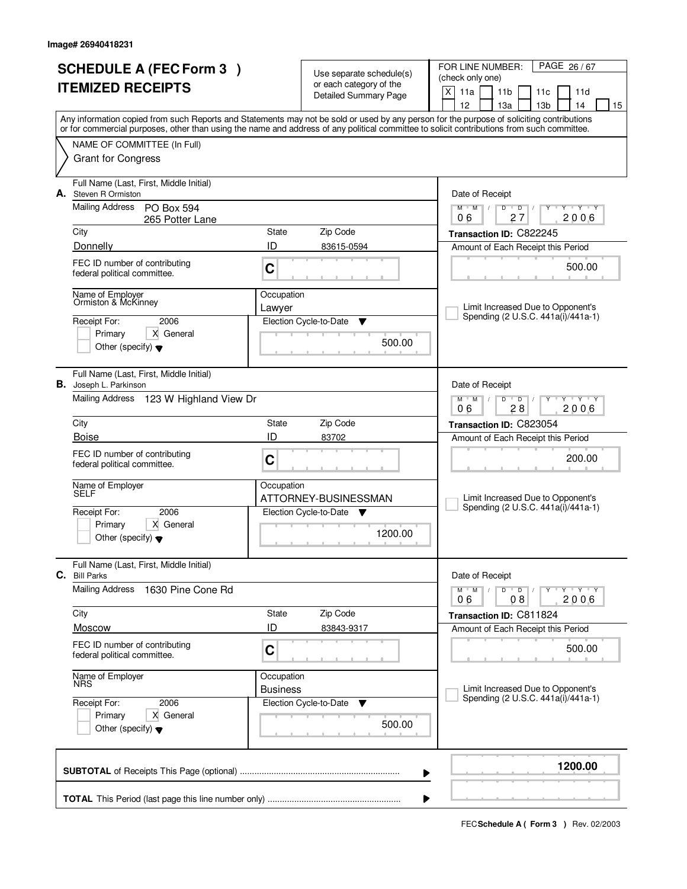|    | <b>SCHEDULE A (FEC Form 3)</b>                                 |                 | Use separate schedule(s)           | FOR LINE NUMBER:<br>PAGE 26/67                                                                                                             |
|----|----------------------------------------------------------------|-----------------|------------------------------------|--------------------------------------------------------------------------------------------------------------------------------------------|
|    | <b>ITEMIZED RECEIPTS</b>                                       |                 | or each category of the            | (check only one)                                                                                                                           |
|    |                                                                |                 | <b>Detailed Summary Page</b>       | X<br>11a<br>11 <sub>b</sub><br>11c<br>11d<br>12<br>13 <sub>b</sub><br>13a<br>14<br>15                                                      |
|    |                                                                |                 |                                    | Any information copied from such Reports and Statements may not be sold or used by any person for the purpose of soliciting contributions  |
|    |                                                                |                 |                                    | or for commercial purposes, other than using the name and address of any political committee to solicit contributions from such committee. |
|    | NAME OF COMMITTEE (In Full)                                    |                 |                                    |                                                                                                                                            |
|    | <b>Grant for Congress</b>                                      |                 |                                    |                                                                                                                                            |
|    | Full Name (Last, First, Middle Initial)                        |                 |                                    |                                                                                                                                            |
| А. | Steven R Ormiston<br><b>Mailing Address</b><br>PO Box 594      |                 |                                    | Date of Receipt<br>Y Y Y Y<br>$M$ $M$ /<br>D<br>$\overline{D}$                                                                             |
|    | 265 Potter Lane                                                |                 |                                    | 2006<br>06<br>27                                                                                                                           |
|    | City                                                           | State           | Zip Code                           | Transaction ID: C822245                                                                                                                    |
|    | Donnelly                                                       | ID              | 83615-0594                         | Amount of Each Receipt this Period                                                                                                         |
|    | FEC ID number of contributing<br>federal political committee.  | C               |                                    | 500.00                                                                                                                                     |
|    | Name of Employer<br>Ormiston & McKinney                        | Occupation      |                                    |                                                                                                                                            |
|    |                                                                | Lawyer          |                                    | Limit Increased Due to Opponent's<br>Spending (2 U.S.C. 441a(i)/441a-1)                                                                    |
|    | Receipt For:<br>2006<br>X General<br>Primary                   |                 | Election Cycle-to-Date<br>▼        |                                                                                                                                            |
|    | Other (specify) $\blacktriangledown$                           |                 | 500.00                             |                                                                                                                                            |
| В. | Full Name (Last, First, Middle Initial)<br>Joseph L. Parkinson |                 |                                    | Date of Receipt                                                                                                                            |
|    | Mailing Address 123 W Highland View Dr                         |                 |                                    | $M$ $M$ /<br>$\mathbf{Y}$ $\mathbf{Y}$<br>D<br>$\overline{D}$<br>28<br>2006<br>06                                                          |
|    | City                                                           | State           | Zip Code                           | Transaction ID: C823054                                                                                                                    |
|    | <b>Boise</b>                                                   | ID              | 83702                              | Amount of Each Receipt this Period                                                                                                         |
|    | FEC ID number of contributing<br>federal political committee.  | C               |                                    | 200.00                                                                                                                                     |
|    | Name of Employer                                               | Occupation      |                                    |                                                                                                                                            |
|    |                                                                |                 | ATTORNEY-BUSINESSMAN               | Limit Increased Due to Opponent's                                                                                                          |
|    | 2006<br>Receipt For:                                           |                 | Election Cycle-to-Date<br><b>V</b> | Spending (2 U.S.C. 441a(i)/441a-1)                                                                                                         |
|    | Primary<br>X General<br>Other (specify) $\blacktriangledown$   |                 | 1200.00                            |                                                                                                                                            |
| С. | Full Name (Last, First, Middle Initial)<br><b>Bill Parks</b>   |                 |                                    | Date of Receipt                                                                                                                            |
|    | Mailing Address<br>1630 Pine Cone Rd                           |                 |                                    | D<br>$M$ $M$ /<br>$\overline{D}$<br>$Y + Y + Y$<br>2006<br>08<br>06                                                                        |
|    | City                                                           | State           | Zip Code                           | Transaction ID: C811824                                                                                                                    |
|    | Moscow                                                         | ID              | 83843-9317                         | Amount of Each Receipt this Period                                                                                                         |
|    | FEC ID number of contributing<br>federal political committee.  | C               |                                    | 500.00                                                                                                                                     |
|    | Name of Employer                                               | Occupation      |                                    |                                                                                                                                            |
|    |                                                                | <b>Business</b> |                                    | Limit Increased Due to Opponent's<br>Spending (2 U.S.C. 441a(i)/441a-1)                                                                    |
|    | Receipt For:<br>2006<br>Primary<br>X General                   |                 | Election Cycle-to-Date<br>v        |                                                                                                                                            |
|    | Other (specify) $\blacktriangledown$                           |                 | 500.00                             |                                                                                                                                            |
|    |                                                                |                 |                                    | 1200.00<br>▶                                                                                                                               |
|    |                                                                |                 |                                    | ▶                                                                                                                                          |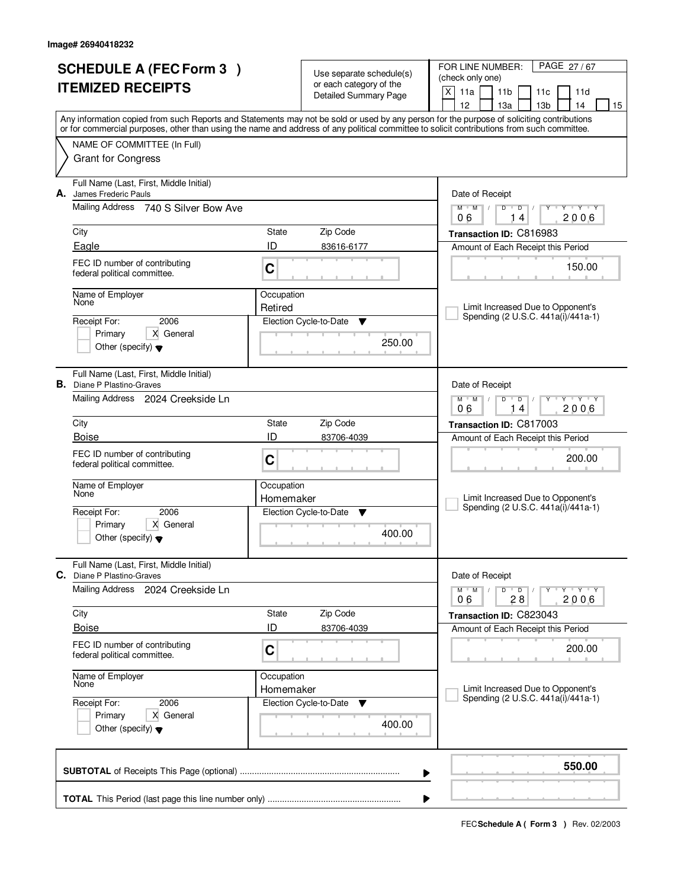|    | <b>SCHEDULE A (FEC Form 3)</b>                                               |                       | Use separate schedule(s)           | FOR LINE NUMBER:<br>PAGE 27/67<br>(check only one)                                                                                                                                                                                                                                      |
|----|------------------------------------------------------------------------------|-----------------------|------------------------------------|-----------------------------------------------------------------------------------------------------------------------------------------------------------------------------------------------------------------------------------------------------------------------------------------|
|    | <b>ITEMIZED RECEIPTS</b>                                                     |                       | or each category of the            | $\mathsf{X}$<br>11a<br>11 <sub>b</sub><br>11c<br>11d                                                                                                                                                                                                                                    |
|    |                                                                              |                       | <b>Detailed Summary Page</b>       | 12<br>13 <sub>b</sub><br>13a<br>14<br>15                                                                                                                                                                                                                                                |
|    |                                                                              |                       |                                    | Any information copied from such Reports and Statements may not be sold or used by any person for the purpose of soliciting contributions<br>or for commercial purposes, other than using the name and address of any political committee to solicit contributions from such committee. |
|    | NAME OF COMMITTEE (In Full)                                                  |                       |                                    |                                                                                                                                                                                                                                                                                         |
|    | <b>Grant for Congress</b>                                                    |                       |                                    |                                                                                                                                                                                                                                                                                         |
| А. | Full Name (Last, First, Middle Initial)<br>James Frederic Pauls              |                       |                                    | Date of Receipt                                                                                                                                                                                                                                                                         |
|    | Mailing Address<br>740 S Silver Bow Ave                                      |                       |                                    | $M$ $M$ /<br>$Y - Y - Y$<br>$D$ <sup>U</sup><br>$\overline{D}$<br>Y<br>2006<br>06<br>14                                                                                                                                                                                                 |
|    | City                                                                         | State                 | Zip Code                           | Transaction ID: C816983                                                                                                                                                                                                                                                                 |
|    | Eagle                                                                        | ID                    | 83616-6177                         | Amount of Each Receipt this Period                                                                                                                                                                                                                                                      |
|    | FEC ID number of contributing<br>federal political committee.                | C                     |                                    | 150.00                                                                                                                                                                                                                                                                                  |
|    | Name of Employer<br>None                                                     | Occupation<br>Retired |                                    | Limit Increased Due to Opponent's                                                                                                                                                                                                                                                       |
|    | 2006<br>Receipt For:                                                         |                       | Election Cycle-to-Date<br>Y        | Spending (2 U.S.C. 441a(i)/441a-1)                                                                                                                                                                                                                                                      |
|    | X General<br>Primary<br>Other (specify) $\blacktriangledown$                 |                       | 250.00                             |                                                                                                                                                                                                                                                                                         |
| В. | Full Name (Last, First, Middle Initial)<br>Diane P Plastino-Graves           |                       |                                    | Date of Receipt                                                                                                                                                                                                                                                                         |
|    | Mailing Address 2024 Creekside Ln                                            |                       |                                    | $M$ $M$ /<br><b>TEXT TY</b><br>D<br>$\overline{D}$<br>2006<br>06<br>4                                                                                                                                                                                                                   |
|    | City                                                                         | State                 | Zip Code                           | Transaction ID: C817003                                                                                                                                                                                                                                                                 |
|    | <b>Boise</b>                                                                 | ID                    | 83706-4039                         | Amount of Each Receipt this Period                                                                                                                                                                                                                                                      |
|    | FEC ID number of contributing<br>federal political committee.                | C                     |                                    | 200.00                                                                                                                                                                                                                                                                                  |
|    | Name of Employer<br>None                                                     | Occupation            |                                    |                                                                                                                                                                                                                                                                                         |
|    |                                                                              | Homemaker             |                                    | Limit Increased Due to Opponent's<br>Spending (2 U.S.C. 441a(i)/441a-1)                                                                                                                                                                                                                 |
|    | 2006<br>Receipt For:<br>Primary<br>X General                                 |                       | Election Cycle-to-Date<br><b>V</b> |                                                                                                                                                                                                                                                                                         |
|    | Other (specify) $\blacktriangledown$                                         |                       | 400.00                             |                                                                                                                                                                                                                                                                                         |
|    | Full Name (Last, First, Middle Initial)<br><b>C.</b> Diane P Plastino-Graves |                       |                                    | Date of Receipt                                                                                                                                                                                                                                                                         |
|    | Mailing Address 2024 Creekside Ln                                            |                       |                                    | D<br>$M$ $M$ /<br>$\overline{D}$<br>$Y + Y + Y$<br>2006<br>06<br>28                                                                                                                                                                                                                     |
|    | City                                                                         | State                 | Zip Code                           | Transaction ID: C823043                                                                                                                                                                                                                                                                 |
|    | <b>Boise</b>                                                                 | ID                    | 83706-4039                         | Amount of Each Receipt this Period                                                                                                                                                                                                                                                      |
|    | FEC ID number of contributing<br>federal political committee.                | $\mathbf C$           |                                    | 200.00                                                                                                                                                                                                                                                                                  |
|    | Name of Employer<br>None                                                     | Occupation            |                                    |                                                                                                                                                                                                                                                                                         |
|    |                                                                              | Homemaker             |                                    | Limit Increased Due to Opponent's<br>Spending (2 U.S.C. 441a(i)/441a-1)                                                                                                                                                                                                                 |
|    | 2006<br>Receipt For:<br>Primary<br>X General                                 |                       | Election Cycle-to-Date<br>v        |                                                                                                                                                                                                                                                                                         |
|    | Other (specify) $\blacktriangledown$                                         |                       | 400.00                             |                                                                                                                                                                                                                                                                                         |
|    |                                                                              |                       |                                    | 550.00<br>▶                                                                                                                                                                                                                                                                             |
|    |                                                                              |                       |                                    | ▶                                                                                                                                                                                                                                                                                       |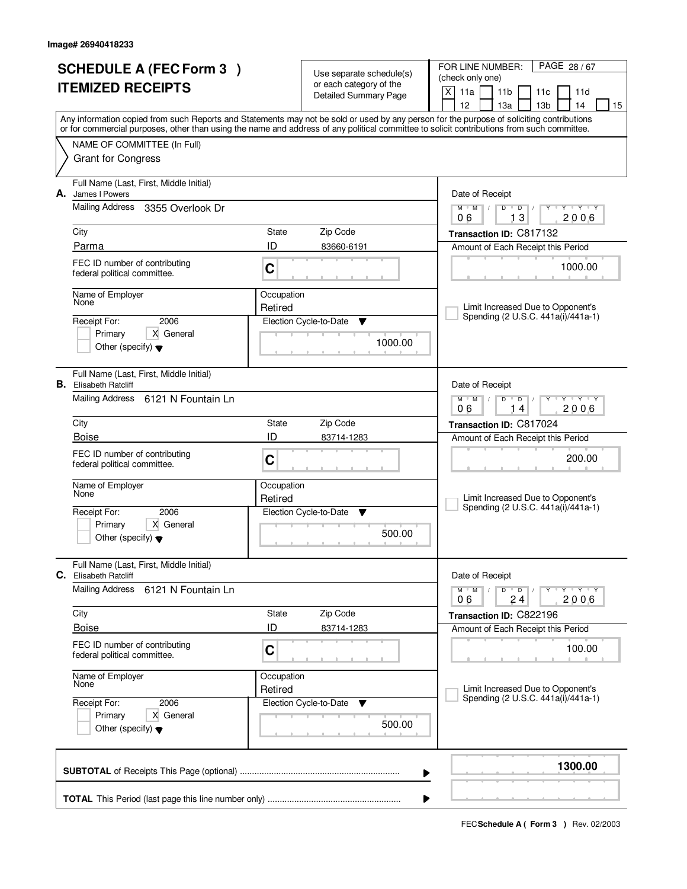|    | <b>SCHEDULE A (FEC Form 3)</b>                                          |             | Use separate schedule(s)     | FOR LINE NUMBER:<br>PAGE 28/67                                                                                                             |
|----|-------------------------------------------------------------------------|-------------|------------------------------|--------------------------------------------------------------------------------------------------------------------------------------------|
|    | <b>ITEMIZED RECEIPTS</b>                                                |             | or each category of the      | (check only one)<br>X<br>11a<br>11 <sub>b</sub><br>11c<br>11d                                                                              |
|    |                                                                         |             | <b>Detailed Summary Page</b> | 12<br>13 <sub>b</sub><br>13a<br>14<br>15                                                                                                   |
|    |                                                                         |             |                              | Any information copied from such Reports and Statements may not be sold or used by any person for the purpose of soliciting contributions  |
|    |                                                                         |             |                              | or for commercial purposes, other than using the name and address of any political committee to solicit contributions from such committee. |
|    | NAME OF COMMITTEE (In Full)<br><b>Grant for Congress</b>                |             |                              |                                                                                                                                            |
|    |                                                                         |             |                              |                                                                                                                                            |
| А. | Full Name (Last, First, Middle Initial)<br>James I Powers               |             |                              | Date of Receipt                                                                                                                            |
|    | <b>Mailing Address</b><br>3355 Overlook Dr                              |             |                              | $Y + Y + Y$<br>$M$ $M$ $/$<br>$D$ $D$<br>Y<br>$\mathbb{L}$                                                                                 |
|    |                                                                         |             |                              | 13<br>2006<br>06                                                                                                                           |
|    | City                                                                    | State       | Zip Code                     | Transaction ID: C817132                                                                                                                    |
|    | Parma                                                                   | ID          | 83660-6191                   | Amount of Each Receipt this Period                                                                                                         |
|    | FEC ID number of contributing<br>federal political committee.           | C           |                              | 1000.00                                                                                                                                    |
|    | Name of Employer<br>None                                                | Occupation  |                              |                                                                                                                                            |
|    |                                                                         | Retired     |                              | Limit Increased Due to Opponent's<br>Spending (2 U.S.C. 441a(i)/441a-1)                                                                    |
|    | 2006<br>Receipt For:<br>X General<br>Primary                            |             | Election Cycle-to-Date<br>Y  |                                                                                                                                            |
|    | Other (specify) $\blacktriangledown$                                    |             | 1000.00                      |                                                                                                                                            |
| В. | Full Name (Last, First, Middle Initial)<br><b>Elisabeth Ratcliff</b>    |             |                              | Date of Receipt                                                                                                                            |
|    | 6121 N Fountain Ln<br>Mailing Address                                   |             |                              | $M$ $M$<br>TEY TY<br>$\overline{D}$<br>D                                                                                                   |
|    |                                                                         |             |                              | 2006<br>06<br>4                                                                                                                            |
|    | City<br><b>Boise</b>                                                    | State<br>ID | Zip Code                     | Transaction ID: C817024                                                                                                                    |
|    |                                                                         |             | 83714-1283                   | Amount of Each Receipt this Period                                                                                                         |
|    | FEC ID number of contributing<br>federal political committee.           | C           |                              | 200.00                                                                                                                                     |
|    | Name of Employer                                                        | Occupation  |                              |                                                                                                                                            |
|    | None                                                                    | Retired     |                              | Limit Increased Due to Opponent's                                                                                                          |
|    | 2006<br>Receipt For:                                                    |             | Election Cycle-to-Date<br>▼  | Spending (2 U.S.C. 441a(i)/441a-1)                                                                                                         |
|    | Primary<br>X General                                                    |             | 500.00                       |                                                                                                                                            |
|    | Other (specify) $\blacktriangledown$                                    |             |                              |                                                                                                                                            |
|    | Full Name (Last, First, Middle Initial)<br><b>C.</b> Elisabeth Ratcliff |             |                              | Date of Receipt                                                                                                                            |
|    | <b>Mailing Address</b><br>6121 N Fountain Ln                            |             |                              | D<br>$M$ $M$ $/$<br>$\overline{D}$ /<br>$\mathsf{Y} \dashv \mathsf{Y} \dashv \mathsf{Y}$<br>2006<br>06<br>24                               |
|    | City                                                                    | State       | Zip Code                     | Transaction ID: C822196                                                                                                                    |
|    | <b>Boise</b>                                                            | ID          | 83714-1283                   | Amount of Each Receipt this Period                                                                                                         |
|    | FEC ID number of contributing<br>federal political committee.           | $\mathbf C$ |                              | 100.00                                                                                                                                     |
|    | Name of Employer<br>None                                                | Occupation  |                              |                                                                                                                                            |
|    |                                                                         | Retired     |                              | Limit Increased Due to Opponent's<br>Spending (2 U.S.C. 441a(i)/441a-1)                                                                    |
|    | 2006<br>Receipt For:<br>Primary<br>X General                            |             | Election Cycle-to-Date<br>v  |                                                                                                                                            |
|    | Other (specify) $\blacktriangledown$                                    |             | 500.00                       |                                                                                                                                            |
|    |                                                                         |             |                              | 1300.00<br>▶                                                                                                                               |
|    |                                                                         |             |                              |                                                                                                                                            |
|    |                                                                         |             |                              | Þ                                                                                                                                          |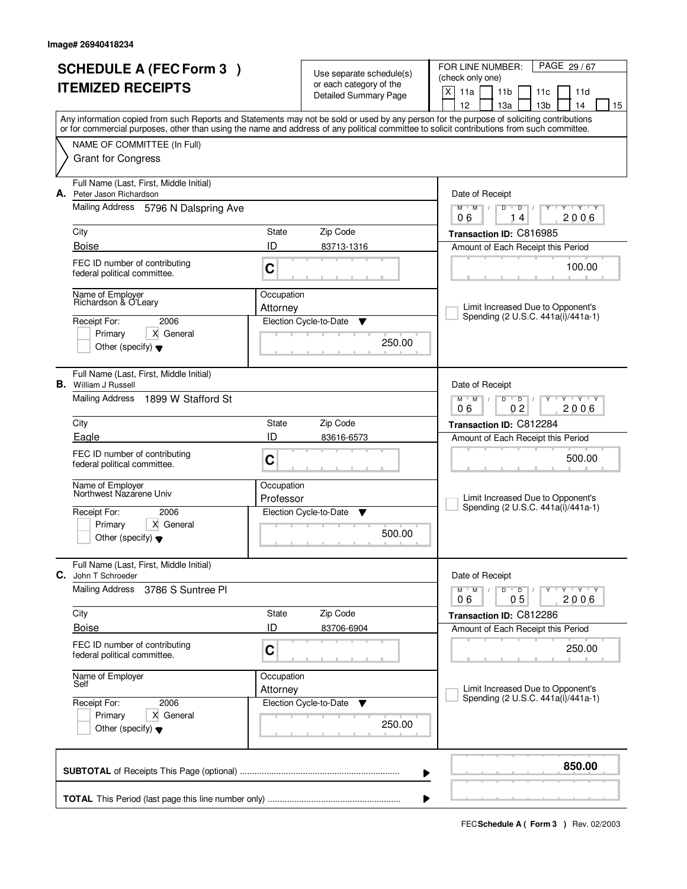|    | <b>SCHEDULE A (FEC Form 3)</b>                                         |                        | Use separate schedule(s)<br>or each category of the | PAGE 29/67<br>FOR LINE NUMBER:<br>(check only one)                                                                                                                                                                                                                                      |
|----|------------------------------------------------------------------------|------------------------|-----------------------------------------------------|-----------------------------------------------------------------------------------------------------------------------------------------------------------------------------------------------------------------------------------------------------------------------------------------|
|    | <b>ITEMIZED RECEIPTS</b>                                               |                        | <b>Detailed Summary Page</b>                        | X<br>11a<br>11 <sub>b</sub><br>11d<br>11c<br>12<br>13a<br>13 <sub>b</sub><br>14<br>15                                                                                                                                                                                                   |
|    |                                                                        |                        |                                                     | Any information copied from such Reports and Statements may not be sold or used by any person for the purpose of soliciting contributions<br>or for commercial purposes, other than using the name and address of any political committee to solicit contributions from such committee. |
|    | NAME OF COMMITTEE (In Full)                                            |                        |                                                     |                                                                                                                                                                                                                                                                                         |
|    | <b>Grant for Congress</b>                                              |                        |                                                     |                                                                                                                                                                                                                                                                                         |
| А. | Full Name (Last, First, Middle Initial)<br>Peter Jason Richardson      |                        |                                                     | Date of Receipt                                                                                                                                                                                                                                                                         |
|    | Mailing Address 5796 N Dalspring Ave                                   |                        |                                                     | $Y + Y + Y$<br>$M$ $M$ /<br>$D^{-1}$<br>$D$ /<br>Y<br>2006<br>06<br>14                                                                                                                                                                                                                  |
|    | City                                                                   | State                  | Zip Code                                            | Transaction ID: C816985                                                                                                                                                                                                                                                                 |
|    | <b>Boise</b>                                                           | ID                     | 83713-1316                                          | Amount of Each Receipt this Period                                                                                                                                                                                                                                                      |
|    | FEC ID number of contributing<br>federal political committee.          | C                      |                                                     | 100.00                                                                                                                                                                                                                                                                                  |
|    | Name of Employer<br>Richardson & O'Leary                               | Occupation<br>Attorney |                                                     | Limit Increased Due to Opponent's                                                                                                                                                                                                                                                       |
|    | Receipt For:<br>2006                                                   |                        | Election Cycle-to-Date<br>▼                         | Spending (2 U.S.C. 441a(i)/441a-1)                                                                                                                                                                                                                                                      |
|    | X General<br>Primary<br>Other (specify) $\blacktriangledown$           |                        | 250.00                                              |                                                                                                                                                                                                                                                                                         |
|    | Full Name (Last, First, Middle Initial)<br><b>B.</b> William J Russell |                        |                                                     | Date of Receipt                                                                                                                                                                                                                                                                         |
|    | Mailing Address<br>1899 W Stafford St                                  |                        |                                                     | $M$ M<br>D<br>$\overline{D}$<br>$T - Y$<br>0 <sub>2</sub><br>2006<br>06                                                                                                                                                                                                                 |
|    | City                                                                   | State                  | Zip Code                                            | Transaction ID: C812284                                                                                                                                                                                                                                                                 |
|    | Eagle                                                                  | ID                     | 83616-6573                                          | Amount of Each Receipt this Period                                                                                                                                                                                                                                                      |
|    | FEC ID number of contributing<br>federal political committee.          | C                      |                                                     | 500.00                                                                                                                                                                                                                                                                                  |
|    | Name of Employer<br>Northwest Nazarene Univ                            | Occupation             |                                                     |                                                                                                                                                                                                                                                                                         |
|    | Receipt For:<br>2006                                                   | Professor              | Election Cycle-to-Date<br>▼                         | Limit Increased Due to Opponent's<br>Spending (2 U.S.C. 441a(i)/441a-1)                                                                                                                                                                                                                 |
|    | X General<br>Primary<br>Other (specify) $\blacktriangledown$           |                        | 500.00                                              |                                                                                                                                                                                                                                                                                         |
| С. | Full Name (Last, First, Middle Initial)<br>John T Schroeder            |                        |                                                     | Date of Receipt                                                                                                                                                                                                                                                                         |
|    | <b>Mailing Address</b><br>3786 S Suntree Pl                            |                        |                                                     | $\mathsf D$<br>$M$ /<br>$\blacksquare$ D $\blacksquare$ /<br>$M$ <sup><math>+</math></sup><br>Y Y Y Y<br>Υ<br>2006<br>05<br>06                                                                                                                                                          |
|    | City                                                                   | State                  | Zip Code                                            | Transaction ID: C812286                                                                                                                                                                                                                                                                 |
|    | <b>Boise</b>                                                           | ID                     | 83706-6904                                          | Amount of Each Receipt this Period                                                                                                                                                                                                                                                      |
|    | FEC ID number of contributing<br>federal political committee.          | C                      |                                                     | 250.00                                                                                                                                                                                                                                                                                  |
|    | Name of Employer<br>Self                                               | Occupation<br>Attorney |                                                     | Limit Increased Due to Opponent's                                                                                                                                                                                                                                                       |
|    | Receipt For:<br>2006                                                   |                        | Election Cycle-to-Date<br>v                         | Spending (2 U.S.C. 441a(i)/441a-1)                                                                                                                                                                                                                                                      |
|    | X General<br>Primary<br>Other (specify) $\blacktriangledown$           |                        | 250.00                                              |                                                                                                                                                                                                                                                                                         |
|    |                                                                        |                        |                                                     | 850.00<br>▶                                                                                                                                                                                                                                                                             |
|    |                                                                        |                        |                                                     |                                                                                                                                                                                                                                                                                         |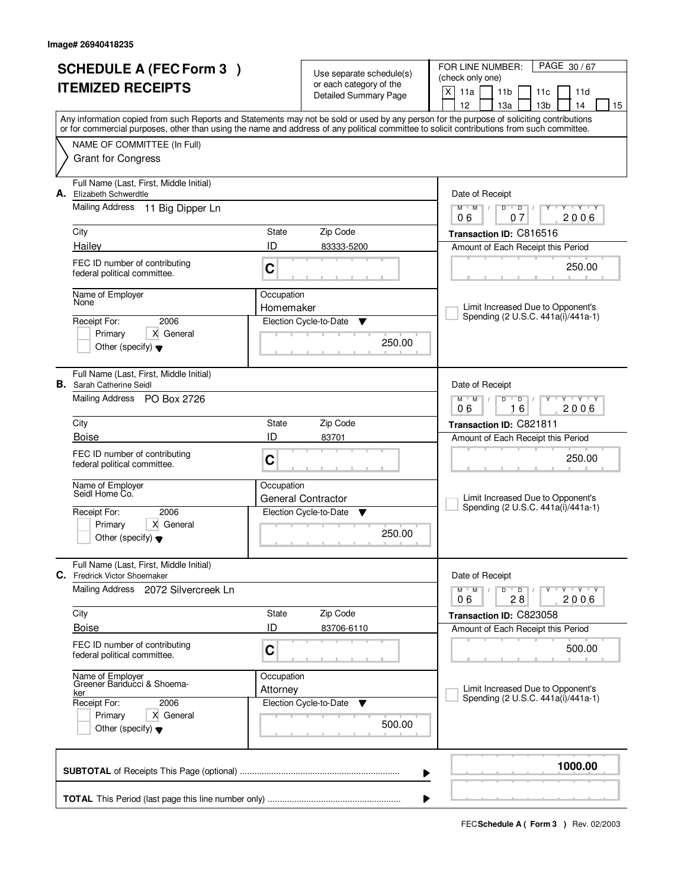|    | <b>SCHEDULE A (FEC Form 3)</b>                                             |                         | Use separate schedule(s)                                | PAGE 30/67<br>FOR LINE NUMBER:<br>(check only one)                                                                                                                                                                                                                                      |
|----|----------------------------------------------------------------------------|-------------------------|---------------------------------------------------------|-----------------------------------------------------------------------------------------------------------------------------------------------------------------------------------------------------------------------------------------------------------------------------------------|
|    | <b>ITEMIZED RECEIPTS</b>                                                   |                         | or each category of the<br><b>Detailed Summary Page</b> | $\mathsf{X}$<br>11a<br>11 <sub>b</sub><br>11 <sub>c</sub><br>11d                                                                                                                                                                                                                        |
|    |                                                                            |                         |                                                         | 12<br>13a<br>13 <sub>b</sub><br>14<br>15                                                                                                                                                                                                                                                |
|    |                                                                            |                         |                                                         | Any information copied from such Reports and Statements may not be sold or used by any person for the purpose of soliciting contributions<br>or for commercial purposes, other than using the name and address of any political committee to solicit contributions from such committee. |
|    | NAME OF COMMITTEE (In Full)                                                |                         |                                                         |                                                                                                                                                                                                                                                                                         |
|    | <b>Grant for Congress</b>                                                  |                         |                                                         |                                                                                                                                                                                                                                                                                         |
| А. | Full Name (Last, First, Middle Initial)<br>Elizabeth Schwerdtle            |                         |                                                         | Date of Receipt                                                                                                                                                                                                                                                                         |
|    | Mailing Address<br>11 Big Dipper Ln                                        |                         |                                                         | $Y + Y + Y + Y$<br>$M$ $M$ $/$<br>$D$ $D$ $1$<br>07<br>06<br>2006                                                                                                                                                                                                                       |
|    | City                                                                       | State                   | Zip Code                                                | Transaction ID: C816516                                                                                                                                                                                                                                                                 |
|    | Hailey                                                                     | ID                      | 83333-5200                                              | Amount of Each Receipt this Period                                                                                                                                                                                                                                                      |
|    | FEC ID number of contributing<br>federal political committee.              | C                       |                                                         | 250.00                                                                                                                                                                                                                                                                                  |
|    | Name of Employer<br>None                                                   | Occupation<br>Homemaker |                                                         | Limit Increased Due to Opponent's                                                                                                                                                                                                                                                       |
|    | 2006<br>Receipt For:                                                       |                         | Election Cycle-to-Date<br>▼                             | Spending (2 U.S.C. 441a(i)/441a-1)                                                                                                                                                                                                                                                      |
|    | Primary<br>X General<br>Other (specify) $\blacktriangledown$               |                         | 250.00                                                  |                                                                                                                                                                                                                                                                                         |
|    | Full Name (Last, First, Middle Initial)<br><b>B.</b> Sarah Catherine Seidl |                         |                                                         | Date of Receipt                                                                                                                                                                                                                                                                         |
|    | Mailing Address PO Box 2726                                                |                         |                                                         | $M$ $M$<br>D<br>$\overline{D}$<br>$T$ $Y$ $T$ $Y$<br>16<br>2006<br>06                                                                                                                                                                                                                   |
|    | City                                                                       | State                   | Zip Code                                                | Transaction ID: C821811                                                                                                                                                                                                                                                                 |
|    | <b>Boise</b>                                                               | ID                      | 83701                                                   | Amount of Each Receipt this Period                                                                                                                                                                                                                                                      |
|    | FEC ID number of contributing<br>federal political committee.              | C                       |                                                         | 250.00                                                                                                                                                                                                                                                                                  |
|    | Name of Employer<br>Seidl Home Co.                                         | Occupation              |                                                         |                                                                                                                                                                                                                                                                                         |
|    |                                                                            |                         | General Contractor                                      | Limit Increased Due to Opponent's<br>Spending (2 U.S.C. 441a(i)/441a-1)                                                                                                                                                                                                                 |
|    | 2006<br>Receipt For:<br>X General<br>Primary                               |                         | Election Cycle-to-Date<br>▼                             |                                                                                                                                                                                                                                                                                         |
|    | Other (specify) $\blacktriangledown$                                       |                         | 250.00                                                  |                                                                                                                                                                                                                                                                                         |
|    | Full Name (Last, First, Middle Initial)<br>C. Fredrick Victor Shoemaker    |                         |                                                         | Date of Receipt                                                                                                                                                                                                                                                                         |
|    | Mailing Address 2072 Silvercreek Ln                                        |                         |                                                         | D<br>$M$ $M$ /<br>$\blacksquare$ D $\blacksquare$ /<br>$Y + Y + Y$<br>Υ<br>28<br>2006<br>06                                                                                                                                                                                             |
|    | City                                                                       | State                   | Zip Code                                                | Transaction ID: C823058                                                                                                                                                                                                                                                                 |
|    | <b>Boise</b>                                                               | ID                      | 83706-6110                                              | Amount of Each Receipt this Period                                                                                                                                                                                                                                                      |
|    | FEC ID number of contributing<br>federal political committee.              | C                       |                                                         | 500.00                                                                                                                                                                                                                                                                                  |
|    | Name of Employer<br>Greener Banducci & Shoema-                             | Occupation              |                                                         |                                                                                                                                                                                                                                                                                         |
|    | ker                                                                        | Attorney                |                                                         | Limit Increased Due to Opponent's<br>Spending (2 U.S.C. 441a(i)/441a-1)                                                                                                                                                                                                                 |
|    | Receipt For:<br>2006<br>Primary<br>X General                               |                         | Election Cycle-to-Date<br>v                             |                                                                                                                                                                                                                                                                                         |
|    | Other (specify) $\blacktriangledown$                                       |                         | 500.00                                                  |                                                                                                                                                                                                                                                                                         |
|    |                                                                            |                         |                                                         | 1000.00<br>▶                                                                                                                                                                                                                                                                            |
|    |                                                                            |                         |                                                         | ▶                                                                                                                                                                                                                                                                                       |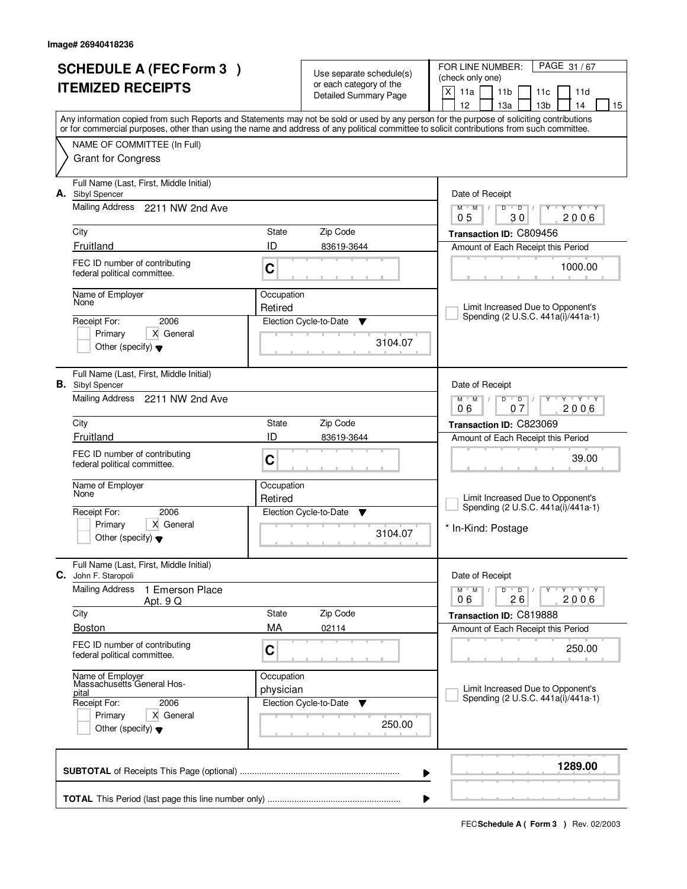|    | <b>SCHEDULE A (FEC Form 3)</b>                                     |              | Use separate schedule(s)           | PAGE 31/67<br>FOR LINE NUMBER:                                                                                                             |
|----|--------------------------------------------------------------------|--------------|------------------------------------|--------------------------------------------------------------------------------------------------------------------------------------------|
|    | <b>ITEMIZED RECEIPTS</b>                                           |              | or each category of the            | (check only one)                                                                                                                           |
|    |                                                                    |              | <b>Detailed Summary Page</b>       | X<br>11a<br>11 <sub>b</sub><br>11c<br>11d<br>12<br>13 <sub>b</sub><br>13a<br>14<br>15                                                      |
|    |                                                                    |              |                                    | Any information copied from such Reports and Statements may not be sold or used by any person for the purpose of soliciting contributions  |
|    |                                                                    |              |                                    | or for commercial purposes, other than using the name and address of any political committee to solicit contributions from such committee. |
|    | NAME OF COMMITTEE (In Full)                                        |              |                                    |                                                                                                                                            |
|    | <b>Grant for Congress</b>                                          |              |                                    |                                                                                                                                            |
| А. | Full Name (Last, First, Middle Initial)<br>Sibyl Spencer           |              |                                    | Date of Receipt                                                                                                                            |
|    | Mailing Address<br>2211 NW 2nd Ave                                 |              |                                    | Y Y Y Y<br>$M$ $M$ /<br>D<br>$\overline{D}$<br>30<br>2006<br>05                                                                            |
|    | City                                                               | State        | Zip Code                           | Transaction ID: C809456                                                                                                                    |
|    | Fruitland                                                          | ID           | 83619-3644                         | Amount of Each Receipt this Period                                                                                                         |
|    | FEC ID number of contributing<br>federal political committee.      | C            |                                    | 1000.00                                                                                                                                    |
|    | Name of Employer                                                   | Occupation   |                                    |                                                                                                                                            |
|    | None                                                               | Retired      |                                    | Limit Increased Due to Opponent's                                                                                                          |
|    | 2006<br>Receipt For:                                               |              | Election Cycle-to-Date<br>▼        | Spending (2 U.S.C. 441a(i)/441a-1)                                                                                                         |
|    | X General<br>Primary<br>Other (specify) $\blacktriangledown$       |              | 3104.07                            |                                                                                                                                            |
|    | Full Name (Last, First, Middle Initial)<br><b>B.</b> Sibyl Spencer |              |                                    | Date of Receipt                                                                                                                            |
|    | Mailing Address 2211 NW 2nd Ave                                    |              |                                    | $M$ $M$ $/$<br><b>TEXT TY</b><br>$D$ $D$<br>07<br>2006<br>06                                                                               |
|    | City                                                               | State        | Zip Code                           | Transaction ID: C823069                                                                                                                    |
|    | Fruitland                                                          | ID           | 83619-3644                         | Amount of Each Receipt this Period                                                                                                         |
|    | FEC ID number of contributing<br>federal political committee.      | C            |                                    | 39.00                                                                                                                                      |
|    | Name of Employer<br>None                                           | Occupation   |                                    |                                                                                                                                            |
|    |                                                                    | Retired      |                                    | Limit Increased Due to Opponent's<br>Spending (2 U.S.C. 441a(i)/441a-1)                                                                    |
|    | 2006<br>Receipt For:<br>Primary<br>X General                       |              | Election Cycle-to-Date<br><b>V</b> |                                                                                                                                            |
|    | Other (specify) $\blacktriangledown$                               |              | 3104.07                            | * In-Kind: Postage                                                                                                                         |
| С. | Full Name (Last, First, Middle Initial)<br>John F. Staropoli       |              |                                    | Date of Receipt                                                                                                                            |
|    | <b>Mailing Address</b><br>1 Emerson Place<br>Apt. $9Q$             |              |                                    | D<br>$M$ $M$ /<br>$\overline{D}$<br>$Y + Y + Y$<br>2006<br>26<br>06                                                                        |
|    | City                                                               | <b>State</b> | Zip Code                           | Transaction ID: C819888                                                                                                                    |
|    | <b>Boston</b>                                                      | MA           | 02114                              | Amount of Each Receipt this Period                                                                                                         |
|    | FEC ID number of contributing<br>federal political committee.      | C            |                                    | 250.00                                                                                                                                     |
|    | Name of Employer<br>Massachusetts General Hos-                     | Occupation   |                                    |                                                                                                                                            |
|    | pital<br>Receipt For:<br>2006                                      | physician    | Election Cycle-to-Date<br>v        | Limit Increased Due to Opponent's<br>Spending (2 U.S.C. 441a(i)/441a-1)                                                                    |
|    | Primary<br>X General                                               |              |                                    |                                                                                                                                            |
|    | Other (specify) $\blacktriangledown$                               |              | 250.00                             |                                                                                                                                            |
|    |                                                                    |              |                                    | 1289.00<br>▶                                                                                                                               |
|    |                                                                    |              |                                    | ▶                                                                                                                                          |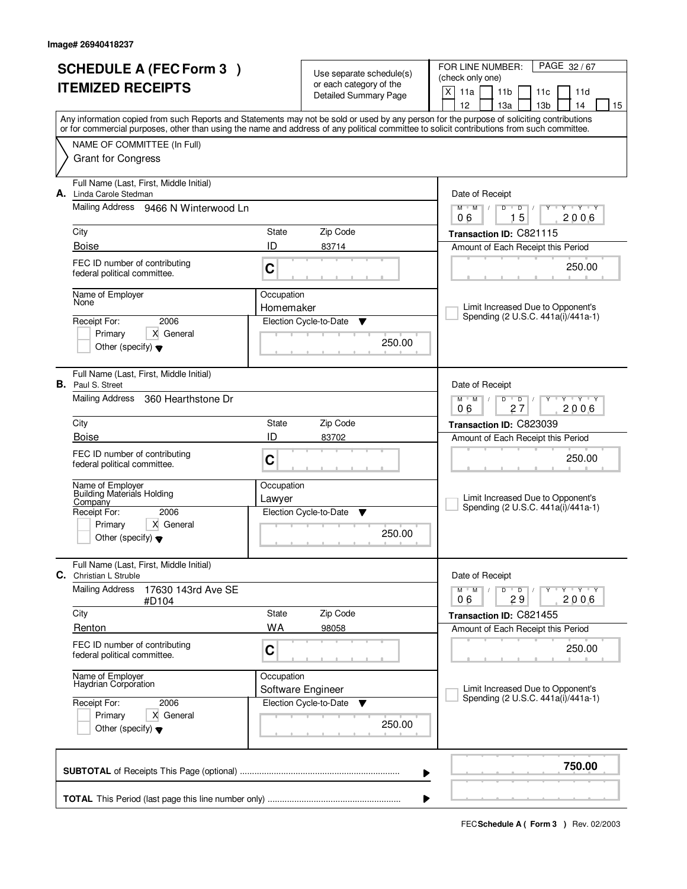| <b>SCHEDULE A (FEC Form 3)</b><br><b>ITEMIZED RECEIPTS</b> |                                                                                                              |                         | Use separate schedule(s)<br>or each category of the<br><b>Detailed Summary Page</b> | PAGE 32/67<br>FOR LINE NUMBER:<br>(check only one)<br>X<br>11a<br>11 <sub>b</sub><br>11c<br>11d                                                                                                                                                                                                                                     |
|------------------------------------------------------------|--------------------------------------------------------------------------------------------------------------|-------------------------|-------------------------------------------------------------------------------------|-------------------------------------------------------------------------------------------------------------------------------------------------------------------------------------------------------------------------------------------------------------------------------------------------------------------------------------|
|                                                            |                                                                                                              |                         |                                                                                     | 12<br>13a<br>13 <sub>b</sub><br>14<br>15<br>Any information copied from such Reports and Statements may not be sold or used by any person for the purpose of soliciting contributions<br>or for commercial purposes, other than using the name and address of any political committee to solicit contributions from such committee. |
|                                                            | NAME OF COMMITTEE (In Full)<br><b>Grant for Congress</b>                                                     |                         |                                                                                     |                                                                                                                                                                                                                                                                                                                                     |
| А.                                                         | Full Name (Last, First, Middle Initial)<br>Linda Carole Stedman                                              |                         |                                                                                     | Date of Receipt                                                                                                                                                                                                                                                                                                                     |
|                                                            | Mailing Address 9466 N Winterwood Ln                                                                         |                         |                                                                                     | $Y + Y + Y$<br>$M$ $M$<br>$D$ $D$ $I$<br>Y<br>15<br>2006<br>06                                                                                                                                                                                                                                                                      |
|                                                            | City                                                                                                         | State                   | Zip Code                                                                            | Transaction ID: C821115                                                                                                                                                                                                                                                                                                             |
|                                                            | <b>Boise</b><br>FEC ID number of contributing<br>federal political committee.                                | ID<br>C                 | 83714                                                                               | Amount of Each Receipt this Period<br>250.00                                                                                                                                                                                                                                                                                        |
|                                                            | Name of Employer<br>None<br>2006<br>Receipt For:                                                             | Occupation<br>Homemaker | Election Cycle-to-Date<br>▼                                                         | Limit Increased Due to Opponent's<br>Spending (2 U.S.C. 441a(i)/441a-1)                                                                                                                                                                                                                                                             |
|                                                            | X General<br>Primary<br>Other (specify) $\blacktriangledown$                                                 |                         | 250.00                                                                              |                                                                                                                                                                                                                                                                                                                                     |
|                                                            | Full Name (Last, First, Middle Initial)<br><b>B.</b> Paul S. Street<br>Mailing Address<br>360 Hearthstone Dr |                         |                                                                                     | Date of Receipt<br>$M$ $M$ /<br>D<br>$\overline{D}$<br>$T$ $Y$ $T$ $Y$                                                                                                                                                                                                                                                              |
|                                                            |                                                                                                              |                         |                                                                                     | 27<br>2006<br>06                                                                                                                                                                                                                                                                                                                    |
|                                                            | City<br><b>Boise</b>                                                                                         | State<br>ID             | Zip Code<br>83702                                                                   | Transaction ID: C823039<br>Amount of Each Receipt this Period                                                                                                                                                                                                                                                                       |
|                                                            | FEC ID number of contributing<br>federal political committee.                                                | C                       |                                                                                     | 250.00                                                                                                                                                                                                                                                                                                                              |
|                                                            | Name of Employer<br>Building Materials Holding<br>Company<br>Receipt For:<br>2006                            | Occupation<br>Lawyer    | Election Cycle-to-Date                                                              | Limit Increased Due to Opponent's<br>Spending (2 U.S.C. 441a(i)/441a-1)                                                                                                                                                                                                                                                             |
|                                                            | X General<br>Primary<br>Other (specify) $\blacktriangledown$                                                 |                         | ▼<br>250.00                                                                         |                                                                                                                                                                                                                                                                                                                                     |
| С.                                                         | Full Name (Last, First, Middle Initial)<br>Christian L Struble                                               |                         |                                                                                     | Date of Receipt                                                                                                                                                                                                                                                                                                                     |
|                                                            | <b>Mailing Address</b><br>17630 143rd Ave SE<br>#D104                                                        |                         |                                                                                     | $\mathsf D$<br>$M$ /<br>$\overline{D}$<br>$M$ <sup><math>+</math></sup><br>$Y + Y + Y$<br>29<br>2006<br>06                                                                                                                                                                                                                          |
|                                                            | City<br>Renton                                                                                               | State<br>WA             | Zip Code<br>98058                                                                   | Transaction ID: C821455<br>Amount of Each Receipt this Period                                                                                                                                                                                                                                                                       |
|                                                            | FEC ID number of contributing<br>federal political committee.                                                | C                       |                                                                                     | 250.00                                                                                                                                                                                                                                                                                                                              |
|                                                            | Name of Employer<br>Haydrian Corporation                                                                     | Occupation              | Software Engineer                                                                   | Limit Increased Due to Opponent's                                                                                                                                                                                                                                                                                                   |
|                                                            | Receipt For:<br>2006<br>Primary<br>X General<br>Other (specify) $\blacktriangledown$                         |                         | Election Cycle-to-Date<br>▼<br>250.00                                               | Spending (2 U.S.C. 441a(i)/441a-1)                                                                                                                                                                                                                                                                                                  |
|                                                            |                                                                                                              |                         |                                                                                     | 750.00<br>▶                                                                                                                                                                                                                                                                                                                         |
|                                                            |                                                                                                              |                         |                                                                                     |                                                                                                                                                                                                                                                                                                                                     |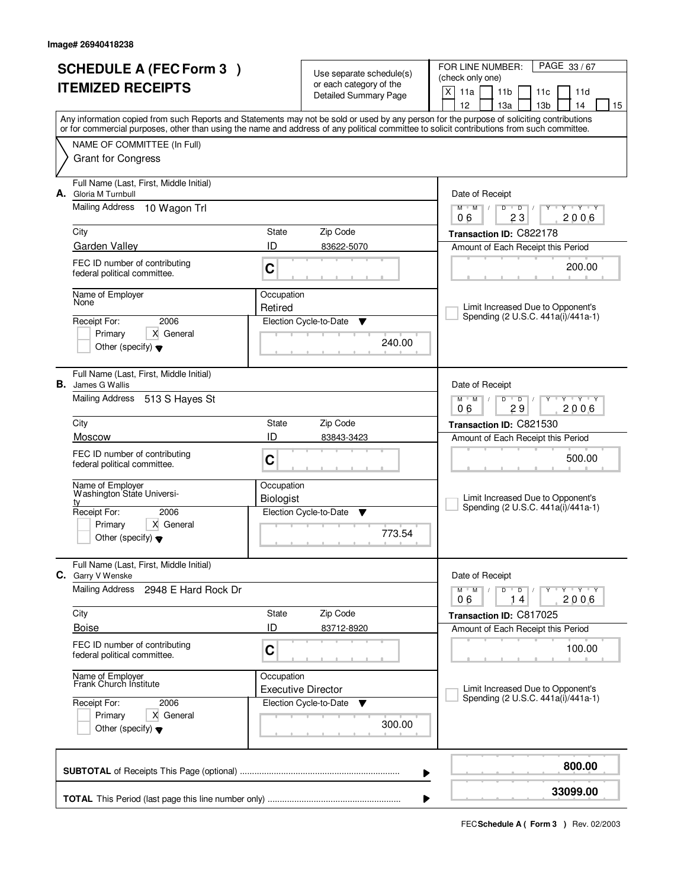|                          | <b>SCHEDULE A (FEC Form 3)</b>                                      |                       |                                                     | PAGE 33/67<br>FOR LINE NUMBER:                                                                                                                                                                                                                                                          |
|--------------------------|---------------------------------------------------------------------|-----------------------|-----------------------------------------------------|-----------------------------------------------------------------------------------------------------------------------------------------------------------------------------------------------------------------------------------------------------------------------------------------|
| <b>ITEMIZED RECEIPTS</b> |                                                                     |                       | Use separate schedule(s)<br>or each category of the | (check only one)                                                                                                                                                                                                                                                                        |
|                          |                                                                     |                       | <b>Detailed Summary Page</b>                        | X<br>11a<br>11 <sub>b</sub><br>11d<br>11c                                                                                                                                                                                                                                               |
|                          |                                                                     |                       |                                                     | 12<br>13a<br>13 <sub>b</sub><br>14<br>15                                                                                                                                                                                                                                                |
|                          |                                                                     |                       |                                                     | Any information copied from such Reports and Statements may not be sold or used by any person for the purpose of soliciting contributions<br>or for commercial purposes, other than using the name and address of any political committee to solicit contributions from such committee. |
|                          | NAME OF COMMITTEE (In Full)                                         |                       |                                                     |                                                                                                                                                                                                                                                                                         |
|                          | <b>Grant for Congress</b>                                           |                       |                                                     |                                                                                                                                                                                                                                                                                         |
| А.                       | Full Name (Last, First, Middle Initial)<br>Gloria M Turnbull        |                       |                                                     | Date of Receipt                                                                                                                                                                                                                                                                         |
|                          | <b>Mailing Address</b><br>10 Wagon Trl                              |                       |                                                     | $Y + Y + Y$<br>$M$ $M$ /<br>$\mathsf D$<br>$\overline{D}$<br>Y<br>$\sqrt{ }$<br>23<br>2006<br>06                                                                                                                                                                                        |
|                          | City                                                                | State                 | Zip Code                                            | Transaction ID: C822178                                                                                                                                                                                                                                                                 |
|                          | Garden Valley                                                       | ID                    | 83622-5070                                          | Amount of Each Receipt this Period                                                                                                                                                                                                                                                      |
|                          | FEC ID number of contributing<br>federal political committee.       | C                     |                                                     | 200.00                                                                                                                                                                                                                                                                                  |
|                          | Name of Employer<br>None                                            | Occupation<br>Retired |                                                     | Limit Increased Due to Opponent's                                                                                                                                                                                                                                                       |
|                          | 2006<br>Receipt For:                                                |                       | Election Cycle-to-Date<br>▼                         | Spending (2 U.S.C. 441a(i)/441a-1)                                                                                                                                                                                                                                                      |
|                          | X General<br>Primary                                                |                       |                                                     |                                                                                                                                                                                                                                                                                         |
|                          | Other (specify) $\blacktriangledown$                                |                       | 240.00                                              |                                                                                                                                                                                                                                                                                         |
|                          | Full Name (Last, First, Middle Initial)<br><b>B.</b> James G Wallis |                       |                                                     | Date of Receipt                                                                                                                                                                                                                                                                         |
|                          | Mailing Address<br>513 S Hayes St                                   |                       |                                                     | $M$ M<br>D<br>$\overline{D}$<br>$T - Y$<br>29<br>2006<br>06                                                                                                                                                                                                                             |
|                          | City                                                                | State                 | Zip Code                                            | Transaction ID: C821530                                                                                                                                                                                                                                                                 |
|                          | Moscow                                                              | ID                    | 83843-3423                                          | Amount of Each Receipt this Period                                                                                                                                                                                                                                                      |
|                          | FEC ID number of contributing<br>federal political committee.       | C                     |                                                     | 500.00                                                                                                                                                                                                                                                                                  |
|                          | Name of Employer<br>Washington State Universi-                      | Occupation            |                                                     |                                                                                                                                                                                                                                                                                         |
|                          | tv<br>Receipt For:<br>2006                                          | <b>Biologist</b>      | Election Cycle-to-Date<br>▼                         | Limit Increased Due to Opponent's<br>Spending (2 U.S.C. 441a(i)/441a-1)                                                                                                                                                                                                                 |
|                          | X General<br>Primary                                                |                       |                                                     |                                                                                                                                                                                                                                                                                         |
|                          | Other (specify) $\blacktriangledown$                                |                       | 773.54                                              |                                                                                                                                                                                                                                                                                         |
| С.                       | Full Name (Last, First, Middle Initial)<br>Garry V Wenske           |                       |                                                     | Date of Receipt                                                                                                                                                                                                                                                                         |
|                          | <b>Mailing Address</b><br>2948 E Hard Rock Dr                       |                       |                                                     | D<br>$M$ /<br>$\overline{\phantom{0}}$ D $\overline{\phantom{0}}$ /<br>$M$ <sup><math>+</math></sup><br>Y<br>2006<br>06<br>14                                                                                                                                                           |
|                          | City                                                                | State                 | Zip Code                                            | Transaction ID: C817025                                                                                                                                                                                                                                                                 |
|                          | <b>Boise</b>                                                        | ID                    | 83712-8920                                          | Amount of Each Receipt this Period                                                                                                                                                                                                                                                      |
|                          | FEC ID number of contributing<br>federal political committee.       | C                     |                                                     | 100.00                                                                                                                                                                                                                                                                                  |
|                          | Name of Employer<br>Frank Church Institute                          | Occupation            | <b>Executive Director</b>                           | Limit Increased Due to Opponent's                                                                                                                                                                                                                                                       |
|                          | Receipt For:<br>2006                                                |                       | Election Cycle-to-Date<br>▼                         | Spending (2 U.S.C. 441a(i)/441a-1)                                                                                                                                                                                                                                                      |
|                          | Primary<br>X General<br>Other (specify) $\blacktriangledown$        |                       | 300.00                                              |                                                                                                                                                                                                                                                                                         |
|                          |                                                                     |                       |                                                     | 800.00                                                                                                                                                                                                                                                                                  |
|                          |                                                                     |                       |                                                     | ▶<br>33099.00                                                                                                                                                                                                                                                                           |
|                          |                                                                     |                       |                                                     |                                                                                                                                                                                                                                                                                         |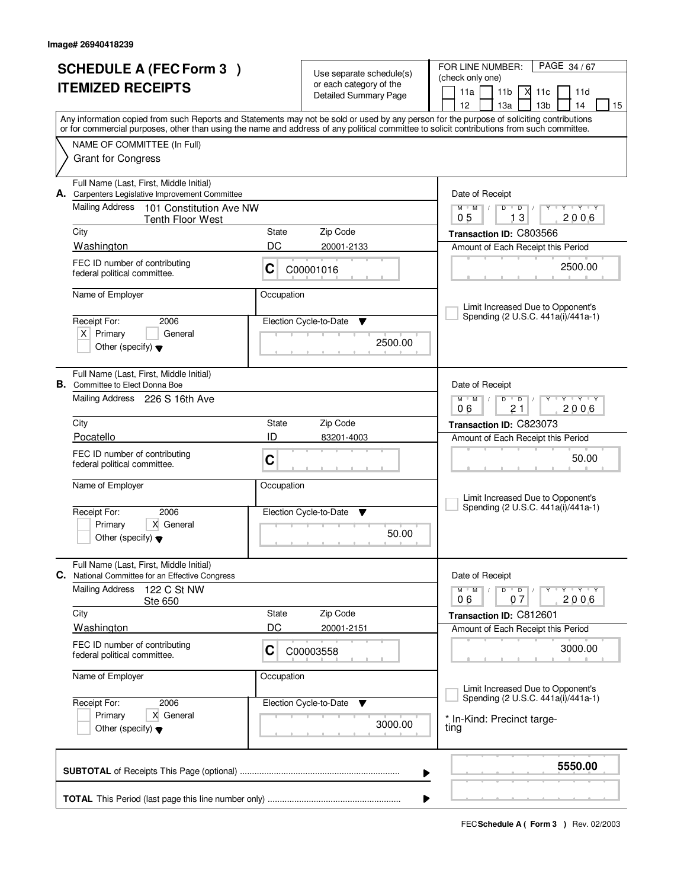|    | <b>SCHEDULE A (FEC Form 3)</b><br><b>ITEMIZED RECEIPTS</b>                                                                                                                                                                                                                              |             | Use separate schedule(s)<br>or each category of the<br><b>Detailed Summary Page</b> | PAGE 34/67<br>FOR LINE NUMBER:<br>(check only one)<br>11a<br>11 <sub>b</sub><br>М<br>11c<br>11d                            |
|----|-----------------------------------------------------------------------------------------------------------------------------------------------------------------------------------------------------------------------------------------------------------------------------------------|-------------|-------------------------------------------------------------------------------------|----------------------------------------------------------------------------------------------------------------------------|
|    | Any information copied from such Reports and Statements may not be sold or used by any person for the purpose of soliciting contributions<br>or for commercial purposes, other than using the name and address of any political committee to solicit contributions from such committee. |             |                                                                                     | 12<br>13 <sub>b</sub><br>13a<br>14<br>15                                                                                   |
|    | NAME OF COMMITTEE (In Full)<br><b>Grant for Congress</b>                                                                                                                                                                                                                                |             |                                                                                     |                                                                                                                            |
|    | Full Name (Last, First, Middle Initial)<br>A. Carpenters Legislative Improvement Committee                                                                                                                                                                                              |             |                                                                                     | Date of Receipt                                                                                                            |
|    | <b>Mailing Address</b><br>101 Constitution Ave NW<br><b>Tenth Floor West</b>                                                                                                                                                                                                            |             |                                                                                     | $M$ $M$<br>$D$ $D$<br>Y Y Y Y<br>$\mathbb{L}$<br>13<br>2006<br>0 <sub>5</sub>                                              |
|    | City<br>Washington                                                                                                                                                                                                                                                                      | State<br>DC | Zip Code                                                                            | Transaction ID: C803566                                                                                                    |
|    | FEC ID number of contributing<br>federal political committee.                                                                                                                                                                                                                           | C           | 20001-2133<br>C00001016                                                             | Amount of Each Receipt this Period<br>2500.00                                                                              |
|    | Name of Employer                                                                                                                                                                                                                                                                        | Occupation  |                                                                                     | Limit Increased Due to Opponent's                                                                                          |
|    | Receipt For:<br>2006<br>General<br>$X$ Primary<br>Other (specify) $\blacktriangledown$                                                                                                                                                                                                  |             | Election Cycle-to-Date<br>v<br>2500.00                                              | Spending (2 U.S.C. 441a(i)/441a-1)                                                                                         |
|    | Full Name (Last, First, Middle Initial)<br><b>B.</b> Committee to Elect Donna Boe<br>Mailing Address 226 S 16th Ave                                                                                                                                                                     |             |                                                                                     | Date of Receipt<br>$\mathsf{L} \mathsf{Y} \mathsf{L} \mathsf{Y} \mathsf{Y} \mathsf{Y}$<br>$M$ $M$ /<br>D<br>$\overline{D}$ |
|    | City                                                                                                                                                                                                                                                                                    | State       | Zip Code                                                                            | 21<br>2006<br>06                                                                                                           |
|    | Pocatello                                                                                                                                                                                                                                                                               | ID          | 83201-4003                                                                          | Transaction ID: C823073<br>Amount of Each Receipt this Period                                                              |
|    | FEC ID number of contributing<br>federal political committee.                                                                                                                                                                                                                           | C           |                                                                                     | 50.00                                                                                                                      |
|    | Name of Employer                                                                                                                                                                                                                                                                        | Occupation  |                                                                                     | Limit Increased Due to Opponent's<br>Spending (2 U.S.C. 441a(i)/441a-1)                                                    |
|    | Receipt For:<br>2006<br>Primary<br>X General<br>Other (specify) $\blacktriangledown$                                                                                                                                                                                                    |             | Election Cycle-to-Date<br>▼<br>50.00                                                |                                                                                                                            |
| С. | Full Name (Last, First, Middle Initial)<br>National Committee for an Effective Congress<br><b>Mailing Address</b><br>122 C St NW<br>Ste 650                                                                                                                                             |             |                                                                                     | Date of Receipt<br>$D \quad D \quad / \quad$<br>$Y - Y - Y - Y$<br>$M$ $M$ /<br>2006<br>06<br>07                           |
|    | City                                                                                                                                                                                                                                                                                    | State       | Zip Code                                                                            | Transaction ID: C812601                                                                                                    |
|    | Washington<br>FEC ID number of contributing<br>federal political committee.                                                                                                                                                                                                             | DC<br>C     | 20001-2151<br>C00003558                                                             | Amount of Each Receipt this Period<br>3000.00                                                                              |
|    | Name of Employer                                                                                                                                                                                                                                                                        | Occupation  |                                                                                     |                                                                                                                            |
|    | Receipt For:<br>2006<br>Primary<br>X General<br>Other (specify) $\blacktriangledown$                                                                                                                                                                                                    |             | Election Cycle-to-Date<br>v<br>3000.00                                              | Limit Increased Due to Opponent's<br>Spending (2 U.S.C. 441a(i)/441a-1)<br>* In-Kind: Precinct targe-<br>ting              |
|    |                                                                                                                                                                                                                                                                                         |             |                                                                                     | 5550.00<br>▶                                                                                                               |
|    |                                                                                                                                                                                                                                                                                         |             |                                                                                     |                                                                                                                            |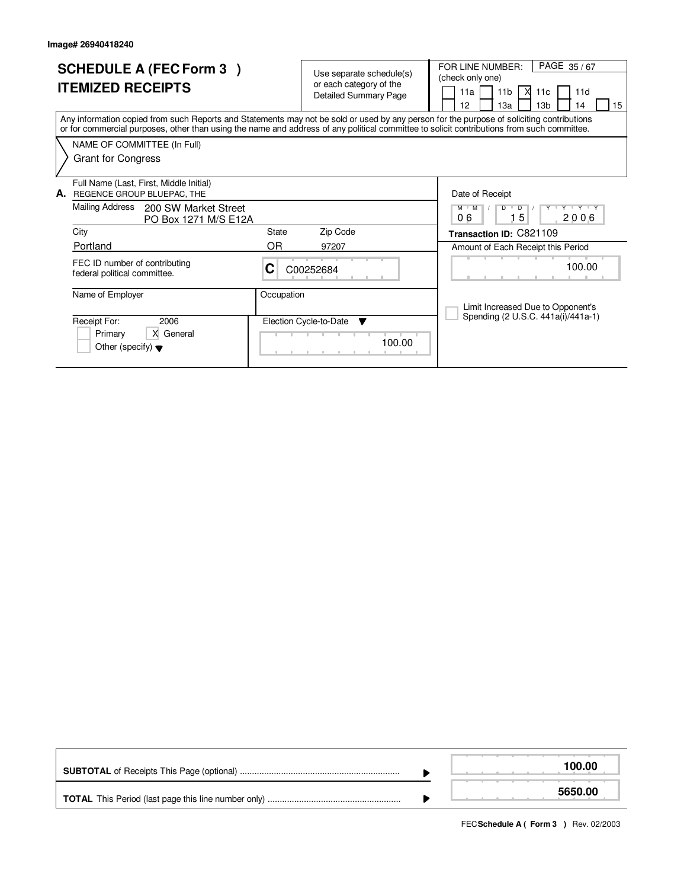| <b>SCHEDULE A (FEC Form 3)</b><br><b>ITEMIZED RECEIPTS</b>                                                                                                                                                                                                                              | Use separate schedule(s)<br>or each category of the<br><b>Detailed Summary Page</b> | PAGE 35/67<br>FOR LINE NUMBER:<br>(check only one)<br>X<br>11a<br>11 <sub>b</sub><br>11d<br>11c<br>12<br>13a<br>13 <sub>b</sub><br>14<br>15 |
|-----------------------------------------------------------------------------------------------------------------------------------------------------------------------------------------------------------------------------------------------------------------------------------------|-------------------------------------------------------------------------------------|---------------------------------------------------------------------------------------------------------------------------------------------|
| Any information copied from such Reports and Statements may not be sold or used by any person for the purpose of soliciting contributions<br>or for commercial purposes, other than using the name and address of any political committee to solicit contributions from such committee. |                                                                                     |                                                                                                                                             |
| NAME OF COMMITTEE (In Full)<br><b>Grant for Congress</b>                                                                                                                                                                                                                                |                                                                                     |                                                                                                                                             |
| Full Name (Last, First, Middle Initial)<br>REGENCE GROUP BLUEPAC, THE<br>А.                                                                                                                                                                                                             |                                                                                     | Date of Receipt                                                                                                                             |
| Mailing Address<br>200 SW Market Street<br>PO Box 1271 M/S E12A                                                                                                                                                                                                                         |                                                                                     | $V$ $V$ $V$<br>$M$ $M$<br>D<br>D<br>Y<br>15<br>0 6<br>2006                                                                                  |
| City                                                                                                                                                                                                                                                                                    | Zip Code<br>State                                                                   | Transaction ID: C821109                                                                                                                     |
| Portland                                                                                                                                                                                                                                                                                | OR<br>97207                                                                         | Amount of Each Receipt this Period                                                                                                          |
| FEC ID number of contributing<br>federal political committee.                                                                                                                                                                                                                           | C<br>C00252684                                                                      | 100.00                                                                                                                                      |
| Name of Employer                                                                                                                                                                                                                                                                        | Occupation                                                                          | Limit Increased Due to Opponent's                                                                                                           |
| Receipt For:<br>2006<br>X General<br>Primary<br>Other (specify) $\blacktriangledown$                                                                                                                                                                                                    | Election Cycle-to-Date<br>▼<br>100.00                                               | Spending (2 U.S.C. 441a(i)/441a-1)                                                                                                          |

|  | 100.00  |
|--|---------|
|  | 5650.00 |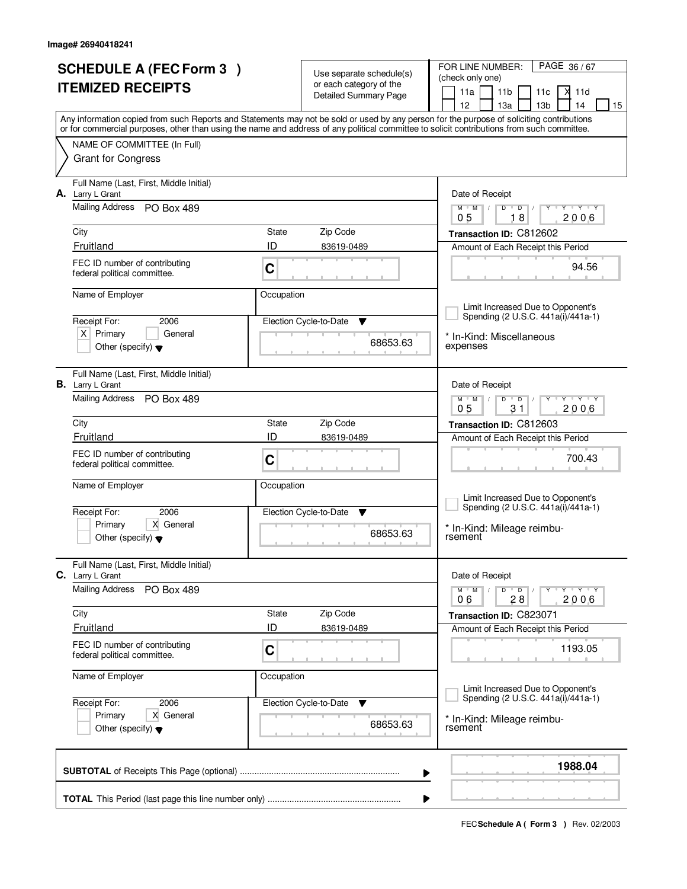|    | <b>SCHEDULE A (FEC Form 3)</b>                                 |             | Use separate schedule(s)     | FOR LINE NUMBER:<br>PAGE 36/67                                                                                                             |
|----|----------------------------------------------------------------|-------------|------------------------------|--------------------------------------------------------------------------------------------------------------------------------------------|
|    | <b>ITEMIZED RECEIPTS</b>                                       |             | or each category of the      | (check only one)                                                                                                                           |
|    |                                                                |             | <b>Detailed Summary Page</b> | 11a<br>11 <sub>b</sub><br>11c<br>X<br>11d<br>12<br>13 <sub>b</sub><br>13a<br>14<br>15                                                      |
|    |                                                                |             |                              | Any information copied from such Reports and Statements may not be sold or used by any person for the purpose of soliciting contributions  |
|    |                                                                |             |                              | or for commercial purposes, other than using the name and address of any political committee to solicit contributions from such committee. |
|    | NAME OF COMMITTEE (In Full)<br><b>Grant for Congress</b>       |             |                              |                                                                                                                                            |
|    |                                                                |             |                              |                                                                                                                                            |
|    | Full Name (Last, First, Middle Initial)<br>A. Larry L Grant    |             |                              | Date of Receipt                                                                                                                            |
|    | Mailing Address PO Box 489                                     |             |                              | $Y + Y + Y$<br>$D$ $D$<br>$M$ $M$<br>$\sqrt{2}$                                                                                            |
|    |                                                                |             |                              | 18<br>2006<br>05                                                                                                                           |
|    | City<br>Fruitland                                              | State<br>ID | Zip Code<br>83619-0489       | Transaction ID: C812602<br>Amount of Each Receipt this Period                                                                              |
|    | FEC ID number of contributing                                  |             |                              |                                                                                                                                            |
|    | federal political committee.                                   | C           |                              | 94.56                                                                                                                                      |
|    | Name of Employer                                               | Occupation  |                              |                                                                                                                                            |
|    |                                                                |             |                              | Limit Increased Due to Opponent's                                                                                                          |
|    | Receipt For:<br>2006                                           |             | Election Cycle-to-Date<br>v  | Spending (2 U.S.C. 441a(i)/441a-1)                                                                                                         |
|    | $X$ Primary<br>General<br>Other (specify) $\blacktriangledown$ |             | 68653.63                     | * In-Kind: Miscellaneous<br>expenses                                                                                                       |
|    |                                                                |             |                              |                                                                                                                                            |
|    | Full Name (Last, First, Middle Initial)                        |             |                              |                                                                                                                                            |
|    | <b>B.</b> Larry L Grant<br>Mailing Address PO Box 489          |             |                              | Date of Receipt<br>$M$ $M$ /<br>$\overline{D}$<br>$-\mathsf{Y}$ $\mathsf{Y}$ $\mathsf{Y}$<br>D<br>Y                                        |
|    |                                                                |             |                              | 0 <sub>5</sub><br>31<br>2006                                                                                                               |
|    | City                                                           | State       | Zip Code                     | Transaction ID: C812603                                                                                                                    |
|    | Fruitland                                                      | ID          | 83619-0489                   | Amount of Each Receipt this Period                                                                                                         |
|    | FEC ID number of contributing<br>federal political committee.  | C           |                              | 700.43                                                                                                                                     |
|    | Name of Employer                                               | Occupation  |                              |                                                                                                                                            |
|    |                                                                |             |                              | Limit Increased Due to Opponent's                                                                                                          |
|    | 2006<br>Receipt For:                                           |             | Election Cycle-to-Date<br>v  | Spending (2 U.S.C. 441a(i)/441a-1)                                                                                                         |
|    | X General<br>Primary<br>Other (specify) $\blacktriangledown$   |             | 68653.63                     | * In-Kind: Mileage reimbu-<br>rsement                                                                                                      |
|    |                                                                |             |                              |                                                                                                                                            |
|    | Full Name (Last, First, Middle Initial)                        |             |                              |                                                                                                                                            |
| C. | Larry L Grant<br><b>Mailing Address</b><br>PO Box 489          |             |                              | Date of Receipt<br>D<br>$M$ $M$ /<br>$\overline{D}$<br>$Y + Y + Y$                                                                         |
|    |                                                                |             |                              | 2006<br>06<br>28                                                                                                                           |
|    | City                                                           | State       | Zip Code                     | Transaction ID: C823071                                                                                                                    |
|    | <b>Fruitland</b>                                               | ID          | 83619-0489                   | Amount of Each Receipt this Period                                                                                                         |
|    | FEC ID number of contributing<br>federal political committee.  | C           |                              | 1193.05                                                                                                                                    |
|    |                                                                |             |                              |                                                                                                                                            |
|    | Name of Employer                                               | Occupation  |                              | Limit Increased Due to Opponent's                                                                                                          |
|    | Receipt For:<br>2006                                           |             | Election Cycle-to-Date<br>v  | Spending (2 U.S.C. 441a(i)/441a-1)                                                                                                         |
|    | X General<br>Primary                                           |             | 68653.63                     | * In-Kind: Mileage reimbu-                                                                                                                 |
|    | Other (specify) $\blacktriangledown$                           |             |                              | rsement                                                                                                                                    |
|    |                                                                |             |                              |                                                                                                                                            |
|    |                                                                |             |                              | 1988.04<br>▶                                                                                                                               |
|    |                                                                |             |                              |                                                                                                                                            |
|    |                                                                |             |                              | ▶                                                                                                                                          |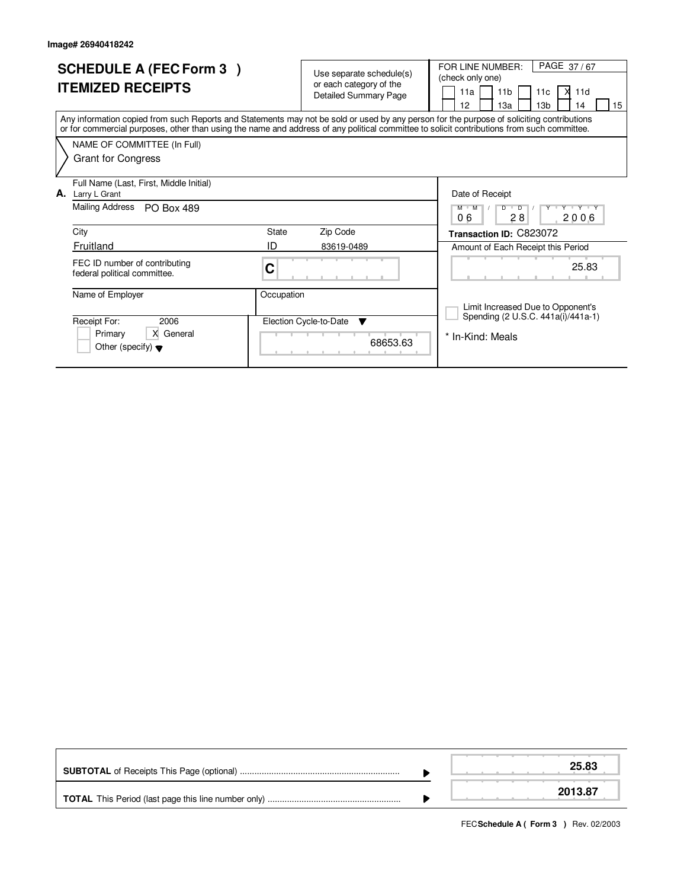| <b>SCHEDULE A (FEC Form 3)</b><br><b>ITEMIZED RECEIPTS</b>                                                                                                                                                                                                                              | Use separate schedule(s)<br>or each category of the<br><b>Detailed Summary Page</b> | PAGE 37/67<br>FOR LINE NUMBER:<br>(check only one)<br>11 <sub>b</sub><br>11d<br>11a<br>м<br>11c<br>13 <sub>b</sub><br>12<br>15<br>13a<br>14 |
|-----------------------------------------------------------------------------------------------------------------------------------------------------------------------------------------------------------------------------------------------------------------------------------------|-------------------------------------------------------------------------------------|---------------------------------------------------------------------------------------------------------------------------------------------|
| Any information copied from such Reports and Statements may not be sold or used by any person for the purpose of soliciting contributions<br>or for commercial purposes, other than using the name and address of any political committee to solicit contributions from such committee. |                                                                                     |                                                                                                                                             |
| NAME OF COMMITTEE (In Full)<br><b>Grant for Congress</b>                                                                                                                                                                                                                                |                                                                                     |                                                                                                                                             |
| Full Name (Last, First, Middle Initial)<br>А.<br>Larry L Grant<br>Mailing Address<br><b>PO Box 489</b>                                                                                                                                                                                  |                                                                                     | Date of Receipt<br>$M$ $M$<br>V Y V Y<br>$\overline{D}$<br>$\overline{D}$<br>06<br>28<br>2006                                               |
| City<br>Fruitland                                                                                                                                                                                                                                                                       | State<br>Zip Code<br>ID<br>83619-0489                                               | Transaction ID: C823072                                                                                                                     |
| FEC ID number of contributing<br>federal political committee.                                                                                                                                                                                                                           | C                                                                                   | Amount of Each Receipt this Period<br>25.83                                                                                                 |
| Name of Employer<br>Receipt For:<br>2006<br>X General<br>Primary<br>Other (specify) $\blacktriangledown$                                                                                                                                                                                | Occupation<br>Election Cycle-to-Date<br>▼<br>68653.63                               | Limit Increased Due to Opponent's<br>Spending (2 U.S.C. 441a(i)/441a-1)<br>* In-Kind: Meals                                                 |

|  | 25.83   |
|--|---------|
|  | 2013.87 |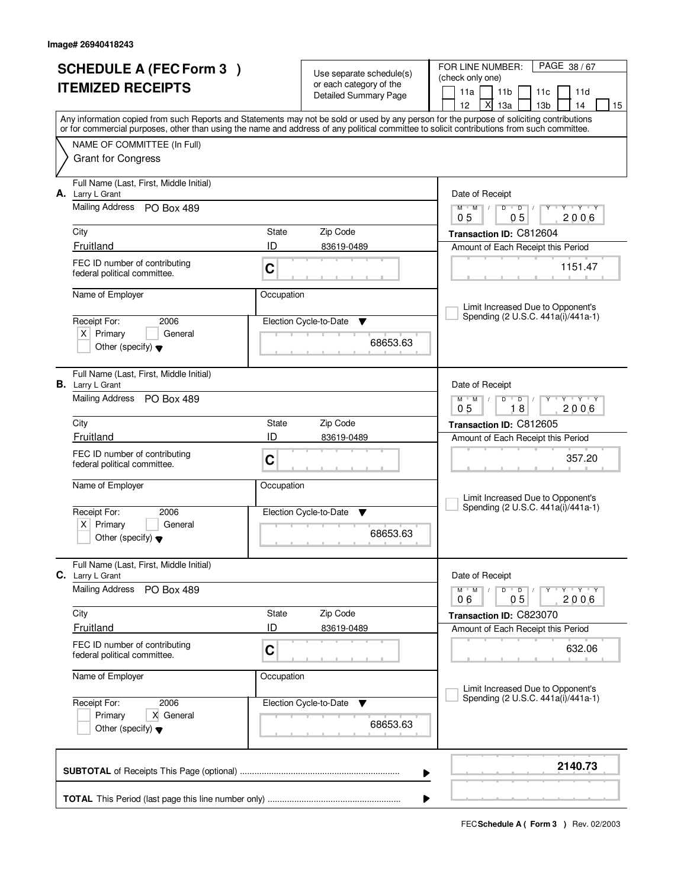| <b>SCHEDULE A (FEC Form 3)</b><br><b>ITEMIZED RECEIPTS</b>                           |             | Use separate schedule(s)<br>or each category of the<br><b>Detailed Summary Page</b> | PAGE 38/67<br>FOR LINE NUMBER:<br>(check only one)<br>11a<br>11 <sub>b</sub><br>11c<br>11d                                                                                                                                                                                                                                               |
|--------------------------------------------------------------------------------------|-------------|-------------------------------------------------------------------------------------|------------------------------------------------------------------------------------------------------------------------------------------------------------------------------------------------------------------------------------------------------------------------------------------------------------------------------------------|
|                                                                                      |             |                                                                                     | 12<br>X<br>13 <sub>b</sub><br>15<br>13a<br>14<br>Any information copied from such Reports and Statements may not be sold or used by any person for the purpose of soliciting contributions<br>or for commercial purposes, other than using the name and address of any political committee to solicit contributions from such committee. |
| NAME OF COMMITTEE (In Full)<br><b>Grant for Congress</b>                             |             |                                                                                     |                                                                                                                                                                                                                                                                                                                                          |
| Full Name (Last, First, Middle Initial)<br>A. Larry L Grant                          |             |                                                                                     | Date of Receipt                                                                                                                                                                                                                                                                                                                          |
| Mailing Address<br><b>PO Box 489</b>                                                 |             |                                                                                     | $Y + Y + Y$<br>$M$ $M$ /<br>$D$ $D$<br>Y<br>$\sqrt{ }$<br>0 <sub>5</sub><br>2006<br>05                                                                                                                                                                                                                                                   |
| City                                                                                 | State       | Zip Code                                                                            | Transaction ID: C812604                                                                                                                                                                                                                                                                                                                  |
| Fruitland                                                                            | ID          | 83619-0489                                                                          | Amount of Each Receipt this Period                                                                                                                                                                                                                                                                                                       |
| FEC ID number of contributing<br>federal political committee.                        | C           |                                                                                     | 1151.47                                                                                                                                                                                                                                                                                                                                  |
| Name of Employer                                                                     | Occupation  |                                                                                     | Limit Increased Due to Opponent's                                                                                                                                                                                                                                                                                                        |
| Receipt For:<br>2006                                                                 |             | Election Cycle-to-Date<br>v                                                         | Spending (2 U.S.C. 441a(i)/441a-1)                                                                                                                                                                                                                                                                                                       |
| $X$ Primary<br>General<br>Other (specify) $\blacktriangledown$                       |             | 68653.63                                                                            |                                                                                                                                                                                                                                                                                                                                          |
| Full Name (Last, First, Middle Initial)<br><b>B.</b> Larry L Grant                   |             |                                                                                     | Date of Receipt                                                                                                                                                                                                                                                                                                                          |
| Mailing Address PO Box 489                                                           |             |                                                                                     | $M^+$ M<br><b>TEXT TY</b><br>D<br>$\overline{D}$<br>0 <sub>5</sub><br>18<br>2006                                                                                                                                                                                                                                                         |
| City                                                                                 | State       | Zip Code                                                                            | Transaction ID: C812605                                                                                                                                                                                                                                                                                                                  |
| Fruitland                                                                            | ID          | 83619-0489                                                                          | Amount of Each Receipt this Period                                                                                                                                                                                                                                                                                                       |
| FEC ID number of contributing<br>federal political committee.                        | C           |                                                                                     | 357.20                                                                                                                                                                                                                                                                                                                                   |
| Name of Employer                                                                     | Occupation  |                                                                                     | Limit Increased Due to Opponent's                                                                                                                                                                                                                                                                                                        |
| Receipt For:<br>2006                                                                 |             | Election Cycle-to-Date<br><b>V</b>                                                  | Spending (2 U.S.C. 441a(i)/441a-1)                                                                                                                                                                                                                                                                                                       |
| Primary<br>$X \mid$<br>General<br>Other (specify) $\blacktriangledown$               |             | 68653.63                                                                            |                                                                                                                                                                                                                                                                                                                                          |
| Full Name (Last, First, Middle Initial)<br><b>C.</b> Larry L Grant                   |             |                                                                                     | Date of Receipt                                                                                                                                                                                                                                                                                                                          |
| <b>Mailing Address</b><br><b>PO Box 489</b>                                          |             |                                                                                     | D<br>$M$ $M$ /<br>$\overline{\phantom{0}}$ D $\overline{\phantom{0}}$ /<br>$Y + Y + Y$<br>2006<br>05<br>06                                                                                                                                                                                                                               |
| City                                                                                 | State       | Zip Code                                                                            | Transaction ID: C823070                                                                                                                                                                                                                                                                                                                  |
| Fruitland                                                                            | ID          | 83619-0489                                                                          | Amount of Each Receipt this Period                                                                                                                                                                                                                                                                                                       |
| FEC ID number of contributing<br>federal political committee.                        | $\mathbf C$ |                                                                                     | 632.06                                                                                                                                                                                                                                                                                                                                   |
| Name of Employer                                                                     | Occupation  |                                                                                     | Limit Increased Due to Opponent's                                                                                                                                                                                                                                                                                                        |
| Receipt For:<br>2006<br>Primary<br>X General<br>Other (specify) $\blacktriangledown$ |             | Election Cycle-to-Date<br>v<br>68653.63                                             | Spending (2 U.S.C. 441a(i)/441a-1)                                                                                                                                                                                                                                                                                                       |
|                                                                                      |             |                                                                                     | 2140.73<br>▶                                                                                                                                                                                                                                                                                                                             |
|                                                                                      |             |                                                                                     |                                                                                                                                                                                                                                                                                                                                          |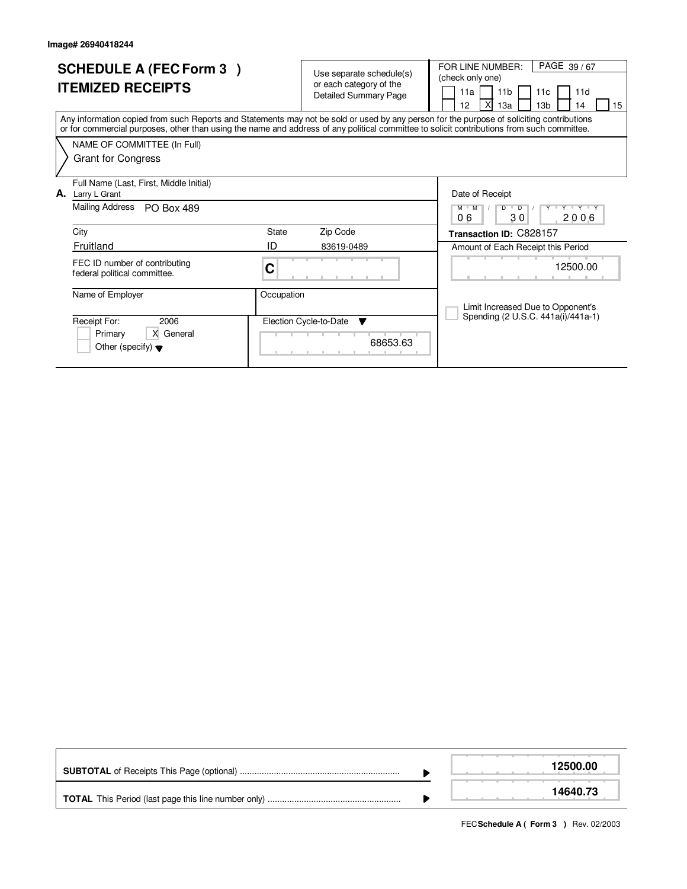|    | <b>SCHEDULE A (FEC Form 3)</b><br><b>ITEMIZED RECEIPTS</b>                                                                                                                                                                                                                              |            | Use separate schedule(s)<br>or each category of the<br><b>Detailed Summary Page</b> | PAGE 39/67<br>FOR LINE NUMBER:<br>(check only one)<br>11a<br>11 <sub>b</sub><br>11d<br>11c<br>13 <sub>b</sub><br>12<br>13a<br>14<br>15 |  |  |  |  |
|----|-----------------------------------------------------------------------------------------------------------------------------------------------------------------------------------------------------------------------------------------------------------------------------------------|------------|-------------------------------------------------------------------------------------|----------------------------------------------------------------------------------------------------------------------------------------|--|--|--|--|
|    | Any information copied from such Reports and Statements may not be sold or used by any person for the purpose of soliciting contributions<br>or for commercial purposes, other than using the name and address of any political committee to solicit contributions from such committee. |            |                                                                                     |                                                                                                                                        |  |  |  |  |
|    | NAME OF COMMITTEE (In Full)<br><b>Grant for Congress</b>                                                                                                                                                                                                                                |            |                                                                                     |                                                                                                                                        |  |  |  |  |
| А. | Full Name (Last, First, Middle Initial)<br>Larry L Grant                                                                                                                                                                                                                                |            |                                                                                     | Date of Receipt                                                                                                                        |  |  |  |  |
|    | <b>Mailing Address</b><br><b>PO Box 489</b>                                                                                                                                                                                                                                             |            |                                                                                     | $M$ M<br>$\overline{D}$<br>D<br>$\mathbf{y}$ $\mathbf{y}$<br>06<br>30<br>2006                                                          |  |  |  |  |
|    | City                                                                                                                                                                                                                                                                                    | State      | Zip Code                                                                            | Transaction ID: C828157                                                                                                                |  |  |  |  |
|    | Fruitland<br>FEC ID number of contributing<br>federal political committee.                                                                                                                                                                                                              | ID<br>С    | 83619-0489                                                                          | Amount of Each Receipt this Period<br>12500.00                                                                                         |  |  |  |  |
|    | Name of Employer                                                                                                                                                                                                                                                                        | Occupation |                                                                                     | Limit Increased Due to Opponent's<br>Spending (2 U.S.C. 441a(i)/441a-1)                                                                |  |  |  |  |
|    | Receipt For:<br>2006<br>X General<br>Primary<br>Other (specify) $\blacktriangledown$                                                                                                                                                                                                    |            | Election Cycle-to-Date<br>$\overline{\mathbf{v}}$<br>68653.63                       |                                                                                                                                        |  |  |  |  |

|  | 12500.00 |
|--|----------|
|  | 14640.73 |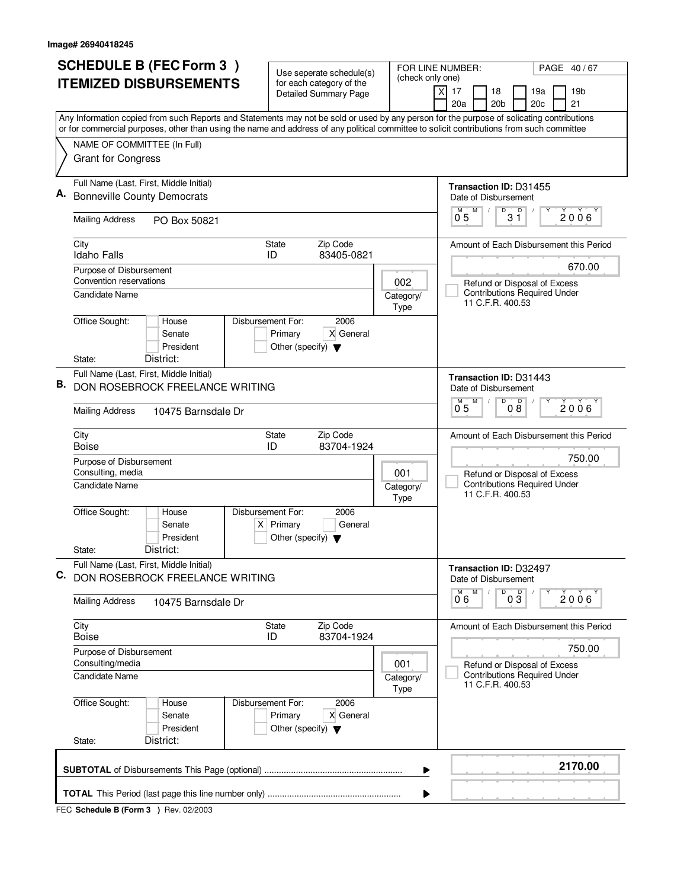|    | <b>SCHEDULE B (FEC Form 3)</b>                                                                                                                                                                                                                                                         | Use seperate schedule(s)                                               |                   | FOR LINE NUMBER:<br>PAGE 40/67                                                 |  |
|----|----------------------------------------------------------------------------------------------------------------------------------------------------------------------------------------------------------------------------------------------------------------------------------------|------------------------------------------------------------------------|-------------------|--------------------------------------------------------------------------------|--|
|    | <b>ITEMIZED DISBURSEMENTS</b>                                                                                                                                                                                                                                                          | for each category of the<br><b>Detailed Summary Page</b>               | (check only one)  | 17<br>18<br>19a<br>19 <sub>b</sub><br>X<br>20a<br>20 <sub>b</sub><br>20c<br>21 |  |
|    | Any Information copied from such Reports and Statements may not be sold or used by any person for the purpose of solicating contributions<br>or for commercial purposes, other than using the name and address of any political committee to solicit contributions from such committee |                                                                        |                   |                                                                                |  |
|    | NAME OF COMMITTEE (In Full)                                                                                                                                                                                                                                                            |                                                                        |                   |                                                                                |  |
|    | <b>Grant for Congress</b>                                                                                                                                                                                                                                                              |                                                                        |                   |                                                                                |  |
|    | Full Name (Last, First, Middle Initial)                                                                                                                                                                                                                                                |                                                                        |                   | Transaction ID: D31455                                                         |  |
|    | <b>Bonneville County Democrats</b>                                                                                                                                                                                                                                                     |                                                                        |                   | Date of Disbursement<br>M                                                      |  |
|    | <b>Mailing Address</b><br>PO Box 50821                                                                                                                                                                                                                                                 |                                                                        |                   | $\overline{3} \overline{1}$<br>2006<br>$0^{\degree}5$                          |  |
|    | City                                                                                                                                                                                                                                                                                   | State<br>Zip Code                                                      |                   | Amount of Each Disbursement this Period                                        |  |
|    | <b>Idaho Falls</b><br>Purpose of Disbursement                                                                                                                                                                                                                                          | 83405-0821<br>ID                                                       |                   | 670.00                                                                         |  |
|    | Convention reservations                                                                                                                                                                                                                                                                |                                                                        | 002               | Refund or Disposal of Excess                                                   |  |
|    | <b>Candidate Name</b>                                                                                                                                                                                                                                                                  |                                                                        | Category/<br>Type | <b>Contributions Required Under</b><br>11 C.F.R. 400.53                        |  |
|    | Office Sought:<br>Disbursement For:<br>House<br>Senate<br>President<br>District:                                                                                                                                                                                                       | 2006<br>Primary<br>X General<br>Other (specify) $\blacktriangledown$   |                   |                                                                                |  |
|    | State:<br>Full Name (Last, First, Middle Initial)                                                                                                                                                                                                                                      |                                                                        |                   |                                                                                |  |
| В. | DON ROSEBROCK FREELANCE WRITING                                                                                                                                                                                                                                                        |                                                                        |                   | Transaction ID: D31443<br>Date of Disbursement                                 |  |
|    | <b>Mailing Address</b><br>10475 Barnsdale Dr                                                                                                                                                                                                                                           |                                                                        |                   | $\overline{D}$<br>M<br>D<br>$2006^{\circ}$<br>0 <sub>5</sub><br>08             |  |
|    | City<br><b>Boise</b>                                                                                                                                                                                                                                                                   | Zip Code<br><b>State</b><br>83704-1924<br>ID                           |                   | Amount of Each Disbursement this Period                                        |  |
|    | Purpose of Disbursement<br>Consulting, media                                                                                                                                                                                                                                           |                                                                        | 001               | 750.00<br>Refund or Disposal of Excess                                         |  |
|    | Candidate Name                                                                                                                                                                                                                                                                         |                                                                        | Category/<br>Type | <b>Contributions Required Under</b><br>11 C.F.R. 400.53                        |  |
|    | Office Sought:<br>Disbursement For:<br>House<br>Senate<br>President                                                                                                                                                                                                                    | 2006<br>$X$ Primary<br>General<br>Other (specify) $\blacktriangledown$ |                   |                                                                                |  |
|    | District:<br>State:                                                                                                                                                                                                                                                                    |                                                                        |                   |                                                                                |  |
| C. | Full Name (Last, First, Middle Initial)<br>DON ROSEBROCK FREELANCE WRITING                                                                                                                                                                                                             |                                                                        |                   | Transaction ID: D32497<br>Date of Disbursement                                 |  |
|    | <b>Mailing Address</b><br>10475 Barnsdale Dr                                                                                                                                                                                                                                           |                                                                        |                   | D<br>M<br>$0\overline{3}$<br>$2006^{\circ}$<br>06                              |  |
|    | City<br>Boise                                                                                                                                                                                                                                                                          | Zip Code<br>State<br>83704-1924<br>ID                                  |                   | Amount of Each Disbursement this Period                                        |  |
|    | Purpose of Disbursement<br>Consulting/media                                                                                                                                                                                                                                            |                                                                        | 001               | 750.00<br>Refund or Disposal of Excess                                         |  |
|    | <b>Candidate Name</b>                                                                                                                                                                                                                                                                  |                                                                        | Category/<br>Type | <b>Contributions Required Under</b><br>11 C.F.R. 400.53                        |  |
|    | Office Sought:<br>Disbursement For:<br>House<br>Senate<br>President                                                                                                                                                                                                                    | 2006<br>Primary<br>X General<br>Other (specify) $\blacktriangledown$   |                   |                                                                                |  |
|    | District:<br>State:                                                                                                                                                                                                                                                                    |                                                                        |                   |                                                                                |  |
|    | 2170.00<br>▶                                                                                                                                                                                                                                                                           |                                                                        |                   |                                                                                |  |
|    |                                                                                                                                                                                                                                                                                        |                                                                        | ▶                 |                                                                                |  |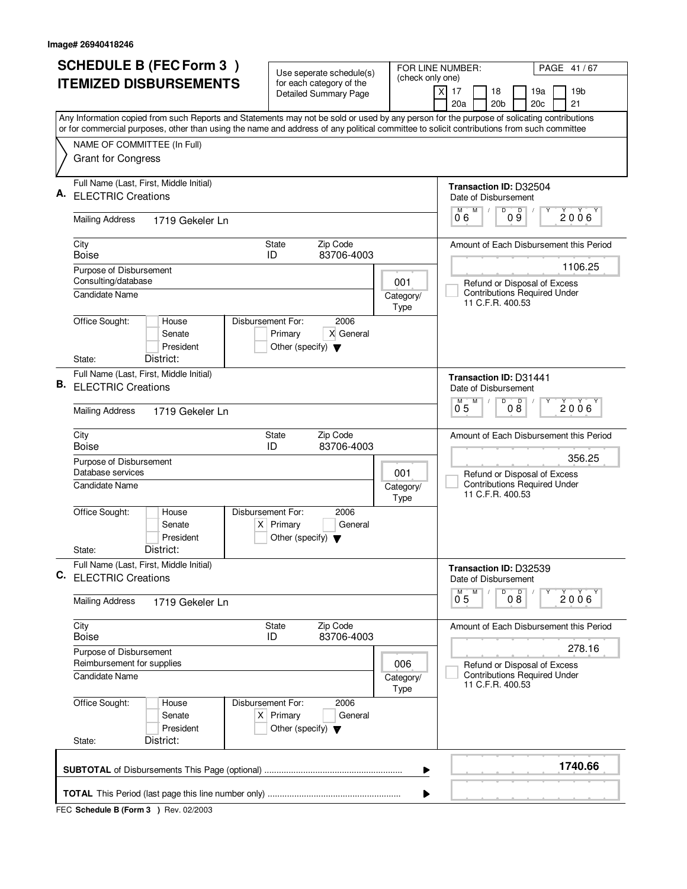|    | <b>SCHEDULE B (FEC Form 3)</b>                                                                                                                                                                                                                                                         | Use seperate schedule(s)                                                                    |                   | FOR LINE NUMBER:<br>PAGE 41/67                                                    |
|----|----------------------------------------------------------------------------------------------------------------------------------------------------------------------------------------------------------------------------------------------------------------------------------------|---------------------------------------------------------------------------------------------|-------------------|-----------------------------------------------------------------------------------|
|    | <b>ITEMIZED DISBURSEMENTS</b>                                                                                                                                                                                                                                                          | for each category of the<br><b>Detailed Summary Page</b>                                    | (check only one)  | 17<br>18<br>19a<br>19 <sub>b</sub><br>X<br>20a<br>20 <sub>b</sub><br>20c<br>21    |
|    | Any Information copied from such Reports and Statements may not be sold or used by any person for the purpose of solicating contributions<br>or for commercial purposes, other than using the name and address of any political committee to solicit contributions from such committee |                                                                                             |                   |                                                                                   |
|    | NAME OF COMMITTEE (In Full)                                                                                                                                                                                                                                                            |                                                                                             |                   |                                                                                   |
|    | <b>Grant for Congress</b>                                                                                                                                                                                                                                                              |                                                                                             |                   |                                                                                   |
|    | Full Name (Last, First, Middle Initial)<br><b>ELECTRIC Creations</b>                                                                                                                                                                                                                   |                                                                                             |                   | Transaction ID: D32504<br>Date of Disbursement                                    |
|    | <b>Mailing Address</b><br>1719 Gekeler Ln                                                                                                                                                                                                                                              |                                                                                             |                   | M<br>$\overline{9}$ o $\overline{9}$<br>M<br>2006<br>06                           |
|    | City<br><b>Boise</b>                                                                                                                                                                                                                                                                   | State<br>Zip Code<br>83706-4003<br>ID                                                       |                   | Amount of Each Disbursement this Period                                           |
|    | Purpose of Disbursement<br>Consulting/database                                                                                                                                                                                                                                         |                                                                                             | 001               | 1106.25<br>Refund or Disposal of Excess                                           |
|    | Candidate Name                                                                                                                                                                                                                                                                         |                                                                                             | Category/<br>Type | <b>Contributions Required Under</b><br>11 C.F.R. 400.53                           |
|    | Office Sought:<br>House<br>Senate<br>President                                                                                                                                                                                                                                         | Disbursement For:<br>2006<br>Primary<br>X General<br>Other (specify) $\blacktriangledown$   |                   |                                                                                   |
|    | District:<br>State:                                                                                                                                                                                                                                                                    |                                                                                             |                   |                                                                                   |
| В. | Full Name (Last, First, Middle Initial)<br><b>ELECTRIC Creations</b>                                                                                                                                                                                                                   |                                                                                             |                   | <b>Transaction ID: D31441</b><br>Date of Disbursement<br>$\overline{D}$<br>M<br>D |
|    | <b>Mailing Address</b><br>1719 Gekeler Ln                                                                                                                                                                                                                                              |                                                                                             |                   | $2006^{\circ}$<br>0 <sub>5</sub><br>08                                            |
|    | City<br><b>Boise</b>                                                                                                                                                                                                                                                                   | Zip Code<br><b>State</b><br>83706-4003<br>ID                                                |                   | Amount of Each Disbursement this Period                                           |
|    | Purpose of Disbursement<br>Database services                                                                                                                                                                                                                                           |                                                                                             | 001               | 356.25<br>Refund or Disposal of Excess<br><b>Contributions Required Under</b>     |
|    | Candidate Name                                                                                                                                                                                                                                                                         |                                                                                             | Category/<br>Type | 11 C.F.R. 400.53                                                                  |
|    | Office Sought:<br>House<br>Senate<br>President                                                                                                                                                                                                                                         | Disbursement For:<br>2006<br>$X$ Primary<br>General<br>Other (specify) $\blacktriangledown$ |                   |                                                                                   |
|    | District:<br>State:                                                                                                                                                                                                                                                                    |                                                                                             |                   |                                                                                   |
| C. | Full Name (Last, First, Middle Initial)<br><b>ELECTRIC Creations</b>                                                                                                                                                                                                                   |                                                                                             |                   | Transaction ID: D32539<br>Date of Disbursement                                    |
|    | <b>Mailing Address</b><br>1719 Gekeler Ln                                                                                                                                                                                                                                              |                                                                                             |                   | D<br>M<br>08<br>2006<br>0 <sub>5</sub>                                            |
|    | City<br>Boise                                                                                                                                                                                                                                                                          | State<br>Zip Code<br>ID<br>83706-4003                                                       |                   | Amount of Each Disbursement this Period                                           |
|    | Purpose of Disbursement<br>Reimbursement for supplies                                                                                                                                                                                                                                  |                                                                                             | 006               | 278.16<br>Refund or Disposal of Excess                                            |
|    | <b>Candidate Name</b>                                                                                                                                                                                                                                                                  |                                                                                             | Category/<br>Type | <b>Contributions Required Under</b><br>11 C.F.R. 400.53                           |
|    | Office Sought:<br>House<br>Senate<br>President                                                                                                                                                                                                                                         | 2006<br>Disbursement For:<br>$X$ Primary<br>General<br>Other (specify) $\blacktriangledown$ |                   |                                                                                   |
|    | District:<br>State:                                                                                                                                                                                                                                                                    |                                                                                             |                   |                                                                                   |
|    |                                                                                                                                                                                                                                                                                        |                                                                                             | ▶                 | 1740.66                                                                           |
|    |                                                                                                                                                                                                                                                                                        |                                                                                             | ▶                 |                                                                                   |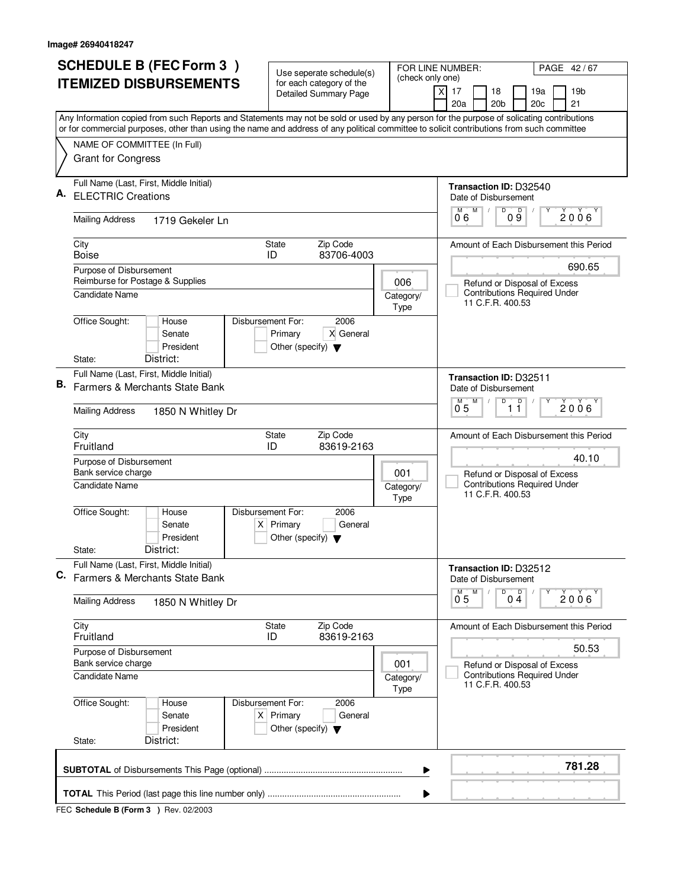|    | <b>SCHEDULE B (FEC Form 3)</b>                                                                                                            | Use seperate schedule(s)                     |                   | FOR LINE NUMBER:<br>PAGE 42/67                             |
|----|-------------------------------------------------------------------------------------------------------------------------------------------|----------------------------------------------|-------------------|------------------------------------------------------------|
|    | <b>ITEMIZED DISBURSEMENTS</b>                                                                                                             | for each category of the                     | (check only one)  | 17<br>18<br>19a<br>19 <sub>b</sub>                         |
|    |                                                                                                                                           | <b>Detailed Summary Page</b>                 |                   | X<br>20a<br>20 <sub>b</sub><br>20c<br>21                   |
|    | Any Information copied from such Reports and Statements may not be sold or used by any person for the purpose of solicating contributions |                                              |                   |                                                            |
|    | or for commercial purposes, other than using the name and address of any political committee to solicit contributions from such committee |                                              |                   |                                                            |
|    | NAME OF COMMITTEE (In Full)                                                                                                               |                                              |                   |                                                            |
|    | <b>Grant for Congress</b>                                                                                                                 |                                              |                   |                                                            |
|    | Full Name (Last, First, Middle Initial)                                                                                                   |                                              |                   | Transaction ID: D32540                                     |
|    | <b>ELECTRIC Creations</b>                                                                                                                 |                                              |                   | Date of Disbursement                                       |
|    | <b>Mailing Address</b><br>1719 Gekeler Ln                                                                                                 |                                              |                   | M<br>D<br>09<br>M<br>2006<br>06                            |
|    | City                                                                                                                                      | Zip Code<br>State                            |                   | Amount of Each Disbursement this Period                    |
|    | <b>Boise</b>                                                                                                                              | 83706-4003<br>ID                             |                   | 690.65                                                     |
|    | Purpose of Disbursement<br>Reimburse for Postage & Supplies                                                                               |                                              | 006               | Refund or Disposal of Excess                               |
|    | Candidate Name                                                                                                                            |                                              | Category/         | <b>Contributions Required Under</b>                        |
|    |                                                                                                                                           |                                              | Type              | 11 C.F.R. 400.53                                           |
|    | Office Sought:<br>Disbursement For:<br>House<br>Senate                                                                                    | 2006<br>Primary<br>X General                 |                   |                                                            |
|    | President                                                                                                                                 | Other (specify) $\blacktriangledown$         |                   |                                                            |
|    | District:<br>State:                                                                                                                       |                                              |                   |                                                            |
|    | Full Name (Last, First, Middle Initial)                                                                                                   |                                              |                   | <b>Transaction ID: D32511</b>                              |
| В. | Farmers & Merchants State Bank                                                                                                            |                                              |                   | Date of Disbursement                                       |
|    | <b>Mailing Address</b><br>1850 N Whitley Dr                                                                                               |                                              |                   | M<br>D<br>D<br>м<br>$2006^{\circ}$<br>0 <sub>5</sub><br>11 |
|    | City<br>Fruitland                                                                                                                         | Zip Code<br><b>State</b><br>ID<br>83619-2163 |                   | Amount of Each Disbursement this Period                    |
|    | Purpose of Disbursement                                                                                                                   |                                              |                   | 40.10                                                      |
|    | Bank service charge                                                                                                                       |                                              | 001               | Refund or Disposal of Excess                               |
|    | <b>Candidate Name</b>                                                                                                                     |                                              | Category/<br>Type | <b>Contributions Required Under</b><br>11 C.F.R. 400.53    |
|    | Office Sought:<br>Disbursement For:<br>House<br>Senate                                                                                    | 2006<br>$X$ Primary<br>General               |                   |                                                            |
|    | President                                                                                                                                 | Other (specify) $\blacktriangledown$         |                   |                                                            |
|    | District:<br>State:                                                                                                                       |                                              |                   |                                                            |
|    | Full Name (Last, First, Middle Initial)                                                                                                   |                                              |                   | Transaction ID: D32512                                     |
| C. | Farmers & Merchants State Bank                                                                                                            |                                              |                   | Date of Disbursement                                       |
|    | <b>Mailing Address</b><br>1850 N Whitley Dr                                                                                               |                                              |                   | D<br>$0\stackrel{D}{4}$<br>M<br>2006<br>0 <sub>5</sub>     |
|    | City<br>Fruitland                                                                                                                         | Zip Code<br>State<br>83619-2163<br>ID        |                   | Amount of Each Disbursement this Period                    |
|    | Purpose of Disbursement                                                                                                                   |                                              |                   | 50.53                                                      |
|    | Bank service charge                                                                                                                       |                                              | 001               | Refund or Disposal of Excess                               |
|    | <b>Candidate Name</b>                                                                                                                     |                                              | Category/<br>Type | <b>Contributions Required Under</b><br>11 C.F.R. 400.53    |
|    | Office Sought:<br>Disbursement For:<br>House<br>Senate                                                                                    | 2006<br>$X$ Primary<br>General               |                   |                                                            |
|    | President                                                                                                                                 | Other (specify) $\blacktriangledown$         |                   |                                                            |
|    | District:<br>State:                                                                                                                       |                                              |                   |                                                            |
|    |                                                                                                                                           |                                              | ▶                 | 781.28                                                     |
|    |                                                                                                                                           |                                              | ▶                 |                                                            |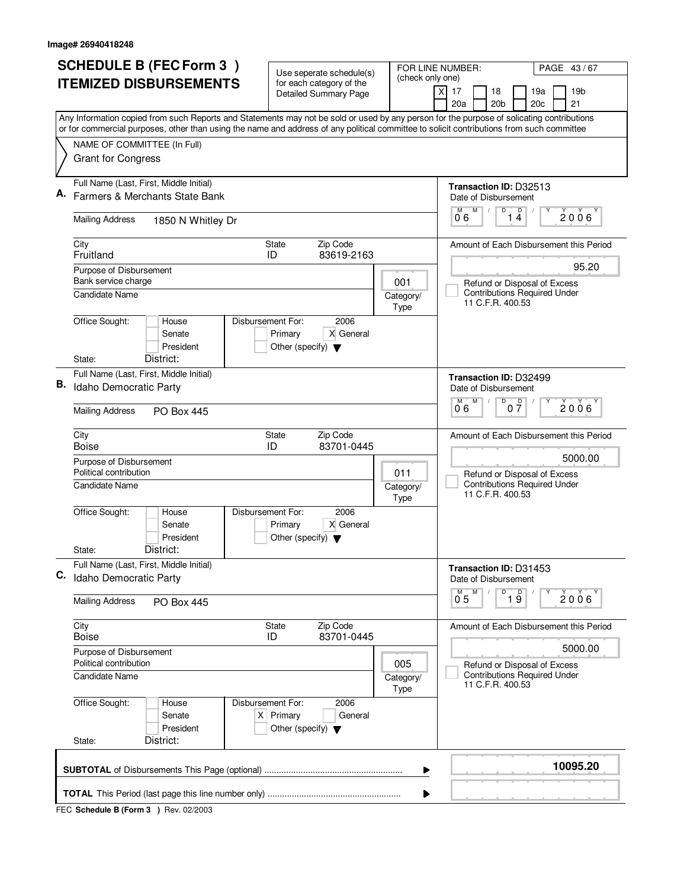|    | <b>SCHEDULE B (FEC Form 3)</b>                                                                                                            | Use seperate schedule(s)                                                                    |                   | FOR LINE NUMBER:<br>PAGE 43/67                                                        |
|----|-------------------------------------------------------------------------------------------------------------------------------------------|---------------------------------------------------------------------------------------------|-------------------|---------------------------------------------------------------------------------------|
|    | <b>ITEMIZED DISBURSEMENTS</b>                                                                                                             | for each category of the<br><b>Detailed Summary Page</b>                                    | (check only one)  | $\times$<br>17<br>18<br>19a<br>19 <sub>b</sub><br>20a<br>20 <sub>b</sub><br>20c<br>21 |
|    | Any Information copied from such Reports and Statements may not be sold or used by any person for the purpose of solicating contributions |                                                                                             |                   |                                                                                       |
|    | or for commercial purposes, other than using the name and address of any political committee to solicit contributions from such committee |                                                                                             |                   |                                                                                       |
|    | NAME OF COMMITTEE (In Full)                                                                                                               |                                                                                             |                   |                                                                                       |
|    | <b>Grant for Congress</b>                                                                                                                 |                                                                                             |                   |                                                                                       |
|    | Full Name (Last, First, Middle Initial)                                                                                                   |                                                                                             |                   | <b>Transaction ID: D32513</b>                                                         |
|    | Farmers & Merchants State Bank                                                                                                            |                                                                                             |                   | Date of Disbursement<br>D<br>$\overline{D}$<br>M<br>M<br>$2006^\circ$<br>0°6<br>14    |
|    | <b>Mailing Address</b><br>1850 N Whitley Dr                                                                                               |                                                                                             |                   |                                                                                       |
|    | City<br>Fruitland                                                                                                                         | Zip Code<br><b>State</b><br>83619-2163<br>ID                                                |                   | Amount of Each Disbursement this Period                                               |
|    | Purpose of Disbursement<br>Bank service charge                                                                                            |                                                                                             | 001               | 95.20<br>Refund or Disposal of Excess                                                 |
|    | Candidate Name                                                                                                                            |                                                                                             | Category/<br>Type | <b>Contributions Required Under</b><br>11 C.F.R. 400.53                               |
|    | Office Sought:<br>House<br>Senate<br>President                                                                                            | Disbursement For:<br>2006<br>Primary<br>X General<br>Other (specify) $\blacktriangledown$   |                   |                                                                                       |
|    | District:<br>State:                                                                                                                       |                                                                                             |                   |                                                                                       |
| В. | Full Name (Last, First, Middle Initial)<br>Idaho Democratic Party                                                                         |                                                                                             |                   | Transaction ID: D32499<br>Date of Disbursement                                        |
|    | <b>Mailing Address</b><br><b>PO Box 445</b>                                                                                               |                                                                                             |                   | M<br>D<br>0 <sup>0</sup><br>M<br>2006<br>06                                           |
|    | City<br><b>Boise</b>                                                                                                                      | Zip Code<br><b>State</b><br>83701-0445<br>ID                                                |                   | Amount of Each Disbursement this Period                                               |
|    | Purpose of Disbursement<br>Political contribution                                                                                         |                                                                                             | 011               | 5000.00<br>Refund or Disposal of Excess                                               |
|    | Candidate Name                                                                                                                            |                                                                                             | Category/<br>Type | <b>Contributions Required Under</b><br>11 C.F.R. 400.53                               |
|    | Office Sought:<br>House<br>Senate<br>President                                                                                            | Disbursement For:<br>2006<br>X General<br>Primary<br>Other (specify) $\blacktriangledown$   |                   |                                                                                       |
|    | District:<br>State:                                                                                                                       |                                                                                             |                   |                                                                                       |
| C. | Full Name (Last, First, Middle Initial)<br>Idaho Democratic Party                                                                         |                                                                                             |                   | Transaction ID: D31453<br>Date of Disbursement                                        |
|    | <b>Mailing Address</b><br><b>PO Box 445</b>                                                                                               |                                                                                             |                   | D<br>$\overline{1}$ $\overline{9}$<br>M<br>2006<br>0.5                                |
|    | City<br><b>Boise</b>                                                                                                                      | Zip Code<br>State<br>ID<br>83701-0445                                                       |                   | Amount of Each Disbursement this Period                                               |
|    | Purpose of Disbursement<br>Political contribution                                                                                         |                                                                                             | 005               | 5000.00<br>Refund or Disposal of Excess                                               |
|    | Candidate Name                                                                                                                            |                                                                                             | Category/<br>Type | Contributions Required Under<br>11 C.F.R. 400.53                                      |
|    | Office Sought:<br>House<br>Senate<br>President                                                                                            | 2006<br>Disbursement For:<br>$X$ Primary<br>General<br>Other (specify) $\blacktriangledown$ |                   |                                                                                       |
|    | District:<br>State:                                                                                                                       |                                                                                             |                   |                                                                                       |
|    |                                                                                                                                           |                                                                                             | ▶                 | 10095.20                                                                              |
|    |                                                                                                                                           |                                                                                             |                   |                                                                                       |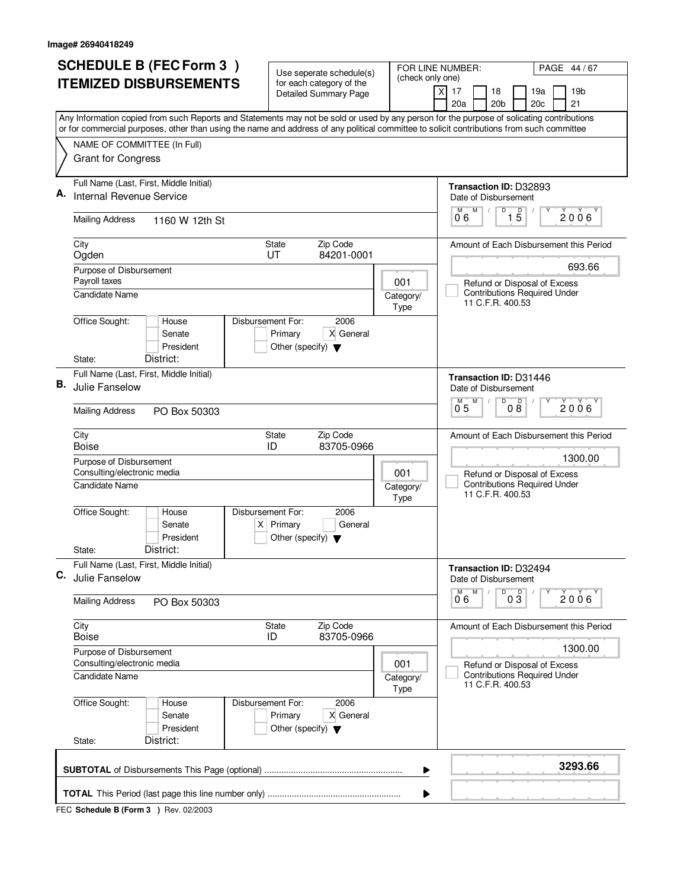| <b>SCHEDULE B (FEC Form 3)</b>                                                                                                                                                                                                                                                         | Use seperate schedule(s)                                               | FOR LINE NUMBER:<br>PAGE 44/67<br>(check only one)                                      |
|----------------------------------------------------------------------------------------------------------------------------------------------------------------------------------------------------------------------------------------------------------------------------------------|------------------------------------------------------------------------|-----------------------------------------------------------------------------------------|
| <b>ITEMIZED DISBURSEMENTS</b>                                                                                                                                                                                                                                                          | for each category of the<br><b>Detailed Summary Page</b>               | 17<br>18<br>19a<br>19 <sub>b</sub><br>X<br>20a<br>20 <sub>b</sub><br>20c<br>21          |
| Any Information copied from such Reports and Statements may not be sold or used by any person for the purpose of solicating contributions<br>or for commercial purposes, other than using the name and address of any political committee to solicit contributions from such committee |                                                                        |                                                                                         |
| NAME OF COMMITTEE (In Full)                                                                                                                                                                                                                                                            |                                                                        |                                                                                         |
| <b>Grant for Congress</b>                                                                                                                                                                                                                                                              |                                                                        |                                                                                         |
| Full Name (Last, First, Middle Initial)<br>А.<br>Internal Revenue Service                                                                                                                                                                                                              |                                                                        | Transaction ID: D32893<br>Date of Disbursement                                          |
| <b>Mailing Address</b><br>1160 W 12th St                                                                                                                                                                                                                                               |                                                                        | $\overline{1\,5}$<br>$\overline{0}^{\overline{M}}$ 6<br>M<br>D<br>2006                  |
| City<br>Ogden                                                                                                                                                                                                                                                                          | Zip Code<br>State<br>84201-0001<br>UT                                  | Amount of Each Disbursement this Period                                                 |
| Purpose of Disbursement<br>Payroll taxes                                                                                                                                                                                                                                               |                                                                        | 693.66<br>001<br>Refund or Disposal of Excess<br><b>Contributions Required Under</b>    |
| <b>Candidate Name</b><br>Office Sought:<br>Disbursement For:<br>House                                                                                                                                                                                                                  | 2006                                                                   | Category/<br>11 C.F.R. 400.53<br>Type                                                   |
| Senate<br>President                                                                                                                                                                                                                                                                    | Primary<br>X General<br>Other (specify) $\blacktriangledown$           |                                                                                         |
| District:<br>State:                                                                                                                                                                                                                                                                    |                                                                        |                                                                                         |
| Full Name (Last, First, Middle Initial)<br>В.<br>Julie Fanselow                                                                                                                                                                                                                        |                                                                        | Transaction ID: D31446<br>Date of Disbursement<br>D<br>M                                |
| <b>Mailing Address</b><br>PO Box 50303                                                                                                                                                                                                                                                 |                                                                        | 2006<br>0.5<br>08                                                                       |
| City<br><b>Boise</b>                                                                                                                                                                                                                                                                   | Zip Code<br><b>State</b><br>ID<br>83705-0966                           | Amount of Each Disbursement this Period<br>1300.00                                      |
| Purpose of Disbursement<br>Consulting/electronic media<br>Candidate Name                                                                                                                                                                                                               |                                                                        | 001<br>Refund or Disposal of Excess<br><b>Contributions Required Under</b><br>Category/ |
|                                                                                                                                                                                                                                                                                        |                                                                        | 11 C.F.R. 400.53<br>Type                                                                |
| Office Sought:<br>Disbursement For:<br>House<br>Senate<br>President                                                                                                                                                                                                                    | 2006<br>$X$ Primary<br>General<br>Other (specify) $\blacktriangledown$ |                                                                                         |
| District:<br>State:                                                                                                                                                                                                                                                                    |                                                                        |                                                                                         |
| Full Name (Last, First, Middle Initial)<br>C.<br>Julie Fanselow                                                                                                                                                                                                                        |                                                                        | Transaction ID: D32494<br>Date of Disbursement                                          |
| <b>Mailing Address</b><br>PO Box 50303                                                                                                                                                                                                                                                 |                                                                        | D<br>M<br>M<br>$0\overline{3}$<br>$2006^{\circ}$<br>06                                  |
| City<br>Boise                                                                                                                                                                                                                                                                          | State<br>Zip Code<br>ID<br>83705-0966                                  | Amount of Each Disbursement this Period<br>1300.00                                      |
| Purpose of Disbursement<br>Consulting/electronic media                                                                                                                                                                                                                                 |                                                                        | 001<br>Refund or Disposal of Excess                                                     |
| <b>Candidate Name</b>                                                                                                                                                                                                                                                                  |                                                                        | <b>Contributions Required Under</b><br>Category/<br>11 C.F.R. 400.53<br>Type            |
| Office Sought:<br>House<br>Disbursement For:<br>Senate<br>President<br>District:<br>State:                                                                                                                                                                                             | 2006<br>Primary<br>X General<br>Other (specify) $\blacktriangledown$   |                                                                                         |
|                                                                                                                                                                                                                                                                                        |                                                                        | 3293.66<br>▶                                                                            |
|                                                                                                                                                                                                                                                                                        |                                                                        |                                                                                         |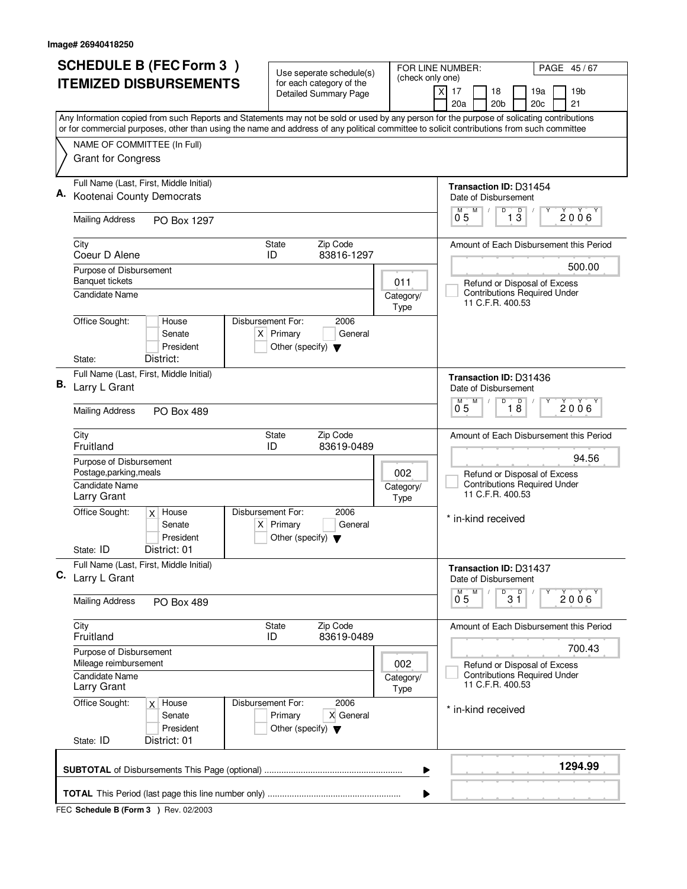| <b>SCHEDULE B (FEC Form 3)</b><br><b>ITEMIZED DISBURSEMENTS</b>                                                                                                                                                                                                                        | Use seperate schedule(s)<br>for each category of the                   | FOR LINE NUMBER:<br>PAGE 45/67<br>(check only one)                                                                  |
|----------------------------------------------------------------------------------------------------------------------------------------------------------------------------------------------------------------------------------------------------------------------------------------|------------------------------------------------------------------------|---------------------------------------------------------------------------------------------------------------------|
|                                                                                                                                                                                                                                                                                        | <b>Detailed Summary Page</b>                                           | 19 <sub>b</sub><br>17<br>18<br>19a<br>X<br>20a<br>20 <sub>b</sub><br>20c<br>21                                      |
| Any Information copied from such Reports and Statements may not be sold or used by any person for the purpose of solicating contributions<br>or for commercial purposes, other than using the name and address of any political committee to solicit contributions from such committee |                                                                        |                                                                                                                     |
| NAME OF COMMITTEE (In Full)<br><b>Grant for Congress</b>                                                                                                                                                                                                                               |                                                                        |                                                                                                                     |
| Full Name (Last, First, Middle Initial)                                                                                                                                                                                                                                                |                                                                        | <b>Transaction ID: D31454</b>                                                                                       |
| А.<br>Kootenai County Democrats                                                                                                                                                                                                                                                        |                                                                        | Date of Disbursement<br>D<br>M                                                                                      |
| <b>Mailing Address</b><br>PO Box 1297                                                                                                                                                                                                                                                  |                                                                        | $1\overline{3}$<br>$\overline{0}^M$ 5<br>2006                                                                       |
| City<br>Coeur D Alene                                                                                                                                                                                                                                                                  | Zip Code<br>State<br>83816-1297<br>ID                                  | Amount of Each Disbursement this Period                                                                             |
| Purpose of Disbursement                                                                                                                                                                                                                                                                |                                                                        | 500.00                                                                                                              |
| <b>Banquet tickets</b>                                                                                                                                                                                                                                                                 |                                                                        | 011<br>Refund or Disposal of Excess<br><b>Contributions Required Under</b>                                          |
| <b>Candidate Name</b>                                                                                                                                                                                                                                                                  |                                                                        | Category/<br>11 C.F.R. 400.53<br>Type                                                                               |
| Office Sought:<br>House<br>Disbursement For:<br>Senate<br>President                                                                                                                                                                                                                    | 2006<br>$X$ Primary<br>General<br>Other (specify) $\blacktriangledown$ |                                                                                                                     |
| District:<br>State:                                                                                                                                                                                                                                                                    |                                                                        |                                                                                                                     |
| Full Name (Last, First, Middle Initial)<br>В.<br>Larry L Grant                                                                                                                                                                                                                         |                                                                        | Transaction ID: D31436<br>Date of Disbursement                                                                      |
| <b>Mailing Address</b><br><b>PO Box 489</b>                                                                                                                                                                                                                                            |                                                                        | D<br>D<br>$0^{M}$ 5<br>M<br>2006<br>18                                                                              |
| City<br>Fruitland                                                                                                                                                                                                                                                                      | Zip Code<br>State<br>83619-0489<br>ID                                  | Amount of Each Disbursement this Period                                                                             |
| Purpose of Disbursement                                                                                                                                                                                                                                                                |                                                                        | 94.56                                                                                                               |
| Postage, parking, meals<br><b>Candidate Name</b><br>Larry Grant                                                                                                                                                                                                                        |                                                                        | 002<br>Refund or Disposal of Excess<br><b>Contributions Required Under</b><br>Category/<br>11 C.F.R. 400.53<br>Type |
| Disbursement For:<br>Office Sought:<br>$x$ House<br>Senate<br>President                                                                                                                                                                                                                | 2006<br>$X$ Primary<br>General<br>Other (specify) $\blacktriangledown$ | * in-kind received                                                                                                  |
| District: 01<br>State: ID                                                                                                                                                                                                                                                              |                                                                        |                                                                                                                     |
| Full Name (Last, First, Middle Initial)<br>C. Larry L Grant                                                                                                                                                                                                                            |                                                                        | Transaction ID: D31437<br>Date of Disbursement                                                                      |
| <b>Mailing Address</b><br><b>PO Box 489</b>                                                                                                                                                                                                                                            |                                                                        | D<br>M<br>3 <sup>0</sup><br>$2006^{\circ}$<br>0 <sub>5</sub>                                                        |
| City<br>Fruitland                                                                                                                                                                                                                                                                      | Zip Code<br>State<br>83619-0489<br>ID                                  | Amount of Each Disbursement this Period                                                                             |
| Purpose of Disbursement<br>Mileage reimbursement                                                                                                                                                                                                                                       |                                                                        | 700.43<br>002<br>Refund or Disposal of Excess                                                                       |
| <b>Candidate Name</b><br>Larry Grant                                                                                                                                                                                                                                                   |                                                                        | <b>Contributions Required Under</b><br>Category/<br>11 C.F.R. 400.53<br>Type                                        |
| Office Sought:<br>Disbursement For:<br>House<br>$\times$<br>Senate<br>President                                                                                                                                                                                                        | 2006<br>X General<br>Primary<br>Other (specify) $\blacktriangledown$   | * in-kind received                                                                                                  |
| State: ID<br>District: 01                                                                                                                                                                                                                                                              |                                                                        |                                                                                                                     |
|                                                                                                                                                                                                                                                                                        |                                                                        | 1294.99<br>▶                                                                                                        |
|                                                                                                                                                                                                                                                                                        |                                                                        |                                                                                                                     |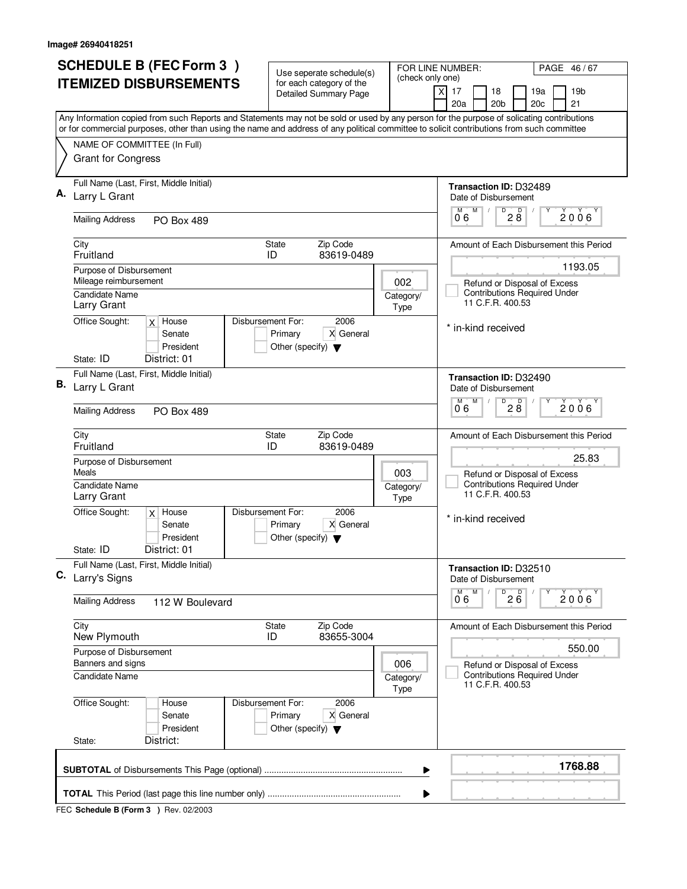|    | <b>SCHEDULE B (FEC Form 3)</b>                                                                                                                                                                                                                                                         | Use seperate schedule(s)                                                                  | (check only one)                | FOR LINE NUMBER:<br>PAGE 46/67                                                          |
|----|----------------------------------------------------------------------------------------------------------------------------------------------------------------------------------------------------------------------------------------------------------------------------------------|-------------------------------------------------------------------------------------------|---------------------------------|-----------------------------------------------------------------------------------------|
|    | <b>ITEMIZED DISBURSEMENTS</b>                                                                                                                                                                                                                                                          | for each category of the<br><b>Detailed Summary Page</b>                                  |                                 | X<br>17<br>18<br>19a<br>19 <sub>b</sub><br>20 <sub>b</sub><br>20c<br>21<br>20a          |
|    | Any Information copied from such Reports and Statements may not be sold or used by any person for the purpose of solicating contributions<br>or for commercial purposes, other than using the name and address of any political committee to solicit contributions from such committee |                                                                                           |                                 |                                                                                         |
|    | NAME OF COMMITTEE (In Full)<br><b>Grant for Congress</b>                                                                                                                                                                                                                               |                                                                                           |                                 |                                                                                         |
|    | Full Name (Last, First, Middle Initial)                                                                                                                                                                                                                                                |                                                                                           |                                 | Transaction ID: D32489                                                                  |
| А. | Larry L Grant                                                                                                                                                                                                                                                                          |                                                                                           |                                 | Date of Disbursement<br>M<br>D<br>28<br>2006                                            |
|    | <b>Mailing Address</b><br><b>PO Box 489</b>                                                                                                                                                                                                                                            |                                                                                           |                                 | 06                                                                                      |
|    | City<br>Fruitland                                                                                                                                                                                                                                                                      | State<br>Zip Code<br>83619-0489<br>ID                                                     |                                 | Amount of Each Disbursement this Period                                                 |
|    | Purpose of Disbursement<br>Mileage reimbursement                                                                                                                                                                                                                                       |                                                                                           |                                 | 1193.05                                                                                 |
|    | <b>Candidate Name</b><br>Larry Grant                                                                                                                                                                                                                                                   |                                                                                           | 002<br>Category/<br><b>Type</b> | Refund or Disposal of Excess<br><b>Contributions Required Under</b><br>11 C.F.R. 400.53 |
|    | Office Sought:<br>$x$ House<br>Senate<br>President<br>State: ID<br>District: 01                                                                                                                                                                                                        | Disbursement For:<br>2006<br>Primary<br>X General<br>Other (specify) $\blacktriangledown$ |                                 | * in-kind received                                                                      |
|    | Full Name (Last, First, Middle Initial)                                                                                                                                                                                                                                                |                                                                                           | Transaction ID: D32490          |                                                                                         |
|    | Larry L Grant                                                                                                                                                                                                                                                                          |                                                                                           |                                 | Date of Disbursement<br>D<br>M                                                          |
|    | <b>Mailing Address</b><br><b>PO Box 489</b>                                                                                                                                                                                                                                            |                                                                                           |                                 | 28<br>2006<br>06                                                                        |
|    | City<br>Fruitland                                                                                                                                                                                                                                                                      | Zip Code<br>State<br>83619-0489<br>ID                                                     |                                 | Amount of Each Disbursement this Period                                                 |
|    | Purpose of Disbursement                                                                                                                                                                                                                                                                |                                                                                           |                                 | 25.83                                                                                   |
|    | Meals<br><b>Candidate Name</b><br>Larry Grant                                                                                                                                                                                                                                          |                                                                                           | 003<br>Category/<br>Type        | Refund or Disposal of Excess<br><b>Contributions Required Under</b><br>11 C.F.R. 400.53 |
|    | Office Sought:<br>$x$ House<br>Senate<br>President<br>State: ID<br>District: 01                                                                                                                                                                                                        | Disbursement For:<br>2006<br>Primary<br>X General<br>Other (specify) $\blacktriangledown$ |                                 | * in-kind received                                                                      |
|    | Full Name (Last, First, Middle Initial)<br>C. Larry's Signs                                                                                                                                                                                                                            |                                                                                           |                                 | Transaction ID: D32510<br>Date of Disbursement                                          |
|    | <b>Mailing Address</b><br>112 W Boulevard                                                                                                                                                                                                                                              |                                                                                           |                                 | D<br>M<br>M<br>$2\overline{6}$<br>2006<br>06                                            |
|    | City<br>New Plymouth                                                                                                                                                                                                                                                                   | Zip Code<br>State<br>83655-3004<br>ID                                                     |                                 | Amount of Each Disbursement this Period                                                 |
|    | Purpose of Disbursement<br>Banners and signs                                                                                                                                                                                                                                           |                                                                                           |                                 | 550.00                                                                                  |
|    | <b>Candidate Name</b>                                                                                                                                                                                                                                                                  |                                                                                           | 006<br>Category/<br>Type        | Refund or Disposal of Excess<br><b>Contributions Required Under</b><br>11 C.F.R. 400.53 |
|    | Office Sought:<br>House<br>Senate<br>President<br>District:<br>State:                                                                                                                                                                                                                  | Disbursement For:<br>2006<br>Primary<br>X General<br>Other (specify) $\blacktriangledown$ |                                 |                                                                                         |
|    |                                                                                                                                                                                                                                                                                        |                                                                                           | ▶                               | 1768.88                                                                                 |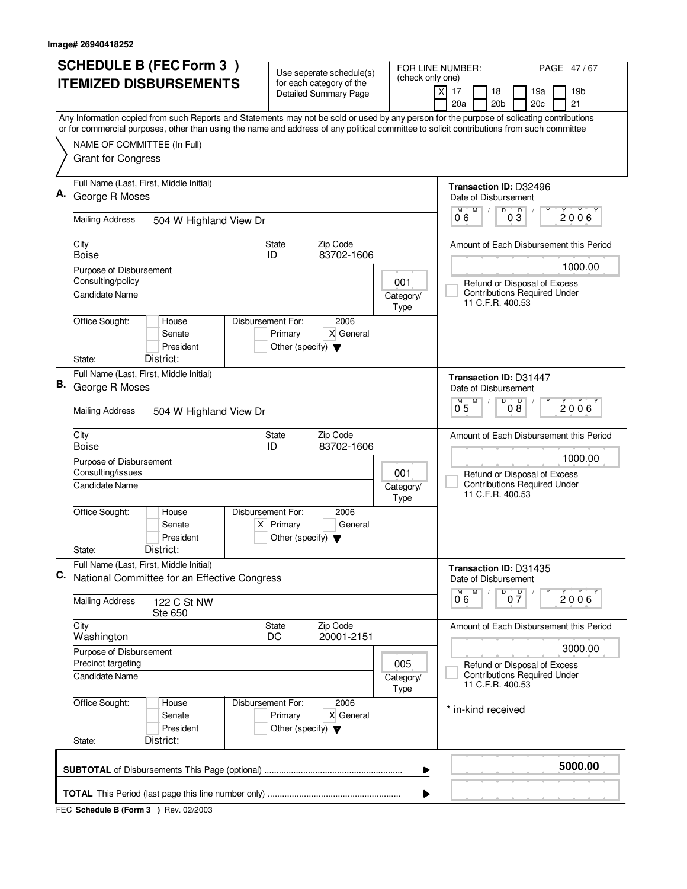| <b>SCHEDULE B (FEC Form 3)</b> |                                                                                                                                                                                                                                                                                        | Use seperate schedule(s)                                                                    |                          | FOR LINE NUMBER:<br>PAGE 47/67                                                                     |  |  |  |
|--------------------------------|----------------------------------------------------------------------------------------------------------------------------------------------------------------------------------------------------------------------------------------------------------------------------------------|---------------------------------------------------------------------------------------------|--------------------------|----------------------------------------------------------------------------------------------------|--|--|--|
|                                | <b>ITEMIZED DISBURSEMENTS</b>                                                                                                                                                                                                                                                          | for each category of the<br><b>Detailed Summary Page</b>                                    | (check only one)         | $\times$<br>17<br>19 <sub>b</sub><br>18<br>19a<br>20a<br>20 <sub>b</sub><br>21<br>20c              |  |  |  |
|                                | Any Information copied from such Reports and Statements may not be sold or used by any person for the purpose of solicating contributions<br>or for commercial purposes, other than using the name and address of any political committee to solicit contributions from such committee |                                                                                             |                          |                                                                                                    |  |  |  |
|                                | NAME OF COMMITTEE (In Full)<br><b>Grant for Congress</b>                                                                                                                                                                                                                               |                                                                                             |                          |                                                                                                    |  |  |  |
|                                | Full Name (Last, First, Middle Initial)<br>George R Moses                                                                                                                                                                                                                              |                                                                                             |                          | Transaction ID: D32496<br>Date of Disbursement                                                     |  |  |  |
|                                | <b>Mailing Address</b><br>504 W Highland View Dr                                                                                                                                                                                                                                       |                                                                                             |                          | M<br>D<br>$0\frac{D}{3}$<br>$2006^{\circ}$<br>0.6                                                  |  |  |  |
|                                | City<br><b>Boise</b>                                                                                                                                                                                                                                                                   | Zip Code<br>State<br>83702-1606<br>ID                                                       |                          | Amount of Each Disbursement this Period                                                            |  |  |  |
|                                | Purpose of Disbursement<br>Consulting/policy<br><b>Candidate Name</b>                                                                                                                                                                                                                  |                                                                                             | 001<br>Category/<br>Type | 1000.00<br>Refund or Disposal of Excess<br><b>Contributions Required Under</b><br>11 C.F.R. 400.53 |  |  |  |
|                                | Office Sought:<br>House<br>Senate<br>President<br>District:<br>State:                                                                                                                                                                                                                  | Disbursement For:<br>2006<br>Primary<br>X General<br>Other (specify) $\blacktriangledown$   |                          |                                                                                                    |  |  |  |
|                                | Full Name (Last, First, Middle Initial)                                                                                                                                                                                                                                                |                                                                                             |                          | Transaction ID: D31447                                                                             |  |  |  |
| В.                             | George R Moses                                                                                                                                                                                                                                                                         |                                                                                             |                          | Date of Disbursement                                                                               |  |  |  |
|                                | <b>Mailing Address</b><br>504 W Highland View Dr                                                                                                                                                                                                                                       |                                                                                             |                          | D<br>D<br>М<br>2006<br>0 <sub>5</sub><br>08                                                        |  |  |  |
|                                | City<br><b>Boise</b>                                                                                                                                                                                                                                                                   | Zip Code<br><b>State</b><br>83702-1606<br>ID                                                |                          | Amount of Each Disbursement this Period                                                            |  |  |  |
|                                | Purpose of Disbursement<br>Consulting/issues<br>001<br>Candidate Name<br>Category/                                                                                                                                                                                                     |                                                                                             |                          | 1000.00<br>Refund or Disposal of Excess<br><b>Contributions Required Under</b>                     |  |  |  |
|                                |                                                                                                                                                                                                                                                                                        |                                                                                             | Type                     | 11 C.F.R. 400.53                                                                                   |  |  |  |
|                                | Office Sought:<br>House<br>Senate<br>President                                                                                                                                                                                                                                         | Disbursement For:<br>2006<br>$X$ Primary<br>General<br>Other (specify) $\blacktriangledown$ |                          |                                                                                                    |  |  |  |
|                                | District:<br>State:                                                                                                                                                                                                                                                                    |                                                                                             |                          |                                                                                                    |  |  |  |
|                                | Full Name (Last, First, Middle Initial)<br>C. National Committee for an Effective Congress                                                                                                                                                                                             |                                                                                             |                          | Transaction ID: D31435<br>Date of Disbursement<br>D<br>M<br>M                                      |  |  |  |
|                                | <b>Mailing Address</b><br>122 C St NW<br>Ste 650                                                                                                                                                                                                                                       |                                                                                             |                          | $0\overline{7}$<br>$2006^{\circ}$<br>06                                                            |  |  |  |
|                                | City<br>Washington                                                                                                                                                                                                                                                                     | Zip Code<br>State<br>20001-2151<br>DC                                                       |                          | Amount of Each Disbursement this Period                                                            |  |  |  |
|                                | Purpose of Disbursement<br>Precinct targeting                                                                                                                                                                                                                                          |                                                                                             | 005                      | 3000.00<br>Refund or Disposal of Excess                                                            |  |  |  |
|                                | <b>Candidate Name</b>                                                                                                                                                                                                                                                                  |                                                                                             | Category/<br>Type        | <b>Contributions Required Under</b><br>11 C.F.R. 400.53                                            |  |  |  |
|                                | Office Sought:<br>House<br>Senate<br>President                                                                                                                                                                                                                                         | Disbursement For:<br>2006<br>X General<br>Primary<br>Other (specify) $\blacktriangledown$   |                          | * in-kind received                                                                                 |  |  |  |
|                                | District:<br>State:                                                                                                                                                                                                                                                                    |                                                                                             |                          |                                                                                                    |  |  |  |
|                                |                                                                                                                                                                                                                                                                                        |                                                                                             | ▶                        | 5000.00                                                                                            |  |  |  |
|                                | ▶                                                                                                                                                                                                                                                                                      |                                                                                             |                          |                                                                                                    |  |  |  |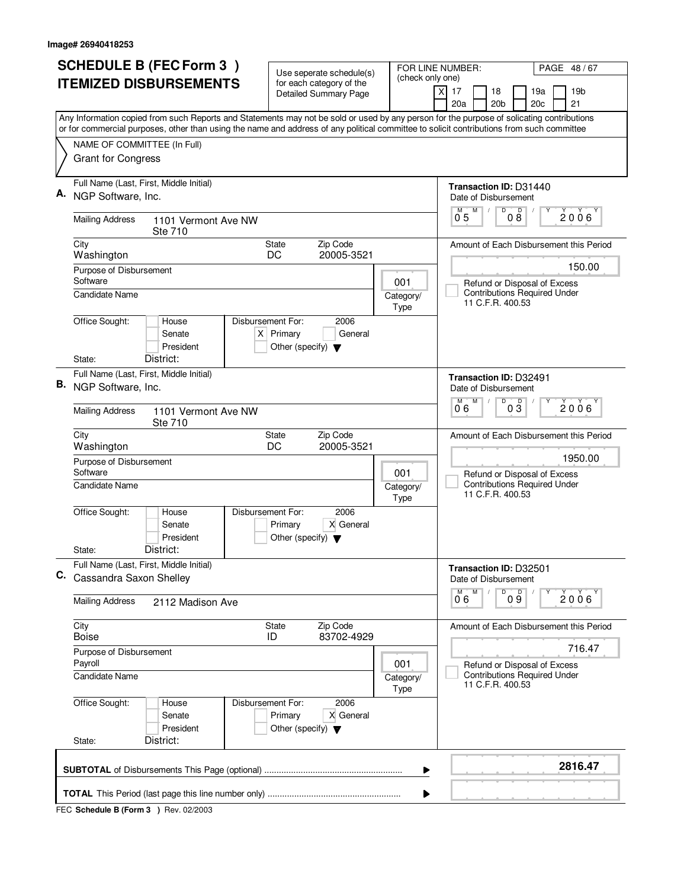| <b>SCHEDULE B (FEC Form 3)</b>                                                                                                                                                                                                                                                         | Use seperate schedule(s)                                                     | FOR LINE NUMBER:<br>PAGE 48/67                                                |  |
|----------------------------------------------------------------------------------------------------------------------------------------------------------------------------------------------------------------------------------------------------------------------------------------|------------------------------------------------------------------------------|-------------------------------------------------------------------------------|--|
| <b>ITEMIZED DISBURSEMENTS</b>                                                                                                                                                                                                                                                          | (check only one)<br>for each category of the<br><b>Detailed Summary Page</b> | 17<br>18<br>19a<br>19 <sub>b</sub><br>X                                       |  |
|                                                                                                                                                                                                                                                                                        |                                                                              | 20a<br>20 <sub>b</sub><br>20c<br>21                                           |  |
| Any Information copied from such Reports and Statements may not be sold or used by any person for the purpose of solicating contributions<br>or for commercial purposes, other than using the name and address of any political committee to solicit contributions from such committee |                                                                              |                                                                               |  |
| NAME OF COMMITTEE (In Full)                                                                                                                                                                                                                                                            |                                                                              |                                                                               |  |
| <b>Grant for Congress</b>                                                                                                                                                                                                                                                              |                                                                              |                                                                               |  |
| Full Name (Last, First, Middle Initial)<br>NGP Software, Inc.                                                                                                                                                                                                                          |                                                                              | Transaction ID: D31440<br>Date of Disbursement                                |  |
| <b>Mailing Address</b><br>1101 Vermont Ave NW<br>Ste 710                                                                                                                                                                                                                               |                                                                              | D<br>08<br>$\overline{0}^M$ 5<br>2006                                         |  |
| City<br>Washington                                                                                                                                                                                                                                                                     | Zip Code<br><b>State</b><br>20005-3521<br>DC                                 | Amount of Each Disbursement this Period                                       |  |
| Purpose of Disbursement<br>Software                                                                                                                                                                                                                                                    | 001                                                                          | 150.00<br>Refund or Disposal of Excess<br><b>Contributions Required Under</b> |  |
| <b>Candidate Name</b><br>Office Sought:<br>Disbursement For:<br>House                                                                                                                                                                                                                  | Category/<br>Type<br>2006                                                    | 11 C.F.R. 400.53                                                              |  |
| Senate<br>President                                                                                                                                                                                                                                                                    | $X$ Primary<br>General<br>Other (specify) $\blacktriangledown$               |                                                                               |  |
| District:<br>State:<br>Full Name (Last, First, Middle Initial)                                                                                                                                                                                                                         |                                                                              |                                                                               |  |
| В.<br>NGP Software, Inc.                                                                                                                                                                                                                                                               |                                                                              | Transaction ID: D32491<br>Date of Disbursement<br>D<br>D<br>M<br>M<br>2006    |  |
| <b>Mailing Address</b><br>1101 Vermont Ave NW<br>Ste 710                                                                                                                                                                                                                               |                                                                              |                                                                               |  |
| City<br>Washington                                                                                                                                                                                                                                                                     | Zip Code<br><b>State</b><br>DC<br>20005-3521                                 | Amount of Each Disbursement this Period                                       |  |
| Purpose of Disbursement<br>Software                                                                                                                                                                                                                                                    | 001                                                                          | 1950.00<br>Refund or Disposal of Excess                                       |  |
| Candidate Name                                                                                                                                                                                                                                                                         | Category/<br>Type                                                            | <b>Contributions Required Under</b><br>11 C.F.R. 400.53                       |  |
| Office Sought:<br>Disbursement For:<br>House<br>Senate<br>President                                                                                                                                                                                                                    | 2006<br>X General<br>Primary<br>Other (specify) $\blacktriangledown$         |                                                                               |  |
| District:<br>State:                                                                                                                                                                                                                                                                    |                                                                              |                                                                               |  |
| Full Name (Last, First, Middle Initial)<br>C.<br>Cassandra Saxon Shelley                                                                                                                                                                                                               |                                                                              | Transaction ID: D32501<br>Date of Disbursement                                |  |
| <b>Mailing Address</b><br>2112 Madison Ave                                                                                                                                                                                                                                             |                                                                              | $\overline{9}$ o $\overline{9}$<br>M<br>2006'<br>06                           |  |
| City<br>Boise                                                                                                                                                                                                                                                                          | Zip Code<br>State<br>ID<br>83702-4929                                        | Amount of Each Disbursement this Period<br>716.47                             |  |
| Payroll                                                                                                                                                                                                                                                                                | Purpose of Disbursement<br>001                                               |                                                                               |  |
| <b>Candidate Name</b>                                                                                                                                                                                                                                                                  | Category/<br>Type                                                            | <b>Contributions Required Under</b><br>11 C.F.R. 400.53                       |  |
| Office Sought:<br>Disbursement For:<br>House<br>Senate<br>President<br>District:<br>State:                                                                                                                                                                                             | 2006<br>X General<br>Primary<br>Other (specify) $\blacktriangledown$         |                                                                               |  |
|                                                                                                                                                                                                                                                                                        | ▶                                                                            | 2816.47                                                                       |  |
|                                                                                                                                                                                                                                                                                        | ▶                                                                            |                                                                               |  |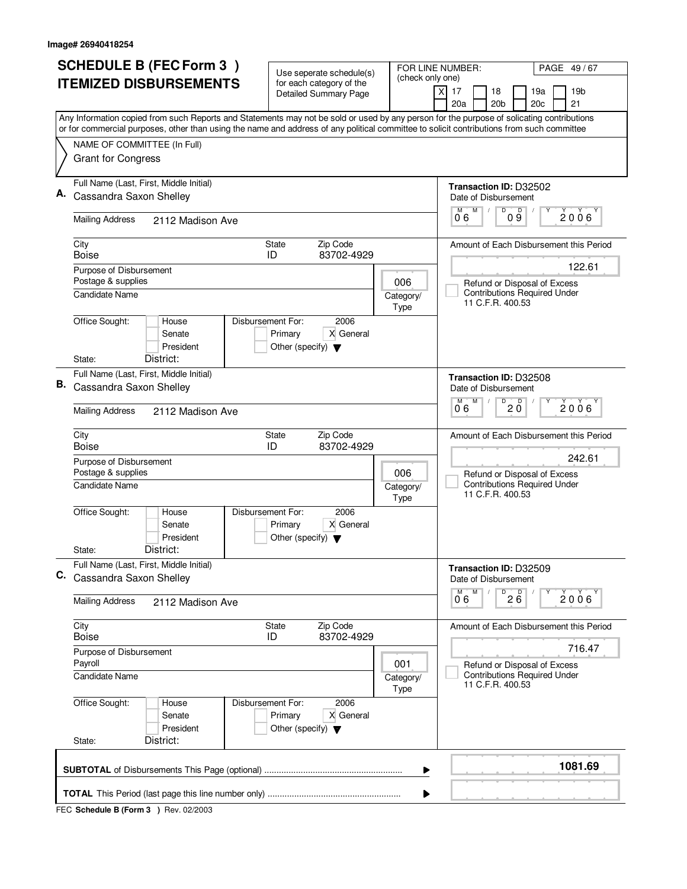| <b>SCHEDULE B (FEC Form 3)</b> |                                                                                                                                                                                                                                                                                        | Use seperate schedule(s)                                             |                                                      | FOR LINE NUMBER:<br>PAGE 49/67                                                          |  |
|--------------------------------|----------------------------------------------------------------------------------------------------------------------------------------------------------------------------------------------------------------------------------------------------------------------------------------|----------------------------------------------------------------------|------------------------------------------------------|-----------------------------------------------------------------------------------------|--|
|                                | <b>ITEMIZED DISBURSEMENTS</b>                                                                                                                                                                                                                                                          | for each category of the<br><b>Detailed Summary Page</b>             | (check only one)                                     | 17<br>18<br>19a<br>19 <sub>b</sub><br>X                                                 |  |
|                                |                                                                                                                                                                                                                                                                                        |                                                                      |                                                      | 20a<br>20 <sub>b</sub><br>20c<br>21                                                     |  |
|                                | Any Information copied from such Reports and Statements may not be sold or used by any person for the purpose of solicating contributions<br>or for commercial purposes, other than using the name and address of any political committee to solicit contributions from such committee |                                                                      |                                                      |                                                                                         |  |
|                                | NAME OF COMMITTEE (In Full)                                                                                                                                                                                                                                                            |                                                                      |                                                      |                                                                                         |  |
|                                | <b>Grant for Congress</b>                                                                                                                                                                                                                                                              |                                                                      |                                                      |                                                                                         |  |
|                                | Full Name (Last, First, Middle Initial)<br>Cassandra Saxon Shelley                                                                                                                                                                                                                     |                                                                      |                                                      | Transaction ID: D32502                                                                  |  |
|                                |                                                                                                                                                                                                                                                                                        |                                                                      |                                                      | Date of Disbursement<br>D<br>09<br>M<br>M<br>$2006^\circ$<br>0°6                        |  |
|                                | <b>Mailing Address</b><br>2112 Madison Ave                                                                                                                                                                                                                                             |                                                                      |                                                      |                                                                                         |  |
|                                | City<br><b>Boise</b>                                                                                                                                                                                                                                                                   | Zip Code<br><b>State</b><br>83702-4929<br>ID                         |                                                      | Amount of Each Disbursement this Period                                                 |  |
|                                | Purpose of Disbursement                                                                                                                                                                                                                                                                |                                                                      |                                                      | 122.61                                                                                  |  |
|                                | Postage & supplies                                                                                                                                                                                                                                                                     |                                                                      | 006                                                  | Refund or Disposal of Excess                                                            |  |
|                                | Candidate Name                                                                                                                                                                                                                                                                         |                                                                      | Category/<br>Type                                    | <b>Contributions Required Under</b><br>11 C.F.R. 400.53                                 |  |
|                                | Office Sought:<br>Disbursement For:<br>House                                                                                                                                                                                                                                           | 2006                                                                 |                                                      |                                                                                         |  |
|                                | Senate                                                                                                                                                                                                                                                                                 | Primary<br>X General                                                 |                                                      |                                                                                         |  |
|                                | President<br>District:<br>State:                                                                                                                                                                                                                                                       | Other (specify) $\blacktriangledown$                                 |                                                      |                                                                                         |  |
|                                | Full Name (Last, First, Middle Initial)                                                                                                                                                                                                                                                |                                                                      |                                                      |                                                                                         |  |
| В.                             | Cassandra Saxon Shelley                                                                                                                                                                                                                                                                |                                                                      |                                                      | Transaction ID: D32508<br>Date of Disbursement                                          |  |
|                                | <b>Mailing Address</b><br>2112 Madison Ave                                                                                                                                                                                                                                             |                                                                      |                                                      | M<br>D<br>D<br>M<br>2006<br>20<br>06                                                    |  |
|                                | City<br><b>Boise</b>                                                                                                                                                                                                                                                                   | Zip Code<br><b>State</b><br>83702-4929<br>ID                         |                                                      | Amount of Each Disbursement this Period                                                 |  |
|                                | Purpose of Disbursement                                                                                                                                                                                                                                                                |                                                                      |                                                      | 242.61                                                                                  |  |
|                                | Postage & supplies<br>Candidate Name                                                                                                                                                                                                                                                   |                                                                      | 006<br>Category/<br>Type                             | Refund or Disposal of Excess<br><b>Contributions Required Under</b><br>11 C.F.R. 400.53 |  |
|                                | Office Sought:<br>Disbursement For:<br>House<br>Senate<br>President                                                                                                                                                                                                                    | 2006<br>X General<br>Primary<br>Other (specify) $\blacktriangledown$ |                                                      |                                                                                         |  |
|                                | District:<br>State:                                                                                                                                                                                                                                                                    |                                                                      |                                                      |                                                                                         |  |
| C.                             | Full Name (Last, First, Middle Initial)<br>Cassandra Saxon Shelley                                                                                                                                                                                                                     |                                                                      |                                                      | Transaction ID: D32509<br>Date of Disbursement                                          |  |
|                                | <b>Mailing Address</b><br>2112 Madison Ave                                                                                                                                                                                                                                             |                                                                      | $D$ <sub>2</sub> $B$ <sup>D</sup><br>M<br>2006<br>06 |                                                                                         |  |
|                                | City<br>Boise                                                                                                                                                                                                                                                                          | State<br>Zip Code<br>ID<br>83702-4929                                |                                                      | Amount of Each Disbursement this Period                                                 |  |
|                                | Purpose of Disbursement                                                                                                                                                                                                                                                                |                                                                      |                                                      | 716.47                                                                                  |  |
|                                | Payroll<br><b>Candidate Name</b>                                                                                                                                                                                                                                                       |                                                                      | 001<br>Category/<br>Type                             | Refund or Disposal of Excess<br><b>Contributions Required Under</b><br>11 C.F.R. 400.53 |  |
|                                | Office Sought:<br>Disbursement For:<br>House<br>Senate<br>President                                                                                                                                                                                                                    | 2006<br>Primary<br>X General<br>Other (specify) $\blacktriangledown$ |                                                      |                                                                                         |  |
|                                | District:<br>State:                                                                                                                                                                                                                                                                    |                                                                      |                                                      |                                                                                         |  |
|                                |                                                                                                                                                                                                                                                                                        |                                                                      | ▶                                                    | 1081.69                                                                                 |  |
|                                |                                                                                                                                                                                                                                                                                        |                                                                      |                                                      |                                                                                         |  |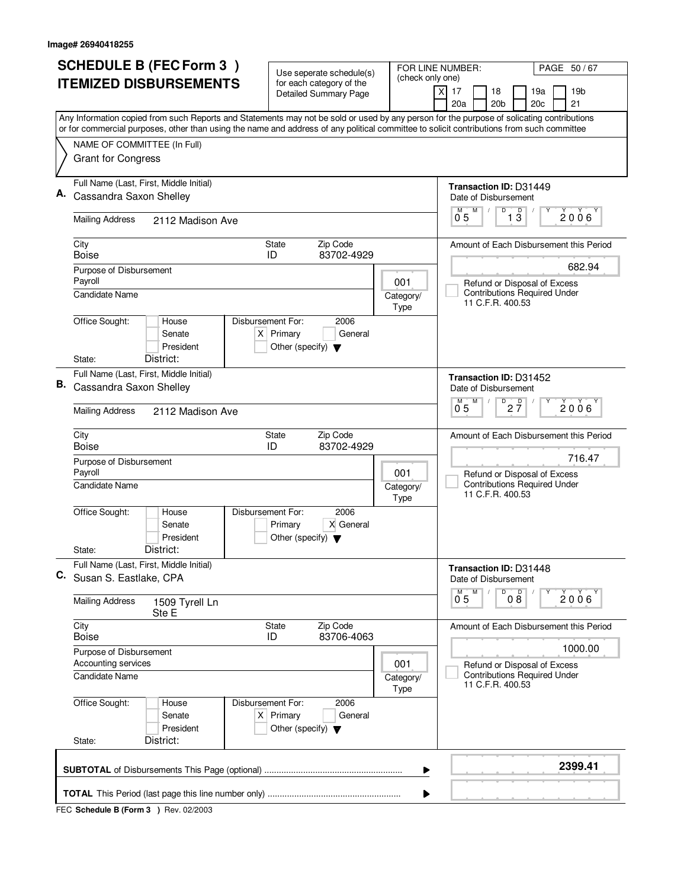| <b>SCHEDULE B (FEC Form 3)</b> |                                                                                                                                                                                                                                                                                        | Use seperate schedule(s)                                                                    |                          | FOR LINE NUMBER:<br>PAGE 50/67                                                 |  |
|--------------------------------|----------------------------------------------------------------------------------------------------------------------------------------------------------------------------------------------------------------------------------------------------------------------------------------|---------------------------------------------------------------------------------------------|--------------------------|--------------------------------------------------------------------------------|--|
|                                | <b>ITEMIZED DISBURSEMENTS</b>                                                                                                                                                                                                                                                          | for each category of the<br><b>Detailed Summary Page</b>                                    | (check only one)         | 17<br>18<br>19a<br>19 <sub>b</sub><br>X<br>20a<br>20 <sub>b</sub><br>20c<br>21 |  |
|                                | Any Information copied from such Reports and Statements may not be sold or used by any person for the purpose of solicating contributions<br>or for commercial purposes, other than using the name and address of any political committee to solicit contributions from such committee |                                                                                             |                          |                                                                                |  |
|                                | NAME OF COMMITTEE (In Full)                                                                                                                                                                                                                                                            |                                                                                             |                          |                                                                                |  |
|                                | <b>Grant for Congress</b>                                                                                                                                                                                                                                                              |                                                                                             |                          |                                                                                |  |
|                                | Full Name (Last, First, Middle Initial)                                                                                                                                                                                                                                                |                                                                                             |                          | Transaction ID: D31449                                                         |  |
|                                | Cassandra Saxon Shelley                                                                                                                                                                                                                                                                |                                                                                             |                          | Date of Disbursement                                                           |  |
|                                | <b>Mailing Address</b><br>2112 Madison Ave                                                                                                                                                                                                                                             |                                                                                             |                          | D<br>$\overline{1}$ $\overline{3}$<br>$\overline{0}^M$ 5<br>M<br>2006          |  |
|                                | City<br><b>Boise</b>                                                                                                                                                                                                                                                                   | State<br>Zip Code<br>83702-4929<br>ID                                                       |                          | Amount of Each Disbursement this Period                                        |  |
|                                | Purpose of Disbursement<br>Payroll                                                                                                                                                                                                                                                     |                                                                                             | 001                      | 682.94<br>Refund or Disposal of Excess                                         |  |
|                                | <b>Candidate Name</b>                                                                                                                                                                                                                                                                  |                                                                                             | Category/<br><b>Type</b> | <b>Contributions Required Under</b><br>11 C.F.R. 400.53                        |  |
|                                | Office Sought:<br>House<br>Senate<br>President<br>District:                                                                                                                                                                                                                            | Disbursement For:<br>2006<br>$X$ Primary<br>General<br>Other (specify) $\blacktriangledown$ |                          |                                                                                |  |
|                                | State:<br>Full Name (Last, First, Middle Initial)                                                                                                                                                                                                                                      |                                                                                             |                          |                                                                                |  |
| В.                             | Cassandra Saxon Shelley                                                                                                                                                                                                                                                                |                                                                                             |                          | Transaction ID: D31452<br>Date of Disbursement                                 |  |
|                                | <b>Mailing Address</b><br>2112 Madison Ave                                                                                                                                                                                                                                             |                                                                                             |                          | D<br>M<br>$2\frac{D}{7}$<br>$2006^{\circ}$<br>0 <sub>5</sub>                   |  |
|                                | City<br><b>Boise</b>                                                                                                                                                                                                                                                                   | Zip Code<br><b>State</b><br>83702-4929<br>ID                                                |                          | Amount of Each Disbursement this Period                                        |  |
|                                | Purpose of Disbursement<br>Payroll<br>001                                                                                                                                                                                                                                              |                                                                                             |                          | 716.47<br>Refund or Disposal of Excess                                         |  |
|                                | Candidate Name                                                                                                                                                                                                                                                                         |                                                                                             | Category/<br>Type        | <b>Contributions Required Under</b><br>11 C.F.R. 400.53                        |  |
|                                | Office Sought:<br>House<br>Senate<br>President                                                                                                                                                                                                                                         | Disbursement For:<br>2006<br>X General<br>Primary<br>Other (specify) $\blacktriangledown$   |                          |                                                                                |  |
|                                | District:<br>State:                                                                                                                                                                                                                                                                    |                                                                                             |                          |                                                                                |  |
| C.                             | Full Name (Last, First, Middle Initial)<br>Susan S. Eastlake, CPA                                                                                                                                                                                                                      |                                                                                             |                          | Transaction ID: D31448<br>Date of Disbursement                                 |  |
|                                | <b>Mailing Address</b><br>1509 Tyrell Ln<br>Ste E                                                                                                                                                                                                                                      |                                                                                             |                          | D<br>M<br>08<br>$2006^{\circ}$<br>0 <sub>5</sub>                               |  |
|                                | City<br>Boise                                                                                                                                                                                                                                                                          | Zip Code<br>State<br>ID<br>83706-4063                                                       |                          | Amount of Each Disbursement this Period                                        |  |
|                                | Purpose of Disbursement<br><b>Accounting services</b>                                                                                                                                                                                                                                  |                                                                                             | 001                      | 1000.00<br>Refund or Disposal of Excess                                        |  |
|                                | <b>Candidate Name</b>                                                                                                                                                                                                                                                                  |                                                                                             | Category/<br><b>Type</b> | <b>Contributions Required Under</b><br>11 C.F.R. 400.53                        |  |
|                                | Office Sought:<br>House<br>Senate<br>President<br>District:<br>State:                                                                                                                                                                                                                  | 2006<br>Disbursement For:<br>$X$ Primary<br>General<br>Other (specify) $\blacktriangledown$ |                          |                                                                                |  |
|                                |                                                                                                                                                                                                                                                                                        |                                                                                             |                          | 2399.41                                                                        |  |
|                                |                                                                                                                                                                                                                                                                                        |                                                                                             | ▶                        |                                                                                |  |
|                                |                                                                                                                                                                                                                                                                                        |                                                                                             | ▶                        |                                                                                |  |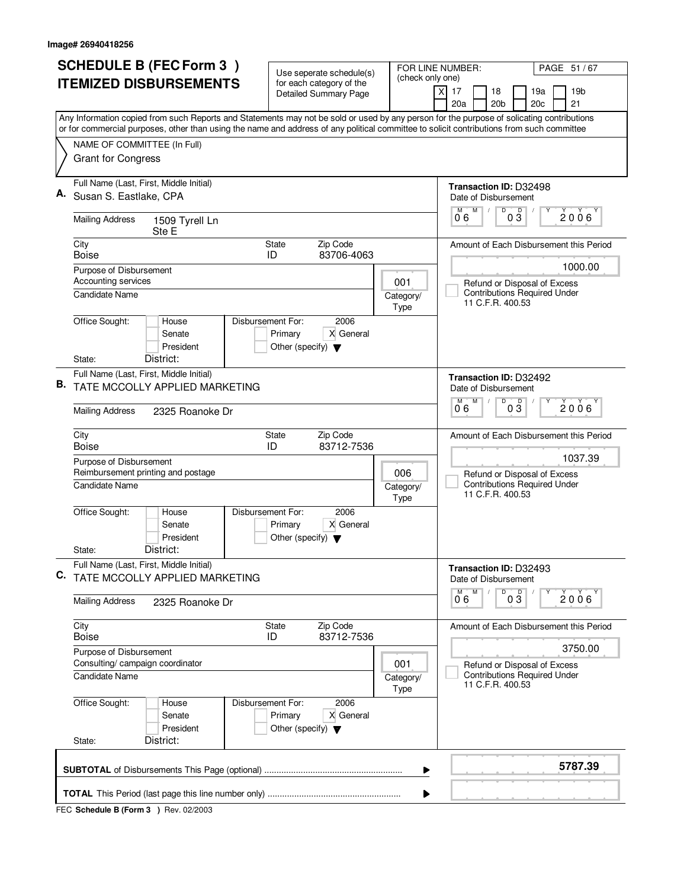| <b>SCHEDULE B (FEC Form 3)</b>                                                                                                            | Use seperate schedule(s)                                 |                       | FOR LINE NUMBER:<br>PAGE 51 / 67                                          |  |  |
|-------------------------------------------------------------------------------------------------------------------------------------------|----------------------------------------------------------|-----------------------|---------------------------------------------------------------------------|--|--|
| <b>ITEMIZED DISBURSEMENTS</b>                                                                                                             | for each category of the<br><b>Detailed Summary Page</b> | (check only one)<br>X | 17<br>18<br>19a<br>19 <sub>b</sub><br>20a<br>20 <sub>b</sub><br>20c<br>21 |  |  |
| Any Information copied from such Reports and Statements may not be sold or used by any person for the purpose of solicating contributions |                                                          |                       |                                                                           |  |  |
| or for commercial purposes, other than using the name and address of any political committee to solicit contributions from such committee |                                                          |                       |                                                                           |  |  |
| NAME OF COMMITTEE (In Full)                                                                                                               |                                                          |                       |                                                                           |  |  |
| <b>Grant for Congress</b>                                                                                                                 |                                                          |                       |                                                                           |  |  |
| Full Name (Last, First, Middle Initial)                                                                                                   |                                                          |                       | Transaction ID: D32498                                                    |  |  |
| Susan S. Eastlake, CPA                                                                                                                    |                                                          |                       | Date of Disbursement                                                      |  |  |
| <b>Mailing Address</b><br>1509 Tyrell Ln<br>Ste E                                                                                         |                                                          |                       | D<br>03<br>$0^{\overline{0}}6$<br>2006                                    |  |  |
| City                                                                                                                                      | State<br>Zip Code                                        |                       | Amount of Each Disbursement this Period                                   |  |  |
| <b>Boise</b>                                                                                                                              | 83706-4063<br>ID                                         |                       |                                                                           |  |  |
| Purpose of Disbursement                                                                                                                   |                                                          |                       | 1000.00                                                                   |  |  |
| Accounting services                                                                                                                       |                                                          | 001                   | Refund or Disposal of Excess                                              |  |  |
| <b>Candidate Name</b>                                                                                                                     |                                                          | Category/<br>Type     | <b>Contributions Required Under</b><br>11 C.F.R. 400.53                   |  |  |
| Office Sought:<br>Disbursement For:<br>House                                                                                              | 2006                                                     |                       |                                                                           |  |  |
| Senate                                                                                                                                    | Primary<br>X General                                     |                       |                                                                           |  |  |
| President                                                                                                                                 | Other (specify) $\blacktriangledown$                     |                       |                                                                           |  |  |
| District:<br>State:                                                                                                                       |                                                          |                       |                                                                           |  |  |
| Full Name (Last, First, Middle Initial)                                                                                                   |                                                          |                       | Transaction ID: D32492                                                    |  |  |
| В.                                                                                                                                        | TATE MCCOLLY APPLIED MARKETING                           |                       |                                                                           |  |  |
| <b>Mailing Address</b><br>2325 Roanoke Dr                                                                                                 |                                                          |                       | D<br>D<br>M<br>M<br>2006<br>03<br>06                                      |  |  |
| City                                                                                                                                      | Zip Code<br><b>State</b>                                 |                       | Amount of Each Disbursement this Period                                   |  |  |
| <b>Boise</b>                                                                                                                              | ID<br>83712-7536                                         |                       |                                                                           |  |  |
| Purpose of Disbursement                                                                                                                   |                                                          |                       | 1037.39                                                                   |  |  |
| Reimbursement printing and postage<br>006<br>Candidate Name                                                                               |                                                          |                       | Refund or Disposal of Excess<br><b>Contributions Required Under</b>       |  |  |
|                                                                                                                                           |                                                          | Category/<br>Type     | 11 C.F.R. 400.53                                                          |  |  |
| Office Sought:<br>Disbursement For:<br>House                                                                                              | 2006                                                     |                       |                                                                           |  |  |
| Senate                                                                                                                                    | X General<br>Primary                                     |                       |                                                                           |  |  |
| President                                                                                                                                 | Other (specify) $\blacktriangledown$                     |                       |                                                                           |  |  |
| District:<br>State:                                                                                                                       |                                                          |                       |                                                                           |  |  |
| Full Name (Last, First, Middle Initial)<br>C.<br>TATE MCCOLLY APPLIED MARKETING                                                           |                                                          |                       | Transaction ID: D32493<br>Date of Disbursement                            |  |  |
| <b>Mailing Address</b><br>2325 Roanoke Dr                                                                                                 |                                                          |                       | $\overline{0}$ $\overline{3}$<br>M<br>2006<br>06                          |  |  |
| City                                                                                                                                      | State<br>Zip Code                                        |                       | Amount of Each Disbursement this Period                                   |  |  |
| <b>Boise</b>                                                                                                                              | ID<br>83712-7536                                         |                       | 3750.00                                                                   |  |  |
| Purpose of Disbursement<br>Consulting/ campaign coordinator                                                                               |                                                          |                       |                                                                           |  |  |
| <b>Candidate Name</b>                                                                                                                     |                                                          | 001<br>Category/      | Refund or Disposal of Excess<br><b>Contributions Required Under</b>       |  |  |
|                                                                                                                                           |                                                          | Type                  | 11 C.F.R. 400.53                                                          |  |  |
| Office Sought:<br>Disbursement For:<br>House                                                                                              | 2006                                                     |                       |                                                                           |  |  |
| Senate                                                                                                                                    | Primary<br>X General                                     |                       |                                                                           |  |  |
| President                                                                                                                                 | Other (specify) $\blacktriangledown$                     |                       |                                                                           |  |  |
| District:<br>State:                                                                                                                       |                                                          |                       |                                                                           |  |  |
|                                                                                                                                           |                                                          | ▶                     | 5787.39                                                                   |  |  |
|                                                                                                                                           |                                                          | ▶                     |                                                                           |  |  |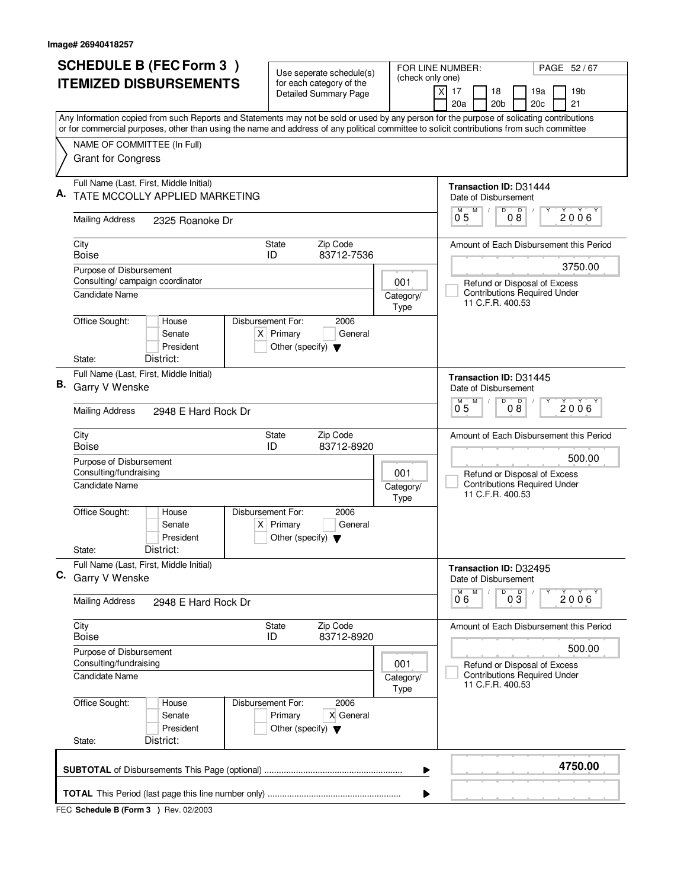| <b>SCHEDULE B (FEC Form 3)</b>                                                                                                                                                                                                                                                         | FOR LINE NUMBER:<br>Use seperate schedule(s)                   |                       | PAGE 52/67                                                          |
|----------------------------------------------------------------------------------------------------------------------------------------------------------------------------------------------------------------------------------------------------------------------------------------|----------------------------------------------------------------|-----------------------|---------------------------------------------------------------------|
| <b>ITEMIZED DISBURSEMENTS</b>                                                                                                                                                                                                                                                          | for each category of the<br><b>Detailed Summary Page</b>       | (check only one)<br>X | 19 <sub>b</sub><br>17<br>18<br>19a                                  |
|                                                                                                                                                                                                                                                                                        |                                                                |                       | 20a<br>20 <sub>b</sub><br>20c<br>21                                 |
| Any Information copied from such Reports and Statements may not be sold or used by any person for the purpose of solicating contributions<br>or for commercial purposes, other than using the name and address of any political committee to solicit contributions from such committee |                                                                |                       |                                                                     |
| NAME OF COMMITTEE (In Full)                                                                                                                                                                                                                                                            |                                                                |                       |                                                                     |
| <b>Grant for Congress</b>                                                                                                                                                                                                                                                              |                                                                |                       |                                                                     |
| Full Name (Last, First, Middle Initial)<br>Α.                                                                                                                                                                                                                                          |                                                                |                       | Transaction ID: D31444                                              |
| TATE MCCOLLY APPLIED MARKETING                                                                                                                                                                                                                                                         |                                                                |                       | Date of Disbursement<br>D<br>M                                      |
| <b>Mailing Address</b><br>2325 Roanoke Dr                                                                                                                                                                                                                                              |                                                                |                       | 08<br>2006<br>$0^{\degree}5$                                        |
| City<br><b>Boise</b>                                                                                                                                                                                                                                                                   | Zip Code<br><b>State</b><br>83712-7536<br>ID                   |                       | Amount of Each Disbursement this Period                             |
| Purpose of Disbursement                                                                                                                                                                                                                                                                |                                                                |                       | 3750.00                                                             |
| Consulting/ campaign coordinator<br>Candidate Name                                                                                                                                                                                                                                     |                                                                | 001                   | Refund or Disposal of Excess<br><b>Contributions Required Under</b> |
|                                                                                                                                                                                                                                                                                        |                                                                | Category/<br>Type     | 11 C.F.R. 400.53                                                    |
| Office Sought:<br>Disbursement For:<br>House                                                                                                                                                                                                                                           | 2006                                                           |                       |                                                                     |
| Senate<br>President                                                                                                                                                                                                                                                                    | $X$ Primary<br>General<br>Other (specify) $\blacktriangledown$ |                       |                                                                     |
| District:<br>State:                                                                                                                                                                                                                                                                    |                                                                |                       |                                                                     |
| Full Name (Last, First, Middle Initial)                                                                                                                                                                                                                                                |                                                                |                       | Transaction ID: D31445                                              |
| <b>B.</b> Garry V Wenske                                                                                                                                                                                                                                                               |                                                                |                       |                                                                     |
| <b>Mailing Address</b><br>2948 E Hard Rock Dr                                                                                                                                                                                                                                          |                                                                |                       |                                                                     |
| City<br><b>Boise</b>                                                                                                                                                                                                                                                                   | Zip Code<br><b>State</b><br>ID<br>83712-8920                   |                       | Amount of Each Disbursement this Period                             |
| Purpose of Disbursement                                                                                                                                                                                                                                                                |                                                                |                       | 500.00                                                              |
| Consulting/fundraising<br>Candidate Name                                                                                                                                                                                                                                               |                                                                | 001                   | Refund or Disposal of Excess<br><b>Contributions Required Under</b> |
|                                                                                                                                                                                                                                                                                        |                                                                | Category/<br>Type     | 11 C.F.R. 400.53                                                    |
| Office Sought:<br>Disbursement For:<br>House                                                                                                                                                                                                                                           | 2006                                                           |                       |                                                                     |
| Senate<br>President                                                                                                                                                                                                                                                                    | $X$ Primary<br>General<br>Other (specify) $\blacktriangledown$ |                       |                                                                     |
| District:<br>State:                                                                                                                                                                                                                                                                    |                                                                |                       |                                                                     |
| Full Name (Last, First, Middle Initial)<br>C. Garry V Wenske                                                                                                                                                                                                                           |                                                                |                       | Transaction ID: D32495<br>Date of Disbursement                      |
| <b>Mailing Address</b><br>2948 E Hard Rock Dr                                                                                                                                                                                                                                          |                                                                |                       |                                                                     |
| City<br><b>Boise</b>                                                                                                                                                                                                                                                                   | State<br>Zip Code<br>ID<br>83712-8920                          |                       | Amount of Each Disbursement this Period                             |
| Purpose of Disbursement                                                                                                                                                                                                                                                                |                                                                |                       | 500.00                                                              |
| Consulting/fundraising<br>Candidate Name                                                                                                                                                                                                                                               |                                                                | 001                   | Refund or Disposal of Excess<br><b>Contributions Required Under</b> |
|                                                                                                                                                                                                                                                                                        |                                                                | Category/<br>Type     | 11 C.F.R. 400.53                                                    |
| Disbursement For:<br>Office Sought:<br>House                                                                                                                                                                                                                                           | 2006                                                           |                       |                                                                     |
| Senate<br>President                                                                                                                                                                                                                                                                    | Primary<br>X General<br>Other (specify) $\blacktriangledown$   |                       |                                                                     |
| District:<br>State:                                                                                                                                                                                                                                                                    |                                                                |                       |                                                                     |
|                                                                                                                                                                                                                                                                                        |                                                                | ▶                     | 4750.00                                                             |
|                                                                                                                                                                                                                                                                                        |                                                                | ▶                     |                                                                     |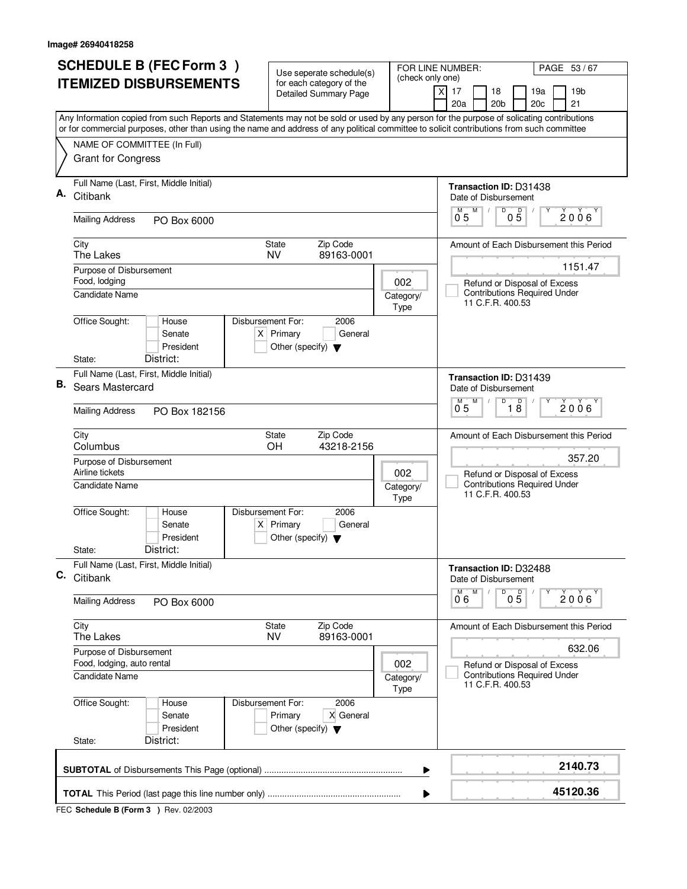| <b>SCHEDULE B (FEC Form 3)</b> |                                                                                                                                                                                                                                                                                        | Use seperate schedule(s)                                                                    |                          | FOR LINE NUMBER:<br>PAGE 53/67                                                                                    |  |
|--------------------------------|----------------------------------------------------------------------------------------------------------------------------------------------------------------------------------------------------------------------------------------------------------------------------------------|---------------------------------------------------------------------------------------------|--------------------------|-------------------------------------------------------------------------------------------------------------------|--|
|                                | <b>ITEMIZED DISBURSEMENTS</b>                                                                                                                                                                                                                                                          | for each category of the<br><b>Detailed Summary Page</b>                                    | (check only one)         | 17<br>18<br>19a<br>19 <sub>b</sub><br>X<br>20a<br>20 <sub>b</sub><br>20c<br>21                                    |  |
|                                | Any Information copied from such Reports and Statements may not be sold or used by any person for the purpose of solicating contributions<br>or for commercial purposes, other than using the name and address of any political committee to solicit contributions from such committee |                                                                                             |                          |                                                                                                                   |  |
|                                | NAME OF COMMITTEE (In Full)<br><b>Grant for Congress</b>                                                                                                                                                                                                                               |                                                                                             |                          |                                                                                                                   |  |
|                                |                                                                                                                                                                                                                                                                                        |                                                                                             |                          |                                                                                                                   |  |
| Α.                             | Full Name (Last, First, Middle Initial)<br>Citibank                                                                                                                                                                                                                                    |                                                                                             |                          | <b>Transaction ID: D31438</b><br>Date of Disbursement<br>$\overline{0}$ $\overline{5}$<br>$\overline{0}^M$ 5<br>M |  |
|                                | <b>Mailing Address</b><br>PO Box 6000                                                                                                                                                                                                                                                  |                                                                                             |                          | 2006                                                                                                              |  |
|                                | City<br>The Lakes                                                                                                                                                                                                                                                                      | Zip Code<br>State<br>89163-0001<br><b>NV</b>                                                |                          | Amount of Each Disbursement this Period                                                                           |  |
|                                | Purpose of Disbursement<br>Food, lodging                                                                                                                                                                                                                                               |                                                                                             | 002                      | 1151.47<br>Refund or Disposal of Excess                                                                           |  |
|                                | Candidate Name                                                                                                                                                                                                                                                                         |                                                                                             | Category/<br><b>Type</b> | <b>Contributions Required Under</b><br>11 C.F.R. 400.53                                                           |  |
|                                | Office Sought:<br>Disbursement For:<br>House<br>Senate<br>President                                                                                                                                                                                                                    | 2006<br>$X$ Primary<br>General<br>Other (specify) $\blacktriangledown$                      |                          |                                                                                                                   |  |
|                                | District:<br>State:                                                                                                                                                                                                                                                                    |                                                                                             |                          |                                                                                                                   |  |
| В.                             | Full Name (Last, First, Middle Initial)<br>Sears Mastercard                                                                                                                                                                                                                            |                                                                                             |                          | <b>Transaction ID: D31439</b><br>Date of Disbursement                                                             |  |
|                                | <b>Mailing Address</b><br>PO Box 182156                                                                                                                                                                                                                                                |                                                                                             |                          | D<br>M<br>D<br>$2006^{\circ}$<br>0 <sub>5</sub><br>18                                                             |  |
|                                | City<br>Columbus                                                                                                                                                                                                                                                                       | Zip Code<br><b>State</b><br>43218-2156<br><b>OH</b>                                         |                          | Amount of Each Disbursement this Period                                                                           |  |
|                                | Purpose of Disbursement<br>Airline tickets<br>002                                                                                                                                                                                                                                      |                                                                                             |                          | 357.20<br>Refund or Disposal of Excess                                                                            |  |
|                                | Candidate Name                                                                                                                                                                                                                                                                         |                                                                                             | Category/<br>Type        | <b>Contributions Required Under</b><br>11 C.F.R. 400.53                                                           |  |
|                                | Office Sought:<br>House<br>Senate<br>President                                                                                                                                                                                                                                         | Disbursement For:<br>2006<br>$X$ Primary<br>General<br>Other (specify) $\blacktriangledown$ |                          |                                                                                                                   |  |
|                                | District:<br>State:                                                                                                                                                                                                                                                                    |                                                                                             |                          |                                                                                                                   |  |
| C.                             | Full Name (Last, First, Middle Initial)<br>Citibank                                                                                                                                                                                                                                    |                                                                                             |                          | Transaction ID: D32488<br>Date of Disbursement                                                                    |  |
|                                | <b>Mailing Address</b><br>PO Box 6000                                                                                                                                                                                                                                                  |                                                                                             |                          | D<br>M<br>05<br>$2006^{\circ}$<br>06                                                                              |  |
|                                | City<br>The Lakes                                                                                                                                                                                                                                                                      | Zip Code<br>State<br><b>NV</b><br>89163-0001                                                |                          | Amount of Each Disbursement this Period                                                                           |  |
|                                | Purpose of Disbursement<br>Food, lodging, auto rental                                                                                                                                                                                                                                  |                                                                                             | 002                      | 632.06<br>Refund or Disposal of Excess                                                                            |  |
|                                | <b>Candidate Name</b>                                                                                                                                                                                                                                                                  |                                                                                             | Category/<br>Type        | <b>Contributions Required Under</b><br>11 C.F.R. 400.53                                                           |  |
|                                | Office Sought:<br>House<br>Senate<br>President<br>District:<br>State:                                                                                                                                                                                                                  | 2006<br>Disbursement For:<br>Primary<br>X General<br>Other (specify) $\blacktriangledown$   |                          |                                                                                                                   |  |
|                                |                                                                                                                                                                                                                                                                                        |                                                                                             | ▶                        | 2140.73                                                                                                           |  |
|                                |                                                                                                                                                                                                                                                                                        |                                                                                             |                          | 45120.36                                                                                                          |  |
|                                |                                                                                                                                                                                                                                                                                        |                                                                                             |                          |                                                                                                                   |  |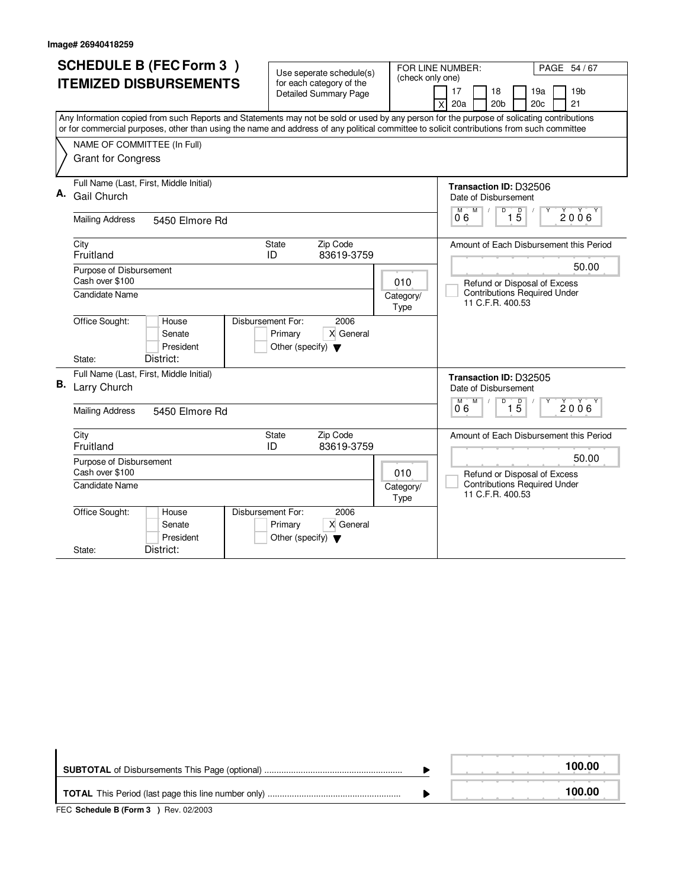|                               | <b>SCHEDULE B (FEC Form 3)</b>                                                                                                            |                                      |                                                      |                          | FOR LINE NUMBER:<br>PAGE 54/67                                                                                                            |
|-------------------------------|-------------------------------------------------------------------------------------------------------------------------------------------|--------------------------------------|------------------------------------------------------|--------------------------|-------------------------------------------------------------------------------------------------------------------------------------------|
| <b>ITEMIZED DISBURSEMENTS</b> |                                                                                                                                           |                                      | Use seperate schedule(s)<br>for each category of the |                          | (check only one)                                                                                                                          |
|                               |                                                                                                                                           |                                      | <b>Detailed Summary Page</b>                         |                          | 19 <sub>b</sub><br>17<br>18<br>19a                                                                                                        |
|                               |                                                                                                                                           |                                      |                                                      |                          | 21<br>20a<br>20 <sub>b</sub><br>20c<br>$\times$                                                                                           |
|                               |                                                                                                                                           |                                      |                                                      |                          | Any Information copied from such Reports and Statements may not be sold or used by any person for the purpose of solicating contributions |
|                               | or for commercial purposes, other than using the name and address of any political committee to solicit contributions from such committee |                                      |                                                      |                          |                                                                                                                                           |
|                               | NAME OF COMMITTEE (In Full)                                                                                                               |                                      |                                                      |                          |                                                                                                                                           |
|                               | <b>Grant for Congress</b>                                                                                                                 |                                      |                                                      |                          |                                                                                                                                           |
|                               |                                                                                                                                           |                                      |                                                      |                          |                                                                                                                                           |
| А.                            | Full Name (Last, First, Middle Initial)                                                                                                   |                                      |                                                      |                          | <b>Transaction ID: D32506</b>                                                                                                             |
|                               | Gail Church                                                                                                                               |                                      |                                                      |                          | Date of Disbursement                                                                                                                      |
|                               | <b>Mailing Address</b><br>5450 Elmore Rd                                                                                                  |                                      |                                                      |                          | $\overline{D}$<br>M<br>$\overline{1\phantom{1}5}$<br>M<br>2006<br>06                                                                      |
|                               |                                                                                                                                           |                                      |                                                      |                          |                                                                                                                                           |
|                               | City                                                                                                                                      | State                                | Zip Code                                             |                          | Amount of Each Disbursement this Period                                                                                                   |
|                               | Fruitland                                                                                                                                 | ID                                   | 83619-3759                                           |                          |                                                                                                                                           |
|                               | Purpose of Disbursement                                                                                                                   |                                      |                                                      |                          | 50.00                                                                                                                                     |
|                               | Cash over \$100                                                                                                                           |                                      |                                                      | 010                      | Refund or Disposal of Excess                                                                                                              |
|                               | Candidate Name                                                                                                                            |                                      |                                                      | Category/<br>Type        | <b>Contributions Required Under</b><br>11 C.F.R. 400.53                                                                                   |
|                               | Office Sought:<br>House                                                                                                                   | Disbursement For:                    | 2006                                                 |                          |                                                                                                                                           |
|                               | Senate                                                                                                                                    | Primary                              | X General                                            |                          |                                                                                                                                           |
|                               | President<br>District:                                                                                                                    | Other (specify) $\blacktriangledown$ |                                                      |                          |                                                                                                                                           |
|                               | State:                                                                                                                                    |                                      |                                                      |                          |                                                                                                                                           |
| В.                            | Full Name (Last, First, Middle Initial)                                                                                                   |                                      |                                                      |                          | Transaction ID: D32505                                                                                                                    |
|                               | Larry Church                                                                                                                              |                                      |                                                      |                          | Date of Disbursement                                                                                                                      |
|                               | <b>Mailing Address</b><br>5450 Elmore Rd                                                                                                  |                                      |                                                      |                          | M<br>$\overline{D}$<br>$\overline{D}$<br>M<br>2006<br>15<br>06                                                                            |
|                               | City                                                                                                                                      | <b>State</b>                         | Zip Code                                             |                          | Amount of Each Disbursement this Period                                                                                                   |
|                               | Fruitland                                                                                                                                 | ID                                   | 83619-3759                                           |                          |                                                                                                                                           |
|                               | Purpose of Disbursement                                                                                                                   |                                      |                                                      |                          | 50.00                                                                                                                                     |
|                               | Cash over \$100                                                                                                                           |                                      |                                                      | 010                      | Refund or Disposal of Excess                                                                                                              |
|                               | <b>Candidate Name</b>                                                                                                                     |                                      |                                                      | Category/<br><b>Type</b> | <b>Contributions Required Under</b><br>11 C.F.R. 400.53                                                                                   |
|                               | Office Sought:<br>House                                                                                                                   | Disbursement For:                    | 2006                                                 |                          |                                                                                                                                           |
|                               | Senate                                                                                                                                    | Primary                              | X General                                            |                          |                                                                                                                                           |
|                               | President                                                                                                                                 | Other (specify) $\blacktriangledown$ |                                                      |                          |                                                                                                                                           |
|                               | District:<br>State:                                                                                                                       |                                      |                                                      |                          |                                                                                                                                           |

|  | 100.00 |
|--|--------|
|  | 100.00 |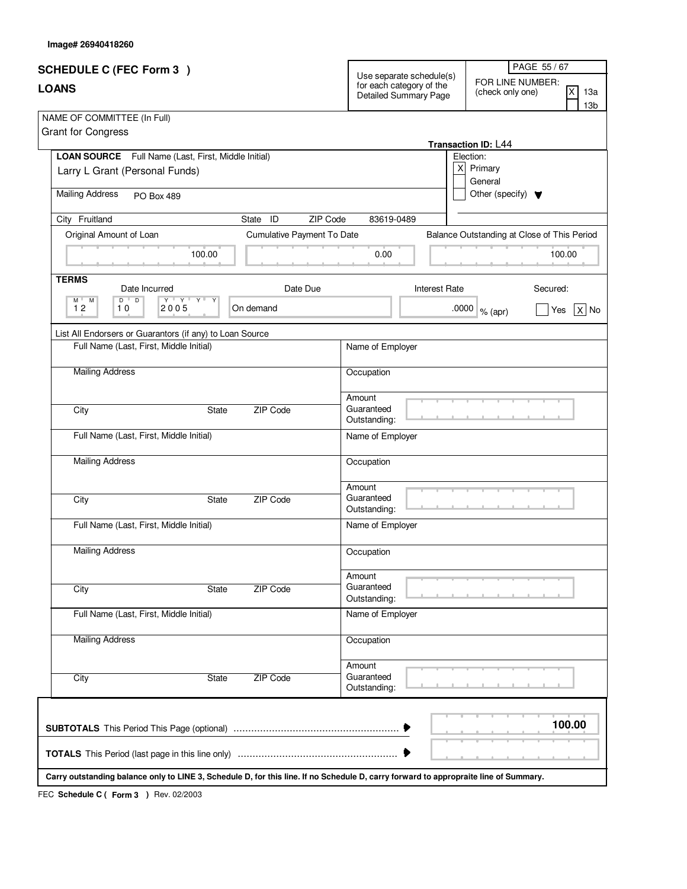|                                                                                                                                                                                                                   |                                                      | PAGE 55 / 67                                                                              |  |
|-------------------------------------------------------------------------------------------------------------------------------------------------------------------------------------------------------------------|------------------------------------------------------|-------------------------------------------------------------------------------------------|--|
| <b>SCHEDULE C (FEC Form 3)</b>                                                                                                                                                                                    | Use separate schedule(s)<br>for each category of the | FOR LINE NUMBER:<br>$\overline{\mathsf{x}}$<br>(check only one)<br>13a<br>13 <sub>b</sub> |  |
| <b>LOANS</b>                                                                                                                                                                                                      | Detailed Summary Page                                |                                                                                           |  |
| NAME OF COMMITTEE (In Full)<br><b>Grant for Congress</b>                                                                                                                                                          |                                                      | Transaction ID: L44                                                                       |  |
| LOAN SOURCE Full Name (Last, First, Middle Initial)                                                                                                                                                               |                                                      | Election:                                                                                 |  |
| Larry L Grant (Personal Funds)                                                                                                                                                                                    |                                                      | x <sub>l</sub><br>Primary<br>General                                                      |  |
| <b>Mailing Address</b><br>PO Box 489                                                                                                                                                                              |                                                      | Other (specify) $\blacktriangledown$                                                      |  |
| ZIP Code<br>City Fruitland<br>State ID                                                                                                                                                                            | 83619-0489                                           |                                                                                           |  |
| Cumulative Payment To Date<br>Original Amount of Loan                                                                                                                                                             |                                                      | Balance Outstanding at Close of This Period                                               |  |
| 100.00                                                                                                                                                                                                            | 0.00                                                 | 100.00                                                                                    |  |
| <b>TERMS</b>                                                                                                                                                                                                      |                                                      |                                                                                           |  |
| Date Due<br>Date Incurred<br>$\overline{D}$<br>$D$ <sup><math>\Box</math></sup><br>$\mathsf{Y} \perp \mathsf{A} \perp \mathsf{A} \perp \mathsf{A}$<br>$\overline{Y}$<br>M L<br>M<br>12<br>On demand<br>10<br>2005 | <b>Interest Rate</b>                                 | Secured:<br>.0000 $\sqrt{\ }$ % (apr)<br>$X $ No<br>Yes                                   |  |
|                                                                                                                                                                                                                   |                                                      |                                                                                           |  |
| List All Endorsers or Guarantors (if any) to Loan Source<br>Full Name (Last, First, Middle Initial)                                                                                                               | Name of Employer                                     |                                                                                           |  |
| <b>Mailing Address</b>                                                                                                                                                                                            | Occupation                                           |                                                                                           |  |
| ZIP Code<br>City<br>State                                                                                                                                                                                         | Amount<br>Guaranteed<br>Outstanding:                 |                                                                                           |  |
| Full Name (Last, First, Middle Initial)                                                                                                                                                                           | Name of Employer                                     |                                                                                           |  |
| <b>Mailing Address</b>                                                                                                                                                                                            | Occupation                                           |                                                                                           |  |
| City<br>ZIP Code<br><b>State</b>                                                                                                                                                                                  | Amount<br>Guaranteed<br>Outstanding:                 |                                                                                           |  |
| Full Name (Last, First, Middle Initial)                                                                                                                                                                           | Name of Employer                                     |                                                                                           |  |
| <b>Mailing Address</b>                                                                                                                                                                                            | Occupation                                           |                                                                                           |  |
| <b>ZIP Code</b><br>State<br>City                                                                                                                                                                                  | Amount<br>Guaranteed<br>Outstanding:                 |                                                                                           |  |
| Full Name (Last, First, Middle Initial)                                                                                                                                                                           | Name of Employer                                     |                                                                                           |  |
| <b>Mailing Address</b>                                                                                                                                                                                            | Occupation                                           |                                                                                           |  |
| ZIP Code<br>City<br>State                                                                                                                                                                                         | Amount<br>Guaranteed<br>Outstanding:                 |                                                                                           |  |
| Carry outstanding balance only to LINE 3, Schedule D, for this line. If no Schedule D, carry forward to appropraite line of Summary.                                                                              |                                                      | 100.00                                                                                    |  |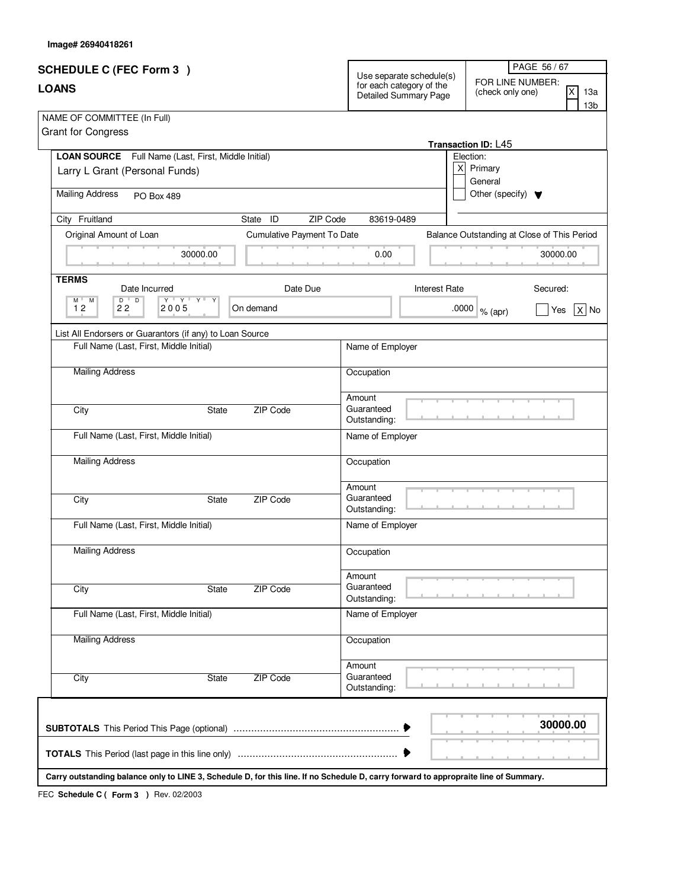| Image# 26940418261 |
|--------------------|
|--------------------|

| <b>SCHEDULE C (FEC Form 3)</b>                                                                                                                                                          |                            |                                                                               |                      |                                      | PAGE 56 / 67                                |
|-----------------------------------------------------------------------------------------------------------------------------------------------------------------------------------------|----------------------------|-------------------------------------------------------------------------------|----------------------|--------------------------------------|---------------------------------------------|
| <b>LOANS</b>                                                                                                                                                                            |                            | Use separate schedule(s)<br>for each category of the<br>Detailed Summary Page |                      | FOR LINE NUMBER:<br>(check only one) | IX.<br>13a<br>13 <sub>b</sub>               |
| NAME OF COMMITTEE (In Full)<br><b>Grant for Congress</b>                                                                                                                                |                            |                                                                               |                      | Transaction ID: L45                  |                                             |
| LOAN SOURCE Full Name (Last, First, Middle Initial)                                                                                                                                     |                            |                                                                               |                      | Election:                            |                                             |
| Larry L Grant (Personal Funds)                                                                                                                                                          |                            |                                                                               | x                    | Primary<br>General                   |                                             |
| <b>Mailing Address</b><br><b>PO Box 489</b>                                                                                                                                             |                            |                                                                               |                      | Other (specify) $\blacktriangledown$ |                                             |
| City Fruitland                                                                                                                                                                          | State ID<br>ZIP Code       | 83619-0489                                                                    |                      |                                      |                                             |
| Original Amount of Loan                                                                                                                                                                 | Cumulative Payment To Date |                                                                               |                      |                                      | Balance Outstanding at Close of This Period |
| 30000.00                                                                                                                                                                                |                            | 0.00                                                                          |                      |                                      | 30000.00                                    |
| <b>TERMS</b><br>Date Incurred                                                                                                                                                           | Date Due                   |                                                                               | <b>Interest Rate</b> |                                      | Secured:                                    |
| $\overline{D}$<br>$\mathsf{Y} \perp \mathsf{A} \perp \mathsf{A} \perp \mathsf{A}$<br>$M$ <sup><math>\parallel</math></sup><br>$D$ <sup><math>\top</math></sup><br>М<br>12<br>22<br>2005 | Y<br>On demand             |                                                                               | .0000                | $\%$ (apr)                           | $X$ No<br>Yes                               |
| List All Endorsers or Guarantors (if any) to Loan Source                                                                                                                                |                            |                                                                               |                      |                                      |                                             |
| Full Name (Last, First, Middle Initial)                                                                                                                                                 |                            | Name of Employer                                                              |                      |                                      |                                             |
| <b>Mailing Address</b>                                                                                                                                                                  |                            | Occupation                                                                    |                      |                                      |                                             |
| City                                                                                                                                                                                    | ZIP Code<br>State          | Amount<br>Guaranteed<br>Outstanding:                                          |                      |                                      |                                             |
| Full Name (Last, First, Middle Initial)                                                                                                                                                 |                            | Name of Employer                                                              |                      |                                      |                                             |
| <b>Mailing Address</b>                                                                                                                                                                  |                            | Occupation                                                                    |                      |                                      |                                             |
| City                                                                                                                                                                                    | ZIP Code<br><b>State</b>   | Amount<br>Guaranteed<br>Outstanding:                                          |                      |                                      |                                             |
| Full Name (Last, First, Middle Initial)                                                                                                                                                 |                            | Name of Employer                                                              |                      |                                      |                                             |
| <b>Mailing Address</b>                                                                                                                                                                  |                            | Occupation                                                                    |                      |                                      |                                             |
| City                                                                                                                                                                                    | <b>ZIP Code</b><br>State   | Amount<br>Guaranteed<br>Outstanding:                                          |                      |                                      |                                             |
| Full Name (Last, First, Middle Initial)                                                                                                                                                 |                            | Name of Employer                                                              |                      |                                      |                                             |
| <b>Mailing Address</b>                                                                                                                                                                  |                            | Occupation                                                                    |                      |                                      |                                             |
| City                                                                                                                                                                                    | ZIP Code<br>State          | Amount<br>Guaranteed<br>Outstanding:                                          |                      |                                      |                                             |
|                                                                                                                                                                                         |                            |                                                                               |                      |                                      | 30000.00                                    |
|                                                                                                                                                                                         |                            |                                                                               |                      |                                      |                                             |
| Carry outstanding balance only to LINE 3, Schedule D, for this line. If no Schedule D, carry forward to appropraite line of Summary.                                                    |                            |                                                                               |                      |                                      |                                             |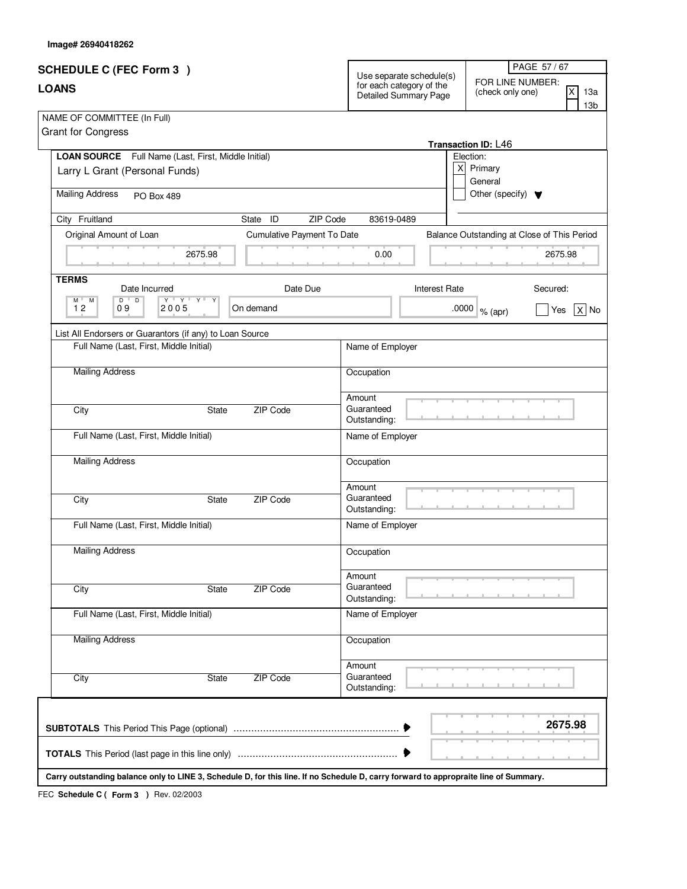| Image# 26940418262 |
|--------------------|
|--------------------|

| <b>SCHEDULE C (FEC Form 3)</b>                                                                                                       |                            | Use separate schedule(s)<br>for each category of the | PAGE 57/67<br>FOR LINE NUMBER:                   |
|--------------------------------------------------------------------------------------------------------------------------------------|----------------------------|------------------------------------------------------|--------------------------------------------------|
| <b>LOANS</b>                                                                                                                         |                            | (check only one)<br>Detailed Summary Page            |                                                  |
| NAME OF COMMITTEE (In Full)<br><b>Grant for Congress</b>                                                                             |                            |                                                      | Transaction ID: L46                              |
| LOAN SOURCE Full Name (Last, First, Middle Initial)                                                                                  |                            |                                                      | Election:                                        |
| Larry L Grant (Personal Funds)                                                                                                       |                            |                                                      | x<br>Primary<br>General                          |
| <b>Mailing Address</b><br>PO Box 489                                                                                                 |                            |                                                      | Other (specify) $\blacktriangledown$             |
| City Fruitland                                                                                                                       | State ID<br>ZIP Code       | 83619-0489                                           |                                                  |
| Original Amount of Loan                                                                                                              | Cumulative Payment To Date |                                                      | Balance Outstanding at Close of This Period      |
| 2675.98                                                                                                                              |                            | 0.00                                                 | 2675.98                                          |
| <b>TERMS</b>                                                                                                                         |                            |                                                      |                                                  |
| Date Incurred<br>$D$ <sup><math>\overline{C}</math></sup><br>$\overline{D}$<br>$Y$ $Y$ $Y$ $Y$ $Y$<br>M<br>M<br>12<br>09<br>2005     | Date Due<br>On demand      | <b>Interest Rate</b>                                 | Secured:<br>.0000<br>$x $ No<br>Yes<br>$%$ (apr) |
|                                                                                                                                      |                            |                                                      |                                                  |
| List All Endorsers or Guarantors (if any) to Loan Source<br>Full Name (Last, First, Middle Initial)                                  |                            | Name of Employer                                     |                                                  |
| <b>Mailing Address</b>                                                                                                               |                            | Occupation                                           |                                                  |
| City<br>State                                                                                                                        | ZIP Code                   | Amount<br>Guaranteed<br>Outstanding:                 |                                                  |
| Full Name (Last, First, Middle Initial)                                                                                              |                            | Name of Employer                                     |                                                  |
| <b>Mailing Address</b>                                                                                                               |                            | Occupation                                           |                                                  |
| City<br><b>State</b>                                                                                                                 | ZIP Code                   | Amount<br>Guaranteed<br>Outstanding:                 |                                                  |
| Full Name (Last, First, Middle Initial)                                                                                              |                            | Name of Employer                                     |                                                  |
| <b>Mailing Address</b>                                                                                                               |                            | Occupation                                           |                                                  |
| State<br>City                                                                                                                        | <b>ZIP Code</b>            | Amount<br>Guaranteed<br>Outstanding:                 |                                                  |
| Full Name (Last, First, Middle Initial)                                                                                              |                            | Name of Employer                                     |                                                  |
| <b>Mailing Address</b>                                                                                                               |                            | Occupation                                           |                                                  |
| City<br>State                                                                                                                        | ZIP Code                   | Amount<br>Guaranteed<br>Outstanding:                 |                                                  |
|                                                                                                                                      |                            |                                                      | 2675.98                                          |
|                                                                                                                                      |                            |                                                      |                                                  |
| Carry outstanding balance only to LINE 3, Schedule D, for this line. If no Schedule D, carry forward to appropraite line of Summary. |                            |                                                      |                                                  |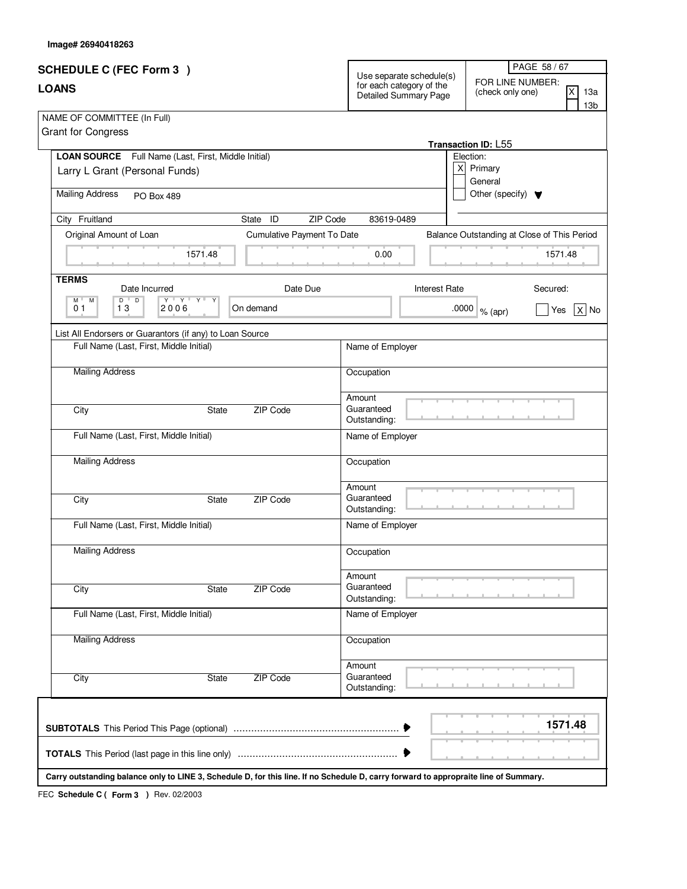| <b>SCHEDULE C (FEC Form 3)</b><br><b>LOANS</b>                                                                                                                                                      |                            | Use separate schedule(s)<br>for each category of the<br>Detailed Summary Page |                               | FOR LINE NUMBER:<br>(check only one)                       | PAGE 58 / 67<br>$\overline{\mathsf{x}}$<br>13a |
|-----------------------------------------------------------------------------------------------------------------------------------------------------------------------------------------------------|----------------------------|-------------------------------------------------------------------------------|-------------------------------|------------------------------------------------------------|------------------------------------------------|
| NAME OF COMMITTEE (In Full)<br><b>Grant for Congress</b>                                                                                                                                            |                            |                                                                               |                               |                                                            | 13 <sub>b</sub>                                |
| LOAN SOURCE Full Name (Last, First, Middle Initial)<br>Larry L Grant (Personal Funds)                                                                                                               |                            |                                                                               |                               | Transaction ID: L55<br>Election:<br>$\overline{X}$ Primary |                                                |
| <b>Mailing Address</b><br><b>PO Box 489</b>                                                                                                                                                         |                            |                                                                               |                               | General<br>Other (specify) $\blacktriangledown$            |                                                |
| City Fruitland                                                                                                                                                                                      | State ID<br>ZIP Code       | 83619-0489                                                                    |                               |                                                            |                                                |
| Original Amount of Loan                                                                                                                                                                             | Cumulative Payment To Date |                                                                               |                               |                                                            | Balance Outstanding at Close of This Period    |
| 1571.48                                                                                                                                                                                             |                            | 0.00                                                                          |                               |                                                            | 1571.48                                        |
| <b>TERMS</b>                                                                                                                                                                                        |                            |                                                                               |                               |                                                            |                                                |
| Date Incurred<br>$\overline{D}$<br>$D$ <sup><math>\Box</math></sup><br>$\mathsf{Y} \dashv \mathsf{Y} \dashv \mathsf{Y} \dashv \mathsf{Y}$<br>$M$ <sup><math>+</math></sup><br>M<br>01<br>13<br>2006 | Date Due<br>On demand      |                                                                               | <b>Interest Rate</b><br>.0000 | % (apr)                                                    | Secured:<br>$X$ No<br>Yes                      |
| List All Endorsers or Guarantors (if any) to Loan Source                                                                                                                                            |                            |                                                                               |                               |                                                            |                                                |
| Full Name (Last, First, Middle Initial)                                                                                                                                                             |                            | Name of Employer                                                              |                               |                                                            |                                                |
| <b>Mailing Address</b>                                                                                                                                                                              |                            | Occupation                                                                    |                               |                                                            |                                                |
| City<br>State                                                                                                                                                                                       | ZIP Code                   | Amount<br>Guaranteed<br>Outstanding:                                          |                               |                                                            |                                                |
| Full Name (Last, First, Middle Initial)                                                                                                                                                             |                            | Name of Employer                                                              |                               |                                                            |                                                |
| <b>Mailing Address</b>                                                                                                                                                                              |                            | Occupation                                                                    |                               |                                                            |                                                |
| City<br><b>State</b>                                                                                                                                                                                | ZIP Code                   | Amount<br>Guaranteed<br>Outstanding:                                          |                               |                                                            |                                                |
| Full Name (Last, First, Middle Initial)                                                                                                                                                             |                            | Name of Employer                                                              |                               |                                                            |                                                |
| <b>Mailing Address</b>                                                                                                                                                                              |                            | Occupation                                                                    |                               |                                                            |                                                |
| <b>State</b><br>City                                                                                                                                                                                | <b>ZIP Code</b>            | Amount<br>Guaranteed<br>Outstanding:                                          |                               |                                                            |                                                |
| Full Name (Last, First, Middle Initial)                                                                                                                                                             |                            | Name of Employer                                                              |                               |                                                            |                                                |
| <b>Mailing Address</b>                                                                                                                                                                              |                            | Occupation                                                                    |                               |                                                            |                                                |
| City<br>State                                                                                                                                                                                       | ZIP Code                   | Amount<br>Guaranteed<br>Outstanding:                                          |                               |                                                            |                                                |
|                                                                                                                                                                                                     |                            |                                                                               |                               |                                                            | 1571.48                                        |
|                                                                                                                                                                                                     |                            |                                                                               |                               |                                                            |                                                |
| Carry outstanding balance only to LINE 3, Schedule D, for this line. If no Schedule D, carry forward to appropraite line of Summary.                                                                |                            |                                                                               |                               |                                                            |                                                |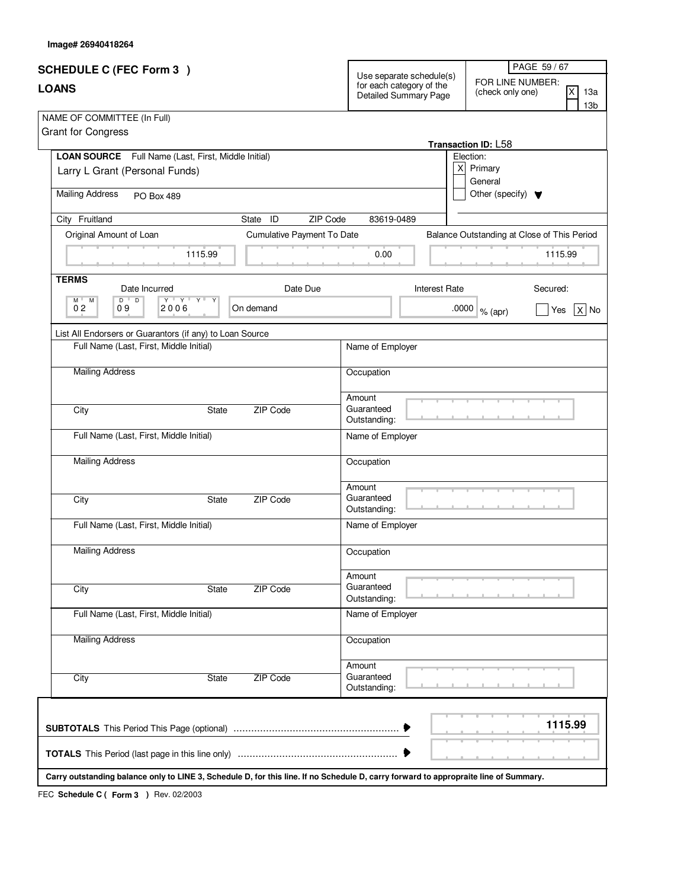| Image# 26940418264 |
|--------------------|
|--------------------|

|                                                                                                                                      |                                                   | PAGE 59 / 67                                                          |  |  |
|--------------------------------------------------------------------------------------------------------------------------------------|---------------------------------------------------|-----------------------------------------------------------------------|--|--|
| <b>SCHEDULE C (FEC Form 3)</b>                                                                                                       | Use separate schedule(s)                          | FOR LINE NUMBER:                                                      |  |  |
| <b>LOANS</b>                                                                                                                         | for each category of the<br>Detailed Summary Page | $\overline{\mathsf{x}}$<br>(check only one)<br>13a<br>13 <sub>b</sub> |  |  |
| NAME OF COMMITTEE (In Full)<br><b>Grant for Congress</b>                                                                             |                                                   |                                                                       |  |  |
| LOAN SOURCE Full Name (Last, First, Middle Initial)                                                                                  |                                                   | Transaction ID: L58<br>Election:                                      |  |  |
| Larry L Grant (Personal Funds)                                                                                                       |                                                   | x <sub>l</sub><br>Primary<br>General                                  |  |  |
| <b>Mailing Address</b><br>PO Box 489                                                                                                 |                                                   | Other (specify) $\blacktriangledown$                                  |  |  |
| City Fruitland<br>State ID<br>ZIP Code                                                                                               | 83619-0489                                        |                                                                       |  |  |
| Cumulative Payment To Date<br>Original Amount of Loan                                                                                |                                                   | Balance Outstanding at Close of This Period                           |  |  |
| 1115.99                                                                                                                              | 0.00                                              | 1115.99                                                               |  |  |
| <b>TERMS</b><br>Date Due<br>Date Incurred                                                                                            | <b>Interest Rate</b>                              | Secured:                                                              |  |  |
| $\overline{D}$<br>$\overline{D}$<br>$Y$ $Y$ $Y$ $Y$ $Y$<br>$\overline{Y}$<br>M "<br>M<br>On demand<br>02<br>09<br>2006               |                                                   | .0000 $\sqrt{\ }$ % (apr)<br>$X $ No<br>Yes                           |  |  |
| List All Endorsers or Guarantors (if any) to Loan Source                                                                             |                                                   |                                                                       |  |  |
| Full Name (Last, First, Middle Initial)                                                                                              | Name of Employer                                  |                                                                       |  |  |
| <b>Mailing Address</b>                                                                                                               | Occupation                                        |                                                                       |  |  |
| ZIP Code<br>City<br>State                                                                                                            | Amount<br>Guaranteed<br>Outstanding:              |                                                                       |  |  |
| Full Name (Last, First, Middle Initial)                                                                                              | Name of Employer                                  |                                                                       |  |  |
| <b>Mailing Address</b>                                                                                                               | Occupation                                        |                                                                       |  |  |
| City<br>ZIP Code<br>State                                                                                                            | Amount<br>Guaranteed<br>Outstanding:              |                                                                       |  |  |
| Full Name (Last, First, Middle Initial)                                                                                              | Name of Employer                                  |                                                                       |  |  |
| <b>Mailing Address</b>                                                                                                               | Occupation                                        |                                                                       |  |  |
| ZIP Code<br>State<br>City                                                                                                            | Amount<br>Guaranteed<br>Outstanding:              |                                                                       |  |  |
| Full Name (Last, First, Middle Initial)                                                                                              | Name of Employer                                  |                                                                       |  |  |
| <b>Mailing Address</b>                                                                                                               | Occupation                                        |                                                                       |  |  |
| ZIP Code<br>City<br>State                                                                                                            | Amount<br>Guaranteed<br>Outstanding:              |                                                                       |  |  |
| Carry outstanding balance only to LINE 3, Schedule D, for this line. If no Schedule D, carry forward to appropraite line of Summary. |                                                   | 1115.99                                                               |  |  |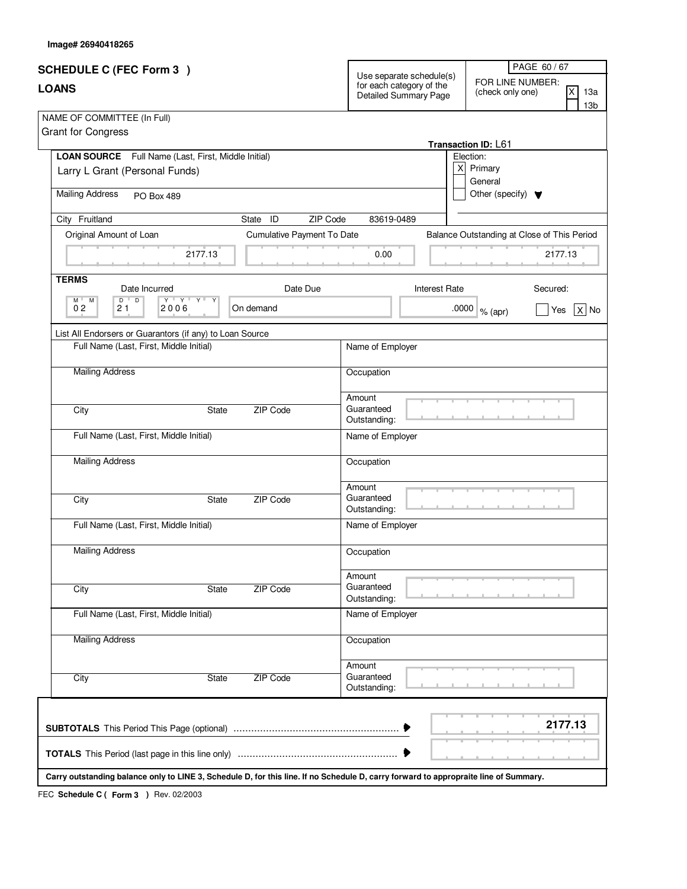| <b>SCHEDULE C (FEC Form 3)</b><br><b>LOANS</b>                                                                                                                                      |                                 | Use separate schedule(s)<br>for each category of the<br>Detailed Summary Page |                               | FOR LINE NUMBER:<br>(check only one) | PAGE 60/67<br>$\overline{\mathsf{x}}$<br>13a<br>13 <sub>b</sub> |
|-------------------------------------------------------------------------------------------------------------------------------------------------------------------------------------|---------------------------------|-------------------------------------------------------------------------------|-------------------------------|--------------------------------------|-----------------------------------------------------------------|
| NAME OF COMMITTEE (In Full)<br><b>Grant for Congress</b>                                                                                                                            |                                 |                                                                               |                               | Transaction ID: L61                  |                                                                 |
| LOAN SOURCE Full Name (Last, First, Middle Initial)<br>Larry L Grant (Personal Funds)                                                                                               |                                 |                                                                               |                               | Election:<br>$X$ Primary<br>General  |                                                                 |
| <b>Mailing Address</b><br>PO Box 489                                                                                                                                                |                                 |                                                                               |                               | Other (specify) $\blacktriangledown$ |                                                                 |
| City Fruitland                                                                                                                                                                      | State ID<br>ZIP Code            | 83619-0489                                                                    |                               |                                      |                                                                 |
| Original Amount of Loan                                                                                                                                                             | Cumulative Payment To Date      |                                                                               |                               |                                      | Balance Outstanding at Close of This Period                     |
| 2177.13                                                                                                                                                                             |                                 | 0.00                                                                          |                               |                                      | 2177.13                                                         |
| <b>TERMS</b>                                                                                                                                                                        |                                 |                                                                               |                               |                                      |                                                                 |
| Date Incurred<br>$\overline{D}$<br>$D$ <sup><math>\overline{C}</math></sup><br>$\mathsf{Y} \dashv \mathsf{Y} \dashv \mathsf{Y} \dashv \mathsf{Y}$<br>$M^+$<br>M<br>02<br>21<br>2006 | Date Due<br>On demand           |                                                                               | <b>Interest Rate</b><br>.0000 | % (apr)                              | Secured:<br>$X$ No<br>Yes                                       |
| List All Endorsers or Guarantors (if any) to Loan Source                                                                                                                            |                                 |                                                                               |                               |                                      |                                                                 |
| Full Name (Last, First, Middle Initial)                                                                                                                                             |                                 | Name of Employer                                                              |                               |                                      |                                                                 |
| <b>Mailing Address</b>                                                                                                                                                              |                                 | Occupation                                                                    |                               |                                      |                                                                 |
| City                                                                                                                                                                                | ZIP Code<br>State               | Amount<br>Guaranteed<br>Outstanding:                                          |                               |                                      |                                                                 |
| Full Name (Last, First, Middle Initial)                                                                                                                                             |                                 | Name of Employer                                                              |                               |                                      |                                                                 |
| <b>Mailing Address</b>                                                                                                                                                              |                                 | Occupation                                                                    |                               |                                      |                                                                 |
| City                                                                                                                                                                                | ZIP Code<br><b>State</b>        | Amount<br>Guaranteed<br>Outstanding:                                          |                               |                                      |                                                                 |
| Full Name (Last, First, Middle Initial)                                                                                                                                             |                                 | Name of Employer                                                              |                               |                                      |                                                                 |
| <b>Mailing Address</b>                                                                                                                                                              |                                 | Occupation                                                                    |                               |                                      |                                                                 |
| City                                                                                                                                                                                | <b>ZIP Code</b><br><b>State</b> | Amount<br>Guaranteed<br>Outstanding:                                          |                               |                                      |                                                                 |
| Full Name (Last, First, Middle Initial)                                                                                                                                             |                                 | Name of Employer                                                              |                               |                                      |                                                                 |
| <b>Mailing Address</b>                                                                                                                                                              |                                 | Occupation                                                                    |                               |                                      |                                                                 |
| City                                                                                                                                                                                | ZIP Code<br>State               | Amount<br>Guaranteed<br>Outstanding:                                          |                               |                                      |                                                                 |
|                                                                                                                                                                                     |                                 |                                                                               |                               |                                      | 2177.13                                                         |
|                                                                                                                                                                                     |                                 |                                                                               |                               |                                      |                                                                 |
| Carry outstanding balance only to LINE 3, Schedule D, for this line. If no Schedule D, carry forward to appropraite line of Summary.                                                |                                 |                                                                               |                               |                                      |                                                                 |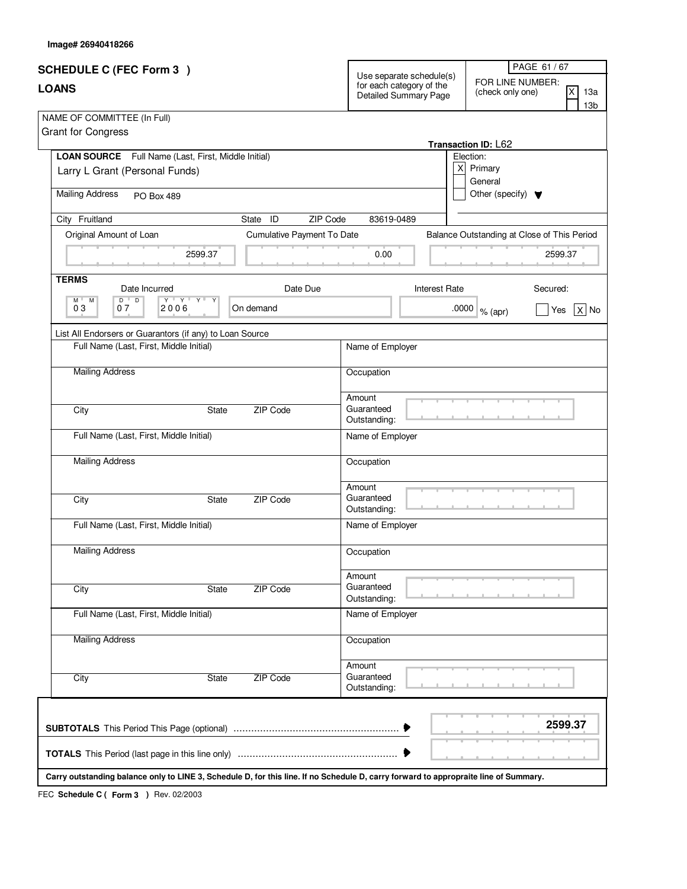| <b>SCHEDULE C (FEC Form 3)</b>                                                                                                                                    | Use separate schedule(s)                          | PAGE 61 / 67<br>FOR LINE NUMBER:                                      |  |  |
|-------------------------------------------------------------------------------------------------------------------------------------------------------------------|---------------------------------------------------|-----------------------------------------------------------------------|--|--|
| <b>LOANS</b>                                                                                                                                                      | for each category of the<br>Detailed Summary Page | $\overline{\mathsf{x}}$<br>(check only one)<br>13a<br>13 <sub>b</sub> |  |  |
| NAME OF COMMITTEE (In Full)<br><b>Grant for Congress</b>                                                                                                          |                                                   |                                                                       |  |  |
| LOAN SOURCE Full Name (Last, First, Middle Initial)                                                                                                               |                                                   | Transaction ID: L62<br>Election:                                      |  |  |
| Larry L Grant (Personal Funds)                                                                                                                                    |                                                   | x <sub>l</sub><br>Primary<br>General                                  |  |  |
| <b>Mailing Address</b><br>PO Box 489                                                                                                                              |                                                   | Other (specify) $\blacktriangledown$                                  |  |  |
| City Fruitland<br>State ID<br>ZIP Code                                                                                                                            | 83619-0489                                        |                                                                       |  |  |
| Cumulative Payment To Date<br>Original Amount of Loan                                                                                                             |                                                   | Balance Outstanding at Close of This Period                           |  |  |
| 2599.37                                                                                                                                                           | 0.00                                              | 2599.37                                                               |  |  |
| <b>TERMS</b><br>Date Due                                                                                                                                          | <b>Interest Rate</b>                              | Secured:                                                              |  |  |
| Date Incurred<br>$\overline{D}$<br>$D$ <sup><math>\overline{C}</math></sup><br>$Y$ $Y$ $Y$ $Y$ $Y$<br>$\overline{Y}$<br>M "<br>M<br>On demand<br>03<br>07<br>2006 |                                                   | .0000 $\sqrt{\ }$ % (apr)<br>$X $ No<br>Yes                           |  |  |
|                                                                                                                                                                   |                                                   |                                                                       |  |  |
| List All Endorsers or Guarantors (if any) to Loan Source<br>Full Name (Last, First, Middle Initial)                                                               | Name of Employer                                  |                                                                       |  |  |
| <b>Mailing Address</b>                                                                                                                                            | Occupation                                        |                                                                       |  |  |
| ZIP Code<br>City<br>State                                                                                                                                         | Amount<br>Guaranteed<br>Outstanding:              |                                                                       |  |  |
| Full Name (Last, First, Middle Initial)                                                                                                                           | Name of Employer                                  |                                                                       |  |  |
| <b>Mailing Address</b>                                                                                                                                            | Occupation                                        |                                                                       |  |  |
| City<br>ZIP Code<br>State                                                                                                                                         | Amount<br>Guaranteed<br>Outstanding:              |                                                                       |  |  |
| Full Name (Last, First, Middle Initial)                                                                                                                           | Name of Employer                                  |                                                                       |  |  |
| <b>Mailing Address</b>                                                                                                                                            | Occupation                                        |                                                                       |  |  |
| ZIP Code<br>State<br>City                                                                                                                                         | Amount<br>Guaranteed<br>Outstanding:              |                                                                       |  |  |
| Full Name (Last, First, Middle Initial)                                                                                                                           | Name of Employer                                  |                                                                       |  |  |
| <b>Mailing Address</b>                                                                                                                                            | Occupation                                        |                                                                       |  |  |
| ZIP Code<br>City<br>State                                                                                                                                         | Amount<br>Guaranteed<br>Outstanding:              |                                                                       |  |  |
| Carry outstanding balance only to LINE 3, Schedule D, for this line. If no Schedule D, carry forward to appropraite line of Summary.                              |                                                   | 2599.37                                                               |  |  |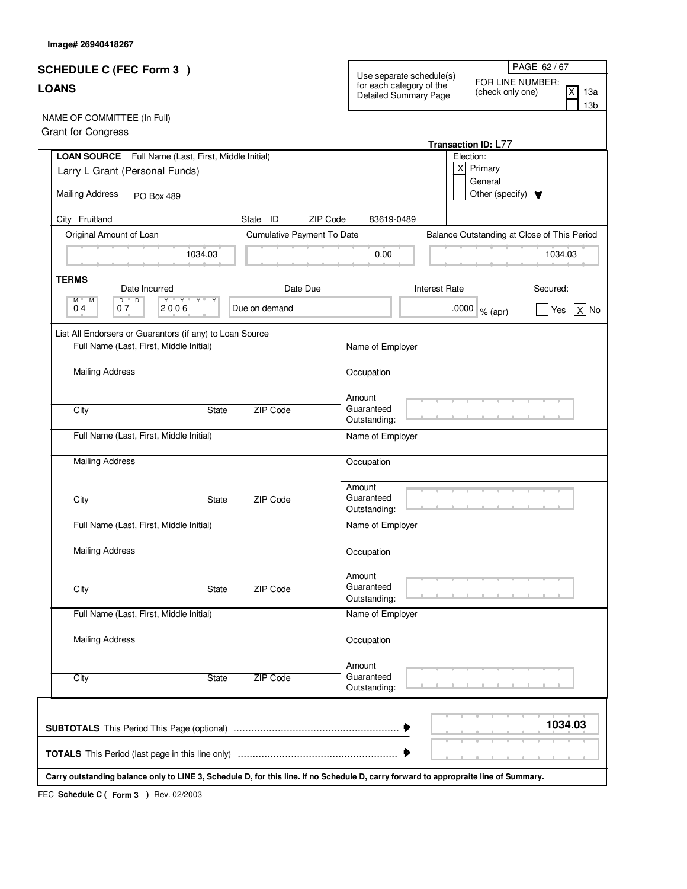| Image# 26940418267 |
|--------------------|
|--------------------|

| <b>SCHEDULE C (FEC Form 3)</b>                                                                                                       |              |                            | Use separate schedule(s)                          |                      |                                                                                           | PAGE 62/67                                  |  |
|--------------------------------------------------------------------------------------------------------------------------------------|--------------|----------------------------|---------------------------------------------------|----------------------|-------------------------------------------------------------------------------------------|---------------------------------------------|--|
| <b>LOANS</b>                                                                                                                         |              |                            | for each category of the<br>Detailed Summary Page |                      | FOR LINE NUMBER:<br>$\overline{\mathsf{x}}$<br>(check only one)<br>13a<br>13 <sub>b</sub> |                                             |  |
| NAME OF COMMITTEE (In Full)<br><b>Grant for Congress</b>                                                                             |              |                            |                                                   |                      | Transaction ID: L77                                                                       |                                             |  |
| LOAN SOURCE Full Name (Last, First, Middle Initial)                                                                                  |              |                            |                                                   |                      | Election:                                                                                 |                                             |  |
| Larry L Grant (Personal Funds)                                                                                                       |              |                            |                                                   |                      | $X$ Primary<br>General                                                                    |                                             |  |
| <b>Mailing Address</b><br><b>PO Box 489</b>                                                                                          |              |                            |                                                   |                      | Other (specify) $\blacktriangledown$                                                      |                                             |  |
| City Fruitland                                                                                                                       |              | State ID<br>ZIP Code       | 83619-0489                                        |                      |                                                                                           |                                             |  |
| Original Amount of Loan                                                                                                              |              | Cumulative Payment To Date |                                                   |                      |                                                                                           | Balance Outstanding at Close of This Period |  |
|                                                                                                                                      | 1034.03      |                            | 0.00                                              |                      |                                                                                           | 1034.03                                     |  |
| <b>TERMS</b><br>Date Incurred                                                                                                        |              | Date Due                   |                                                   | <b>Interest Rate</b> |                                                                                           | Secured:                                    |  |
| $D$ <sup><math>\overline{C}</math></sup><br>$\overline{D}$<br>Y V Y V Y V<br>$M$ <sup><math>+</math></sup><br>M<br>04<br>07<br>2006  | Y            | Due on demand              |                                                   | .0000                | $%$ (apr)                                                                                 | $X$ No<br>Yes                               |  |
| List All Endorsers or Guarantors (if any) to Loan Source                                                                             |              |                            |                                                   |                      |                                                                                           |                                             |  |
| Full Name (Last, First, Middle Initial)                                                                                              |              |                            | Name of Employer                                  |                      |                                                                                           |                                             |  |
| <b>Mailing Address</b>                                                                                                               |              |                            | Occupation                                        |                      |                                                                                           |                                             |  |
| City                                                                                                                                 | <b>State</b> | ZIP Code                   | Amount<br>Guaranteed<br>Outstanding:              |                      |                                                                                           |                                             |  |
| Full Name (Last, First, Middle Initial)                                                                                              |              |                            | Name of Employer                                  |                      |                                                                                           |                                             |  |
| <b>Mailing Address</b>                                                                                                               |              |                            | Occupation                                        |                      |                                                                                           |                                             |  |
| City                                                                                                                                 | <b>State</b> | ZIP Code                   | Amount<br>Guaranteed<br>Outstanding:              |                      |                                                                                           |                                             |  |
| Full Name (Last, First, Middle Initial)                                                                                              |              |                            | Name of Employer                                  |                      |                                                                                           |                                             |  |
| <b>Mailing Address</b>                                                                                                               |              |                            | Occupation                                        |                      |                                                                                           |                                             |  |
| City                                                                                                                                 | <b>State</b> | <b>ZIP Code</b>            | Amount<br>Guaranteed<br>Outstanding:              |                      |                                                                                           |                                             |  |
| Full Name (Last, First, Middle Initial)                                                                                              |              |                            | Name of Employer                                  |                      |                                                                                           |                                             |  |
| <b>Mailing Address</b>                                                                                                               |              |                            | Occupation                                        |                      |                                                                                           |                                             |  |
| City                                                                                                                                 | State        | ZIP Code                   | Amount<br>Guaranteed<br>Outstanding:              |                      |                                                                                           |                                             |  |
|                                                                                                                                      |              |                            |                                                   |                      |                                                                                           | 1034.03                                     |  |
|                                                                                                                                      |              |                            |                                                   |                      |                                                                                           |                                             |  |
| Carry outstanding balance only to LINE 3, Schedule D, for this line. If no Schedule D, carry forward to appropraite line of Summary. |              |                            |                                                   |                      |                                                                                           |                                             |  |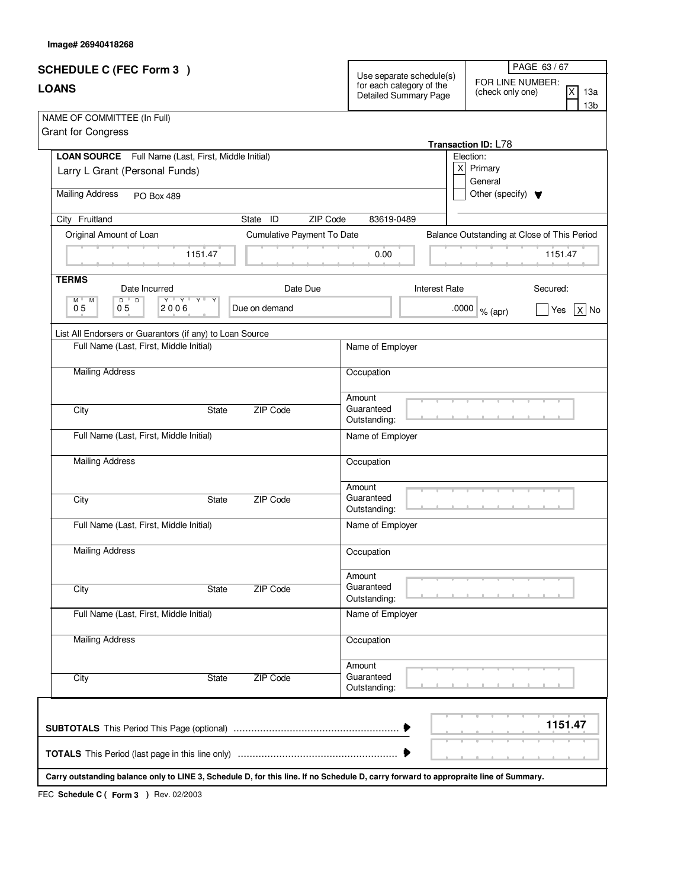| <b>SCHEDULE C (FEC Form 3)</b>                                                                                                         | PAGE 63/67                                                                                                                                           |
|----------------------------------------------------------------------------------------------------------------------------------------|------------------------------------------------------------------------------------------------------------------------------------------------------|
| <b>LOANS</b>                                                                                                                           | Use separate schedule(s)<br>FOR LINE NUMBER:<br>for each category of the<br>X<br>(check only one)<br>13a<br>Detailed Summary Page<br>13 <sub>b</sub> |
| NAME OF COMMITTEE (In Full)<br><b>Grant for Congress</b>                                                                               | Transaction ID: L78                                                                                                                                  |
| <b>LOAN SOURCE</b> Full Name (Last, First, Middle Initial)                                                                             | Election:                                                                                                                                            |
| Larry L Grant (Personal Funds)                                                                                                         | $X$ Primary<br>General                                                                                                                               |
| <b>Mailing Address</b><br>PO Box 489                                                                                                   | Other (specify) $\blacktriangledown$                                                                                                                 |
| City Fruitland<br>ZIP Code<br>State ID                                                                                                 | 83619-0489                                                                                                                                           |
| Original Amount of Loan<br>Cumulative Payment To Date                                                                                  | Balance Outstanding at Close of This Period                                                                                                          |
| 1151.47                                                                                                                                | 0.00<br>1151.47                                                                                                                                      |
| <b>TERMS</b><br>Date Due<br>Date Incurred                                                                                              | <b>Interest Rate</b><br>Secured:                                                                                                                     |
| $\overline{D}$<br>$\mathsf{Y} \perp \mathsf{Y} \perp \mathsf{Y}$<br>$\overline{Y}$<br>D<br>M<br>M<br>Due on demand<br>05<br>05<br>2006 | .0000 $\sqrt{\ }$ % (apr)<br>$x $ No<br>Yes                                                                                                          |
|                                                                                                                                        |                                                                                                                                                      |
| List All Endorsers or Guarantors (if any) to Loan Source<br>Full Name (Last, First, Middle Initial)                                    | Name of Employer                                                                                                                                     |
| <b>Mailing Address</b>                                                                                                                 | Occupation                                                                                                                                           |
| ZIP Code<br>City<br>State                                                                                                              | Amount<br>Guaranteed<br>Outstanding:                                                                                                                 |
| Full Name (Last, First, Middle Initial)                                                                                                | Name of Employer                                                                                                                                     |
| <b>Mailing Address</b>                                                                                                                 | Occupation                                                                                                                                           |
| City<br><b>ZIP Code</b><br>State                                                                                                       | Amount<br>Guaranteed<br>Outstanding:                                                                                                                 |
| Full Name (Last, First, Middle Initial)                                                                                                | Name of Employer                                                                                                                                     |
| <b>Mailing Address</b>                                                                                                                 | Occupation                                                                                                                                           |
| ZIP Code<br>State<br>City                                                                                                              | Amount<br>Guaranteed<br>Outstanding:                                                                                                                 |
| Full Name (Last, First, Middle Initial)                                                                                                | Name of Employer                                                                                                                                     |
| <b>Mailing Address</b>                                                                                                                 | Occupation                                                                                                                                           |
| ZIP Code<br>City<br>State                                                                                                              | Amount<br>Guaranteed<br>Outstanding:                                                                                                                 |
| Carry outstanding balance only to LINE 3, Schedule D, for this line. If no Schedule D, carry forward to appropraite line of Summary.   | 1151.47                                                                                                                                              |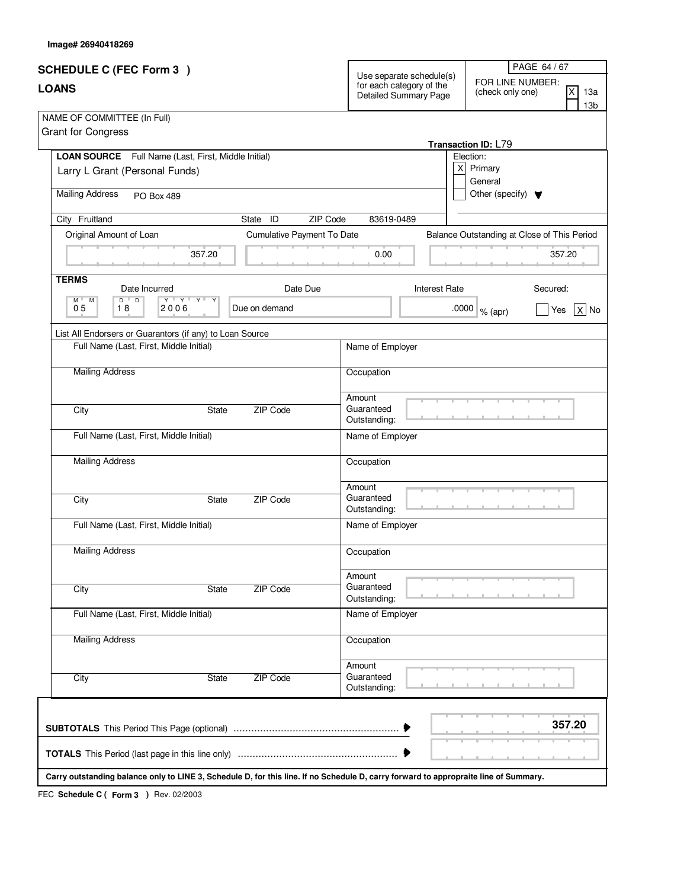| <b>SCHEDULE C (FEC Form 3)</b>                                                                                                                      |                                                                               | PAGE 64 / 67                                                        |
|-----------------------------------------------------------------------------------------------------------------------------------------------------|-------------------------------------------------------------------------------|---------------------------------------------------------------------|
| <b>LOANS</b>                                                                                                                                        | Use separate schedule(s)<br>for each category of the<br>Detailed Summary Page | FOR LINE NUMBER:<br>X<br>(check only one)<br>13a<br>13 <sub>b</sub> |
| NAME OF COMMITTEE (In Full)<br><b>Grant for Congress</b>                                                                                            |                                                                               | Transaction ID: L79                                                 |
| <b>LOAN SOURCE</b> Full Name (Last, First, Middle Initial)                                                                                          |                                                                               | Election:                                                           |
| Larry L Grant (Personal Funds)                                                                                                                      |                                                                               | $X$ Primary<br>General                                              |
| <b>Mailing Address</b><br>PO Box 489                                                                                                                |                                                                               | Other (specify) $\blacktriangledown$                                |
| City Fruitland<br>ZIP Code<br>State ID                                                                                                              | 83619-0489                                                                    |                                                                     |
| Original Amount of Loan<br>Cumulative Payment To Date                                                                                               |                                                                               | Balance Outstanding at Close of This Period                         |
| 357.20                                                                                                                                              | 0.00                                                                          | 357.20                                                              |
| <b>TERMS</b><br>Date Due<br>Date Incurred                                                                                                           | <b>Interest Rate</b>                                                          | Secured:                                                            |
| $\overline{D}$<br>$\overline{D}$<br>$\mathsf{Y} \perp \mathsf{Y} \perp \mathsf{Y}$<br>$\overline{Y}$<br>M<br>M<br>Due on demand<br>18<br>05<br>2006 |                                                                               | .0000 $\sqrt{\ }$ % (apr)<br>$x $ No<br>Yes                         |
|                                                                                                                                                     |                                                                               |                                                                     |
| List All Endorsers or Guarantors (if any) to Loan Source<br>Full Name (Last, First, Middle Initial)                                                 | Name of Employer                                                              |                                                                     |
| <b>Mailing Address</b>                                                                                                                              | Occupation                                                                    |                                                                     |
| ZIP Code<br>City<br>State                                                                                                                           | Amount<br>Guaranteed<br>Outstanding:                                          |                                                                     |
| Full Name (Last, First, Middle Initial)                                                                                                             | Name of Employer                                                              |                                                                     |
| <b>Mailing Address</b>                                                                                                                              | Occupation                                                                    |                                                                     |
| City<br><b>ZIP Code</b><br>State                                                                                                                    | Amount<br>Guaranteed<br>Outstanding:                                          |                                                                     |
| Full Name (Last, First, Middle Initial)                                                                                                             | Name of Employer                                                              |                                                                     |
| <b>Mailing Address</b>                                                                                                                              | Occupation                                                                    |                                                                     |
| ZIP Code<br>State<br>City                                                                                                                           | Amount<br>Guaranteed<br>Outstanding:                                          |                                                                     |
| Full Name (Last, First, Middle Initial)                                                                                                             | Name of Employer                                                              |                                                                     |
| <b>Mailing Address</b>                                                                                                                              | Occupation                                                                    |                                                                     |
| ZIP Code<br>City<br>State                                                                                                                           | Amount<br>Guaranteed<br>Outstanding:                                          |                                                                     |
| Carry outstanding balance only to LINE 3, Schedule D, for this line. If no Schedule D, carry forward to appropraite line of Summary.                |                                                                               | 357.20                                                              |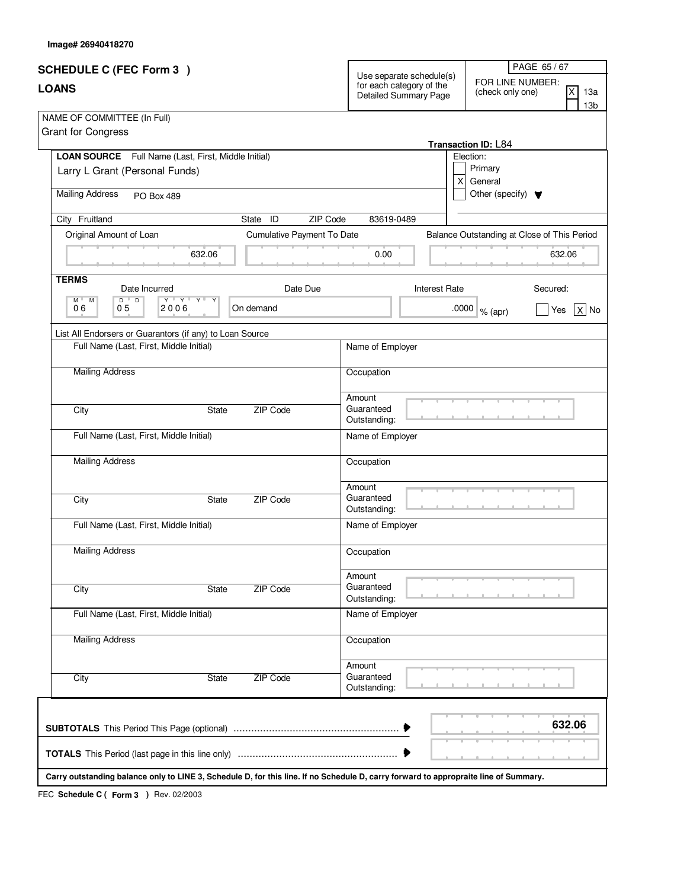| Image# 26940418270 |  |  |  |
|--------------------|--|--|--|
|--------------------|--|--|--|

| <b>SCHEDULE C (FEC Form 3)</b>                                                                                                                       |                            |                                                                               |                      |                                                                      | PAGE 65/67      |         |
|------------------------------------------------------------------------------------------------------------------------------------------------------|----------------------------|-------------------------------------------------------------------------------|----------------------|----------------------------------------------------------------------|-----------------|---------|
| <b>LOANS</b>                                                                                                                                         |                            | Use separate schedule(s)<br>for each category of the<br>Detailed Summary Page |                      | FOR LINE NUMBER:<br>ΙX<br>(check only one)<br>13a<br>13 <sub>b</sub> |                 |         |
| NAME OF COMMITTEE (In Full)<br><b>Grant for Congress</b>                                                                                             |                            |                                                                               |                      | Transaction ID: L84                                                  |                 |         |
| <b>LOAN SOURCE</b> Full Name (Last, First, Middle Initial)                                                                                           |                            |                                                                               |                      | Election:                                                            |                 |         |
| Larry L Grant (Personal Funds)                                                                                                                       |                            |                                                                               | $\mathsf{x}$         | Primary<br>General                                                   |                 |         |
| <b>Mailing Address</b><br>PO Box 489                                                                                                                 |                            |                                                                               |                      | Other (specify) $\blacktriangledown$                                 |                 |         |
| City Fruitland                                                                                                                                       | State ID<br>ZIP Code       | 83619-0489                                                                    |                      |                                                                      |                 |         |
| Original Amount of Loan                                                                                                                              | Cumulative Payment To Date |                                                                               |                      | Balance Outstanding at Close of This Period                          |                 |         |
| 632.06                                                                                                                                               |                            | 0.00                                                                          |                      |                                                                      | 632.06          |         |
| <b>TERMS</b>                                                                                                                                         |                            |                                                                               |                      |                                                                      |                 |         |
| Date Incurred<br>$D$ <sup><math>\overline{C}</math></sup><br>$\overline{D}$<br>$Y$ $Y$ $Y$ $Y$ $Y$<br>$\overline{Y}$<br>M L<br>M<br>06<br>05<br>2006 | Date Due<br>On demand      |                                                                               | <b>Interest Rate</b> | .0000 $\sqrt{\ }$ % (apr)                                            | Secured:<br>Yes | $x $ No |
|                                                                                                                                                      |                            |                                                                               |                      |                                                                      |                 |         |
| List All Endorsers or Guarantors (if any) to Loan Source<br>Full Name (Last, First, Middle Initial)                                                  |                            | Name of Employer                                                              |                      |                                                                      |                 |         |
| <b>Mailing Address</b>                                                                                                                               |                            | Occupation                                                                    |                      |                                                                      |                 |         |
| City<br><b>State</b>                                                                                                                                 | ZIP Code                   | Amount<br>Guaranteed<br>Outstanding:                                          |                      |                                                                      |                 |         |
| Full Name (Last, First, Middle Initial)                                                                                                              |                            | Name of Employer                                                              |                      |                                                                      |                 |         |
| <b>Mailing Address</b>                                                                                                                               |                            | Occupation                                                                    |                      |                                                                      |                 |         |
| City<br><b>State</b>                                                                                                                                 | ZIP Code                   | Amount<br>Guaranteed<br>Outstanding:                                          |                      |                                                                      |                 |         |
| Full Name (Last, First, Middle Initial)                                                                                                              |                            | Name of Employer                                                              |                      |                                                                      |                 |         |
| <b>Mailing Address</b>                                                                                                                               |                            | Occupation                                                                    |                      |                                                                      |                 |         |
| City<br>State                                                                                                                                        | ZIP Code                   | Amount<br>Guaranteed<br>Outstanding:                                          |                      |                                                                      |                 |         |
| Full Name (Last, First, Middle Initial)                                                                                                              |                            | Name of Employer                                                              |                      |                                                                      |                 |         |
| <b>Mailing Address</b>                                                                                                                               |                            | Occupation                                                                    |                      |                                                                      |                 |         |
| City<br>State                                                                                                                                        | ZIP Code                   | Amount<br>Guaranteed<br>Outstanding:                                          |                      |                                                                      |                 |         |
|                                                                                                                                                      |                            |                                                                               |                      |                                                                      | 632.06          |         |
| Carry outstanding balance only to LINE 3, Schedule D, for this line. If no Schedule D, carry forward to appropraite line of Summary.                 |                            |                                                                               |                      |                                                                      |                 |         |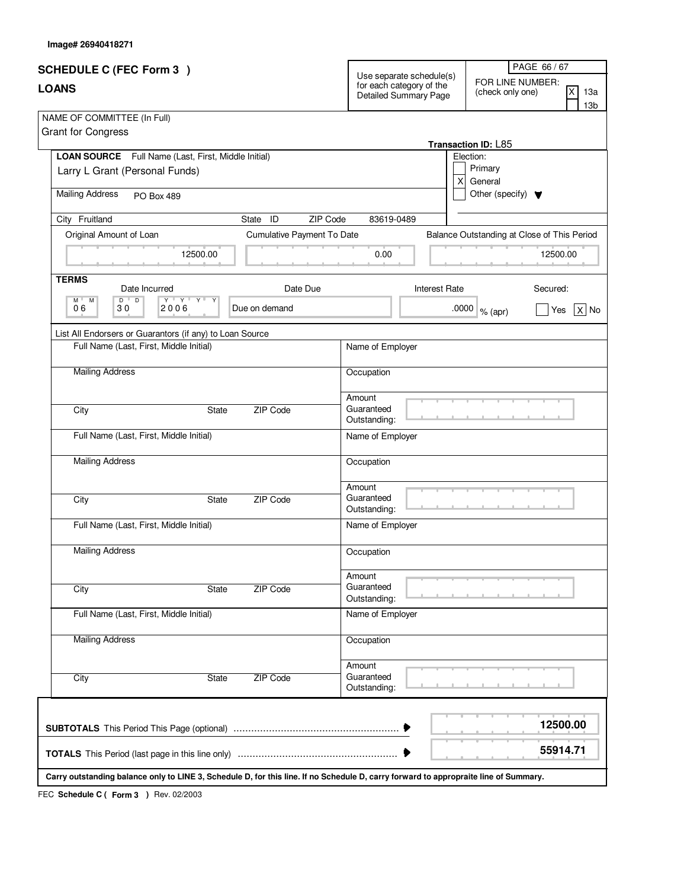| <b>SCHEDULE C (FEC Form 3)</b><br><b>LOANS</b>                                                                                       |                            | PAGE 66 / 67<br>Use separate schedule(s)<br>FOR LINE NUMBER:<br>for each category of the<br>(check only one)<br>Detailed Summary Page |                               |                                             | $\overline{\mathsf{x}}$<br>13a |                 |
|--------------------------------------------------------------------------------------------------------------------------------------|----------------------------|---------------------------------------------------------------------------------------------------------------------------------------|-------------------------------|---------------------------------------------|--------------------------------|-----------------|
| NAME OF COMMITTEE (In Full)<br><b>Grant for Congress</b>                                                                             |                            |                                                                                                                                       |                               |                                             |                                | 13 <sub>b</sub> |
| LOAN SOURCE Full Name (Last, First, Middle Initial)                                                                                  |                            |                                                                                                                                       |                               | Transaction ID: L85<br>Election:            |                                |                 |
| Larry L Grant (Personal Funds)                                                                                                       |                            |                                                                                                                                       | $\vert x \vert$               | Primary<br>General                          |                                |                 |
| <b>Mailing Address</b><br>PO Box 489                                                                                                 |                            |                                                                                                                                       |                               | Other (specify) $\blacktriangledown$        |                                |                 |
| City Fruitland                                                                                                                       | ZIP Code<br>State ID       | 83619-0489                                                                                                                            |                               |                                             |                                |                 |
| Original Amount of Loan                                                                                                              | Cumulative Payment To Date |                                                                                                                                       |                               | Balance Outstanding at Close of This Period |                                |                 |
| 12500.00                                                                                                                             |                            | 0.00                                                                                                                                  |                               |                                             | 12500.00                       |                 |
| <b>TERMS</b>                                                                                                                         |                            |                                                                                                                                       |                               |                                             |                                |                 |
| Date Incurred<br>$\overline{D}$<br>$\overline{D}$<br>$Y$ $Y$ $Y$ $Y$ $Y$<br>$M$ <sup><math>+</math></sup><br>M<br>06<br>30<br>2006   | Date Due<br>Due on demand  |                                                                                                                                       | <b>Interest Rate</b><br>.0000 | % (apr)                                     | Secured:<br>Yes                | $x $ No         |
|                                                                                                                                      |                            |                                                                                                                                       |                               |                                             |                                |                 |
| List All Endorsers or Guarantors (if any) to Loan Source<br>Full Name (Last, First, Middle Initial)                                  |                            | Name of Employer                                                                                                                      |                               |                                             |                                |                 |
| <b>Mailing Address</b>                                                                                                               |                            | Occupation                                                                                                                            |                               |                                             |                                |                 |
| City                                                                                                                                 | ZIP Code<br>State          | Amount<br>Guaranteed<br>Outstanding:                                                                                                  |                               |                                             |                                |                 |
| Full Name (Last, First, Middle Initial)                                                                                              |                            | Name of Employer                                                                                                                      |                               |                                             |                                |                 |
| <b>Mailing Address</b>                                                                                                               |                            | Occupation                                                                                                                            |                               |                                             |                                |                 |
| City                                                                                                                                 | ZIP Code<br>State          | Amount<br>Guaranteed<br>Outstanding:                                                                                                  |                               |                                             |                                |                 |
| Full Name (Last, First, Middle Initial)                                                                                              |                            | Name of Employer                                                                                                                      |                               |                                             |                                |                 |
| <b>Mailing Address</b>                                                                                                               |                            | Occupation                                                                                                                            |                               |                                             |                                |                 |
| City                                                                                                                                 | ZIP Code<br>State          | Amount<br>Guaranteed<br>Outstanding:                                                                                                  |                               |                                             |                                |                 |
| Full Name (Last, First, Middle Initial)                                                                                              |                            | Name of Employer                                                                                                                      |                               |                                             |                                |                 |
| <b>Mailing Address</b>                                                                                                               |                            | Occupation                                                                                                                            |                               |                                             |                                |                 |
| City                                                                                                                                 | ZIP Code<br>State          | Amount<br>Guaranteed<br>Outstanding:                                                                                                  |                               |                                             |                                |                 |
|                                                                                                                                      |                            |                                                                                                                                       |                               |                                             | 12500.00                       |                 |
|                                                                                                                                      |                            |                                                                                                                                       |                               |                                             | 55914.71                       |                 |
| Carry outstanding balance only to LINE 3, Schedule D, for this line. If no Schedule D, carry forward to appropraite line of Summary. |                            |                                                                                                                                       |                               |                                             |                                |                 |